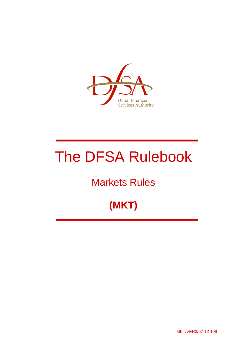

# The DFSA Rulebook

## Markets Rules

## **(MKT)**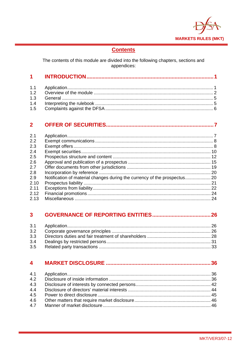

## **Contents**

The contents of this module are divided into the following chapters, sections and appendices:

#### $2<sup>1</sup>$

| 2.1  |  |
|------|--|
| 2.2  |  |
| 2.3  |  |
| 2.4  |  |
| 2.5  |  |
| 2.6  |  |
| 2.7  |  |
| 2.8  |  |
| 2.9  |  |
| 2.10 |  |
| 2.11 |  |
| 2.12 |  |
| 2.13 |  |

#### $3<sup>1</sup>$

| 3.3 |  |
|-----|--|
| 3.4 |  |
|     |  |

#### $\overline{\mathbf{4}}$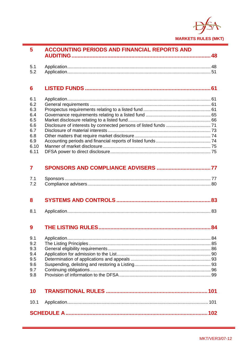

| 5.1<br>5.2<br>$6\phantom{1}6$<br>6.1<br>6.2<br>6.3<br>6.4<br>6.5<br>6.6<br>6.7<br>6.8<br>6.9<br>6.10<br>6.11<br>$\overline{\mathbf{7}}$<br>7.1<br>7.2<br>8<br>8.1<br>9<br>9.1<br>9.2<br>9.3<br>9.4<br>9.5<br>9.6<br>9.7<br>9.8<br>10<br>10.1 |  |  |
|----------------------------------------------------------------------------------------------------------------------------------------------------------------------------------------------------------------------------------------------|--|--|
|                                                                                                                                                                                                                                              |  |  |
|                                                                                                                                                                                                                                              |  |  |
|                                                                                                                                                                                                                                              |  |  |
|                                                                                                                                                                                                                                              |  |  |
|                                                                                                                                                                                                                                              |  |  |
|                                                                                                                                                                                                                                              |  |  |
|                                                                                                                                                                                                                                              |  |  |
|                                                                                                                                                                                                                                              |  |  |
|                                                                                                                                                                                                                                              |  |  |
|                                                                                                                                                                                                                                              |  |  |
|                                                                                                                                                                                                                                              |  |  |
|                                                                                                                                                                                                                                              |  |  |
|                                                                                                                                                                                                                                              |  |  |
|                                                                                                                                                                                                                                              |  |  |
|                                                                                                                                                                                                                                              |  |  |
|                                                                                                                                                                                                                                              |  |  |
|                                                                                                                                                                                                                                              |  |  |
|                                                                                                                                                                                                                                              |  |  |
|                                                                                                                                                                                                                                              |  |  |
|                                                                                                                                                                                                                                              |  |  |
|                                                                                                                                                                                                                                              |  |  |
|                                                                                                                                                                                                                                              |  |  |
|                                                                                                                                                                                                                                              |  |  |
|                                                                                                                                                                                                                                              |  |  |
|                                                                                                                                                                                                                                              |  |  |
|                                                                                                                                                                                                                                              |  |  |
|                                                                                                                                                                                                                                              |  |  |
|                                                                                                                                                                                                                                              |  |  |
|                                                                                                                                                                                                                                              |  |  |
|                                                                                                                                                                                                                                              |  |  |
|                                                                                                                                                                                                                                              |  |  |
|                                                                                                                                                                                                                                              |  |  |

**ACCOUNTING PERIODS AND FINANCIAL REPORTS AND**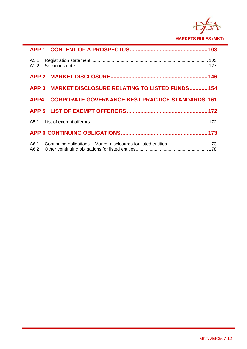

|      | APP 3 MARKET DISCLOSURE RELATING TO LISTED FUNDS 154  |  |
|------|-------------------------------------------------------|--|
|      | APP4 CORPORATE GOVERNANCE BEST PRACTICE STANDARDS.161 |  |
|      |                                                       |  |
|      |                                                       |  |
|      |                                                       |  |
| A6.1 |                                                       |  |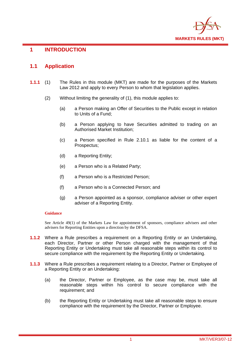

## **1 INTRODUCTION**

## **1.1 Application**

- **1.1.1** (1) The Rules in this module (MKT) are made for the purposes of the Markets Law 2012 and apply to every Person to whom that legislation applies.
	- (2) Without limiting the generality of (1), this module applies to:
		- (a) a Person making an Offer of Securities to the Public except in relation to Units of a Fund;
		- (b) a Person applying to have Securities admitted to trading on an Authorised Market Institution;
		- (c) a Person specified in Rule 2.10.1 as liable for the content of a Prospectus;
		- (d) a Reporting Entity;
		- (e) a Person who is a Related Party;
		- (f) a Person who is a Restricted Person;
		- (f) a Person who is a Connected Person; and
		- (g) a Person appointed as a sponsor, compliance adviser or other expert adviser of a Reporting Entity.

#### **Guidance**

See Article 49(1) of the Markets Law for appointment of sponsors, compliance advisers and other advisers for Reporting Entities upon a direction by the DFSA.

- **1.1.2** Where a Rule prescribes a requirement on a Reporting Entity or an Undertaking, each Director, Partner or other Person charged with the management of that Reporting Entity or Undertaking must take all reasonable steps within its control to secure compliance with the requirement by the Reporting Entity or Undertaking.
- **1.1.3** Where a Rule prescribes a requirement relating to a Director, Partner or Employee of a Reporting Entity or an Undertaking:
	- (a) the Director, Partner or Employee, as the case may be, must take all reasonable steps within his control to secure compliance with the requirement; and
	- (b) the Reporting Entity or Undertaking must take all reasonable steps to ensure compliance with the requirement by the Director, Partner or Employee.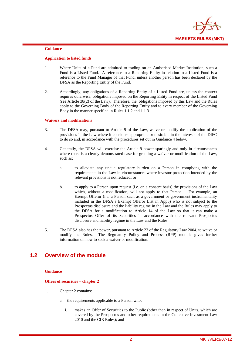

#### **Application to listed funds**

- 1. Where Units of a Fund are admitted to trading on an Authorised Market Institution, such a Fund is a Listed Fund. A reference to a Reporting Entity in relation to a Listed Fund is a reference to the Fund Manager of that Fund, unless another person has been declared by the DFSA as the Reporting Entity of the Fund.
- 2. Accordingly, any obligations of a Reporting Entity of a Listed Fund are, unless the context requires otherwise, obligations imposed on the Reporting Entity in respect of the Listed Fund (see Article 38(2) of the Law). Therefore, the obligations imposed by this Law and the Rules apply to the Governing Body of the Reporting Entity and to every member of the Governing Body in the manner specified in Rules 1.1.2 and 1.1.3.

#### **Waivers and modifications**

- 3. The DFSA may, pursuant to Article 9 of the Law, waive or modify the application of the provisions in the Law where it considers appropriate or desirable in the interests of the DIFC to do so and, in accordance with the procedures set out in Guidance 4 below.
- 4. Generally, the DFSA will exercise the Article 9 power sparingly and only in circumstances where there is a clearly demonstrated case for granting a waiver or modification of the Law, such as:
	- a. to alleviate any undue regulatory burden on a Person in complying with the requirements in the Law in circumstances where investor protection intended by the relevant provisions is not reduced; or
	- b. to apply to a Person upon request (i.e. on a consent basis) the provisions of the Law which, without a modification, will not apply to that Person. For example, an Exempt Offeror (i.e. a Person such as a government or government instrumentality included in the DFSA's Exempt Offeror List in App5) who is not subject to the Prospectus disclosure and the liability regime in the Law and the Rules may apply to the DFSA for a modification to Article 14 of the Law so that it can make a Prospectus Offer of its Securities in accordance with the relevant Prospectus disclosure and liability regime in the Law and the Rules.
- 5. The DFSA also has the power, pursuant to Article 23 of the Regulatory Law 2004, to waive or modify the Rules. The Regulatory Policy and Process (RPP) module gives further information on how to seek a waiver or modification.

## **1.2 Overview of the module**

#### **Guidance**

#### **Offers of securities – chapter 2**

- 1. Chapter 2 contains:
	- a. the requirements applicable to a Person who:
		- i. makes an Offer of Securities to the Public (other than in respect of Units, which are covered by the Prospectus and other requirements in the Collective Investment Law 2010 and the CIR Rules); and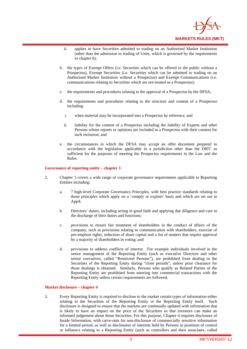

- ii. applies to have Securities admitted to trading on an Authorised Market Institution (other than the admission to trading of Units, which is governed by the requirements in chapter 6);
- b. the types of Exempt Offers (i.e. Securities which can be offered to the public without a Prospectus), Exempt Securities (i.e. Securities which can be admitted to trading on an Authorised Market Institution without a Prospectus) and Exempt Communications (i.e. communications relating to Securities which are not treated as a Prospectus);
- c. the requirements and procedures relating to the approval of a Prospectus by the DFSA;
- d. the requirements and procedures relating to the structure and content of a Prospectus including:
	- i. when material may be incorporated into a Prospectus by reference; and
	- ii. liability for the content of a Prospectus including the liability of Experts and other Persons whose reports or opinions are included in a Prospectus with their consent for such inclusion; and
- e. the circumstances in which the DFSA may accept an offer document prepared in accordance with the legislation applicable in a jurisdiction other than the DIFC as sufficient for the purposes of meeting the Prospectus requirements in the Law and the Rules.

#### **Governance of reporting entity – chapter 3**

- 2. Chapter 3 covers a wide range of corporate governance requirements applicable to Reporting Entities including:
	- a. 7 high-level Corporate Governance Principles, with best practice standards relating to those principles which apply on a 'comply or explain' basis and which are set out in App4;
	- b. Directors' duties, including acting in good faith and applying due diligence and care in the discharge of their duties and functions;
	- c. provisions to ensure fair treatment of shareholders in the conduct of affairs of the company, such as provisions relating to communication with shareholders, exercise of pre-emption rights, reduction of share capital and a list of matters that require approval by a majority of shareholders in voting; and
	- d. provisions to address conflicts of interest. For example individuals involved in the senior management of the Reporting Entity (such as executive Directors and other senior executives, called "Restricted Persons"), are prohibited from dealing in the Securities of the Reporting Entity during "close periods", unless prior clearance for those dealings is obtained. Similarly, Persons who qualify as Related Parties of the Reporting Entity are prohibited from entering into commercial transactions with the Reporting Entity unless certain requirements are followed.

#### **Market disclosure – chapter 4**

3. Every Reporting Entity is required to disclose to the market certain types of information either relating to the Securities of the Reporting Entity or the Reporting Entity itself. Such disclosure is designed to ensure that the markets are continually updated with information that is likely to have an impact on the price of the Securities so that investors can make an informed judgement about those Securities. For this purpose, Chapter 4 requires disclosure of Inside Information, with carve-outs for non-disclosure of commercially sensitive information for a limited period, as well as disclosures of interests held by Persons in positions of control or influence relating to a Reporting Entity (such as controllers and their associates, called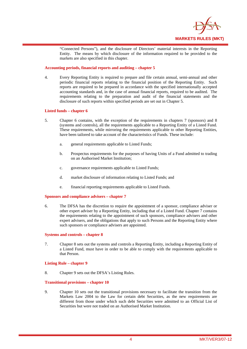

"Connected Persons"), and the disclosure of Directors' material interests in the Reporting Entity. The means by which disclosure of the information required to be provided to the markets are also specified in this chapter.

#### **Accounting periods, financial reports and auditing – chapter 5**

4. Every Reporting Entity is required to prepare and file certain annual, semi-annual and other periodic financial reports relating to the financial position of the Reporting Entity. Such reports are required to be prepared in accordance with the specified internationally accepted accounting standards and, in the case of annual financial reports, required to be audited. The requirements relating to the preparation and audit of the financial statements and the disclosure of such reports within specified periods are set out in Chapter 5.

#### **Listed funds – chapter 6**

- 5. Chapter 6 contains, with the exception of the requirements in chapters 7 (sponsors) and 8 (systems and controls), all the requirements applicable to a Reporting Entity of a Listed Fund. These requirements, while mirroring the requirements applicable to other Reporting Entities, have been tailored to take account of the characteristics of Funds. These include:
	- a. general requirements applicable to Listed Funds;
	- b. Prospectus requirements for the purposes of having Units of a Fund admitted to trading on an Authorised Market Institution;
	- c. governance requirements applicable to Listed Funds;
	- d. market disclosure of information relating to Listed Funds; and
	- e. financial reporting requirements applicable to Listed Funds.

#### **Sponsors and compliance advisers – chapter 7**

6. The DFSA has the discretion to require the appointment of a sponsor, compliance adviser or other expert adviser by a Reporting Entity, including that of a Listed Fund. Chapter 7 contains the requirements relating to the appointment of such sponsors, compliance advisers and other expert advisers, and the obligations that apply to such Persons and the Reporting Entity where such sponsors or compliance advisers are appointed.

#### **Systems and controls – chapter 8**

7. Chapter 8 sets out the systems and controls a Reporting Entity, including a Reporting Entity of a Listed Fund, must have in order to be able to comply with the requirements applicable to that Person.

#### **Listing Rule – chapter 9**

8. Chapter 9 sets out the DFSA's Listing Rules.

#### **Transitional provisions – chapter 10**

9. Chapter 10 sets out the transitional provisions necessary to facilitate the transition from the Markets Law 2004 to the Law for certain debt Securities, as the new requirements are different from those under which such debt Securities were admitted to an Official List of Securities but were not traded on an Authorised Market Institution.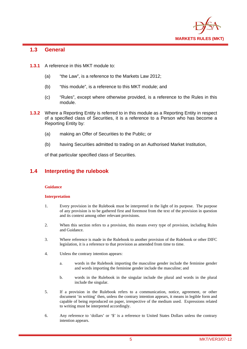

## **1.3 General**

- **1.3.1** A reference in this MKT module to:
	- (a) "the Law", is a reference to the Markets Law 2012;
	- (b) "this module", is a reference to this MKT module; and
	- (c) "Rules", except where otherwise provided, is a reference to the Rules in this module.
- **1.3.2** Where a Reporting Entity is referred to in this module as a Reporting Entity in respect of a specified class of Securities, it is a reference to a Person who has become a Reporting Entity by:
	- (a) making an Offer of Securities to the Public; or
	- (b) having Securities admitted to trading on an Authorised Market Institution,

of that particular specified class of Securities.

## **1.4 Interpreting the rulebook**

#### **Guidance**

#### **Interpretation**

- 1. Every provision in the Rulebook must be interpreted in the light of its purpose. The purpose of any provision is to be gathered first and foremost from the text of the provision in question and its context among other relevant provisions.
- 2. When this section refers to a provision, this means every type of provision, including Rules and Guidance.
- 3. Where reference is made in the Rulebook to another provision of the Rulebook or other DIFC legislation, it is a reference to that provision as amended from time to time.
- 4. Unless the contrary intention appears:
	- a. words in the Rulebook importing the masculine gender include the feminine gender and words importing the feminine gender include the masculine; and
	- b. words in the Rulebook in the singular include the plural and words in the plural include the singular.
- 5. If a provision in the Rulebook refers to a communication, notice, agreement, or other document 'in writing' then, unless the contrary intention appears, it means in legible form and capable of being reproduced on paper, irrespective of the medium used. Expressions related to writing must be interpreted accordingly.
- 6. Any reference to 'dollars' or '\$' is a reference to United States Dollars unless the contrary intention appears.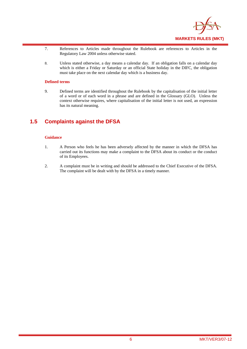

- 7. References to Articles made throughout the Rulebook are references to Articles in the Regulatory Law 2004 unless otherwise stated.
- 8. Unless stated otherwise, a day means a calendar day. If an obligation falls on a calendar day which is either a Friday or Saturday or an official State holiday in the DIFC, the obligation must take place on the next calendar day which is a business day.

#### **Defined terms**

9. Defined terms are identified throughout the Rulebook by the capitalisation of the initial letter of a word or of each word in a phrase and are defined in the Glossary (GLO). Unless the context otherwise requires, where capitalisation of the initial letter is not used, an expression has its natural meaning.

## **1.5 Complaints against the DFSA**

#### **Guidance**

- 1. A Person who feels he has been adversely affected by the manner in which the DFSA has carried out its functions may make a complaint to the DFSA about its conduct or the conduct of its Employees.
- 2. A complaint must be in writing and should be addressed to the Chief Executive of the DFSA. The complaint will be dealt with by the DFSA in a timely manner.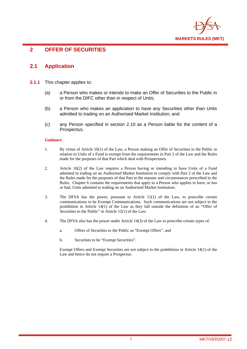

## **2 OFFER OF SECURITIES**

## **2.1 Application**

- **2.1.1** This chapter applies to:
	- (a) a Person who makes or intends to make an Offer of Securities to the Public in or from the DIFC other than in respect of Units;
	- (b) a Person who makes an application to have any Securities other than Units admitted to trading on an Authorised Market Institution; and
	- (c) any Person specified in section 2.10 as a Person liable for the content of a Prospectus.

#### **Guidance**

- 1. By virtue of Article 10(1) of the Law, a Person making an Offer of Securities to the Public in relation to Units of a Fund is exempt from the requirements in Part 2 of the Law and the Rules made for the purposes of that Part which deal with Prospectuses.
- 2. Article 10(2) of the Law requires a Person having or intending to have Units of a Fund admitted to trading on an Authorised Market Institution to comply with Part 2 of the Law and the Rules made for the purposes of that Part in the manner and circumstances prescribed in the Rules. Chapter 6 contains the requirements that apply to a Person who applies to have, or has or had, Units admitted to trading on an Authorised Market Institution.
- 3. The DFSA has the power, pursuant to Article 12(1) of the Law, to prescribe certain communications to be Exempt Communications. Such communications are not subject to the prohibition in Article  $14(1)$  of the Law as they fall outside the definition of an "Offer of Securities to the Public" in Article 12(1) of the Law.
- 4. The DFSA also has the power under Article 14(3) of the Law to prescribe certain types of:
	- a. Offers of Securities to the Public as "Exempt Offers", and
	- b. Securities to be "Exempt Securities".

Exempt Offers and Exempt Securities are not subject to the prohibition in Article 14(1) of the Law and hence do not require a Prospectus.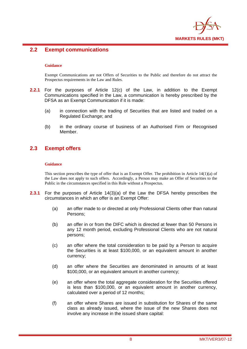

## **2.2 Exempt communications**

#### **Guidance**

Exempt Communications are not Offers of Securities to the Public and therefore do not attract the Prospectus requirements in the Law and Rules.

- **2.2.1** For the purposes of Article 12(c) of the Law, in addition to the Exempt Communications specified in the Law, a communication is hereby prescribed by the DFSA as an Exempt Communication if it is made:
	- (a) in connection with the trading of Securities that are listed and traded on a Regulated Exchange; and
	- (b) in the ordinary course of business of an Authorised Firm or Recognised Member.

## **2.3 Exempt offers**

#### **Guidance**

This section prescribes the type of offer that is an Exempt Offer. The prohibition in Article 14(1)(a) of the Law does not apply to such offers. Accordingly, a Person may make an Offer of Securities to the Public in the circumstances specified in this Rule without a Prospectus.

- **2.3.1** For the purposes of Article 14(3)(a) of the Law the DFSA hereby prescribes the circumstances in which an offer is an Exempt Offer:
	- (a) an offer made to or directed at only Professional Clients other than natural Persons;
	- (b) an offer in or from the DIFC which is directed at fewer than 50 Persons in any 12 month period, excluding Professional Clients who are not natural persons;
	- (c) an offer where the total consideration to be paid by a Person to acquire the Securities is at least \$100,000, or an equivalent amount in another currency;
	- (d) an offer where the Securities are denominated in amounts of at least \$100,000, or an equivalent amount in another currency;
	- (e) an offer where the total aggregate consideration for the Securities offered is less than \$100,000, or an equivalent amount in another currency, calculated over a period of 12 months;
	- (f) an offer where Shares are issued in substitution for Shares of the same class as already issued, where the issue of the new Shares does not involve any increase in the issued share capital: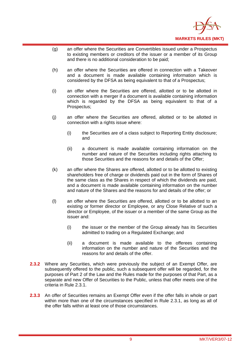

- (g) an offer where the Securities are Convertibles issued under a Prospectus to existing members or creditors of the issuer or a member of its Group and there is no additional consideration to be paid;
- (h) an offer where the Securities are offered in connection with a Takeover and a document is made available containing information which is considered by the DFSA as being equivalent to that of a Prospectus;
- (i) an offer where the Securities are offered, allotted or to be allotted in connection with a merger if a document is available containing information which is regarded by the DFSA as being equivalent to that of a Prospectus;
- (j) an offer where the Securities are offered, allotted or to be allotted in connection with a rights issue where:
	- (i) the Securities are of a class subject to Reporting Entity disclosure; and
	- (ii) a document is made available containing information on the number and nature of the Securities including rights attaching to those Securities and the reasons for and details of the Offer;
- (k) an offer where the Shares are offered, allotted or to be allotted to existing shareholders free of charge or dividends paid out in the form of Shares of the same class as the Shares in respect of which the dividends are paid, and a document is made available containing information on the number and nature of the Shares and the reasons for and details of the offer; or
- (l) an offer where the Securities are offered, allotted or to be allotted to an existing or former director or Employee, or any Close Relative of such a director or Employee, of the issuer or a member of the same Group as the issuer and:
	- (i) the issuer or the member of the Group already has its Securities admitted to trading on a Regulated Exchange; and
	- (ii) a document is made available to the offerees containing information on the number and nature of the Securities and the reasons for and details of the offer.
- **2.3.2** Where any Securities, which were previously the subject of an Exempt Offer, are subsequently offered to the public, such a subsequent offer will be regarded, for the purposes of Part 2 of the Law and the Rules made for the purposes of that Part, as a separate and new Offer of Securities to the Public, unless that offer meets one of the criteria in Rule 2.3.1.
- **2.3.3** An offer of Securities remains an Exempt Offer even if the offer falls in whole or part within more than one of the circumstances specified in Rule 2.3.1, as long as all of the offer falls within at least one of those circumstances.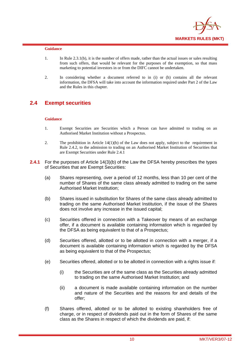

- 1. In Rule 2.3.1(b), it is the number of offers made, rather than the actual issues or sales resulting from such offers, that would be relevant for the purposes of the exemption, so that mass marketing to potential investors in or from the DIFC cannot be undertaken.
- 2. In considering whether a document referred to in (i) or (h) contains all the relevant information, the DFSA will take into account the information required under Part 2 of the Law and the Rules in this chapter.

## **2.4 Exempt securities**

#### **Guidance**

- 1. Exempt Securities are Securities which a Person can have admitted to trading on an Authorised Market Institution without a Prospectus.
- 2. The prohibition in Article 14(1)(b) of the Law does not apply, subject to the requirement in Rule 2.4.2, to the admission to trading on an Authorised Market Institution of Securities that are Exempt Securities under Rule 2.4.1
- **2.4.1** For the purposes of Article 14(3)(b) of the Law the DFSA hereby prescribes the types of Securities that are Exempt Securities:
	- (a) Shares representing, over a period of 12 months, less than 10 per cent of the number of Shares of the same class already admitted to trading on the same Authorised Market Institution;
	- (b) Shares issued in substitution for Shares of the same class already admitted to trading on the same Authorised Market Institution, if the issue of the Shares does not involve any increase in the issued capital;
	- (c) Securities offered in connection with a Takeover by means of an exchange offer, if a document is available containing information which is regarded by the DFSA as being equivalent to that of a Prospectus;
	- (d) Securities offered, allotted or to be allotted in connection with a merger, if a document is available containing information which is regarded by the DFSA as being equivalent to that of the Prospectus;
	- (e) Securities offered, allotted or to be allotted in connection with a rights issue if:
		- (i) the Securities are of the same class as the Securities already admitted to trading on the same Authorised Market Institution; and
		- (ii) a document is made available containing information on the number and nature of the Securities and the reasons for and details of the offer;
	- (f) Shares offered, allotted or to be allotted to existing shareholders free of charge, or in respect of dividends paid out in the form of Shares of the same class as the Shares in respect of which the dividends are paid, if: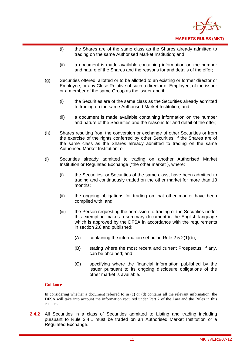

- (i) the Shares are of the same class as the Shares already admitted to trading on the same Authorised Market Institution; and
- (ii) a document is made available containing information on the number and nature of the Shares and the reasons for and details of the offer;
- (g) Securities offered, allotted or to be allotted to an existing or former director or Employee, or any Close Relative of such a director or Employee, of the issuer or a member of the same Group as the issuer and if:
	- (i) the Securities are of the same class as the Securities already admitted to trading on the same Authorised Market Institution; and
	- (ii) a document is made available containing information on the number and nature of the Securities and the reasons for and detail of the offer;
- (h) Shares resulting from the conversion or exchange of other Securities or from the exercise of the rights conferred by other Securities, if the Shares are of the same class as the Shares already admitted to trading on the same Authorised Market Institution; or
- (i) Securities already admitted to trading on another Authorised Market Institution or Regulated Exchange ("the other market"), where:
	- (i) the Securities, or Securities of the same class, have been admitted to trading and continuously traded on the other market for more than 18 months;
	- (ii) the ongoing obligations for trading on that other market have been complied with; and
	- (iii) the Person requesting the admission to trading of the Securities under this exemption makes a summary document in the English language which is approved by the DFSA in accordance with the requirements in section 2.6 and published:
		- (A) containing the information set out in Rule 2.5.2(1)(b);
		- (B) stating where the most recent and current Prospectus, if any, can be obtained; and
		- (C) specifying where the financial information published by the issuer pursuant to its ongoing disclosure obligations of the other market is available.

In considering whether a document referred to in (c) or (d) contains all the relevant information, the DFSA will take into account the information required under Part 2 of the Law and the Rules in this chapter.

**2.4.2** All Securities in a class of Securities admitted to Listing and trading including pursuant to Rule 2.4.1 must be traded on an Authorised Market Institution or a Regulated Exchange.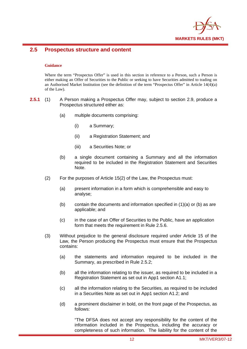

## **2.5 Prospectus structure and content**

#### **Guidance**

Where the term "Prospectus Offer" is used in this section in reference to a Person, such a Person is either making an Offer of Securities to the Public or seeking to have Securities admitted to trading on an Authorised Market Institution (see the definition of the term "Prospectus Offer" in Article 14(4)(a) of the Law).

- **2.5.1** (1) A Person making a Prospectus Offer may, subject to section 2.9, produce a Prospectus structured either as:
	- (a) multiple documents comprising:
		- (i) a Summary;
		- (ii) a Registration Statement; and
		- (iii) a Securities Note; or
	- (b) a single document containing a Summary and all the information required to be included in the Registration Statement and Securities Note.
	- (2) For the purposes of Article 15(2) of the Law, the Prospectus must:
		- (a) present information in a form which is comprehensible and easy to analyse;
		- (b) contain the documents and information specified in  $(1)(a)$  or (b) as are applicable; and
		- (c) in the case of an Offer of Securities to the Public, have an application form that meets the requirement in Rule 2.5.6.
	- (3) Without prejudice to the general disclosure required under Article 15 of the Law, the Person producing the Prospectus must ensure that the Prospectus contains:
		- (a) the statements and information required to be included in the Summary, as prescribed in Rule 2.5.2;
		- (b) all the information relating to the issuer, as required to be included in a Registration Statement as set out in App1 section A1.1;
		- (c) all the information relating to the Securities, as required to be included in a Securities Note as set out in App1 section A1.2; and
		- (d) a prominent disclaimer in bold, on the front page of the Prospectus, as follows:

"The DFSA does not accept any responsibility for the content of the information included in the Prospectus, including the accuracy or completeness of such information. The liability for the content of the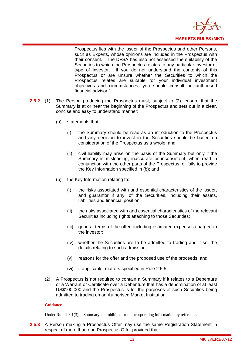

Prospectus lies with the issuer of the Prospectus and other Persons, such as Experts, whose opinions are included in the Prospectus with their consent. The DFSA has also not assessed the suitability of the Securities to which the Prospectus relates to any particular investor or type of investor. If you do not understand the contents of this Prospectus or are unsure whether the Securities to which the Prospectus relates are suitable for your individual investment objectives and circumstances, you should consult an authorised financial advisor."

- **2.5.2** (1) The Person producing the Prospectus must, subject to (2), ensure that the Summary is at or near the beginning of the Prospectus and sets out in a clear, concise and easy to understand manner:
	- (a) statements that:
		- (i) the Summary should be read as an introduction to the Prospectus and any decision to invest in the Securities should be based on consideration of the Prospectus as a whole; and
		- (ii) civil liability may arise on the basis of the Summary but only if the Summary is misleading, inaccurate or inconsistent, when read in conjunction with the other parts of the Prospectus, or fails to provide the Key Information specified in (b); and
	- (b) the Key Information relating to:
		- (i) the risks associated with and essential characteristics of the issuer, and guarantor if any, of the Securities, including their assets, liabilities and financial position;
		- (ii) the risks associated with and essential characteristics of the relevant Securities including rights attaching to those Securities;
		- (iii) general terms of the offer, including estimated expenses charged to the investor;
		- (iv) whether the Securities are to be admitted to trading and if so, the details relating to such admission;
		- (v) reasons for the offer and the proposed use of the proceeds; and
		- (vi) if applicable, matters specified in Rule 2.5.5.
	- (2) A Prospectus is not required to contain a Summary if it relates to a Debenture or a Warrant or Certificate over a Debenture that has a denomination of at least US\$100,000 and the Prospectus is for the purposes of such Securities being admitted to trading on an Authorised Market Institution.

#### **Guidance**

Under Rule 2.8.1(3), a Summary is prohibited from incorporating information by reference.

**2.5.3** A Person making a Prospectus Offer may use the same Registration Statement in respect of more than one Prospectus Offer provided that: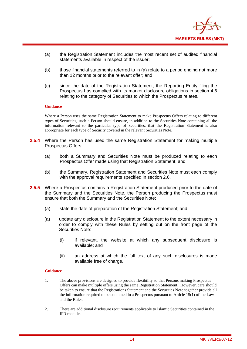

- (a) the Registration Statement includes the most recent set of audited financial statements available in respect of the issuer;
- (b) those financial statements referred to in (a) relate to a period ending not more than 12 months prior to the relevant offer; and
- (c) since the date of the Registration Statement, the Reporting Entity filing the Prospectus has complied with its market disclosure obligations in section 4.6 relating to the category of Securities to which the Prospectus relates.

Where a Person uses the same Registration Statement to make Prospectus Offers relating to different types of Securities, such a Person should ensure, in addition to the Securities Note containing all the information relevant to the particular type of Securities, that the Registration Statement is also appropriate for each type of Security covered in the relevant Securities Note.

- **2.5.4** Where the Person has used the same Registration Statement for making multiple Prospectus Offers:
	- (a) both a Summary and Securities Note must be produced relating to each Prospectus Offer made using that Registration Statement; and
	- (b) the Summary, Registration Statement and Securities Note must each comply with the approval requirements specified in section 2.6.
- **2.5.5** Where a Prospectus contains a Registration Statement produced prior to the date of the Summary and the Securities Note, the Person producing the Prospectus must ensure that both the Summary and the Securities Note:
	- (a) state the date of preparation of the Registration Statement; and
	- (a) update any disclosure in the Registration Statement to the extent necessary in order to comply with these Rules by setting out on the front page of the Securities Note:
		- (i) if relevant, the website at which any subsequent disclosure is available; and
		- (ii) an address at which the full text of any such disclosures is made available free of charge.

#### **Guidance**

- 1. The above provisions are designed to provide flexibility so that Persons making Prospectus Offers can make multiple offers using the same Registration Statement. However, care should be taken to ensure that the Registrations Statement and the Securities Note together provide all the information required to be contained in a Prospectus pursuant to Article 15(1) of the Law and the Rules.
- 2. There are additional disclosure requirements applicable to Islamic Securities contained in the IFR module.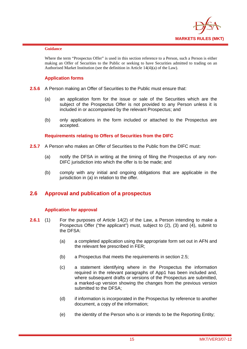

Where the term "Prospectus Offer" is used in this section reference to a Person, such a Person is either making an Offer of Securities to the Public or seeking to have Securities admitted to trading on an Authorised Market Institution (see the definition in Article 14(4)(a) of the Law).

## **Application forms**

- **2.5.6** A Person making an Offer of Securities to the Public must ensure that:
	- (a) an application form for the issue or sale of the Securities which are the subject of the Prospectus Offer is not provided to any Person unless it is included in or accompanied by the relevant Prospectus; and
	- (b) only applications in the form included or attached to the Prospectus are accepted.

## **Requirements relating to Offers of Securities from the DIFC**

- **2.5.7** A Person who makes an Offer of Securities to the Public from the DIFC must:
	- (a) notify the DFSA in writing at the timing of filing the Prospectus of any non-DIFC jurisdiction into which the offer is to be made; and
	- (b) comply with any initial and ongoing obligations that are applicable in the jurisdiction in (a) in relation to the offer.

## **2.6 Approval and publication of a prospectus**

#### **Application for approval**

- **2.6.1** (1) For the purposes of Article 14(2) of the Law, a Person intending to make a Prospectus Offer ("the applicant") must, subject to (2), (3) and (4), submit to the DFSA:
	- (a) a completed application using the appropriate form set out in AFN and the relevant fee prescribed in FER;
	- (b) a Prospectus that meets the requirements in section 2.5;
	- (c) a statement identifying where in the Prospectus the information required in the relevant paragraphs of App1 has been included and, where subsequent drafts or versions of the Prospectus are submitted, a marked-up version showing the changes from the previous version submitted to the DFSA:
	- (d) if information is incorporated in the Prospectus by reference to another document, a copy of the information;
	- (e) the identity of the Person who is or intends to be the Reporting Entity;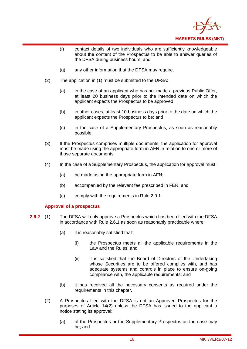

- (f) contact details of two individuals who are sufficiently knowledgeable about the content of the Prospectus to be able to answer queries of the DFSA during business hours; and
- (g) any other information that the DFSA may require.
- (2) The application in (1) must be submitted to the DFSA:
	- (a) in the case of an applicant who has not made a previous Public Offer, at least 20 business days prior to the intended date on which the applicant expects the Prospectus to be approved;
	- (b) in other cases, at least 10 business days prior to the date on which the applicant expects the Prospectus to be; and
	- (c) in the case of a Supplementary Prospectus, as soon as reasonably possible.
- (3) If the Prospectus comprises multiple documents, the application for approval must be made using the appropriate form in AFN in relation to one or more of those separate documents.
- (4) In the case of a Supplementary Prospectus, the application for approval must:
	- (a) be made using the appropriate form in AFN;
	- (b) accompanied by the relevant fee prescribed in FER; and
	- (c) comply with the requirements in Rule 2.9.1.

#### **Approval of a prospectus**

- **2.6.2** (1) The DFSA will only approve a Prospectus which has been filed with the DFSA in accordance with Rule 2.6.1 as soon as reasonably practicable where:
	- (a) it is reasonably satisfied that:
		- (i) the Prospectus meets all the applicable requirements in the Law and the Rules; and
		- (ii) it is satisfied that the Board of Directors of the Undertaking whose Securities are to be offered complies with, and has adequate systems and controls in place to ensure on-going compliance with, the applicable requirements; and
	- (b) it has received all the necessary consents as required under the requirements in this chapter.
	- (2) A Prospectus filed with the DFSA is not an Approved Prospectus for the purposes of Article 14(2) unless the DFSA has issued to the applicant a notice stating its approval:
		- (a) of the Prospectus or the Supplementary Prospectus as the case may be; and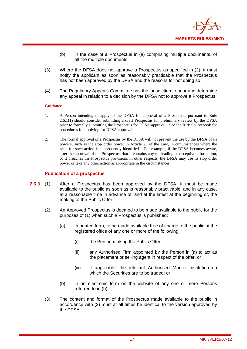

- (b) in the case of a Prospectus in (a) comprising multiple documents, of all the multiple documents.
- (3) Where the DFSA does not approve a Prospectus as specified in (2), it must notify the applicant as soon as reasonably practicable that the Prospectus has not been approved by the DFSA and the reasons for not doing so.
- (4) The Regulatory Appeals Committee has the jurisdiction to hear and determine any appeal in relation to a decision by the DFSA not to approve a Prospectus.

- 1. A Person intending to apply to the DFSA for approval of a Prospectus pursuant to Rule 2.6.1(1) should consider submitting a draft Prospectus for preliminary review by the DFSA prior to formally submitting the Prospectus for DFSA approval. See the RPP Sourcebook for procedures for applying for DFSA approval.
- 2. The formal approval of a Prospectus by the DFSA will not prevent the use by the DFSA of its powers, such as the stop order power in Article 25 of the Law, in circumstances where the need for such action is subsequently identified. For example, if the DFSA becomes aware, after the approval of the Prospectus, that it contains any misleading or deceptive information, or it breaches the Prospectus provisions in other respects, the DFSA may use its stop order power or take any other action as appropriate in the circumstances.

#### **Publication of a prospectus**

- **2.6.3** (1) After a Prospectus has been approved by the DFSA, it must be made available to the public as soon as is reasonably practicable, and in any case, at a reasonable time in advance of, and at the latest at the beginning of, the making of the Public Offer.
	- (2) An Approved Prospectus is deemed to be made available to the public for the purposes of (1) when such a Prospectus is published:
		- (a) in printed form, to be made available free of charge to the public at the registered office of any one or more of the following:
			- (i) the Person making the Public Offer;
			- (ii) any Authorised Firm appointed by the Person in (a) to act as the placement or selling agent in respect of the offer; or
			- (iii) if applicable, the relevant Authorised Market Institution on which the Securities are to be traded; or
		- (b) in an electronic form on the website of any one or more Persons referred to in (b).
	- (3) The content and format of the Prospectus made available to the public in accordance with (2) must at all times be identical to the version approved by the DFSA.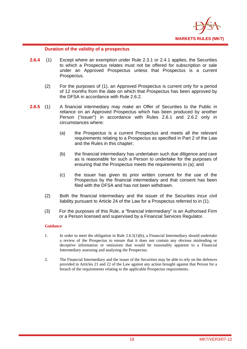

## **Duration of the validity of a prospectus**

- **2.6.4** (1) Except where an exemption under Rule 2.3.1 or 2.4.1 applies, the Securities to which a Prospectus relates must not be offered for subscription or sale under an Approved Prospectus unless that Prospectus is a current Prospectus.
	- (2) For the purposes of (1), an Approved Prospectus is current only for a period of 12 months from the date on which that Prospectus has been approved by the DFSA in accordance with Rule 2.6.2.
- **2.6.5** (1) A financial intermediary may make an Offer of Securities to the Public in reliance on an Approved Prospectus which has been produced by another Person ("issuer") in accordance with Rules 2.6.1 and 2.6.2 only in circumstances where:
	- (a) the Prospectus is a current Prospectus and meets all the relevant requirements relating to a Prospectus as specified in Part 2 of the Law and the Rules in this chapter;
	- (b) the financial intermediary has undertaken such due diligence and care as is reasonable for such a Person to undertake for the purposes of ensuring that the Prospectus meets the requirements in (a); and
	- (c) the issuer has given its prior written consent for the use of the Prospectus by the financial intermediary and that consent has been filed with the DESA and has not been withdrawn.
	- (2) Both the financial intermediary and the issuer of the Securities incur civil liability pursuant to Article 24 of the Law for a Prospectus referred to in (1).
	- (3) For the purposes of this Rule, a "financial intermediary" is an Authorised Firm or a Person licensed and supervised by a Financial Services Regulator.

#### **Guidance**

- 1. In order to meet the obligation in Rule 2.6.5(1)(b), a Financial Intermediary should undertake a review of the Prospectus to ensure that it does not contain any obvious misleading or deceptive information or omissions that would be reasonably apparent to a Financial Intermediary assessing and analysing the Prospectus.
- 2. The Financial Intermediary and the issuer of the Securities may be able to rely on the defences provided in Articles 21 and 22 of the Law against any action brought against that Person for a breach of the requirements relating to the applicable Prospectus requirements.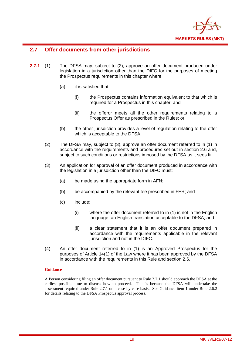

## **2.7 Offer documents from other jurisdictions**

- **2.7.1** (1) The DFSA may, subject to (2), approve an offer document produced under legislation in a jurisdiction other than the DIFC for the purposes of meeting the Prospectus requirements in this chapter where:
	- (a) it is satisfied that:
		- (i) the Prospectus contains information equivalent to that which is required for a Prospectus in this chapter; and
		- (ii) the offeror meets all the other requirements relating to a Prospectus Offer as prescribed in the Rules; or
	- (b) the other jurisdiction provides a level of regulation relating to the offer which is acceptable to the DFSA.
	- (2) The DFSA may, subject to (3), approve an offer document referred to in (1) in accordance with the requirements and procedures set out in section 2.6 and, subject to such conditions or restrictions imposed by the DFSA as it sees fit.
	- (3) An application for approval of an offer document produced in accordance with the legislation in a jurisdiction other than the DIFC must:
		- (a) be made using the appropriate form in AFN;
		- (b) be accompanied by the relevant fee prescribed in FER; and
		- (c) include:
			- (i) where the offer document referred to in (1) is not in the English language, an English translation acceptable to the DFSA; and
			- (ii) a clear statement that it is an offer document prepared in accordance with the requirements applicable in the relevant jurisdiction and not in the DIFC.
	- (4) An offer document referred to in (1) is an Approved Prospectus for the purposes of Article 14(1) of the Law where it has been approved by the DFSA in accordance with the requirements in this Rule and section 2.6.

#### **Guidance**

A Person considering filing an offer document pursuant to Rule 2.7.1 should approach the DFSA at the earliest possible time to discuss how to proceed. This is because the DFSA will undertake the assessment required under Rule 2.7.1 on a case-by-case basis. See Guidance item 1 under Rule 2.6.2 for details relating to the DFSA Prospectus approval process.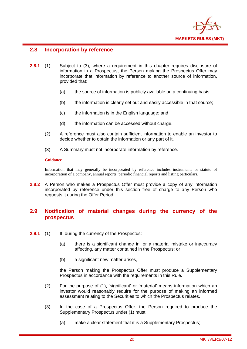

## **2.8 Incorporation by reference**

- **2.8.1** (1) Subject to (3), where a requirement in this chapter requires disclosure of information in a Prospectus, the Person making the Prospectus Offer may incorporate that information by reference to another source of information, provided that:
	- (a) the source of information is publicly available on a continuing basis;
	- (b) the information is clearly set out and easily accessible in that source;
	- (c) the information is in the English language; and
	- (d) the information can be accessed without charge.
	- (2) A reference must also contain sufficient information to enable an investor to decide whether to obtain the information or any part of it.
	- (3) A Summary must not incorporate information by reference.

#### **Guidance**

Information that may generally be incorporated by reference includes instruments or statute of incorporation of a company, annual reports, periodic financial reports and listing particulars.

**2.8.2** A Person who makes a Prospectus Offer must provide a copy of any information incorporated by reference under this section free of charge to any Person who requests it during the Offer Period.

## **2.9 Notification of material changes during the currency of the prospectus**

- **2.9.1** (1) If, during the currency of the Prospectus:
	- (a) there is a significant change in, or a material mistake or inaccuracy affecting, any matter contained in the Prospectus; or
	- (b) a significant new matter arises,

the Person making the Prospectus Offer must produce a Supplementary Prospectus in accordance with the requirements in this Rule.

- (2) For the purpose of (1), 'significant' or 'material' means information which an investor would reasonably require for the purpose of making an informed assessment relating to the Securities to which the Prospectus relates.
- (3) In the case of a Prospectus Offer, the Person required to produce the Supplementary Prospectus under (1) must:
	- (a) make a clear statement that it is a Supplementary Prospectus;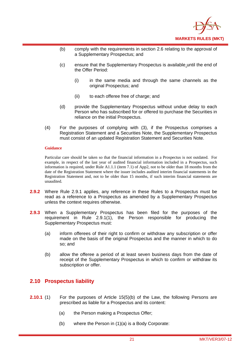

- (b) comply with the requirements in section 2.6 relating to the approval of a Supplementary Prospectus; and
- (c) ensure that the Supplementary Prospectus is available until the end of the Offer Period:
	- (i) in the same media and through the same channels as the original Prospectus; and
	- (ii) to each offeree free of charge; and
- (d) provide the Supplementary Prospectus without undue delay to each Person who has subscribed for or offered to purchase the Securities in reliance on the initial Prospectus.
- (4) For the purposes of complying with (3), if the Prospectus comprises a Registration Statement and a Securities Note, the Supplementary Prospectus must consist of an updated Registration Statement and Securities Note.

Particular care should be taken so that the financial information in a Prospectus is not outdated. For example, in respect of the last year of audited financial information included in a Prospectus, such information is required, under Rule A1.1.1 (item 7.1) of App2, not to be older than 18 months from the date of the Registration Statement where the issuer includes audited interim financial statements in the Registration Statement and, not to be older than 15 months, if such interim financial statements are unaudited.

- **2.9.2** Where Rule 2.9.1 applies, any reference in these Rules to a Prospectus must be read as a reference to a Prospectus as amended by a Supplementary Prospectus unless the context requires otherwise.
- **2.9.3** When a Supplementary Prospectus has been filed for the purposes of the requirement in Rule 2.9.1(1), the Person responsible for producing the Supplementary Prospectus must:
	- (a) inform offerees of their right to confirm or withdraw any subscription or offer made on the basis of the original Prospectus and the manner in which to do so; and
	- (b) allow the offeree a period of at least seven business days from the date of receipt of the Supplementary Prospectus in which to confirm or withdraw its subscription or offer.

## **2.10 Prospectus liability**

- **2.10.1** (1) For the purposes of Article 15(5)(b) of the Law, the following Persons are prescribed as liable for a Prospectus and its content:
	- (a) the Person making a Prospectus Offer;
	- (b) where the Person in (1)(a) is a Body Corporate: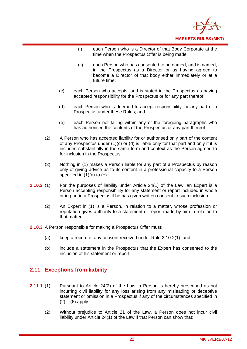

- (i) each Person who is a Director of that Body Corporate at the time when the Prospectus Offer is being made;
- (ii) each Person who has consented to be named, and is named, in the Prospectus as a Director or as having agreed to become a Director of that body either immediately or at a future time;
- (c) each Person who accepts, and is stated in the Prospectus as having accepted responsibility for the Prospectus or for any part thereof;
- (d) each Person who is deemed to accept responsibility for any part of a Prospectus under these Rules; and
- (e) each Person not falling within any of the foregoing paragraphs who has authorised the contents of the Prospectus or any part thereof.
- (2) A Person who has accepted liability for or authorised only part of the content of any Prospectus under (1)(c) or (d) is liable only for that part and only if it is included substantially in the same form and context as the Person agreed to for inclusion in the Prospectus.
- (3) Nothing in (1) makes a Person liable for any part of a Prospectus by reason only of giving advice as to its content in a professional capacity to a Person specified in (1)(a) to (e).
- **2.10.2** (1) For the purposes of liability under Article 24(1) of the Law, an Expert is a Person accepting responsibility for any statement or report included in whole or in part in a Prospectus if he has given written consent to such inclusion.
	- (2) An Expert in (1) is a Person, in relation to a matter, whose profession or reputation gives authority to a statement or report made by him in relation to that matter.
- **2.10.3** A Person responsible for making a Prospectus Offer must:
	- (a) keep a record of any consent received under Rule 2.10.2(1); and
	- (b) include a statement in the Prospectus that the Expert has consented to the inclusion of his statement or report.

## **2.11 Exceptions from liability**

- **2.11.1** (1) Pursuant to Article 24(2) of the Law, a Person is hereby prescribed as not incurring civil liability for any loss arising from any misleading or deceptive statement or omission in a Prospectus if any of the circumstances specified in  $(2) - (6)$  apply.
	- (2) Without prejudice to Article 21 of the Law, a Person does not incur civil liability under Article 24(1) of the Law if that Person can show that: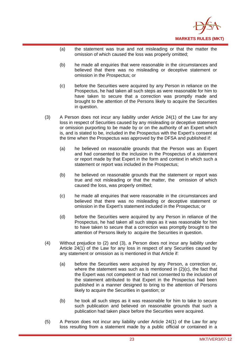

- (a) the statement was true and not misleading or that the matter the omission of which caused the loss was properly omitted;
- (b) he made all enquiries that were reasonable in the circumstances and believed that there was no misleading or deceptive statement or omission in the Prospectus; or
- (c) before the Securities were acquired by any Person in reliance on the Prospectus, he had taken all such steps as were reasonable for him to have taken to secure that a correction was promptly made and brought to the attention of the Persons likely to acquire the Securities in question.
- (3) A Person does not incur any liability under Article 24(1) of the Law for any loss in respect of Securities caused by any misleading or deceptive statement or omission purporting to be made by or on the authority of an Expert which is, and is stated to be, included in the Prospectus with the Expert's consent at the time when the Prospectus was approved by the DFSA and published if:
	- (a) he believed on reasonable grounds that the Person was an Expert and had consented to the inclusion in the Prospectus of a statement or report made by that Expert in the form and context in which such a statement or report was included in the Prospectus;
	- (b) he believed on reasonable grounds that the statement or report was true and not misleading or that the matter, the omission of which caused the loss, was properly omitted;
	- (c) he made all enquiries that were reasonable in the circumstances and believed that there was no misleading or deceptive statement or omission in the Expert's statement included in the Prospectus; or
	- (d) before the Securities were acquired by any Person in reliance of the Prospectus, he had taken all such steps as it was reasonable for him to have taken to secure that a correction was promptly brought to the attention of Persons likely to acquire the Securities in question.
- (4) Without prejudice to (2) and (3), a Person does not incur any liability under Article 24(1) of the Law for any loss in respect of any Securities caused by any statement or omission as is mentioned in that Article if:
	- (a) before the Securities were acquired by any Person, a correction or, where the statement was such as is mentioned in (2)(c), the fact that the Expert was not competent or had not consented to the inclusion of the statement attributed to that Expert in the Prospectus had been published in a manner designed to bring to the attention of Persons likely to acquire the Securities in question; or
	- (b) he took all such steps as it was reasonable for him to take to secure such publication and believed on reasonable grounds that such a publication had taken place before the Securities were acquired.
- (5) A Person does not incur any liability under Article 24(1) of the Law for any loss resulting from a statement made by a public official or contained in a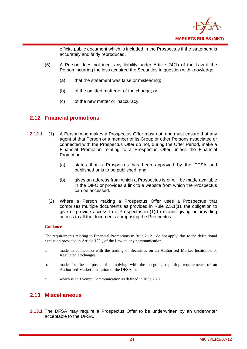

official public document which is included in the Prospectus if the statement is accurately and fairly reproduced.

- (6) A Person does not incur any liability under Article 24(1) of the Law if the Person incurring the loss acquired the Securities in question with knowledge:
	- (a) that the statement was false or misleading;
	- (b) of the omitted matter or of the change; or
	- (c) of the new matter or inaccuracy.

## **2.12 Financial promotions**

- **2.12.1** (1) A Person who makes a Prospectus Offer must not, and must ensure that any agent of that Person or a member of its Group or other Persons associated or connected with the Prospectus Offer do not, during the Offer Period, make a Financial Promotion relating to a Prospectus Offer unless the Financial Promotion:
	- (a) states that a Prospectus has been approved by the DFSA and published or is to be published; and
	- (b) gives an address from which a Prospectus is or will be made available in the DIFC or provides a link to a website from which the Prospectus can be accessed.
	- (2) Where a Person making a Prospectus Offer uses a Prospectus that comprises multiple documents as provided in Rule 2.5.1(1), the obligation to give or provide access to a Prospectus in (1)(b) means giving or providing access to all the documents comprising the Prospectus.

#### **Guidance**

The requirements relating to Financial Promotions in Rule 2.12.1 do not apply, due to the definitional exclusion provided in Article 12(1) of the Law, to any communication:

- a. made in connection with the trading of Securities on an Authorised Market Institution or Regulated Exchanges;
- b. made for the purposes of complying with the on-going reporting requirements of an Authorised Market Institution or the DFSA; or
- c. which is an Exempt Communication as defined in Rule 2.2.1.

## **2.13 Miscellaneous**

**2.13.1** The DFSA may require a Prospectus Offer to be underwritten by an underwriter acceptable to the DFSA.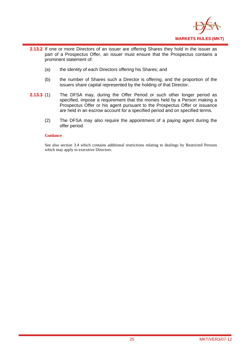

- **2.13.2** If one or more Directors of an issuer are offering Shares they hold in the issuer as part of a Prospectus Offer, an issuer must ensure that the Prospectus contains a prominent statement of:
	- (a) the identity of each Directors offering his Shares; and
	- (b) the number of Shares such a Director is offering, and the proportion of the issuers share capital represented by the holding of that Director.
- **2.13.3** (1) The DFSA may, during the Offer Period or such other longer period as specified, impose a requirement that the monies held by a Person making a Prospectus Offer or his agent pursuant to the Prospectus Offer or issuance are held in an escrow account for a specified period and on specified terms.
	- (2) The DFSA may also require the appointment of a paying agent during the offer period.

See also section 3.4 which contains additional restrictions relating to dealings by Restricted Persons which may apply to executive Directors.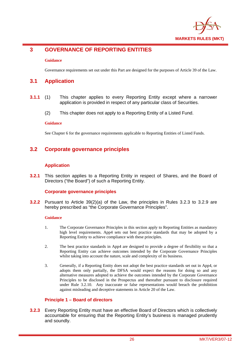

## **3 GOVERNANCE OF REPORTING ENTITIES**

#### **Guidance**

Governance requirements set out under this Part are designed for the purposes of Article 39 of the Law.

## **3.1 Application**

- **3.1.1** (1) This chapter applies to every Reporting Entity except where a narrower application is provided in respect of any particular class of Securities.
	- (2) This chapter does not apply to a Reporting Entity of a Listed Fund.

#### **Guidance**

See Chapter 6 for the governance requirements applicable to Reporting Entities of Listed Funds.

## **3.2 Corporate governance principles**

#### **Application**

**3.2.1** This section applies to a Reporting Entity in respect of Shares, and the Board of Directors ("the Board") of such a Reporting Entity.

#### **Corporate governance principles**

**3.2.2** Pursuant to Article 39(2)(a) of the Law, the principles in Rules 3.2.3 to 3.2.9 are hereby prescribed as "the Corporate Governance Principles".

#### **Guidance**

- 1. The Corporate Governance Principles in this section apply to Reporting Entities as mandatory high level requirements. App4 sets out best practice standards that may be adopted by a Reporting Entity to achieve compliance with these principles.
- 2. The best practice standards in App4 are designed to provide a degree of flexibility so that a Reporting Entity can achieve outcomes intended by the Corporate Governance Principles whilst taking into account the nature, scale and complexity of its business.
- 3. Generally, if a Reporting Entity does not adopt the best practice standards set out in App4, or adopts them only partially, the DFSA would expect the reasons for doing so and any alternative measures adopted to achieve the outcomes intended by the Corporate Governance Principles to be disclosed in the Prospectus and thereafter pursuant to disclosure required under Rule 3.2.10. Any inaccurate or false representations would breach the prohibition against misleading and deceptive statements in Article 20 of the Law.

#### **Principle 1 – Board of directors**

**3.2.3** Every Reporting Entity must have an effective Board of Directors which is collectively accountable for ensuring that the Reporting Entity's business is managed prudently and soundly.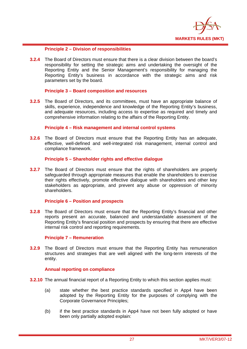

#### **Principle 2 – Division of responsibilities**

**3.2.4** The Board of Directors must ensure that there is a clear division between the board's responsibility for setting the strategic aims and undertaking the oversight of the Reporting Entity and the Senior Management's responsibility for managing the Reporting Entity's business in accordance with the strategic aims and risk parameters set by the board.

#### **Principle 3 – Board composition and resources**

**3.2.5** The Board of Directors, and its committees, must have an appropriate balance of skills, experience, independence and knowledge of the Reporting Entity's business, and adequate resources, including access to expertise as required and timely and comprehensive information relating to the affairs of the Reporting Entity.

#### **Principle 4 – Risk management and internal control systems**

**3.2.6** The Board of Directors must ensure that the Reporting Entity has an adequate, effective, well-defined and well-integrated risk management, internal control and compliance framework.

#### **Principle 5 – Shareholder rights and effective dialogue**

**3.2.7** The Board of Directors must ensure that the rights of shareholders are properly safeguarded through appropriate measures that enable the shareholders to exercise their rights effectively, promote effective dialogue with shareholders and other key stakeholders as appropriate, and prevent any abuse or oppression of minority shareholders.

#### **Principle 6 – Position and prospects**

**3.2.8** The Board of Directors must ensure that the Reporting Entity's financial and other reports present an accurate, balanced and understandable assessment of the Reporting Entity's financial position and prospects by ensuring that there are effective internal risk control and reporting requirements.

#### **Principle 7 – Remuneration**

**3.2.9** The Board of Directors must ensure that the Reporting Entity has remuneration structures and strategies that are well aligned with the long-term interests of the entity.

#### **Annual reporting on compliance**

- **3.2.10** The annual financial report of a Reporting Entity to which this section applies must:
	- (a) state whether the best practice standards specified in App4 have been adopted by the Reporting Entity for the purposes of complying with the Corporate Governance Principles;
	- (b) if the best practice standards in App4 have not been fully adopted or have been only partially adopted explain: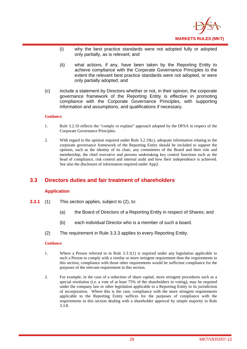

- (i) why the best practice standards were not adopted fully or adopted only partially, as is relevant; and
- (ii) what actions, if any, have been taken by the Reporting Entity to achieve compliance with the Corporate Governance Principles to the extent the relevant best practice standards were not adopted, or were only partially adopted; and
- (c) include a statement by Directors whether or not, in their opinion, the corporate governance framework of the Reporting Entity is effective in promoting compliance with the Corporate Governance Principles, with supporting information and assumptions, and qualifications if necessary.

- 1. Rule 3.2.10 reflects the "comply or explain" approach adopted by the DFSA in respect of the Corporate Governance Principles.
- 2. With regard to the opinion required under Rule 3.2.10(c), adequate information relating to the corporate governance framework of the Reporting Entity should be included to support the opinion, such as the identity of its chair, any committees of the Board and their role and membership, the chief executive and persons undertaking key control functions such as the head of compliance, risk control and internal audit and how their independence is achieved. See also the disclosure of information required under App2.

## **3.3 Directors duties and fair treatment of shareholders**

#### **Application**

- **3.3.1** (1) This section applies, subject to (2), to:
	- (a) the Board of Directors of a Reporting Entity in respect of Shares; and
	- (b) each individual Director who is a member of such a board.
	- (2) The requirement in Rule 3.3.3 applies to every Reporting Entity.

#### **Guidance**

- 1. Where a Person referred to in Rule 3.3.1(1) is required under any legislation applicable to such a Person to comply with a similar or more stringent requirement than the requirements in this section, compliance with those other requirements would be sufficient compliance for the purposes of the relevant requirement in this section.
- 2. For example, in the case of a reduction of share capital, more stringent procedures such as a special resolution (i.e. a vote of at least 75% of the shareholders in voting), may be required under the company law or other legislation applicable to a Reporting Entity in its jurisdiction of incorporation. Where this is the case, compliance with the more stringent requirements applicable to the Reporting Entity suffices for the purposes of compliance with the requirements in this section dealing with a shareholder approval by simple majority in Rule 3.3.8.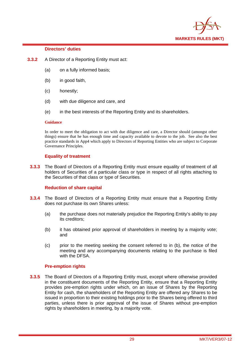

#### **Directors' duties**

- **3.3.2** A Director of a Reporting Entity must act:
	- (a) on a fully informed basis;
	- (b) in good faith,
	- (c) honestly;
	- (d) with due diligence and care, and
	- (e) in the best interests of the Reporting Entity and its shareholders.

#### **Guidance**

In order to meet the obligation to act with due diligence and care, a Director should (amongst other things) ensure that he has enough time and capacity available to devote to the job. See also the best practice standards in App4 which apply to Directors of Reporting Entities who are subject to Corporate Governance Principles.

#### **Equality of treatment**

**3.3.3** The Board of Directors of a Reporting Entity must ensure equality of treatment of all holders of Securities of a particular class or type in respect of all rights attaching to the Securities of that class or type of Securities.

#### **Reduction of share capital**

- **3.3.4** The Board of Directors of a Reporting Entity must ensure that a Reporting Entity does not purchase its own Shares unless:
	- (a) the purchase does not materially prejudice the Reporting Entity's ability to pay its creditors;
	- (b) it has obtained prior approval of shareholders in meeting by a majority vote; and
	- (c) prior to the meeting seeking the consent referred to in (b), the notice of the meeting and any accompanying documents relating to the purchase is filed with the DFSA.

#### **Pre-emption rights**

**3.3.5** The Board of Directors of a Reporting Entity must, except where otherwise provided in the constituent documents of the Reporting Entity, ensure that a Reporting Entity provides pre-emption rights under which, on an issue of Shares by the Reporting Entity for cash, the shareholders of the Reporting Entity are offered any Shares to be issued in proportion to their existing holdings prior to the Shares being offered to third parties, unless there is prior approval of the issue of Shares without pre-emption rights by shareholders in meeting, by a majority vote.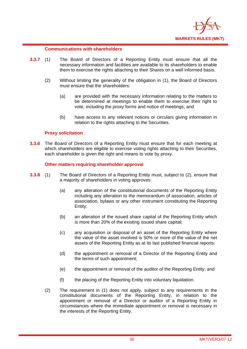

#### **Communications with shareholders**

- **3.3.7** (1) The Board of Directors of a Reporting Entity must ensure that all the necessary information and facilities are available to its shareholders to enable them to exercise the rights attaching to their Shares on a well informed basis.
	- (2) Without limiting the generality of the obligation in (1), the Board of Directors must ensure that the shareholders:
		- (a) are provided with the necessary information relating to the matters to be determined at meetings to enable them to exercise their right to vote, including the proxy forms and notice of meetings; and
		- (b) have access to any relevant notices or circulars giving information in relation to the rights attaching to the Securities.

## **Proxy solicitation**

**3.3.6** The Board of Directors of a Reporting Entity must ensure that for each meeting at which shareholders are eligible to exercise voting rights attaching to their Securities, each shareholder is given the right and means to vote by proxy.

#### **Other matters requiring shareholder approval**

- **3.3.8** (1) The Board of Directors of a Reporting Entity must, subject to (2), ensure that a majority of shareholders in voting approves:
	- (a) any alteration of the constitutional documents of the Reporting Entity including any alteration to the memorandum of association, articles of association, bylaws or any other instrument constituting the Reporting Entity;
	- (b) an alteration of the issued share capital of the Reporting Entity which is more than 20% of the existing issued share capital;
	- (c) any acquisition or disposal of an asset of the Reporting Entity where the value of the asset involved is 50% or more of the value of the net assets of the Reporting Entity as at its last published financial reports;
	- (d) the appointment or removal of a Director of the Reporting Entity and the terms of such appointment;
	- (e) the appointment or removal of the auditor of the Reporting Entity; and
	- (f) the placing of the Reporting Entity into voluntary liquidation.
	- (2) The requirement in (1) does not apply, subject to any requirements in the constitutional documents of the Reporting Entity, in relation to the appointment or removal of a Director or auditor of a Reporting Entity in circumstances where the immediate appointment or removal is necessary in the interests of the Reporting Entity.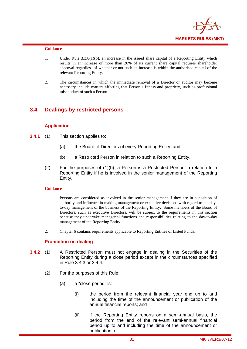

- 1. Under Rule 3.3.8(1)(b), an increase in the issued share capital of a Reporting Entity which results in an increase of more than 20% of its current share capital requires shareholder approval regardless of whether or not such an increase is within the authorised capital of the relevant Reporting Entity.
- 2. The circumstances in which the immediate removal of a Director or auditor may become necessary include matters affecting that Person's fitness and propriety, such as professional misconduct of such a Person.

## **3.4 Dealings by restricted persons**

#### **Application**

- **3.4.1** (1) This section applies to:
	- (a) the Board of Directors of every Reporting Entity; and
	- (b) a Restricted Person in relation to such a Reporting Entity.
	- (2) For the purposes of (1)(b), a Person is a Restricted Person in relation to a Reporting Entity if he is involved in the senior management of the Reporting Entity.

#### **Guidance**

- 1. Persons are considered as involved in the senior management if they are in a position of authority and influence in making management or executive decisions with regard to the dayto-day management of the business of the Reporting Entity. Some members of the Board of Directors, such as executive Directors, will be subject to the requirements in this section because they undertake managerial functions and responsibilities relating to the day-to-day management of the Reporting Entity.
- 2. Chapter 6 contains requirements applicable to Reporting Entities of Listed Funds.

#### **Prohibition on dealing**

- **3.4.2** (1) A Restricted Person must not engage in dealing in the Securities of the Reporting Entity during a close period except in the circumstances specified in Rule 3.4.3 or 3.4.4.
	- (2) For the purposes of this Rule:
		- (a) a "close period" is:
			- (i) the period from the relevant financial year end up to and including the time of the announcement or publication of the annual financial reports; and
			- (ii) if the Reporting Entity reports on a semi-annual basis, the period from the end of the relevant semi-annual financial period up to and including the time of the announcement or publication; or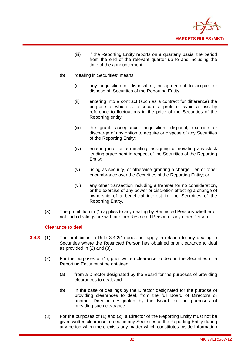

- (iii) if the Reporting Entity reports on a quarterly basis, the period from the end of the relevant quarter up to and including the time of the announcement.
- (b) "dealing in Securities" means:
	- (i) any acquisition or disposal of, or agreement to acquire or dispose of, Securities of the Reporting Entity;
	- (ii) entering into a contract (such as a contract for difference) the purpose of which is to secure a profit or avoid a loss by reference to fluctuations in the price of the Securities of the Reporting entity;
	- (iii) the grant, acceptance, acquisition, disposal, exercise or discharge of any option to acquire or dispose of any Securities of the Reporting Entity;
	- (iv) entering into, or terminating, assigning or novating any stock lending agreement in respect of the Securities of the Reporting Entity;
	- (v) using as security, or otherwise granting a charge, lien or other encumbrance over the Securities of the Reporting Entity; or
	- (vi) any other transaction including a transfer for no consideration, or the exercise of any power or discretion effecting a change of ownership of a beneficial interest in, the Securities of the Reporting Entity.
- (3) The prohibition in (1) applies to any dealing by Restricted Persons whether or not such dealings are with another Restricted Person or any other Person.

#### **Clearance to deal**

- **3.4.3** (1) The prohibition in Rule 3.4.2(1) does not apply in relation to any dealing in Securities where the Restricted Person has obtained prior clearance to deal as provided in (2) and (3).
	- (2) For the purposes of (1), prior written clearance to deal in the Securities of a Reporting Entity must be obtained:
		- (a) from a Director designated by the Board for the purposes of providing clearances to deal; and
		- (b) in the case of dealings by the Director designated for the purpose of providing clearances to deal, from the full Board of Directors or another Director designated by the Board for the purposes of providing such clearance.
	- (3) For the purposes of (1) and (2), a Director of the Reporting Entity must not be given written clearance to deal in any Securities of the Reporting Entity during any period when there exists any matter which constitutes Inside Information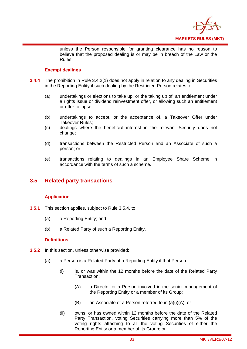

unless the Person responsible for granting clearance has no reason to believe that the proposed dealing is or may be in breach of the Law or the Rules.

# **Exempt dealings**

- **3.4.4** The prohibition in Rule 3.4.2(1) does not apply in relation to any dealing in Securities in the Reporting Entity if such dealing by the Restricted Person relates to:
	- (a) undertakings or elections to take up, or the taking up of, an entitlement under a rights issue or dividend reinvestment offer, or allowing such an entitlement or offer to lapse;
	- (b) undertakings to accept, or the acceptance of, a Takeover Offer under Takeover Rules;
	- (c) dealings where the beneficial interest in the relevant Security does not change;
	- (d) transactions between the Restricted Person and an Associate of such a person; or
	- (e) transactions relating to dealings in an Employee Share Scheme in accordance with the terms of such a scheme.

# **3.5 Related party transactions**

# **Application**

- **3.5.1** This section applies, subject to Rule 3.5.4, to:
	- (a) a Reporting Entity; and
	- (b) a Related Party of such a Reporting Entity.

# **Definitions**

- **3.5.2** In this section, unless otherwise provided:
	- (a) a Person is a Related Party of a Reporting Entity if that Person:
		- (i) is, or was within the 12 months before the date of the Related Party Transaction:
			- (A) a Director or a Person involved in the senior management of the Reporting Entity or a member of its Group;
			- (B) an Associate of a Person referred to in (a)(i)(A); or
		- (ii) owns, or has owned within 12 months before the date of the Related Party Transaction, voting Securities carrying more than 5% of the voting rights attaching to all the voting Securities of either the Reporting Entity or a member of its Group; or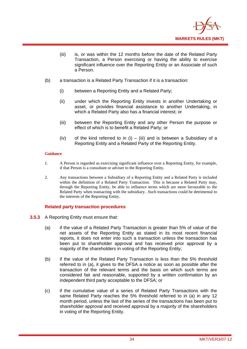

- (iii) is, or was within the 12 months before the date of the Related Party Transaction, a Person exercising or having the ability to exercise significant influence over the Reporting Entity or an Associate of such a Person.
- (b) a transaction is a Related Party Transaction if it is a transaction:
	- (i) between a Reporting Entity and a Related Party;
	- (ii) under which the Reporting Entity invests in another Undertaking or asset, or provides financial assistance to another Undertaking, in which a Related Party also has a financial interest; or
	- (iii) between the Reporting Entity and any other Person the purpose or effect of which is to benefit a Related Party; or
	- (iv) of the kind referred to in (i) (iii) and is between a Subsidiary of a Reporting Entity and a Related Party of the Reporting Entity.

### **Guidance**

- 1. A Person is regarded as exercising significant influence over a Reporting Entity, for example, if that Person is a consultant or adviser to the Reporting Entity.
- 2. Any transactions between a Subsidiary of a Reporting Entity and a Related Party is included within the definition of a Related Party Transaction. This is because a Related Party may, through the Reporting Entity, be able to influence terms which are more favourable to the Related Party when transacting with the subsidiary. .Such transactions could be detrimental to the interests of the Reporting Entity.

### **Related party transaction procedures**

- **3.5.3** A Reporting Entity must ensure that:
	- (a) if the value of a Related Party Transaction is greater than 5% of value of the net assets of the Reporting Entity as stated in its most recent financial reports, it does not enter into such a transaction unless the transaction has been put to shareholder approval and has received prior approval by a majority of the shareholders in voting of the Reporting Entity;
	- (b) if the value of the Related Party Transaction is less than the 5% threshold referred to in (a), it gives to the DFSA a notice as soon as possible after the transaction of the relevant terms and the basis on which such terms are considered fair and reasonable, supported by a written confirmation by an independent third party acceptable to the DFSA; or
	- (c) if the cumulative value of a series of Related Party Transactions with the same Related Party reaches the 5% threshold referred to in (a) in any 12 month period, unless the last of the series of the transactions has been put to shareholder approval and received approval by a majority of the shareholders in voting of the Reporting Entity.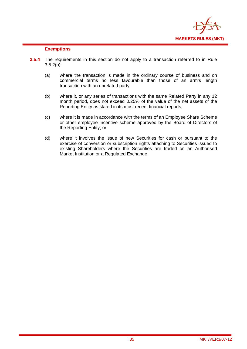

# **Exemptions**

- **3.5.4** The requirements in this section do not apply to a transaction referred to in Rule  $3.5.2(b)$ :
	- (a) where the transaction is made in the ordinary course of business and on commercial terms no less favourable than those of an arm's length transaction with an unrelated party;
	- (b) where it, or any series of transactions with the same Related Party in any 12 month period, does not exceed 0.25% of the value of the net assets of the Reporting Entity as stated in its most recent financial reports;
	- (c) where it is made in accordance with the terms of an Employee Share Scheme or other employee incentive scheme approved by the Board of Directors of the Reporting Entity; or
	- (d) where it involves the issue of new Securities for cash or pursuant to the exercise of conversion or subscription rights attaching to Securities issued to existing Shareholders where the Securities are traded on an Authorised Market Institution or a Regulated Exchange.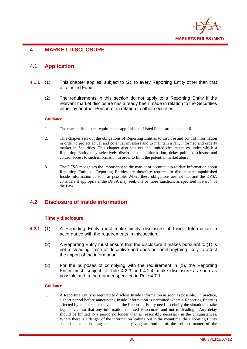

# **4 MARKET DISCLOSURE**

# **4.1 Application**

- **4.1.1** (1) This chapter applies, subject to (2), to every Reporting Entity other than that of a Listed Fund.
	- (2) The requirements in this section do not apply to a Reporting Entity if the relevant market disclosure has already been made in relation to the Securities either by another Person or in relation to other securities.

### **Guidance**

- 1. The market disclosure requirements applicable to Listed Funds are in chapter 6.
- 2. This chapter sets out the obligations of Reporting Entities to disclose and control information in order to protect actual and potential investors and to maintain a fair, informed and orderly market in Securities. This chapter also sets out the limited circumstances under which a Reporting Entity may selectively disclose Inside Information, delay public disclosure and control access to such information in order to limit the potential market abuse.
- 3. The DFSA recognises the importance to the market of accurate, up-to-date information about Reporting Entities. Reporting Entities are therefore required to disseminate unpublished Inside Information as soon as possible. Where these obligations are not met and the DFSA considers it appropriate, the DFSA may seek one or more sanctions as specified in Part 7 of the Law.

# **4.2 Disclosure of inside information**

# **Timely disclosure**

- **4.2.1** (1) A Reporting Entity must make timely disclosure of Inside Information in accordance with the requirements in this section.
	- (2) A Reporting Entity must ensure that the disclosure it makes pursuant to (1) is not misleading, false or deceptive and does not omit anything likely to affect the import of the information.
	- (3) For the purposes of complying with the requirement in (1), the Reporting Entity must, subject to Rule 4.2.3 and 4.2.4, make disclosure as soon as possible and in the manner specified in Rule 4.7.1.

### **Guidance**

1. A Reporting Entity is required to disclose Inside Information as soon as possible. In practice, a short period before announcing Inside Information is permitted where a Reporting Entity is affected by an unexpected event and the Reporting Entity needs to clarify the situation or take legal advice so that any information released is accurate and not misleading. Any delay should be limited to a period no longer than is reasonably necessary in the circumstances. Where there is a danger of the information leaking out in the meantime, the Reporting Entity should make a holding announcement giving an outline of the subject matter of the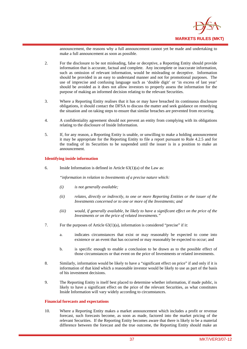

announcement, the reasons why a full announcement cannot yet be made and undertaking to make a full announcement as soon as possible.

- 2. For the disclosure to be not misleading, false or deceptive, a Reporting Entity should provide information that is accurate, factual and complete. Any incomplete or inaccurate information, such as omission of relevant information, would be misleading or deceptive. Information should be provided in an easy to understand manner and not for promotional purposes. The use of imprecise and confusing language such as 'double digit' or 'in excess of last year' should be avoided as it does not allow investors to properly assess the information for the purpose of making an informed decision relating to the relevant Securities.
- 3. Where a Reporting Entity realises that it has or may have breached its continuous disclosure obligations, it should contact the DFSA to discuss the matter and seek guidance on remedying the situation and on taking steps to ensure that similar breaches are prevented from recurring.
- 4. A confidentiality agreement should not prevent an entity from complying with its obligations relating to the disclosure of Inside Information.
- 5. If, for any reason, a Reporting Entity is unable, or unwilling to make a holding announcement it may be appropriate for the Reporting Entity to file a report pursuant to Rule 4.2.5 and for the trading of its Securities to be suspended until the issuer is in a position to make an announcement.

### **Identifying inside information**

6. Inside Information is defined in Article 63(1)(a) of the Law as:

*"information in relation to Investments of a precise nature which:* 

- *(i) is not generally available;*
- *(ii) relates, directly or indirectly, to one or more Reporting Entities or the issuer of the Investments concerned or to one or more of the Investments; and*
- *(iii) would, if generally available, be likely to have a significant effect on the price of the Investments or on the price of related investments."*
- 7. For the purposes of Article 63(1)(a), information is considered "precise" if it:
	- a. indicates circumstances that exist or may reasonably be expected to come into existence or an event that has occurred or may reasonably be expected to occur; and
	- b. is specific enough to enable a conclusion to be drawn as to the possible effect of those circumstances or that event on the price of Investments or related investments.
- 8. Similarly, information would be likely to have a "significant effect on price" if and only if it is information of that kind which a reasonable investor would be likely to use as part of the basis of his investment decisions.
- 9. The Reporting Entity is itself best placed to determine whether information, if made public, is likely to have a significant effect on the price of the relevant Securities, as what constitutes Inside Information will vary widely according to circumstances.

### **Financial forecasts and expectations**

10. Where a Reporting Entity makes a market announcement which includes a profit or revenue forecast, such forecasts become, as soon as made, factored into the market pricing of the relevant Securities. If the Reporting Entity becomes aware that there is likely to be a material difference between the forecast and the true outcome, the Reporting Entity should make an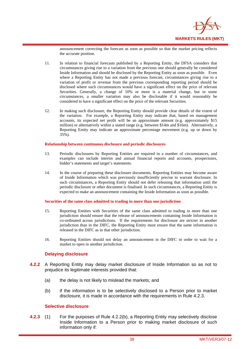

announcement correcting the forecast as soon as possible so that the market pricing reflects the accurate position.

- 11. In relation to financial forecasts published by a Reporting Entity, the DFSA considers that circumstances giving rise to a variation from the previous one should generally be considered Inside Information and should be disclosed by the Reporting Entity as soon as possible. Even where a Reporting Entity has not made a previous forecast, circumstances giving rise to a variation of profit or revenue from the previous corresponding reporting period should be disclosed where such circumstances would have a significant effect on the price of relevant Securities. Generally, a change of 10% or more is a material change, but in some circumstances, a smaller variation may also be disclosable if it would reasonably be considered to have a significant effect on the price of the relevant Securities.
- 12. In making such disclosure, the Reporting Entity should provide clear details of the extent of the variation. For example, a Reporting Entity may indicate that, based on management accounts, its expected net profit will be an approximate amount (e.g. approximately \$15 million) or alternatively within a stated range (e.g. between \$14m and \$16m). Alternatively, a Reporting Entity may indicate an approximate percentage movement (e.g. up or down by 35%).

#### **Relationship between continuous disclosure and periodic disclosures**

- 13. Periodic disclosures by Reporting Entities are required in a number of circumstances, and examples can include interim and annual financial reports and accounts, prospectuses, bidder's statements and target's statements.
- 14. In the course of preparing these disclosure documents, Reporting Entities may become aware of Inside Information which was previously insufficiently precise to warrant disclosure. In such circumstances, a Reporting Entity should not defer releasing that information until the periodic disclosure or other document is finalised. In such circumstances, a Reporting Entity is expected to make an announcement containing the Inside Information as soon as possible.

### **Securities of the same class admitted to trading in more than one jurisdiction**

- 15. Reporting Entities with Securities of the same class admitted to trading in more than one jurisdiction should ensure that the release of announcements containing Inside Information is co-ordinated across jurisdictions. If the requirements for disclosure are stricter in another jurisdiction than in the DIFC, the Reporting Entity must ensure that the same information is released in the DIFC as in that other jurisdiction.
- 16. Reporting Entities should not delay an announcement in the DIFC in order to wait for a market to open in another jurisdiction.

### **Delaying disclosure**

- **4.2.2** A Reporting Entity may delay market disclosure of Inside Information so as not to prejudice its legitimate interests provided that:
	- (a) the delay is not likely to mislead the markets; and
	- (b) if the information is to be selectively disclosed to a Person prior to market disclosure, it is made in accordance with the requirements in Rule 4.2.3.

### **Selective disclosure**

**4.2.3** (1) For the purposes of Rule 4.2.2(b), a Reporting Entity may selectively disclose Inside Information to a Person prior to making market disclosure of such information only if: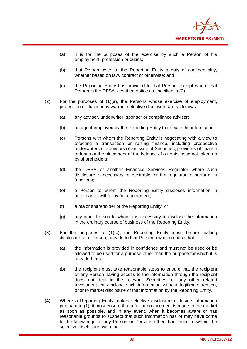

- (a) it is for the purposes of the exercise by such a Person of his employment, profession or duties;
- (b) that Person owes to the Reporting Entity a duty of confidentiality, whether based on law, contract or otherwise; and
- (c) the Reporting Entity has provided to that Person, except where that Person is the DFSA, a written notice as specified in (3).
- (2) For the purposes of (1)(a), the Persons whose exercise of employment, profession or duties may warrant selective disclosure are as follows:
	- (a) any adviser, underwriter, sponsor or compliance adviser;
	- (b) an agent employed by the Reporting Entity to release the information;
	- (c) Persons with whom the Reporting Entity is negotiating with a view to effecting a transaction or raising finance, including prospective underwriters or sponsors of an issue of Securities, providers of finance or loans or the placement of the balance of a rights issue not taken up by shareholders;
	- (d) the DFSA or another Financial Services Regulator where such disclosure is necessary or desirable for the regulator to perform its functions;
	- (e) a Person to whom the Reporting Entity discloses information in accordance with a lawful requirement;
	- (f) a major shareholder of the Reporting Entity; or
	- (g) any other Person to whom it is necessary to disclose the information in the ordinary course of business of the Reporting Entity.
- (3) For the purposes of (1)(c), the Reporting Entity must, before making disclosure to a Person, provide to that Person a written notice that:
	- (a) the information is provided in confidence and must not be used or be allowed to be used for a purpose other than the purpose for which it is provided; and
	- (b) the recipient must take reasonable steps to ensure that the recipient or any Person having access to the information through the recipient does not deal in the relevant Securities, or any other related Investment, or disclose such information without legitimate reason, prior to market disclosure of that information by the Reporting Entity.
- (4) Where a Reporting Entity makes selective disclosure of Inside Information pursuant to (1), it must ensure that a full announcement is made to the market as soon as possible, and in any event, when it becomes aware or has reasonable grounds to suspect that such information has or may have come to the knowledge of any Person or Persons other than those to whom the selective disclosure was made.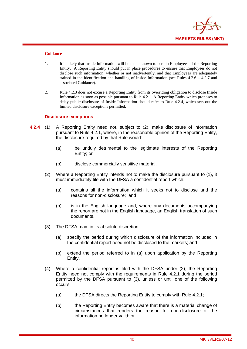

### **Guidance**

- 1. It is likely that Inside Information will be made known to certain Employees of the Reporting Entity. A Reporting Entity should put in place procedures to ensure that Employees do not disclose such information, whether or not inadvertently, and that Employees are adequately trained in the identification and handling of Inside Information (see Rules 4.2.6 – 4.2.7 and associated Guidance).
- 2. Rule 4.2.3 does not excuse a Reporting Entity from its overriding obligation to disclose Inside Information as soon as possible pursuant to Rule 4.2.1. A Reporting Entity which proposes to delay public disclosure of Inside Information should refer to Rule 4.2.4, which sets out the limited disclosure exceptions permitted.

### **Disclosure exceptions**

- **4.2.4** (1) A Reporting Entity need not, subject to (2), make disclosure of information pursuant to Rule 4.2.1, where, in the reasonable opinion of the Reporting Entity, the disclosure required by that Rule would:
	- (a) be unduly detrimental to the legitimate interests of the Reporting Entity; or
	- (b) disclose commercially sensitive material.
	- (2) Where a Reporting Entity intends not to make the disclosure pursuant to (1), it must immediately file with the DFSA a confidential report which:
		- (a) contains all the information which it seeks not to disclose and the reasons for non-disclosure; and
		- (b) is in the English language and, where any documents accompanying the report are not in the English language, an English translation of such documents.
	- (3) The DFSA may, in its absolute discretion:
		- (a) specify the period during which disclosure of the information included in the confidential report need not be disclosed to the markets; and
		- (b) extend the period referred to in (a) upon application by the Reporting Entity.
	- (4) Where a confidential report is filed with the DFSA under (2), the Reporting Entity need not comply with the requirements in Rule 4.2.1 during the period permitted by the DFSA pursuant to (3), unless or until one of the following occurs:
		- (a) the DFSA directs the Reporting Entity to comply with Rule 4.2.1;
		- (b) the Reporting Entity becomes aware that there is a material change of circumstances that renders the reason for non-disclosure of the information no longer valid; or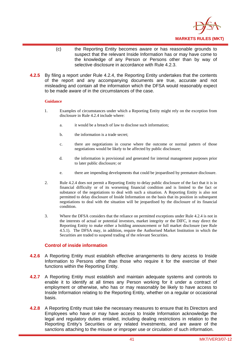

- (c) the Reporting Entity becomes aware or has reasonable grounds to suspect that the relevant Inside Information has or may have come to the knowledge of any Person or Persons other than by way of selective disclosure in accordance with Rule 4.2.3.
- **4.2.5** By filing a report under Rule 4.2.4, the Reporting Entity undertakes that the contents of the report and any accompanying documents are true, accurate and not misleading and contain all the information which the DFSA would reasonably expect to be made aware of in the circumstances of the case.

### **Guidance**

- 1. Examples of circumstances under which a Reporting Entity might rely on the exception from disclosure in Rule 4.2.4 include where:
	- a. it would be a breach of law to disclose such information;
	- b. the information is a trade secret;
	- c. there are negotiations in course where the outcome or normal pattern of those negotiations would be likely to be affected by public disclosure;
	- d. the information is provisional and generated for internal management purposes prior to later public disclosure; or
	- e. there are impending developments that could be jeopardised by premature disclosure.
- 2. Rule 4.2.4 does not permit a Reporting Entity to delay public disclosure of the fact that it is in financial difficulty or of its worsening financial condition and is limited to the fact or substance of the negotiations to deal with such a situation. A Reporting Entity is also not permitted to delay disclosure of Inside Information on the basis that its position in subsequent negotiations to deal with the situation will be jeopardised by the disclosure of its financial condition.
- 3. Where the DFSA considers that the reliance on permitted exceptions under Rule 4.2.4 is not in the interests of actual or potential investors, market integrity or the DIFC, it may direct the Reporting Entity to make either a holding announcement or full market disclosure (see Rule 4.5.1). The DFSA may, in addition, require the Authorised Market Institution in which the Securities are traded to suspend trading of the relevant Securities.

# **Control of inside information**

- **4.2.6** A Reporting Entity must establish effective arrangements to deny access to Inside Information to Persons other than those who require it for the exercise of their functions within the Reporting Entity.
- **4.2.7** A Reporting Entity must establish and maintain adequate systems and controls to enable it to identify at all times any Person working for it under a contract of employment or otherwise, who has or may reasonably be likely to have access to Inside Information relating to the Reporting Entity, whether on a regular or occasional basis.
- **4.2.8** A Reporting Entity must take the necessary measures to ensure that its Directors and Employees who have or may have access to Inside Information acknowledge the legal and regulatory duties entailed, including dealing restrictions in relation to the Reporting Entity's Securities or any related Investments, and are aware of the sanctions attaching to the misuse or improper use or circulation of such information.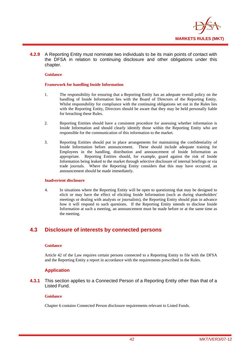

**4.2.9** A Reporting Entity must nominate two individuals to be its main points of contact with the DFSA in relation to continuing disclosure and other obligations under this chapter.

### **Guidance**

#### **Framework for handling Inside Information**

- 1. The responsibility for ensuring that a Reporting Entity has an adequate overall policy on the handling of Inside Information lies with the Board of Directors of the Reporting Entity. Whilst responsibility for compliance with the continuing obligations set out in the Rules lies with the Reporting Entity, Directors should be aware that they may be held personally liable for breaching these Rules.
- 2. Reporting Entities should have a consistent procedure for assessing whether information is Inside Information and should clearly identify those within the Reporting Entity who are responsible for the communication of this information to the market.
- 3. Reporting Entities should put in place arrangements for maintaining the confidentiality of Inside Information before announcement. These should include adequate training for Employees in the handling, distribution and announcement of Inside Information as appropriate. Reporting Entities should, for example, guard against the risk of Inside Information being leaked to the market through selective disclosure of internal briefings or via trade journals. Where the Reporting Entity considers that this may have occurred, an announcement should be made immediately.

#### **Inadvertent disclosure**

4. In situations where the Reporting Entity will be open to questioning that may be designed to elicit or may have the effect of eliciting Inside Information (such as during shareholders' meetings or dealing with analysts or journalists), the Reporting Entity should plan in advance how it will respond to such questions. If the Reporting Entity intends to disclose Inside Information at such a meeting, an announcement must be made before or at the same time as the meeting.

# **4.3 Disclosure of interests by connected persons**

### **Guidance**

Article 42 of the Law requires certain persons connected to a Reporting Entity to file with the DFSA and the Reporting Entity a report in accordance with the requirements prescribed in the Rules.

## **Application**

**4.3.1** This section applies to a Connected Person of a Reporting Entity other than that of a Listed Fund.

### **Guidance**

Chapter 6 contains Connected Person disclosure requirements relevant to Listed Funds.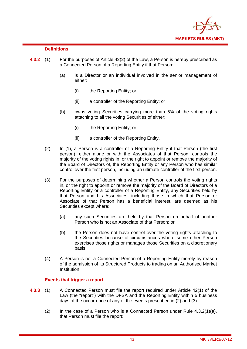

## **Definitions**

- **4.3.2** (1) For the purposes of Article 42(2) of the Law, a Person is hereby prescribed as a Connected Person of a Reporting Entity if that Person:
	- (a) is a Director or an individual involved in the senior management of either:
		- (i) the Reporting Entity; or
		- (ii) a controller of the Reporting Entity; or
	- (b) owns voting Securities carrying more than 5% of the voting rights attaching to all the voting Securities of either:
		- (i) the Reporting Entity; or
		- (ii) a controller of the Reporting Entity.
	- (2) In (1), a Person is a controller of a Reporting Entity if that Person (the first person), either alone or with the Associates of that Person, controls the majority of the voting rights in, or the right to appoint or remove the majority of the Board of Directors of, the Reporting Entity or any Person who has similar control over the first person, including an ultimate controller of the first person.
	- (3) For the purposes of determining whether a Person controls the voting rights in, or the right to appoint or remove the majority of the Board of Directors of a Reporting Entity or a controller of a Reporting Entity, any Securities held by that Person and his Associates, including those in which that Person or Associate of that Person has a beneficial interest, are deemed as his Securities except where:
		- (a) any such Securities are held by that Person on behalf of another Person who is not an Associate of that Person; or
		- (b) the Person does not have control over the voting rights attaching to the Securities because of circumstances where some other Person exercises those rights or manages those Securities on a discretionary basis.
	- (4) A Person is not a Connected Person of a Reporting Entity merely by reason of the admission of its Structured Products to trading on an Authorised Market Institution.

### **Events that trigger a report**

- **4.3.3** (1) A Connected Person must file the report required under Article 42(1) of the Law (the "report") with the DFSA and the Reporting Entity within 5 business days of the occurrence of any of the events prescribed in (2) and (3).
	- (2) In the case of a Person who is a Connected Person under Rule 4.3.2(1)(a), that Person must file the report: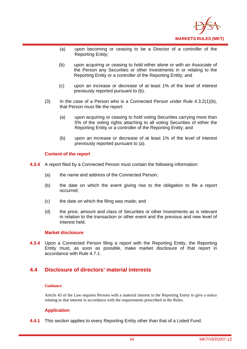

- (a) upon becoming or ceasing to be a Director of a controller of the Reporting Entity;
- (b) upon acquiring or ceasing to hold either alone or with an Associate of the Person any Securities or other Investments in or relating to the Reporting Entity or a controller of the Reporting Entity; and
- (c) upon an increase or decrease of at least 1% of the level of interest previously reported pursuant to (b).
- (3) In the case of a Person who is a Connected Person under Rule 4.3.2(1)(b), that Person must file the report:
	- (a) upon acquiring or ceasing to hold voting Securities carrying more than 5% of the voting rights attaching to all voting Securities of either the Reporting Entity or a controller of the Reporting Entity; and
	- (b) upon an increase or decrease of at least 1% of the level of interest previously reported pursuant to (a).

## **Content of the report**

- **4.3.4** A report filed by a Connected Person must contain the following information:
	- (a) the name and address of the Connected Person;
	- (b) the date on which the event giving rise to the obligation to file a report occurred;
	- (c) the date on which the filing was made; and
	- (d) the price, amount and class of Securities or other Investments as is relevant in relation to the transaction or other event and the previous and new level of interest held.

### **Market disclosure**

**4.3.4** Upon a Connected Person filing a report with the Reporting Entity, the Reporting Entity must, as soon as possible, make market disclosure of that report in accordance with Rule 4.7.1.

# **4.4 Disclosure of directors' material interests**

### **Guidance**

Article 43 of the Law requires Persons with a material interest in the Reporting Entity to give a notice relating to that interest in accordance with the requirements prescribed in the Rules.

# **Application**

**4.4.1** This section applies to every Reporting Entity other than that of a Listed Fund.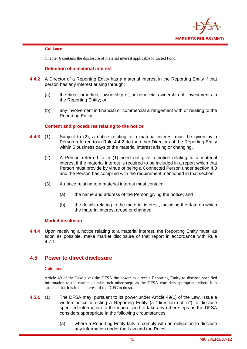

### **Guidance**

Chapter 6 contains the disclosure of material interest applicable to Listed Fund.

# **Definition of a material interest**

- **4.4.2** A Director of a Reporting Entity has a material interest in the Reporting Entity if that person has any interest arising through:
	- (a) the direct or indirect ownership of, or beneficial ownership of, Investments in the Reporting Entity; or
	- (b) any involvement in financial or commercial arrangement with or relating to the Reporting Entity.

## **Content and procedures relating to the notice**

- **4.4.3** (1) Subject to (2), a notice relating to a material interest must be given by a Person referred to in Rule 4.4.2, to the other Directors of the Reporting Entity within 5 business days of the material interest arising or changing.
	- (2) A Person referred to in (1) need not give a notice relating to a material interest if the material interest is required to be included in a report which that Person must provide by virtue of being a Connected Person under section 4.3 and the Person has complied with the requirement mentioned in that section.
	- (3) A notice relating to a material interest must contain:
		- (a) the name and address of the Person giving the notice; and
		- (b) the details relating to the material interest, including the date on which the material interest arose or changed.

## **Market disclosure**

**4.4.4** Upon receiving a notice relating to a material interest, the Reporting Entity must, as soon as possible, make market disclosure of that report in accordance with Rule 4.7.1.

# **4.5 Power to direct disclosure**

### **Guidance**

Article 49 of the Law gives the DFSA the power to direct a Reporting Entity to disclose specified information to the market or take such other steps as the DFSA considers appropriate where it is satisfied that it is in the interest of the DIFC to do so.

- **4.5.1** (1) The DFSA may, pursuant to its power under Article 49(1) of the Law, issue a written notice directing a Reporting Entity (a "direction notice") to disclose specified information to the market and to take any other steps as the DFSA considers appropriate in the following circumstances:
	- (a) where a Reporting Entity fails to comply with an obligation to disclose any information under the Law and the Rules;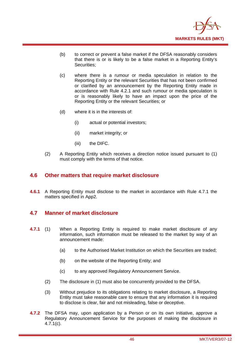

- (b) to correct or prevent a false market if the DFSA reasonably considers that there is or is likely to be a false market in a Reporting Entity's Securities;
- (c) where there is a rumour or media speculation in relation to the Reporting Entity or the relevant Securities that has not been confirmed or clarified by an announcement by the Reporting Entity made in accordance with Rule 4.2.1 and such rumour or media speculation is or is reasonably likely to have an impact upon the price of the Reporting Entity or the relevant Securities; or
- (d) where it is in the interests of:
	- (i) actual or potential investors;
	- (ii) market integrity; or
	- (iii) the DIFC.
- (2) A Reporting Entity which receives a direction notice issued pursuant to (1) must comply with the terms of that notice.

# **4.6 Other matters that require market disclosure**

**4.6.1** A Reporting Entity must disclose to the market in accordance with Rule 4.7.1 the matters specified in App2.

# **4.7 Manner of market disclosure**

- **4.7.1** (1) When a Reporting Entity is required to make market disclosure of any information, such information must be released to the market by way of an announcement made:
	- (a) to the Authorised Market Institution on which the Securities are traded;
	- (b) on the website of the Reporting Entity; and
	- (c) to any approved Regulatory Announcement Service.
	- (2) The disclosure in (1) must also be concurrently provided to the DFSA.
	- (3) Without prejudice to its obligations relating to market disclosure, a Reporting Entity must take reasonable care to ensure that any information it is required to disclose is clear, fair and not misleading, false or deceptive.
- **4.7.2** The DFSA may, upon application by a Person or on its own initiative, approve a Regulatory Announcement Service for the purposes of making the disclosure in 4.7.1(c).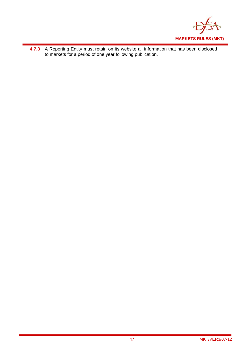

**4.7.3** A Reporting Entity must retain on its website all information that has been disclosed to markets for a period of one year following publication.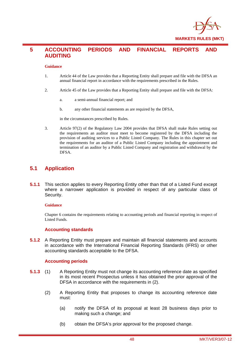

# **5 ACCOUNTING PERIODS AND FINANCIAL REPORTS AND AUDITING**

### **Guidance**

- 1. Article 44 of the Law provides that a Reporting Entity shall prepare and file with the DFSA an annual financial report in accordance with the requirements prescribed in the Rules.
- 2. Article 45 of the Law provides that a Reporting Entity shall prepare and file with the DFSA:
	- a. a semi-annual financial report; and
	- b. any other financial statements as are required by the DFSA,

in the circumstances prescribed by Rules.

3. Article 97(2) of the Regulatory Law 2004 provides that DFSA shall make Rules setting out the requirements an auditor must meet to become registered by the DFSA including the provision of auditing services to a Public Listed Company. The Rules in this chapter set out the requirements for an auditor of a Public Listed Company including the appointment and termination of an auditor by a Public Listed Company and registration and withdrawal by the DFSA.

# **5.1 Application**

**5.1.1** This section applies to every Reporting Entity other than that of a Listed Fund except where a narrower application is provided in respect of any particular class of Security.

### **Guidance**

Chapter 6 contains the requirements relating to accounting periods and financial reporting in respect of Listed Funds.

### **Accounting standards**

**5.1.2** A Reporting Entity must prepare and maintain all financial statements and accounts in accordance with the International Financial Reporting Standards (IFRS) or other accounting standards acceptable to the DFSA.

### **Accounting periods**

- **5.1.3** (1) A Reporting Entity must not change its accounting reference date as specified in its most recent Prospectus unless it has obtained the prior approval of the DFSA in accordance with the requirements in (2).
	- (2) A Reporting Entity that proposes to change its accounting reference date must:
		- (a) notify the DFSA of its proposal at least 28 business days prior to making such a change; and
		- (b) obtain the DFSA's prior approval for the proposed change.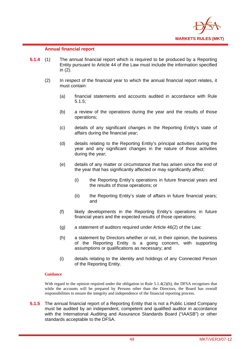

## **Annual financial report**

- **5.1.4** (1) The annual financial report which is required to be produced by a Reporting Entity pursuant to Article 44 of the Law must include the information specified in (2).
	- (2) In respect of the financial year to which the annual financial report relates, it must contain:
		- (a) financial statements and accounts audited in accordance with Rule 5.1.5;
		- (b) a review of the operations during the year and the results of those operations;
		- (c) details of any significant changes in the Reporting Entity's state of affairs during the financial year;
		- (d) details relating to the Reporting Entity's principal activities during the year and any significant changes in the nature of those activities during the year;
		- (e) details of any matter or circumstance that has arisen since the end of the year that has significantly affected or may significantly affect:
			- (i) the Reporting Entity's operations in future financial years and the results of those operations; or
			- (ii) the Reporting Entity's state of affairs in future financial years; and
		- (f) likely developments in the Reporting Entity's operations in future financial years and the expected results of those operations;
		- (g) a statement of auditors required under Article 46(2) of the Law;
		- (h) a statement by Directors whether or not, in their opinion, the business of the Reporting Entity is a going concern, with supporting assumptions or qualifications as necessary; and
		- (i) details relating to the identity and holdings of any Connected Person of the Reporting Entity.

### **Guidance**

With regard to the opinion required under the obligation in Rule 5.1.4(2)(h), the DFSA recognises that while the accounts will be prepared by Persons other than the Directors, the Board has overall responsibilities to ensure the integrity and independence of the financial reporting process.

**5.1.5** The annual financial report of a Reporting Entity that is not a Public Listed Company must be audited by an independent, competent and qualified auditor in accordance with the International Auditing and Assurance Standards Board ("IAASB") or other standards acceptable to the DFSA.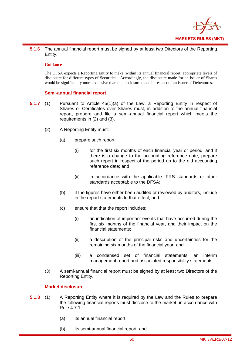

**5.1.6** The annual financial report must be signed by at least two Directors of the Reporting Entity.

### **Guidance**

The DFSA expects a Reporting Entity to make, within its annual financial report, appropriate levels of disclosure for different types of Securities. Accordingly, the disclosure made for an issuer of Shares would be significantly more extensive than the disclosure made in respect of an issuer of Debentures.

### **Semi-annual financial report**

- **5.1.7** (1) Pursuant to Article 45(1)(a) of the Law, a Reporting Entity in respect of Shares or Certificates over Shares must, in addition to the annual financial report, prepare and file a semi-annual financial report which meets the requirements in (2) and (3).
	- (2) A Reporting Entity must:
		- (a) prepare such report:
			- (i) for the first six months of each financial year or period; and if there is a change to the accounting reference date, prepare such report in respect of the period up to the old accounting reference date; and
			- (ii) in accordance with the applicable IFRS standards or other standards acceptable to the DFSA;
		- (b) if the figures have either been audited or reviewed by auditors, include in the report statements to that effect; and
		- (c) ensure that that the report includes:
			- (i) an indication of important events that have occurred during the first six months of the financial year, and their impact on the financial statements;
			- (ii) a description of the principal risks and uncertainties for the remaining six months of the financial year; and
			- (iii) a condensed set of financial statements, an interim management report and associated responsibility statements.
	- (3) A semi-annual financial report must be signed by at least two Directors of the Reporting Entity.

### **Market disclosure**

- **5.1.8** (1) A Reporting Entity where it is required by the Law and the Rules to prepare the following financial reports must disclose to the market, in accordance with Rule 4.7.1:
	- (a) its annual financial report;
	- (b) its semi-annual financial report; and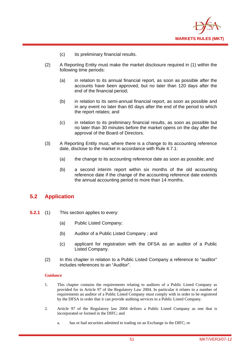

- (c) its preliminary financial results.
- (2) A Reporting Entity must make the market disclosure required in (1) within the following time periods:
	- (a) in relation to its annual financial report, as soon as possible after the accounts have been approved, but no later than 120 days after the end of the financial period;
	- (b) in relation to its semi-annual financial report, as soon as possible and in any event no later than 60 days after the end of the period to which the report relates; and
	- (c) in relation to its preliminary financial results, as soon as possible but no later than 30 minutes before the market opens on the day after the approval of the Board of Directors.
- (3) A Reporting Entity must, where there is a change to its accounting reference date, disclose to the market in accordance with Rule 4.7.1:
	- (a) the change to its accounting reference date as soon as possible; and
	- (b) a second interim report within six months of the old accounting reference date if the change of the accounting reference date extends the annual accounting period to more than 14 months.

# **5.2 Application**

- **5.2.1** (1) This section applies to every:
	- (a) Public Listed Company;
	- (b) Auditor of a Public Listed Company ; and
	- (c) applicant for registration with the DFSA as an auditor of a Public Listed Company.
	- (2) In this chapter in relation to a Public Listed Company a reference to "auditor" includes references to an "Auditor".

# **Guidance**

- 1. This chapter contains the requirements relating to auditors of a Public Listed Company as provided for in Article 97 of the Regulatory Law 2004. In particular it relates to a number of requirements an auditor of a Public Listed Company must comply with in order to be registered by the DFSA in order that it can provide auditing services to a Public Listed Company.
- 2. Article 97 of the Regulatory law 2004 defines a Public Listed Company as one that is incorporated or formed in the DIFC; and
	- a. has or had securities admitted to trading on an Exchange in the DIFC; or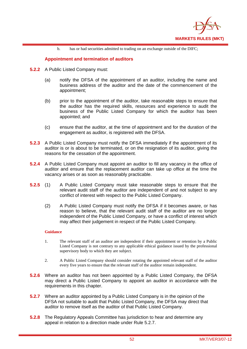

b. has or had securities admitted to trading on an exchange outside of the DIFC;

# **Appointment and termination of auditors**

- **5.2.2** A Public Listed Company must:
	- (a) notify the DFSA of the appointment of an auditor, including the name and business address of the auditor and the date of the commencement of the appointment;
	- (b) prior to the appointment of the auditor, take reasonable steps to ensure that the auditor has the required skills, resources and experience to audit the business of the Public Listed Company for which the auditor has been appointed; and
	- (c) ensure that the auditor, at the time of appointment and for the duration of the engagement as auditor, is registered with the DFSA.
- **5.2.3** A Public Listed Company must notify the DFSA immediately if the appointment of its auditor is or is about to be terminated, or on the resignation of its auditor, giving the reasons for the cessation of the appointment.
- **5.2.4** A Public Listed Company must appoint an auditor to fill any vacancy in the office of auditor and ensure that the replacement auditor can take up office at the time the vacancy arises or as soon as reasonably practicable.
- **5.2.5** (1) A Public Listed Company must take reasonable steps to ensure that the relevant audit staff of the auditor are independent of and not subject to any conflict of interest with respect to the Public Listed Company.
	- (2) A Public Listed Company must notify the DFSA if it becomes aware, or has reason to believe, that the relevant audit staff of the auditor are no longer independent of the Public Listed Company, or have a conflict of interest which may affect their judgement in respect of the Public Listed Company.

### **Guidance**

- 1. The relevant staff of an auditor are independent if their appointment or retention by a Public Listed Company is not contrary to any applicable ethical guidance issued by the professional supervisory body to which they are subject.
- 2. A Public Listed Company should consider rotating the appointed relevant staff of the auditor every five years to ensure that the relevant staff of the auditor remain independent.
- **5.2.6** Where an auditor has not been appointed by a Public Listed Company, the DFSA may direct a Public Listed Company to appoint an auditor in accordance with the requirements in this chapter.
- **5.2.7** Where an auditor appointed by a Public Listed Company is in the opinion of the DFSA not suitable to audit that Public Listed Company, the DFSA may direct that auditor to remove itself as the auditor of that Public Listed Company.
- **5.2.8** The Regulatory Appeals Committee has jurisdiction to hear and determine any appeal in relation to a direction made under Rule 5.2.7.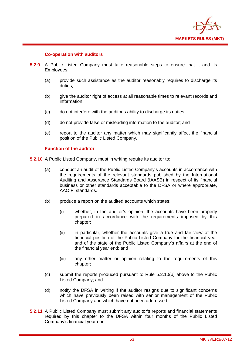

## **Co-operation with auditors**

- **5.2.9** A Public Listed Company must take reasonable steps to ensure that it and its Employees:
	- (a) provide such assistance as the auditor reasonably requires to discharge its duties;
	- (b) give the auditor right of access at all reasonable times to relevant records and information;
	- (c) do not interfere with the auditor's ability to discharge its duties;
	- (d) do not provide false or misleading information to the auditor; and
	- (e) report to the auditor any matter which may significantly affect the financial position of the Public Listed Company.

## **Function of the auditor**

**5.2.10** A Public Listed Company, must in writing require its auditor to:

- (a) conduct an audit of the Public Listed Company's accounts in accordance with the requirements of the relevant standards published by the International Auditing and Assurance Standards Board (IAASB) in respect of its financial business or other standards acceptable to the DFSA or where appropriate, AAOIFI standards.
- (b) produce a report on the audited accounts which states:
	- (i) whether, in the auditor's opinion, the accounts have been properly prepared in accordance with the requirements imposed by this chapter;
	- (ii) in particular, whether the accounts give a true and fair view of the financial position of the Public Listed Company for the financial year and of the state of the Public Listed Company's affairs at the end of the financial year end; and
	- (iii) any other matter or opinion relating to the requirements of this chapter;
- (c) submit the reports produced pursuant to Rule 5.2.10(b) above to the Public Listed Company; and
- (d) notify the DFSA in writing if the auditor resigns due to significant concerns which have previously been raised with senior management of the Public Listed Company and which have not been addressed.
- **5.2.11** A Public Listed Company must submit any auditor's reports and financial statements required by this chapter to the DFSA within four months of the Public Listed Company's financial year end.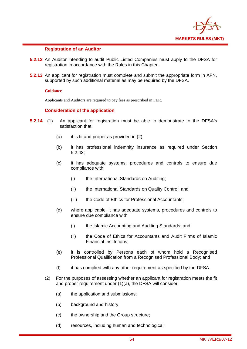

## **Registration of an Auditor**

- **5.2.12** An Auditor intending to audit Public Listed Companies must apply to the DFSA for registration in accordance with the Rules in this Chapter.
- **5.2.13** An applicant for registration must complete and submit the appropriate form in AFN, supported by such additional material as may be required by the DFSA.

### **Guidance**

Applicants and Auditors are required to pay fees as prescribed in FER.

## **Consideration of the application**

- **5.2.14** (1) An applicant for registration must be able to demonstrate to the DFSA's satisfaction that:
	- (a) it is fit and proper as provided in (2);
	- (b) it has professional indemnity insurance as required under Section 5.2.43;
	- (c) it has adequate systems, procedures and controls to ensure due compliance with:
		- (i) the International Standards on Auditing;
		- (ii) the International Standards on Quality Control; and
		- (iii) the Code of Ethics for Professional Accountants;
	- (d) where applicable, it has adequate systems, procedures and controls to ensure due compliance with:
		- (i) the Islamic Accounting and Auditing Standards; and
		- (ii) the Code of Ethics for Accountants and Audit Firms of Islamic Financial Institutions;
	- (e) it is controlled by Persons each of whom hold a Recognised Professional Qualification from a Recognised Professional Body; and
	- (f) it has complied with any other requirement as specified by the DFSA.
	- (2) For the purposes of assessing whether an applicant for registration meets the fit and proper requirement under (1)(a), the DFSA will consider:
		- (a) the application and submissions;
		- (b) background and history;
		- (c) the ownership and the Group structure;
		- (d) resources, including human and technological;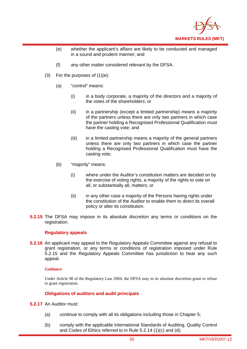

- (e) whether the applicant's affairs are likely to be conducted and managed in a sound and prudent manner; and
- (f) any other matter considered relevant by the DFSA.
- (3) For the purposes of  $(1)(e)$ :
	- (a) "control" means:
		- (i) in a body corporate, a majority of the directors and a majority of the votes of the shareholders; or
		- (ii) in a partnership (except a limited partnership) means a majority of the partners unless there are only two partners in which case the partner holding a Recognised Professional Qualification must have the casting vote; and
		- (iii) in a limited partnership means a majority of the general partners unless there are only two partners in which case the partner holding a Recognised Professional Qualification must have the casting vote;
	- (b) "majority" means:
		- (i) where under the Auditor's constitution matters are decided on by the exercise of voting rights, a majority of the rights to vote on all, or substantially all, matters; or
		- (ii) in any other case a majority of the Persons having rights under the constitution of the Auditor to enable them to direct its overall policy or alter its constitution.
- **5.2.15** The DFSA may impose in its absolute discretion any terms or conditions on the registration.

### **Regulatory appeals**

**5.2.16** An applicant may appeal to the Regulatory Appeals Committee against any refusal to grant registration, or any terms or conditions of registration imposed under Rule 5.2.15 and the Regulatory Appeals Committee has jurisdiction to hear any such appeal.

### **Guidance**

Under Article 98 of the Regulatory Law 2004, the DFSA may in its absolute discretion grant or refuse to grant registration.

# **Obligations of auditors and audit principals**

- **5.2.17** An Auditor must:
	- (a) continue to comply with all its obligations including those in Chapter 5;
	- (b) comply with the applicable International Standards of Auditing, Quality Control and Codes of Ethics referred to in Rule 5.2.14 (1)(c) and (d);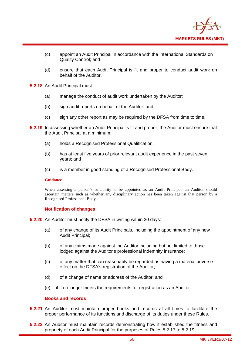

- (c) appoint an Audit Principal in accordance with the International Standards on Quality Control; and
- (d) ensure that each Audit Principal is fit and proper to conduct audit work on behalf of the Auditor.
- **5.2.18** An Audit Principal must:
	- (a) manage the conduct of audit work undertaken by the Auditor;
	- (b) sign audit reports on behalf of the Auditor; and
	- (c) sign any other report as may be required by the DFSA from time to time.
- **5.2.19** In assessing whether an Audit Principal is fit and proper, the Auditor must ensure that the Audit Principal at a minimum:
	- (a) holds a Recognised Professional Qualification;
	- (b) has at least five years of prior relevant audit experience in the past seven years; and
	- (c) is a member in good standing of a Recognised Professional Body.

### **Guidance**

When assessing a person's suitability to be appointed as an Audit Principal, an Auditor should ascertain matters such as whether any disciplinary action has been taken against that person by a Recognised Professional Body.

### **Notification of changes**

- **5.2.20** An Auditor must notify the DFSA in writing within 30 days:
	- (a) of any change of its Audit Principals, including the appointment of any new Audit Principal;
	- (b) of any claims made against the Auditor including but not limited to those lodged against the Auditor's professional indemnity insurance;
	- (c) of any matter that can reasonably be regarded as having a material adverse effect on the DFSA's registration of the Auditor;
	- (d) of a change of name or address of the Auditor; and
	- (e) if it no longer meets the requirements for registration as an Auditor.

## **Books and records**

- **5.2.21** An Auditor must maintain proper books and records at all times to facilitate the proper performance of its functions and discharge of its duties under these Rules.
- **5.2.22** An Auditor must maintain records demonstrating how it established the fitness and propriety of each Audit Principal for the purposes of Rules 5.2.17 to 5.2.19.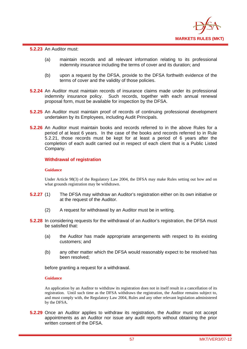

**5.2.23** An Auditor must:

- (a) maintain records and all relevant information relating to its professional indemnity insurance including the terms of cover and its duration; and
- (b) upon a request by the DFSA, provide to the DFSA forthwith evidence of the terms of cover and the validity of those policies.
- **5.2.24** An Auditor must maintain records of insurance claims made under its professional indemnity insurance policy. Such records, together with each annual renewal proposal form, must be available for inspection by the DFSA.
- **5.2.25** An Auditor must maintain proof of records of continuing professional development undertaken by its Employees, including Audit Principals.
- **5.2.26** An Auditor must maintain books and records referred to in the above Rules for a period of at least 6 years. In the case of the books and records referred to in Rule 5.2.21, those records must be kept for at least a period of 6 years after the completion of each audit carried out in respect of each client that is a Public Listed Company.

## **Withdrawal of registration**

### **Guidance**

Under Article 98(3) of the Regulatory Law 2004, the DFSA may make Rules setting out how and on what grounds registration may be withdrawn.

- **5.2.27** (1) The DFSA may withdraw an Auditor's registration either on its own initiative or at the request of the Auditor.
	- (2) A request for withdrawal by an Auditor must be in writing.
- **5.2.28** In considering requests for the withdrawal of an Auditor's registration, the DFSA must be satisfied that:
	- (a) the Auditor has made appropriate arrangements with respect to its existing customers; and
	- (b) any other matter which the DFSA would reasonably expect to be resolved has been resolved;

before granting a request for a withdrawal.

### **Guidance**

An application by an Auditor to withdraw its registration does not in itself result in a cancellation of its registration. Until such time as the DFSA withdraws the registration, the Auditor remains subject to, and must comply with, the Regulatory Law 2004, Rules and any other relevant legislation administered by the DFSA.

**5.2.29** Once an Auditor applies to withdraw its registration, the Auditor must not accept appointments as an Auditor nor issue any audit reports without obtaining the prior written consent of the DFSA.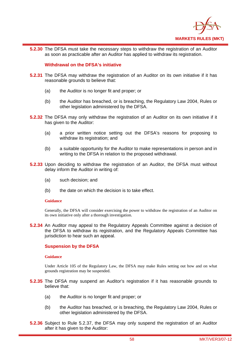

**5.2.30** The DFSA must take the necessary steps to withdraw the registration of an Auditor as soon as practicable after an Auditor has applied to withdraw its registration.

## **Withdrawal on the DFSA's initiative**

- **5.2.31** The DFSA may withdraw the registration of an Auditor on its own initiative if it has reasonable grounds to believe that:
	- (a) the Auditor is no longer fit and proper; or
	- (b) the Auditor has breached, or is breaching, the Regulatory Law 2004, Rules or other legislation administered by the DFSA.
- **5.2.32** The DFSA may only withdraw the registration of an Auditor on its own initiative if it has given to the Auditor:
	- (a) a prior written notice setting out the DFSA's reasons for proposing to withdraw its registration; and
	- (b) a suitable opportunity for the Auditor to make representations in person and in writing to the DFSA in relation to the proposed withdrawal.
- **5.2.33** Upon deciding to withdraw the registration of an Auditor, the DFSA must without delay inform the Auditor in writing of:
	- (a) such decision; and
	- (b) the date on which the decision is to take effect.

### **Guidance**

Generally, the DFSA will consider exercising the power to withdraw the registration of an Auditor on its own initiative only after a thorough investigation.

**5.2.34** An Auditor may appeal to the Regulatory Appeals Committee against a decision of the DFSA to withdraw its registration, and the Regulatory Appeals Committee has jurisdiction to hear such an appeal.

# **Suspension by the DFSA**

### **Guidance**

Under Article 105 of the Regulatory Law, the DFSA may make Rules setting out how and on what grounds registration may be suspended.

- **5.2.35** The DFSA may suspend an Auditor's registration if it has reasonable grounds to believe that:
	- (a) the Auditor is no longer fit and proper; or
	- (b) the Auditor has breached, or is breaching, the Regulatory Law 2004, Rules or other legislation administered by the DFSA.
- **5.2.36** Subject to Rule 5.2.37, the DFSA may only suspend the registration of an Auditor after it has given to the Auditor: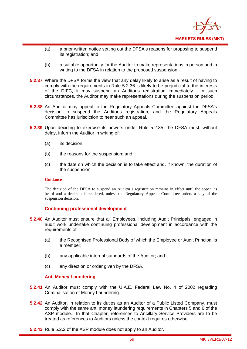

- (a) a prior written notice setting out the DFSA's reasons for proposing to suspend its registration; and
- (b) a suitable opportunity for the Auditor to make representations in person and in writing to the DFSA in relation to the proposed suspension.
- **5.2.37** Where the DFSA forms the view that any delay likely to arise as a result of having to comply with the requirements in Rule 5.2.36 is likely to be prejudicial to the interests of the DIFC, it may suspend an Auditor's registration immediately. In such circumstances, the Auditor may make representations during the suspension period.
- **5.2.38** An Auditor may appeal to the Regulatory Appeals Committee against the DFSA's decision to suspend the Auditor's registration, and the Regulatory Appeals Committee has jurisdiction to hear such an appeal.
- **5.2.39** Upon deciding to exercise its powers under Rule 5.2.35, the DFSA must, without delay, inform the Auditor in writing of:
	- (a) its decision;
	- (b) the reasons for the suspension; and
	- (c) the date on which the decision is to take effect and, if known, the duration of the suspension.

### **Guidance**

The decision of the DFSA to suspend an Auditor's registration remains in effect until the appeal is heard and a decision is rendered, unless the Regulatory Appeals Committee orders a stay of the suspension decision.

# **Continuing professional development**

- **5.2.40** An Auditor must ensure that all Employees, including Audit Principals, engaged in audit work undertake continuing professional development in accordance with the requirements of:
	- (a) the Recognised Professional Body of which the Employee or Audit Principal is a member;
	- (b) any applicable internal standards of the Auditor; and
	- (c) any direction or order given by the DFSA.

### **Anti Money Laundering**

- **5.2.41** An Auditor must comply with the U.A.E. Federal Law No. 4 of 2002 regarding Criminalisation of Money Laundering.
- **5.2.42** An Auditor, in relation to its duties as an Auditor of a Public Listed Company, must comply with the same anti money laundering requirements in Chapters 5 and 6 of the ASP module. In that Chapter, references to Ancillary Service Providers are to be treated as references to Auditors unless the context requires otherwise.
- **5.2.43** Rule 5.2.2 of the ASP module does not apply to an Auditor.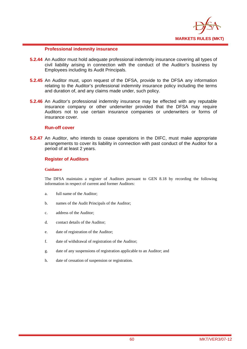

## **Professional indemnity insurance**

- **5.2.44** An Auditor must hold adequate professional indemnity insurance covering all types of civil liability arising in connection with the conduct of the Auditor's business by Employees including its Audit Principals.
- **5.2.45** An Auditor must, upon request of the DFSA, provide to the DFSA any information relating to the Auditor's professional indemnity insurance policy including the terms and duration of, and any claims made under, such policy.
- **5.2.46** An Auditor's professional indemnity insurance may be effected with any reputable insurance company or other underwriter provided that the DFSA may require Auditors not to use certain insurance companies or underwriters or forms of insurance cover.

# **Run-off cover**

**5.2.47** An Auditor, who intends to cease operations in the DIFC, must make appropriate arrangements to cover its liability in connection with past conduct of the Auditor for a period of at least 2 years.

# **Register of Auditors**

### **Guidance**

The DFSA maintains a register of Auditors pursuant to GEN 8.18 by recording the following information in respect of current and former Auditors:

- a. full name of the Auditor;
- b. names of the Audit Principals of the Auditor;
- c. address of the Auditor;
- d. contact details of the Auditor;
- e. date of registration of the Auditor;
- f. date of withdrawal of registration of the Auditor;
- g. date of any suspensions of registration applicable to an Auditor; and
- h. date of cessation of suspension or registration.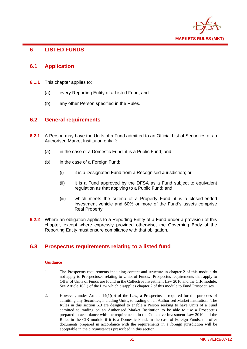

# **6 LISTED FUNDS**

# **6.1 Application**

- **6.1.1** This chapter applies to:
	- (a) every Reporting Entity of a Listed Fund; and
	- (b) any other Person specified in the Rules.

# **6.2 General requirements**

- **6.2.1** A Person may have the Units of a Fund admitted to an Official List of Securities of an Authorised Market Institution only if:
	- (a) in the case of a Domestic Fund, it is a Public Fund; and
	- (b) in the case of a Foreign Fund:
		- (i) it is a Designated Fund from a Recognised Jurisdiction; or
		- (ii) it is a Fund approved by the DFSA as a Fund subject to equivalent regulation as that applying to a Public Fund; and
		- (iii) which meets the criteria of a Property Fund, it is a closed-ended investment vehicle and 60% or more of the Fund's assets comprise Real Property.
- **6.2.2** Where an obligation applies to a Reporting Entity of a Fund under a provision of this chapter, except where expressly provided otherwise, the Governing Body of the Reporting Entity must ensure compliance with that obligation.

# **6.3 Prospectus requirements relating to a listed fund**

### **Guidance**

- 1. The Prospectus requirements including content and structure in chapter 2 of this module do not apply to Prospectuses relating to Units of Funds. Prospectus requirements that apply to Offer of Units of Funds are found in the Collective Investment Law 2010 and the CIR module. See Article 10(1) of the Law which disapplies chapter 2 of this module to Fund Prospectuses.
- 2. However, under Article  $14(1)(b)$  of the Law, a Prospectus is required for the purposes of admitting any Securities, including Units, to trading on an Authorised Market Institution. The Rules in this section 6.3 are designed to enable a Person seeking to have Units of a Fund admitted to trading on an Authorised Market Institution to be able to use a Prospectus prepared in accordance with the requirements in the Collective Investment Law 2010 and the Rules in the CIR module if it is a Domestic Fund. In the case of Foreign Funds, the offer documents prepared in accordance with the requirements in a foreign jurisdiction will be acceptable in the circumstances prescribed in this section.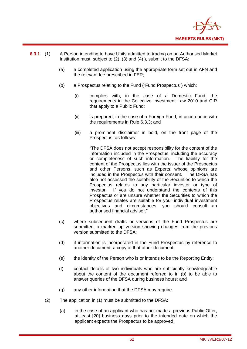

- **6.3.1** (1) A Person intending to have Units admitted to trading on an Authorised Market Institution must, subject to (2), (3) and (4) ), submit to the DFSA:
	- (a) a completed application using the appropriate form set out in AFN and the relevant fee prescribed in FER;
	- (b) a Prospectus relating to the Fund ("Fund Prospectus") which:
		- (i) complies with, in the case of a Domestic Fund, the requirements in the Collective Investment Law 2010 and CIR that apply to a Public Fund;
		- (ii) is prepared, in the case of a Foreign Fund, in accordance with the requirements in Rule 6.3.3; and
		- (iii) a prominent disclaimer in bold, on the front page of the Prospectus, as follows:

"The DFSA does not accept responsibility for the content of the information included in the Prospectus, including the accuracy or completeness of such information. The liability for the content of the Prospectus lies with the issuer of the Prospectus and other Persons, such as Experts, whose opinions are included in the Prospectus with their consent. The DFSA has also not assessed the suitability of the Securities to which the Prospectus relates to any particular investor or type of investor. If you do not understand the contents of this Prospectus or are unsure whether the Securities to which the Prospectus relates are suitable for your individual investment objectives and circumstances, you should consult an authorised financial advisor."

- (c) where subsequent drafts or versions of the Fund Prospectus are submitted, a marked up version showing changes from the previous version submitted to the DFSA;
- (d) if information is incorporated in the Fund Prospectus by reference to another document, a copy of that other document;
- (e) the identity of the Person who is or intends to be the Reporting Entity;
- (f) contact details of two individuals who are sufficiently knowledgeable about the content of the document referred to in (b) to be able to answer queries of the DFSA during business hours; and
- (g) any other information that the DFSA may require.
- (2) The application in (1) must be submitted to the DFSA:
	- (a) in the case of an applicant who has not made a previous Public Offer, at least [20] business days prior to the intended date on which the applicant expects the Prospectus to be approved;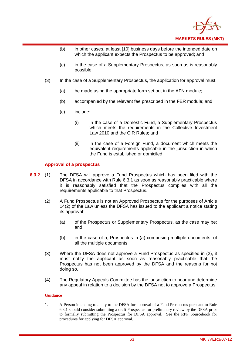

- (b) in other cases, at least [10] business days before the intended date on which the applicant expects the Prospectus to be approved; and
- (c) in the case of a Supplementary Prospectus, as soon as is reasonably possible.
- (3) In the case of a Supplementary Prospectus, the application for approval must:
	- (a) be made using the appropriate form set out in the AFN module;
	- (b) accompanied by the relevant fee prescribed in the FER module; and
	- (c) include:
		- (i) in the case of a Domestic Fund, a Supplementary Prospectus which meets the requirements in the Collective Investment Law 2010 and the CIR Rules; and
		- (ii) in the case of a Foreign Fund, a document which meets the equivalent requirements applicable in the jurisdiction in which the Fund is established or domiciled.

## **Approval of a prospectus**

- **6.3.2** (1) The DFSA will approve a Fund Prospectus which has been filed with the DFSA in accordance with Rule 6.3.1 as soon as reasonably practicable where it is reasonably satisfied that the Prospectus complies with all the requirements applicable to that Prospectus.
	- (2) A Fund Prospectus is not an Approved Prospectus for the purposes of Article 14(2) of the Law unless the DFSA has issued to the applicant a notice stating its approval:
		- (a) of the Prospectus or Supplementary Prospectus, as the case may be; and
		- (b) in the case of a, Prospectus in (a) comprising multiple documents, of all the multiple documents.
	- (3) Where the DFSA does not approve a Fund Prospectus as specified in (2), it must notify the applicant as soon as reasonably practicable that the Prospectus has not been approved by the DFSA and the reasons for not doing so.
	- (4) The Regulatory Appeals Committee has the jurisdiction to hear and determine any appeal in relation to a decision by the DFSA not to approve a Prospectus.

### **Guidance**

1. A Person intending to apply to the DFSA for approval of a Fund Prospectus pursuant to Rule 6.3.1 should consider submitting a draft Prospectus for preliminary review by the DFSA prior to formally submitting the Prospectus for DFSA approval. See the RPP Sourcebook for procedures for applying for DFSA approval.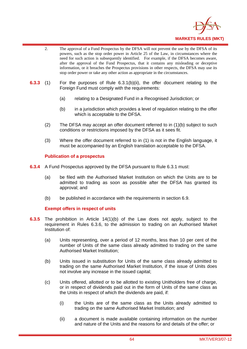

- 2. The approval of a Fund Prospectus by the DFSA will not prevent the use by the DFSA of its powers, such as the stop order power in Article 25 of the Law, in circumstances where the need for such action is subsequently identified. For example, if the DFSA becomes aware, after the approval of the Fund Prospectus, that it contains any misleading or deceptive information, or it breaches the Prospectus provisions in other respects, the DFSA may use its stop order power or take any other action as appropriate in the circumstances.
- **6.3.3** (1) For the purposes of Rule 6.3.1(b)(ii), the offer document relating to the Foreign Fund must comply with the requirements:
	- (a) relating to a Designated Fund in a Recognised Jurisdiction; or
	- (b) in a jurisdiction which provides a level of regulation relating to the offer which is acceptable to the DFSA.
	- (2) The DFSA may accept an offer document referred to in (1)(b) subject to such conditions or restrictions imposed by the DFSA as it sees fit.
	- (3) Where the offer document referred to in (1) is not in the English language, it must be accompanied by an English translation acceptable to the DFSA.

## **Publication of a prospectus**

- **6.3.4** A Fund Prospectus approved by the DFSA pursuant to Rule 6.3.1 must:
	- (a) be filed with the Authorised Market Institution on which the Units are to be admitted to trading as soon as possible after the DFSA has granted its approval; and
	- (b) be published in accordance with the requirements in section 6.9.

# **Exempt offers in respect of units**

- **6.3.5** The prohibition in Article 14(1)(b) of the Law does not apply, subject to the requirement in Rules 6.3.6, to the admission to trading on an Authorised Market Institution of:
	- (a) Units representing, over a period of 12 months, less than 10 per cent of the number of Units of the same class already admitted to trading on the same Authorised Market Institution;
	- (b) Units issued in substitution for Units of the same class already admitted to trading on the same Authorised Market Institution, if the issue of Units does not involve any increase in the issued capital;
	- (c) Units offered, allotted or to be allotted to existing Unitholders free of charge, or in respect of dividends paid out in the form of Units of the same class as the Units in respect of which the dividends are paid, if:
		- (i) the Units are of the same class as the Units already admitted to trading on the same Authorised Market Institution; and
		- (ii) a document is made available containing information on the number and nature of the Units and the reasons for and details of the offer; or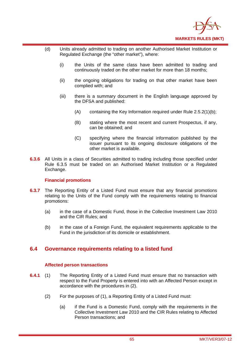

- (d) Units already admitted to trading on another Authorised Market Institution or Regulated Exchange (the "other market"), where:
	- (i) the Units of the same class have been admitted to trading and continuously traded on the other market for more than 18 months;
	- (ii) the ongoing obligations for trading on that other market have been complied with; and
	- (iii) there is a summary document in the English language approved by the DFSA and published:
		- (A) containing the Key Information required under Rule 2.5.2(1)(b);
		- (B) stating where the most recent and current Prospectus, if any, can be obtained; and
		- (C) specifying where the financial information published by the issuer pursuant to its ongoing disclosure obligations of the other market is available.
- **6.3.6** All Units in a class of Securities admitted to trading including those specified under Rule 6.3.5 must be traded on an Authorised Market Institution or a Regulated Exchange.

# **Financial promotions**

- **6.3.7** The Reporting Entity of a Listed Fund must ensure that any financial promotions relating to the Units of the Fund comply with the requirements relating to financial promotions:
	- (a) in the case of a Domestic Fund, those in the Collective Investment Law 2010 and the CIR Rules; and
	- (b) in the case of a Foreign Fund, the equivalent requirements applicable to the Fund in the jurisdiction of its domicile or establishment.

# **6.4 Governance requirements relating to a listed fund**

# **Affected person transactions**

- **6.4.1** (1) The Reporting Entity of a Listed Fund must ensure that no transaction with respect to the Fund Property is entered into with an Affected Person except in accordance with the procedures in (2).
	- (2) For the purposes of (1), a Reporting Entity of a Listed Fund must:
		- (a) if the Fund is a Domestic Fund, comply with the requirements in the Collective Investment Law 2010 and the CIR Rules relating to Affected Person transactions; and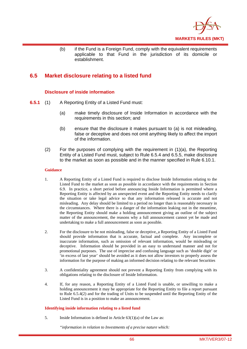

(b) if the Fund is a Foreign Fund, comply with the equivalent requirements applicable to that Fund in the jurisdiction of its domicile or establishment.

# **6.5 Market disclosure relating to a listed fund**

# **Disclosure of inside information**

- **6.5.1** (1) A Reporting Entity of a Listed Fund must:
	- (a) make timely disclosure of Inside Information in accordance with the requirements in this section; and
	- (b) ensure that the disclosure it makes pursuant to (a) is not misleading, false or deceptive and does not omit anything likely to affect the import of the information.
	- (2) For the purposes of complying with the requirement in (1)(a), the Reporting Entity of a Listed Fund must, subject to Rule 6.5.4 and 6.5.5, make disclosure to the market as soon as possible and in the manner specified in Rule 6.10.1.

### **Guidance**

- 1. A Reporting Entity of a Listed Fund is required to disclose Inside Information relating to the Listed Fund to the market as soon as possible in accordance with the requirements in Section 6.9. In practice, a short period before announcing Inside Information is permitted where a Reporting Entity is affected by an unexpected event and the Reporting Entity needs to clarify the situation or take legal advice so that any information released is accurate and not misleading. Any delay should be limited to a period no longer than is reasonably necessary in the circumstances. Where there is a danger of the information leaking out in the meantime, the Reporting Entity should make a holding announcement giving an outline of the subject matter of the announcement, the reasons why a full announcement cannot yet be made and undertaking to make a full announcement as soon as possible.
- 2. For the disclosure to be not misleading, false or deceptive, a Reporting Entity of a Listed Fund should provide information that is accurate, factual and complete. Any incomplete or inaccurate information, such as omission of relevant information, would be misleading or deceptive. Information should be provided in an easy to understand manner and not for promotional purposes. The use of imprecise and confusing language such as 'double digit' or 'in excess of last year' should be avoided as it does not allow investors to properly assess the information for the purpose of making an informed decision relating to the relevant Securities
- 3. A confidentiality agreement should not prevent a Reporting Entity from complying with its obligations relating to the disclosure of Inside Information.
- 4. If, for any reason, a Reporting Entity of a Listed Fund is unable, or unwilling to make a holding announcement it may be appropriate for the Reporting Entity to file a report pursuant to Rule 6.5.4(2) and for the trading of Units to be suspended until the Reporting Entity of the Listed Fund is in a position to make an announcement.

### **Identifying inside information relating to a listed fund**

5. Inside Information is defined in Article 63(1)(a) of the Law as:

*"information in relation to Investments of a precise nature which:*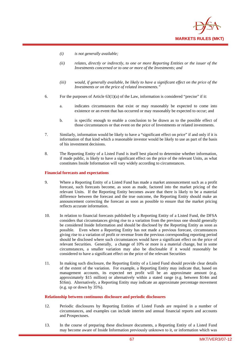

- *(i) is not generally available;*
- *(ii) relates, directly or indirectly, to one or more Reporting Entities or the issuer of the Investments concerned or to one or more of the Investments; and*
- *(iii) would, if generally available, be likely to have a significant effect on the price of the Investments or on the price of related investments."*
- 6. For the purposes of Article  $63(1)(a)$  of the Law, information is considered "precise" if it:
	- a. indicates circumstances that exist or may reasonably be expected to come into existence or an event that has occurred or may reasonably be expected to occur; and
	- b. is specific enough to enable a conclusion to be drawn as to the possible effect of those circumstances or that event on the price of Investments or related investments.
- 7. Similarly, information would be likely to have a "significant effect on price" if and only if it is information of that kind which a reasonable investor would be likely to use as part of the basis of his investment decisions.
- 8. The Reporting Entity of a Listed Fund is itself best placed to determine whether information, if made public, is likely to have a significant effect on the price of the relevant Units, as what constitutes Inside Information will vary widely according to circumstances.

#### **Financial forecasts and expectations**

- 9. Where a Reporting Entity of a Listed Fund has made a market announcement such as a profit forecast, such forecasts become, as soon as made, factored into the market pricing of the relevant Units. If the Reporting Entity becomes aware that there is likely to be a material difference between the forecast and the true outcome, the Reporting Entity should make an announcement correcting the forecast as soon as possible to ensure that the market pricing reflects accurate information.
- 10. In relation to financial forecasts published by a Reporting Entity of a Listed Fund, the DFSA considers that circumstances giving rise to a variation from the previous one should generally be considered Inside Information and should be disclosed by the Reporting Entity as soon as possible. Even where a Reporting Entity has not made a previous forecast, circumstances giving rise to a variation of profit or revenue from the previous corresponding reporting period should be disclosed where such circumstances would have a significant effect on the price of relevant Securities. Generally, a change of 10% or more is a material change, but in some circumstances, a smaller variation may also be disclosable if it would reasonably be considered to have a significant effect on the price of the relevant Securities
- 11. In making such disclosure, the Reporting Entity of a Listed Fund should provide clear details of the extent of the variation. For example, a Reporting Entity may indicate that, based on management accounts, its expected net profit will be an approximate amount (e.g. approximately \$15 million) or alternatively within a stated range (e.g. between \$14m and \$16m). Alternatively, a Reporting Entity may indicate an approximate percentage movement (e.g. up or down by 35%).

### **Relationship between continuous disclosure and periodic disclosures**

- 12. Periodic disclosures by Reporting Entities of Listed Funds are required in a number of circumstances, and examples can include interim and annual financial reports and accounts and Prospectuses.
- 13. In the course of preparing these disclosure documents, a Reporting Entity of a Listed Fund may become aware of Inside Information previously unknown to it, or information which was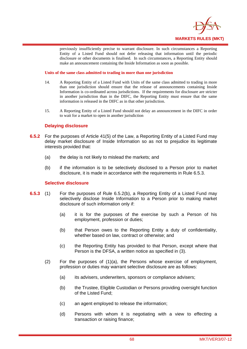

previously insufficiently precise to warrant disclosure. In such circumstances a Reporting Entity of a Listed Fund should not defer releasing that information until the periodic disclosure or other documents is finalised. In such circumstances, a Reporting Entity should make an announcement containing the Inside Information as soon as possible.

**Units of the same class admitted to trading in more than one jurisdiction** 

- 14. A Reporting Entity of a Listed Fund with Units of the same class admitted to trading in more than one jurisdiction should ensure that the release of announcements containing Inside Information is co-ordinated across jurisdictions. If the requirements for disclosure are stricter in another jurisdiction than in the DIFC, the Reporting Entity must ensure that the same information is released in the DIFC as in that other jurisdiction.
- 15. A Reporting Entity of a Listed Fund should not delay an announcement in the DIFC in order to wait for a market to open in another jurisdiction

## **Delaying disclosure**

- **6.5.2** For the purposes of Article 41(5) of the Law, a Reporting Entity of a Listed Fund may delay market disclosure of Inside Information so as not to prejudice its legitimate interests provided that:
	- (a) the delay is not likely to mislead the markets; and
	- (b) if the information is to be selectively disclosed to a Person prior to market disclosure, it is made in accordance with the requirements in Rule 6.5.3.

### **Selective disclosure**

- **6.5.3** (1) For the purposes of Rule 6.5.2(b), a Reporting Entity of a Listed Fund may selectively disclose Inside Information to a Person prior to making market disclosure of such information only if:
	- (a) it is for the purposes of the exercise by such a Person of his employment, profession or duties;
	- (b) that Person owes to the Reporting Entity a duty of confidentiality, whether based on law, contract or otherwise; and
	- (c) the Reporting Entity has provided to that Person, except where that Person is the DFSA, a written notice as specified in (3).
	- (2) For the purposes of (1)(a), the Persons whose exercise of employment, profession or duties may warrant selective disclosure are as follows:
		- (a) its advisers, underwriters, sponsors or compliance advisers;
		- (b) the Trustee, Eligible Custodian or Persons providing oversight function of the Listed Fund;
		- (c) an agent employed to release the information;
		- (d) Persons with whom it is negotiating with a view to effecting a transaction or raising finance;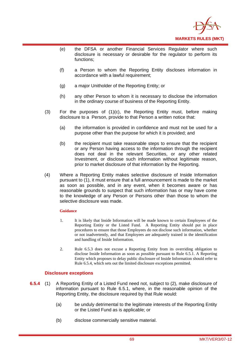

- (e) the DFSA or another Financial Services Regulator where such disclosure is necessary or desirable for the regulator to perform its functions;
- (f) a Person to whom the Reporting Entity discloses information in accordance with a lawful requirement;
- (g) a major Unitholder of the Reporting Entity; or
- (h) any other Person to whom it is necessary to disclose the information in the ordinary course of business of the Reporting Entity.
- (3) For the purposes of (1)(c), the Reporting Entity must, before making disclosure to a Person, provide to that Person a written notice that:
	- (a) the information is provided in confidence and must not be used for a purpose other than the purpose for which it is provided; and
	- (b) the recipient must take reasonable steps to ensure that the recipient or any Person having access to the information through the recipient does not deal in the relevant Securities, or any other related Investment, or disclose such information without legitimate reason, prior to market disclosure of that information by the Reporting.
- (4) Where a Reporting Entity makes selective disclosure of Inside Information pursuant to (1), it must ensure that a full announcement is made to the market as soon as possible, and in any event, when it becomes aware or has reasonable grounds to suspect that such information has or may have come to the knowledge of any Person or Persons other than those to whom the selective disclosure was made.

#### **Guidance**

- 1. It is likely that Inside Information will be made known to certain Employees of the Reporting Entity or the Listed Fund. A Reporting Entity should put in place procedures to ensure that those Employees do not disclose such information, whether or not inadvertently, and that Employees are adequately trained in the identification and handling of Inside Information.
- 2. Rule 6.5.3 does not excuse a Reporting Entity from its overriding obligation to disclose Inside Information as soon as possible pursuant to Rule 6.5.1. A Reporting Entity which proposes to delay public disclosure of Inside Information should refer to Rule 6.5.4, which sets out the limited disclosure exceptions permitted.

#### **Disclosure exceptions**

- **6.5.4** (1) A Reporting Entity of a Listed Fund need not, subject to (2), make disclosure of information pursuant to Rule 6.5.1, where, in the reasonable opinion of the Reporting Entity, the disclosure required by that Rule would:
	- (a) be unduly detrimental to the legitimate interests of the Reporting Entity or the Listed Fund as is applicable; or
	- (b) disclose commercially sensitive material.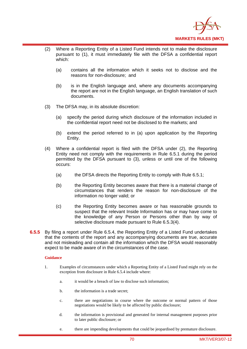

- (2) Where a Reporting Entity of a Listed Fund intends not to make the disclosure pursuant to (1), it must immediately file with the DFSA a confidential report which:
	- (a) contains all the information which it seeks not to disclose and the reasons for non-disclosure; and
	- (b) is in the English language and, where any documents accompanying the report are not in the English language, an English translation of such documents.
- (3) The DFSA may, in its absolute discretion:
	- (a) specify the period during which disclosure of the information included in the confidential report need not be disclosed to the markets; and
	- (b) extend the period referred to in (a) upon application by the Reporting Entity.
- (4) Where a confidential report is filed with the DFSA under (2), the Reporting Entity need not comply with the requirements in Rule 6.5.1 during the period permitted by the DFSA pursuant to (3), unless or until one of the following occurs:
	- (a) the DFSA directs the Reporting Entity to comply with Rule 6.5.1;
	- (b) the Reporting Entity becomes aware that there is a material change of circumstances that renders the reason for non-disclosure of the information no longer valid; or
	- (c) the Reporting Entity becomes aware or has reasonable grounds to suspect that the relevant Inside Information has or may have come to the knowledge of any Person or Persons other than by way of selective disclosure made pursuant to Rule 6.5.3(4).
- **6.5.5** By filing a report under Rule 6.5.4, the Reporting Entity of a Listed Fund undertakes that the contents of the report and any accompanying documents are true, accurate and not misleading and contain all the information which the DFSA would reasonably expect to be made aware of in the circumstances of the case.

#### **Guidance**

- 1. Examples of circumstances under which a Reporting Entity of a Listed Fund might rely on the exception from disclosure in Rule 6.5.4 include where:
	- a. it would be a breach of law to disclose such information;
	- b. the information is a trade secret:
	- c. there are negotiations in course where the outcome or normal pattern of those negotiations would be likely to be affected by public disclosure;
	- d. the information is provisional and generated for internal management purposes prior to later public disclosure; or
	- e. there are impending developments that could be jeopardised by premature disclosure.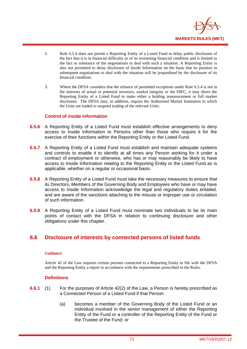

- 2. Rule 6.5.4 does not permit a Reporting Entity of a Listed Fund to delay public disclosure of the fact that it is in financial difficulty or of its worsening financial condition and is limited to the fact or substance of the negotiations to deal with such a situation. A Reporting Entity is also not permitted to delay disclosure of Inside Information on the basis that its position in subsequent negotiations to deal with the situation will be jeopardised by the disclosure of its financial condition.
- 3. Where the DFSA considers that the reliance of permitted exceptions under Rule 6.5.4 is not in the interests of actual or potential investors, market integrity or the DIFC, it may direct the Reporting Entity of a Listed Fund to make either a holding announcement or full market disclosure. The DFSA may, in addition, require the Authorised Market Institution in which the Units are traded to suspend trading of the relevant Units.

### **Control of inside information**

- **6.5.6** A Reporting Entity of a Listed Fund must establish effective arrangements to deny access to Inside Information to Persons other than those who require it for the exercise of their functions within the Reporting Entity or the Listed Fund.
- **6.5.7** A Reporting Entity of a Listed Fund must establish and maintain adequate systems and controls to enable it to identify at all times any Person working for it under a contract of employment or otherwise, who has or may reasonably be likely to have access to Inside Information relating to the Reporting Entity or the Listed Fund as is applicable, whether on a regular or occasional basis.
- **6.5.8** A Reporting Entity of a Listed Fund must take the necessary measures to ensure that its Directors, Members of the Governing Body and Employees who have or may have access to Inside Information acknowledge the legal and regulatory duties entailed, and are aware of the sanctions attaching to the misuse or improper use or circulation of such information.
- **6.5.9** A Reporting Entity of a Listed Fund must nominate two individuals to be its main points of contact with the DFSA in relation to continuing disclosure and other obligations under this chapter.

## **6.6 Disclosure of interests by connected persons of listed funds**

#### **Guidance**

Article 42 of the Law requires certain persons connected to a Reporting Entity to file with the DFSA and the Reporting Entity a report in accordance with the requirements prescribed in the Rules.

#### **Definitions**

- **6.6.1** (1) For the purposes of Article 42(2) of the Law, a Person is hereby prescribed as a Connected Person of a Listed Fund if that Person:
	- (a) becomes a member of the Governing Body of the Listed Fund or an individual involved in the senior management of either the Reporting Entity of the Fund or a controller of the Reporting Entity of the Fund or the Trustee of the Fund; or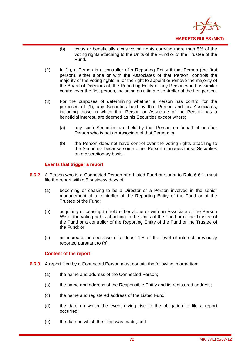

- (b) owns or beneficially owns voting rights carrying more than 5% of the voting rights attaching to the Units of the Fund or of the Trustee of the Fund.
- (2) In (1), a Person is a controller of a Reporting Entity if that Person (the first person), either alone or with the Associates of that Person, controls the majority of the voting rights in, or the right to appoint or remove the majority of the Board of Directors of, the Reporting Entity or any Person who has similar control over the first person, including an ultimate controller of the first person.
- (3) For the purposes of determining whether a Person has control for the purposes of (1), any Securities held by that Person and his Associates, including those in which that Person or Associate of the Person has a beneficial interest, are deemed as his Securities except where;
	- (a) any such Securities are held by that Person on behalf of another Person who is not an Associate of that Person; or
	- (b) the Person does not have control over the voting rights attaching to the Securities because some other Person manages those Securities on a discretionary basis.

## **Events that trigger a report**

- **6.6.2** A Person who is a Connected Person of a Listed Fund pursuant to Rule 6.6.1, must file the report within 5 business days of:
	- (a) becoming or ceasing to be a Director or a Person involved in the senior management of a controller of the Reporting Entity of the Fund or of the Trustee of the Fund;
	- (b) acquiring or ceasing to hold either alone or with an Associate of the Person 5% of the voting rights attaching to the Units of the Fund or of the Trustee of the Fund or a controller of the Reporting Entity of the Fund or the Trustee of the Fund; or
	- (c) an increase or decrease of at least 1% of the level of interest previously reported pursuant to (b).

#### **Content of the report**

- **6.6.3** A report filed by a Connected Person must contain the following information:
	- (a) the name and address of the Connected Person;
	- (b) the name and address of the Responsible Entity and its registered address;
	- (c) the name and registered address of the Listed Fund;
	- (d) the date on which the event giving rise to the obligation to file a report occurred;
	- (e) the date on which the filing was made; and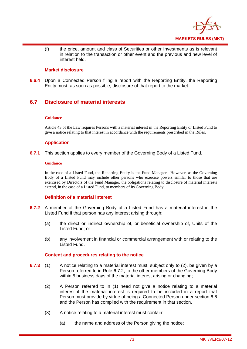

(f) the price, amount and class of Securities or other Investments as is relevant in relation to the transaction or other event and the previous and new level of interest held.

## **Market disclosure**

**6.6.4** Upon a Connected Person filing a report with the Reporting Entity, the Reporting Entity must, as soon as possible, disclosure of that report to the market.

## **6.7 Disclosure of material interests**

#### **Guidance**

Article 43 of the Law requires Persons with a material interest in the Reporting Entity or Listed Fund to give a notice relating to that interest in accordance with the requirements prescribed in the Rules.

### **Application**

**6.7.1** This section applies to every member of the Governing Body of a Listed Fund.

#### **Guidance**

In the case of a Listed Fund, the Reporting Entity is the Fund Manager. However, as the Governing Body of a Listed Fund may include other persons who exercise powers similar to those that are exercised by Directors of the Fund Manager, the obligations relating to disclosure of material interests extend, in the case of a Listed Fund, to members of its Governing Body.

### **Definition of a material interest**

- **6.7.2** A member of the Governing Body of a Listed Fund has a material interest in the Listed Fund if that person has any interest arising through:
	- (a) the direct or indirect ownership of, or beneficial ownership of, Units of the Listed Fund; or
	- (b) any involvement in financial or commercial arrangement with or relating to the Listed Fund.

#### **Content and procedures relating to the notice**

- **6.7.3** (1) A notice relating to a material interest must, subject only to (2), be given by a Person referred to in Rule 6.7.2, to the other members of the Governing Body within 5 business days of the material interest arising or changing;
	- (2) A Person referred to in (1) need not give a notice relating to a material interest if the material interest is required to be included in a report that Person must provide by virtue of being a Connected Person under section 6.6 and the Person has complied with the requirement in that section.
	- (3) A notice relating to a material interest must contain:
		- (a) the name and address of the Person giving the notice;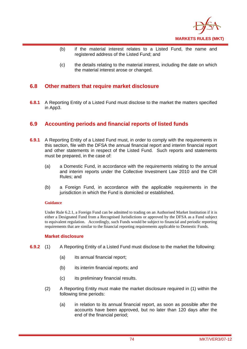

- (b) if the material interest relates to a Listed Fund, the name and registered address of the Listed Fund; and
- (c) the details relating to the material interest, including the date on which the material interest arose or changed.

## **6.8 Other matters that require market disclosure**

**6.8.1** A Reporting Entity of a Listed Fund must disclose to the market the matters specified in App3.

## **6.9 Accounting periods and financial reports of listed funds**

- **6.9.1** A Reporting Entity of a Listed Fund must, in order to comply with the requirements in this section, file with the DFSA the annual financial report and interim financial report and other statements in respect of the Listed Fund. Such reports and statements must be prepared, in the case of:
	- (a) a Domestic Fund, in accordance with the requirements relating to the annual and interim reports under the Collective Investment Law 2010 and the CIR Rules; and
	- (b) a Foreign Fund, in accordance with the applicable requirements in the jurisdiction in which the Fund is domiciled or established.

#### **Guidance**

Under Rule 6.2.1, a Foreign Fund can be admitted to trading on an Authorised Market Institution if it is either a Designated Fund from a Recognised Jurisdictions or approved by the DFSA as a Fund subject to equivalent regulation. Accordingly, such Funds would be subject to financial and periodic reporting requirements that are similar to the financial reporting requirements applicable to Domestic Funds.

#### **Market disclosure**

- **6.9.2** (1) A Reporting Entity of a Listed Fund must disclose to the market the following:
	- (a) its annual financial report;
	- (b) its interim financial reports; and
	- (c) its preliminary financial results.
	- (2) A Reporting Entity must make the market disclosure required in (1) within the following time periods:
		- (a) in relation to its annual financial report, as soon as possible after the accounts have been approved, but no later than 120 days after the end of the financial period;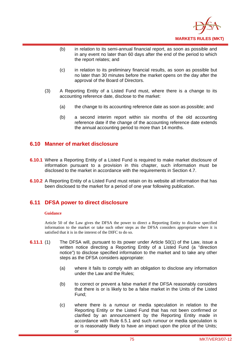

- (b) in relation to its semi-annual financial report, as soon as possible and in any event no later than 60 days after the end of the period to which the report relates; and
- (c) in relation to its preliminary financial results, as soon as possible but no later than 30 minutes before the market opens on the day after the approval of the Board of Directors.
- (3) A Reporting Entity of a Listed Fund must, where there is a change to its accounting reference date, disclose to the market:
	- (a) the change to its accounting reference date as soon as possible; and
	- (b) a second interim report within six months of the old accounting reference date if the change of the accounting reference date extends the annual accounting period to more than 14 months.

## **6.10 Manner of market disclosure**

- **6.10.1** Where a Reporting Entity of a Listed Fund is required to make market disclosure of information pursuant to a provision in this chapter, such information must be disclosed to the market in accordance with the requirements in Section 4.7.
- **6.10.2** A Reporting Entity of a Listed Fund must retain on its website all information that has been disclosed to the market for a period of one year following publication.

## **6.11 DFSA power to direct disclosure**

#### **Guidance**

 Article 50 of the Law gives the DFSA the power to direct a Reporting Entity to disclose specified information to the market or take such other steps as the DFSA considers appropriate where it is satisfied that it is in the interest of the DIFC to do so.

- **6.11.1** (1) The DFSA will, pursuant to its power under Article 50(1) of the Law, issue a written notice directing a Reporting Entity of a Listed Fund (a "direction notice") to disclose specified information to the market and to take any other steps as the DFSA considers appropriate:
	- (a) where it fails to comply with an obligation to disclose any information under the Law and the Rules;
	- (b) to correct or prevent a false market if the DFSA reasonably considers that there is or is likely to be a false market in the Units of the Listed Fund;
	- (c) where there is a rumour or media speculation in relation to the Reporting Entity or the Listed Fund that has not been confirmed or clarified by an announcement by the Reporting Entity made in accordance with Rule 6.5.1 and such rumour or media speculation is or is reasonably likely to have an impact upon the price of the Units; or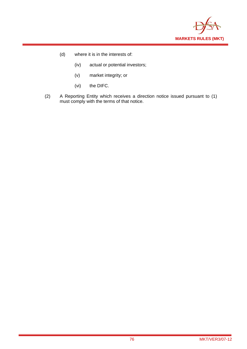

- (d) where it is in the interests of:
	- (iv) actual or potential investors;
	- (v) market integrity; or
	- (vi) the DIFC.
- (2) A Reporting Entity which receives a direction notice issued pursuant to (1) must comply with the terms of that notice.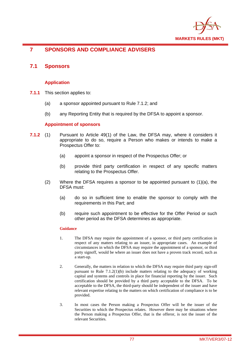

## **7 SPONSORS AND COMPLIANCE ADVISERS**

## **7.1 Sponsors**

## **Application**

- **7.1.1** This section applies to:
	- (a) a sponsor appointed pursuant to Rule 7.1.2; and
	- (b) any Reporting Entity that is required by the DFSA to appoint a sponsor.

#### **Appointment of sponsors**

- **7.1.2** (1) Pursuant to Article 49(1) of the Law, the DFSA may, where it considers it appropriate to do so, require a Person who makes or intends to make a Prospectus Offer to:
	- (a) appoint a sponsor in respect of the Prospectus Offer; or
	- (b) provide third party certification in respect of any specific matters relating to the Prospectus Offer.
	- (2) Where the DFSA requires a sponsor to be appointed pursuant to (1)(a), the DFSA must:
		- (a) do so in sufficient time to enable the sponsor to comply with the requirements in this Part; and
		- (b) require such appointment to be effective for the Offer Period or such other period as the DFSA determines as appropriate.

#### **Guidance**

- 1. The DFSA may require the appointment of a sponsor, or third party certification in respect of any matters relating to an issuer, in appropriate cases. An example of circumstances in which the DFSA may require the appointment of a sponsor, or third party signoff, would be where an issuer does not have a proven track record, such as a start-up.
- 2. Generally, the matters in relation to which the DFSA may require third party sign-off pursuant to Rule 7.1.2(1)(b) include matters relating to the adequacy of working capital and systems and controls in place for financial reporting by the issuer. Such certification should be provided by a third party acceptable to the DFSA. To be acceptable to the DFSA, the third-party should be independent of the issuer and have relevant expertise relating to the matters on which certification of compliance is to be provided.
- 3. In most cases the Person making a Prospectus Offer will be the issuer of the Securities to which the Prospectus relates. However there may be situations where the Person making a Prospectus Offer, that is the offeror, is not the issuer of the relevant Securities.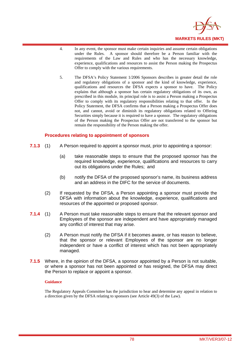

- 4. In any event, the sponsor must make certain inquiries and assume certain obligations under the Rules. A sponsor should therefore be a Person familiar with the requirements of the Law and Rules and who has the necessary knowledge, experience, qualifications and resources to assist the Person making the Prospectus Offer to comply with the various requirements.
- 5. The DFSA's Policy Statement 1/2006 Sponsors describes in greater detail the role and regulatory obligations of a sponsor and the kind of knowledge, experience, qualifications and resources the DFSA expects a sponsor to have. The Policy explains that although a sponsor has certain regulatory obligations of its own, as prescribed in this module, its principal role is to assist a Person making a Prospectus Offer to comply with its regulatory responsibilities relating to that offer. In the Policy Statement, the DFSA confirms that a Person making a Prospectus Offer does not, and cannot, avoid or diminish its regulatory obligations related to Offering Securities simply because it is required to have a sponsor. The regulatory obligations of the Person making the Prospectus Offer are not transferred to the sponsor but remain the responsibility of the Person making the offer.

### **Procedures relating to appointment of sponsors**

- **7.1.3** (1) A Person required to appoint a sponsor must, prior to appointing a sponsor:
	- (a) take reasonable steps to ensure that the proposed sponsor has the required knowledge, experience, qualifications and resources to carry out its obligations under the Rules; and
	- (b) notify the DFSA of the proposed sponsor's name, its business address and an address in the DIFC for the service of documents.
	- (2) If requested by the DFSA, a Person appointing a sponsor must provide the DFSA with information about the knowledge, experience, qualifications and resources of the appointed or proposed sponsor.
- **7.1.4** (1) A Person must take reasonable steps to ensure that the relevant sponsor and Employees of the sponsor are independent and have appropriately managed any conflict of interest that may arise.
	- (2) A Person must notify the DFSA if it becomes aware, or has reason to believe, that the sponsor or relevant Employees of the sponsor are no longer independent or have a conflict of interest which has not been appropriately managed.
- **7.1.5** Where, in the opinion of the DFSA, a sponsor appointed by a Person is not suitable. or where a sponsor has not been appointed or has resigned, the DFSA may direct the Person to replace or appoint a sponsor.

#### **Guidance**

The Regulatory Appeals Committee has the jurisdiction to hear and determine any appeal in relation to a direction given by the DFSA relating to sponsors (see Article 49(3) of the Law).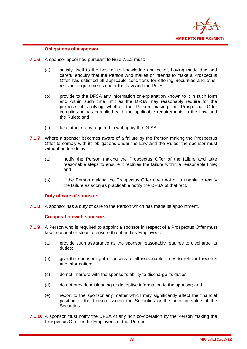

### **Obligations of a sponsor**

- **7.1.6** A sponsor appointed pursuant to Rule 7.1.2 must:
	- (a) satisfy itself to the best of its knowledge and belief, having made due and careful enquiry that the Person who makes or intends to make a Prospectus Offer has satisfied all applicable conditions for offering Securities and other relevant requirements under the Law and the Rules;
	- (b) provide to the DFSA any information or explanation known to it in such form and within such time limit as the DFSA may reasonably require for the purpose of verifying whether the Person making the Prospectus Offer complies or has complied, with the applicable requirements in the Law and the Rules; and
	- (c) take other steps required in writing by the DFSA.
- **7.1.7** Where a sponsor becomes aware of a failure by the Person making the Prospectus Offer to comply with its obligations under the Law and the Rules, the sponsor must without undue delay:
	- (a) notify the Person making the Prospectus Offer of the failure and take reasonable steps to ensure it rectifies the failure within a reasonable time; and
	- (b) if the Person making the Prospectus Offer does not or is unable to rectify the failure as soon as practicable notify the DFSA of that fact.

## **Duty of care of sponsors**

**7.1.8** A sponsor has a duty of care to the Person which has made its appointment.

## **Co-operation with sponsors**

- **7.1.9** A Person who is required to appoint a sponsor in respect of a Prospectus Offer must take reasonable steps to ensure that it and its Employees:
	- (a) provide such assistance as the sponsor reasonably requires to discharge its duties;
	- (b) give the sponsor right of access at all reasonable times to relevant records and information;
	- (c) do not interfere with the sponsor's ability to discharge its duties;
	- (d) do not provide misleading or deceptive information to the sponsor; and
	- (e) report to the sponsor any matter which may significantly affect the financial position of the Person issuing the Securities or the price or value of the Securities.
- **7.1.10** A sponsor must notify the DFSA of any non co-operation by the Person making the Prospectus Offer or the Employees of that Person.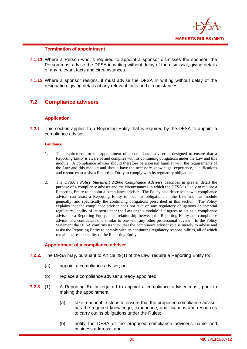

### **Termination of appointment**

- **7.1.11** Where a Person who is required to appoint a sponsor dismisses the sponsor, the Person must advise the DFSA in writing without delay of the dismissal, giving details of any relevant facts and circumstances.
- **7.1.12** Where a sponsor resigns, it must advise the DFSA in writing without delay of the resignation, giving details of any relevant facts and circumstances.

## **7.2 Compliance advisers**

### **Application**

**7.2.1** This section applies to a Reporting Entity that is required by the DFSA to appoint a compliance adviser.

#### **Guidance**

- 1. The requirement for the appointment of a compliance adviser is designed to ensure that a Reporting Entity is aware of and complies with its continuing obligations under the Law and this module. A compliance adviser should therefore be a person familiar with the requirements of the Law and this module and should have the necessary knowledge, experience, qualifications and resources to assist a Reporting Entity to comply with its regulatory obligations.
- 2. The DFSA's *Policy Statement 2/2006 Compliance Advisers* describes in greater detail the purpose of a compliance adviser and the circumstances in which the DFSA is likely to require a Reporting Entity to appoint a compliance adviser. The Policy also describes how a compliance adviser can assist a Reporting Entity to meet its obligations in the Law and this module generally, and specifically the continuing obligations prescribed in this section. The Policy explains that the compliance adviser does not take on any regulatory obligations or potential regulatory liability of its own under the Law or this module if it agrees to act as a compliance adviser to a Reporting Entity. The relationship between the Reporting Entity and compliance adviser is a contractual one similar to one with any other professional adviser. In the Policy Statement the DFSA confirms its view that the compliance adviser role is merely to advise and assist the Reporting Entity to comply with its continuing regulatory responsibilities, all of which remain the responsibility of the Reporting Entity.

#### **Appointment of a compliance adviser**

- **7.2.2.** The DFSA may, pursuant to Article 49(1) of the Law, require a Reporting Entity to:
	- (a) appoint a compliance adviser; or
	- (b) replace a compliance adviser already appointed.
- **7.2.3** (1) A Reporting Entity required to appoint a compliance adviser must, prior to making the appointment:
	- (a) take reasonable steps to ensure that the proposed compliance adviser has the required knowledge, experience, qualifications and resources to carry out its obligations under the Rules;
	- (b) notify the DFSA of the proposed compliance adviser's name and business address; and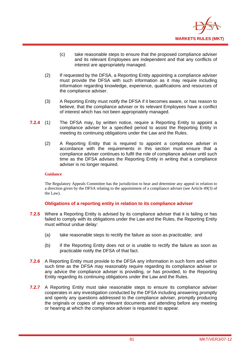

- (c) take reasonable steps to ensure that the proposed compliance adviser and its relevant Employees are independent and that any conflicts of interest are appropriately managed.
- (2) If requested by the DFSA, a Reporting Entity appointing a compliance adviser must provide the DFSA with such information as it may require including information regarding knowledge, experience, qualifications and resources of the compliance adviser.
- (3) A Reporting Entity must notify the DFSA if it becomes aware, or has reason to believe, that the compliance adviser or its relevant Employees have a conflict of interest which has not been appropriately managed.
- **7.2.4** (1) The DFSA may, by written notice, require a Reporting Entity to appoint a compliance adviser for a specified period to assist the Reporting Entity in meeting its continuing obligations under the Law and the Rules.
	- (2) A Reporting Entity that is required to appoint a compliance adviser in accordance with the requirements in this section must ensure that a compliance adviser continues to fulfil the role of compliance adviser until such time as the DFSA advises the Reporting Entity in writing that a compliance adviser is no longer required.

#### **Guidance**

The Regulatory Appeals Committee has the jurisdiction to hear and determine any appeal in relation to a direction given by the DFSA relating to the appointment of a compliance adviser (see Article 49(3) of the Law).

## **Obligations of a reporting entity in relation to its compliance adviser**

- **7.2.5** Where a Reporting Entity is advised by its compliance adviser that it is failing or has failed to comply with its obligations under the Law and the Rules, the Reporting Entity must without undue delay:
	- (a) take reasonable steps to rectify the failure as soon as practicable; and
	- (b) if the Reporting Entity does not or is unable to rectify the failure as soon as practicable notify the DFSA of that fact.
- **7.2.6** A Reporting Entity must provide to the DFSA any information in such form and within such time as the DFSA may reasonably require regarding its compliance adviser or any advice the compliance adviser is providing, or has provided, to the Reporting Entity regarding its continuing obligations under the Law and the Rules.
- **7.2.7** A Reporting Entity must take reasonable steps to ensure its compliance adviser cooperates in any investigation conducted by the DFSA including answering promptly and openly any questions addressed to the compliance adviser, promptly producing the originals or copies of any relevant documents and attending before any meeting or hearing at which the compliance adviser is requested to appear.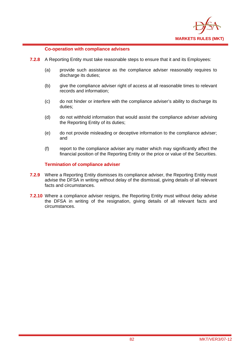

### **Co-operation with compliance advisers**

- **7.2.8** A Reporting Entity must take reasonable steps to ensure that it and its Employees:
	- (a) provide such assistance as the compliance adviser reasonably requires to discharge its duties;
	- (b) give the compliance adviser right of access at all reasonable times to relevant records and information;
	- (c) do not hinder or interfere with the compliance adviser's ability to discharge its duties;
	- (d) do not withhold information that would assist the compliance adviser advising the Reporting Entity of its duties;
	- (e) do not provide misleading or deceptive information to the compliance adviser; and
	- (f) report to the compliance adviser any matter which may significantly affect the financial position of the Reporting Entity or the price or value of the Securities.

### **Termination of compliance adviser**

- **7.2.9** Where a Reporting Entity dismisses its compliance adviser, the Reporting Entity must advise the DFSA in writing without delay of the dismissal, giving details of all relevant facts and circumstances.
- **7.2.10** Where a compliance adviser resigns, the Reporting Entity must without delay advise the DFSA in writing of the resignation, giving details of all relevant facts and circumstances.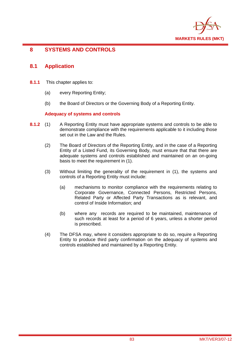

## **8 SYSTEMS AND CONTROLS**

## **8.1 Application**

- **8.1.1** This chapter applies to:
	- (a) every Reporting Entity;
	- (b) the Board of Directors or the Governing Body of a Reporting Entity.

## **Adequacy of systems and controls**

- **8.1.2** (1) A Reporting Entity must have appropriate systems and controls to be able to demonstrate compliance with the requirements applicable to it including those set out in the Law and the Rules.
	- (2) The Board of Directors of the Reporting Entity, and in the case of a Reporting Entity of a Listed Fund, its Governing Body, must ensure that that there are adequate systems and controls established and maintained on an on-going basis to meet the requirement in (1).
	- (3) Without limiting the generality of the requirement in (1), the systems and controls of a Reporting Entity must include:
		- (a) mechanisms to monitor compliance with the requirements relating to Corporate Governance, Connected Persons, Restricted Persons, Related Party or Affected Party Transactions as is relevant, and control of Inside Information; and
		- (b) where any records are required to be maintained, maintenance of such records at least for a period of 6 years, unless a shorter period is prescribed.
	- (4) The DFSA may, where it considers appropriate to do so, require a Reporting Entity to produce third party confirmation on the adequacy of systems and controls established and maintained by a Reporting Entity.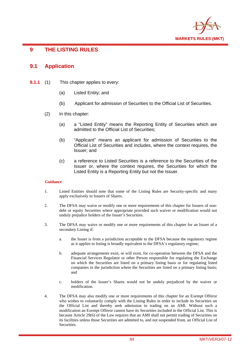

## **9 THE LISTING RULES**

## **9.1 Application**

- **9.1.1** (1) This chapter applies to every:
	- (a) Listed Entity; and
	- (b) Applicant for admission of Securities to the Official List of Securities.
	- (2) In this chapter:
		- (a) a "Listed Entity" means the Reporting Entity of Securities which are admitted to the Official List of Securities;
		- (b) "Applicant" means an applicant for admission of Securities to the Official List of Securities and includes, where the context requires, the Issuer; and
		- (c) a reference to Listed Securities is a reference to the Securities of the Issuer or, where the context requires, the Securities for which the Listed Entity is a Reporting Entity but not the Issuer.

#### **Guidance**

- 1. Listed Entities should note that some of the Listing Rules are Security-specific and many apply exclusively to Issuers of Shares.
- 2. The DFSA may waive or modify one or more requirements of this chapter for Issuers of nondebt or equity Securities where appropriate provided such waiver or modification would not unduly prejudice holders of the Issuer's Securities.
- 3. The DFSA may waive or modify one or more requirements of this chapter for an Issuer of a secondary Listing if:
	- a. the Issuer is from a jurisdiction acceptable to the DFSA because the regulatory regime as it applies to listing is broadly equivalent to the DFSA's regulatory regime;
	- b. adequate arrangements exist, or will exist, for co-operation between the DFSA and the Financial Services Regulator or other Person responsible for regulating the Exchange on which the Securities are listed on a primary listing basis or for regulating listed companies in the jurisdiction where the Securities are listed on a primary listing basis; and
	- c. holders of the Issuer's Shares would not be unduly prejudiced by the waiver or modification.
- 4. The DFSA may also modify one or more requirements of this chapter for an Exempt Offeror who wishes to voluntarily comply with the Listing Rules in order to include its Securities on the Official List and thereby seek admission to trading on an AMI. Without such a modification an Exempt Offeror cannot have its Securities included in the Official List. This is because Article 29(6) of the Law requires that an AMI shall not permit trading of Securities on its facilities unless those Securities are admitted to, and not suspended from, an Official List of Securities.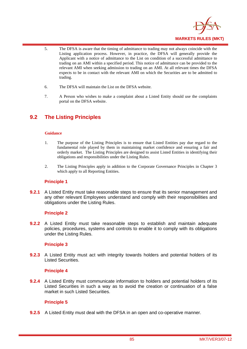

- 5. The DFSA is aware that the timing of admittance to trading may not always coincide with the Listing application process. However, in practice, the DFSA will generally provide the Applicant with a notice of admittance to the List on condition of a successful admittance to trading on an AMI within a specified period. This notice of admittance can be provided to the relevant AMI when seeking admission to trading on an AMI. At all relevant times the DFSA expects to be in contact with the relevant AMI on which the Securities are to be admitted to trading.
- 6. The DFSA will maintain the List on the DFSA website.
- 7. A Person who wishes to make a complaint about a Listed Entity should use the complaints portal on the DFSA website.

## **9.2 The Listing Principles**

#### **Guidance**

- 1. The purpose of the Listing Principles is to ensure that Listed Entities pay due regard to the fundamental role played by them in maintaining market confidence and ensuring a fair and orderly market. The Listing Principles are designed to assist Listed Entities in identifying their obligations and responsibilities under the Listing Rules.
- 2. The Listing Principles apply in addition to the Corporate Governance Principles in Chapter 3 which apply to all Reporting Entities.

#### **Principle 1**

**9.2.1** A Listed Entity must take reasonable steps to ensure that its senior management and any other relevant Employees understand and comply with their responsibilities and obligations under the Listing Rules.

#### **Principle 2**

**9.2.2** A Listed Entity must take reasonable steps to establish and maintain adequate policies, procedures, systems and controls to enable it to comply with its obligations under the Listing Rules.

## **Principle 3**

**9.2.3** A Listed Entity must act with integrity towards holders and potential holders of its Listed Securities.

#### **Principle 4**

**9.2.4** A Listed Entity must communicate information to holders and potential holders of its Listed Securities in such a way as to avoid the creation or continuation of a false market in such Listed Securities.

## **Principle 5**

**9.2.5** A Listed Entity must deal with the DFSA in an open and co-operative manner.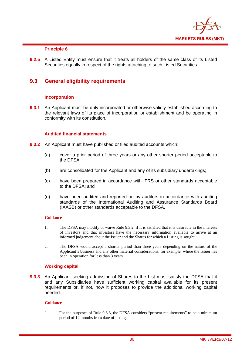

## **Principle 6**

**9.2.5** A Listed Entity must ensure that it treats all holders of the same class of its Listed Securities equally in respect of the rights attaching to such Listed Securities.

## **9.3 General eligibility requirements**

#### **Incorporation**

**9.3.1** An Applicant must be duly incorporated or otherwise validly established according to the relevant laws of its place of incorporation or establishment and be operating in conformity with its constitution.

#### **Audited financial statements**

- **9.3.2** An Applicant must have published or filed audited accounts which:
	- (a) cover a prior period of three years or any other shorter period acceptable to the DFSA;
	- (b) are consolidated for the Applicant and any of its subsidiary undertakings;
	- (c) have been prepared in accordance with IFRS or other standards acceptable to the DFSA; and
	- (d) have been audited and reported on by auditors in accordance with auditing standards of the International Auditing and Assurance Standards Board (IAASB) or other standards acceptable to the DFSA.

#### **Guidance**

- 1. The DFSA may modify or waive Rule 9.3.2, if it is satisfied that it is desirable in the interests of investors and that investors have the necessary information available to arrive at an informed judgement about the Issuer and the Shares for which a Listing is sought.
- 2. The DFSA would accept a shorter period than three years depending on the nature of the Applicant's business and any other material considerations, for example, where the Issuer has been in operation for less than 3 years.

#### **Working capital**

**9.3.3** An Applicant seeking admission of Shares to the List must satisfy the DFSA that it and any Subsidiaries have sufficient working capital available for its present requirements or, if not, how it proposes to provide the additional working capital needed.

#### **Guidance**

1. For the purposes of Rule 9.3.3, the DFSA considers "present requirements" to be a minimum period of 12 months from date of listing.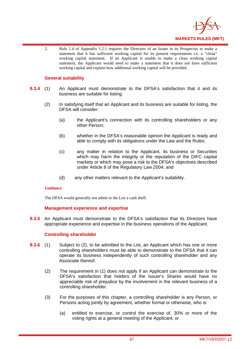

2. Rule 1.4 of Appendix 1.2.1 requires the Directors of an Issuer in its Prospectus to make a statement that it has sufficient working capital for its present requirements i.e. a "clean" working capital statement. If an Applicant is unable to make a clean working capital statement, the Applicant would need to make a statement that it does not have sufficient working capital and explain how additional working capital will be provided.

## **General suitability**

- **9.3.4** (1) An Applicant must demonstrate to the DFSA's satisfaction that it and its business are suitable for listing.
	- (2) In satisfying itself that an Applicant and its business are suitable for listing, the DFSA will consider:
		- (a) the Applicant's connection with its controlling shareholders or any other Person;
		- (b) whether in the DFSA's reasonable opinion the Applicant is ready and able to comply with its obligations under the Law and the Rules;
		- (c) any matter in relation to the Applicant, its business or Securities which may harm the integrity or the reputation of the DIFC capital markets or which may pose a risk to the DFSA's objectives described under Article 8 of the Regulatory Law 2004; and
		- (d) any other matters relevant to the Applicant's suitability.

### **Guidance**

The DFSA would generally not admit to the List a cash shell.

#### **Management experience and expertise**

**9.3.5** An Applicant must demonstrate to the DFSA's satisfaction that its Directors have appropriate experience and expertise in the business operations of the Applicant.

#### **Controlling shareholder**

- **9.3.6** (1) Subject to (2), to be admitted to the List, an Applicant which has one or more controlling shareholders must be able to demonstrate to the DFSA that it can operate its business independently of such controlling shareholder and any Associate thereof.
	- (2) The requirement in (1) does not apply if an Applicant can demonstrate to the DFSA's satisfaction that holders of the Issuer's Shares would have no appreciable risk of prejudice by the involvement in the relevant business of a controlling shareholder.
	- (3) For the purposes of this chapter, a controlling shareholder is any Person, or Persons acting jointly by agreement, whether formal or otherwise, who is:
		- (a) entitled to exercise, or control the exercise of, 30% or more of the voting rights at a general meeting of the Applicant; or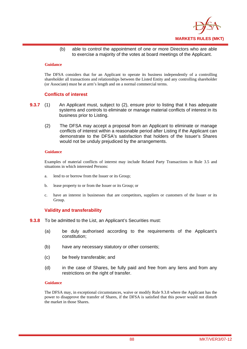

(b) able to control the appointment of one or more Directors who are able to exercise a majority of the votes at board meetings of the Applicant.

#### **Guidance**

The DFSA considers that for an Applicant to operate its business independently of a controlling shareholder all transactions and relationships between the Listed Entity and any controlling shareholder (or Associate) must be at arm's length and on a normal commercial terms.

#### **Conflicts of interest**

- **9.3.7** (1) An Applicant must, subject to (2), ensure prior to listing that it has adequate systems and controls to eliminate or manage material conflicts of interest in its business prior to Listing.
	- (2) The DFSA may accept a proposal from an Applicant to eliminate or manage conflicts of interest within a reasonable period after Listing if the Applicant can demonstrate to the DFSA's satisfaction that holders of the Issuer's Shares would not be unduly prejudiced by the arrangements.

#### **Guidance**

Examples of material conflicts of interest may include Related Party Transactions in Rule 3.5 and situations in which interested Persons:

- a. lend to or borrow from the Issuer or its Group;
- b. lease property to or from the Issuer or its Group; or
- c. have an interest in businesses that are competitors, suppliers or customers of the Issuer or its Group.

#### **Validity and transferability**

- **9.3.8** To be admitted to the List, an Applicant's Securities must:
	- (a) be duly authorised according to the requirements of the Applicant's constitution;
	- (b) have any necessary statutory or other consents;
	- (c) be freely transferable; and
	- (d) in the case of Shares, be fully paid and free from any liens and from any restrictions on the right of transfer.

#### **Guidance**

The DFSA may, in exceptional circumstances, waive or modify Rule 9.3.8 where the Applicant has the power to disapprove the transfer of Shares, if the DFSA is satisfied that this power would not disturb the market in those Shares.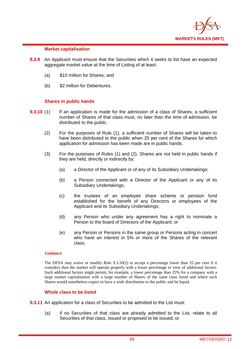

### **Market capitalisation**

- **9.3.9** An Applicant must ensure that the Securities which it seeks to list have an expected aggregate market value at the time of Listing of at least:
	- (a) \$10 million for Shares; and
	- (b) \$2 million for Debentures.

### **Shares in public hands**

- **9.3.10** (1) If an application is made for the admission of a class of Shares, a sufficient number of Shares of that class must, no later than the time of admission, be distributed to the public.
	- (2) For the purposes of Rule (1), a sufficient number of Shares will be taken to have been distributed to the public when 25 per cent of the Shares for which application for admission has been made are in public hands.
	- (3) For the purposes of Rules (1) and (2), Shares are not held in public hands if they are held, directly or indirectly by:
		- (a) a Director of the Applicant or of any of its Subsidiary Undertakings;
		- (b) a Person connected with a Director of the Applicant or any of its Subsidiary Undertakings;
		- (c) the trustees of an employee share scheme or pension fund established for the benefit of any Directors or employees of the Applicant and its Subsidiary Undertakings;
		- (d) any Person who under any agreement has a right to nominate a Person to the board of Directors of the Applicant; or
		- (e) any Person or Persons in the same group or Persons acting in concert who have an interest in 5% or more of the Shares of the relevant class.

#### **Guidance**

The DFSA may waive or modify Rule 9.3.10(2) to accept a percentage lower than 25 per cent if it considers than the market will operate properly with a lower percentage in view of additional factors. Such additional factors might permit, for example, a lower percentage than 25% for a company with a large market capitalisation with a large number of Shares of the same class listed and where such Shares would nonetheless expect to have a wide distribution to the public and be liquid.

#### **Whole class to be listed**

- **9.3.11** An application for a class of Securities to be admitted to the List must:
	- (a) if no Securities of that class are already admitted to the List, relate to all Securities of that class, issued or proposed to be issued; or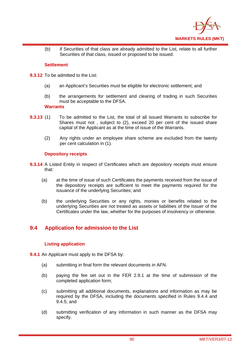

(b) if Securities of that class are already admitted to the List, relate to all further Securities of that class, issued or proposed to be issued.

## **Settlement**

- **9.3.12** To be admitted to the List:
	- (a) an Applicant's Securities must be eligible for electronic settlement; and
	- (b) the arrangements for settlement and clearing of trading in such Securities must be acceptable to the DFSA.

### **Warrants**

- **9.3.13** (1) To be admitted to the List, the total of all issued Warrants to subscribe for Shares must not , subject to (2), exceed 20 per cent of the issued share capital of the Applicant as at the time of issue of the Warrants.
	- (2) Any rights under an employee share scheme are excluded from the twenty per cent calculation in (1).

## **Depository receipts**

- **9.3.14** A Listed Entity in respect of Certificates which are depository receipts must ensure that:
	- (a) at the time of issue of such Certificates the payments received from the issue of the depository receipts are sufficient to meet the payments required for the issuance of the underlying Securities; and
	- (b) the underlying Securities or any rights, monies or benefits related to the underlying Securities are not treated as assets or liabilities of the Issuer of the Certificates under the law, whether for the purposes of insolvency or otherwise.

## **9.4 Application for admission to the List**

## **Listing application**

- **9.4.1** An Applicant must apply to the DFSA by:
	- (a) submitting in final form the relevant documents in AFN.
	- (b) paying the fee set out in the FER 2.9.1 at the time of submission of the completed application form;
	- (c) submitting all additional documents, explanations and information as may be required by the DFSA, including the documents specified in Rules 9.4.4 and 9.4.5; and
	- (d) submitting verification of any information in such manner as the DFSA may specify.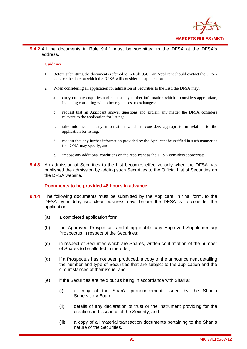

**9.4.2** All the documents in Rule 9.4.1 must be submitted to the DFSA at the DFSA's address.

#### **Guidance**

- 1. Before submitting the documents referred to in Rule 9.4.1, an Applicant should contact the DFSA to agree the date on which the DFSA will consider the application.
- 2. When considering an application for admission of Securities to the List, the DFSA may:
	- a. carry out any enquiries and request any further information which it considers appropriate, including consulting with other regulators or exchanges;
	- b. request that an Applicant answer questions and explain any matter the DFSA considers relevant to the application for listing;
	- c. take into account any information which it considers appropriate in relation to the application for listing;
	- d. request that any further information provided by the Applicant be verified in such manner as the DFSA may specify; and
	- e. impose any additional conditions on the Applicant as the DFSA considers appropriate.
- **9.4.3** An admission of Securities to the List becomes effective only when the DFSA has published the admission by adding such Securities to the Official List of Securities on the DFSA website.

#### **Documents to be provided 48 hours in advance**

- **9.4.4** The following documents must be submitted by the Applicant, in final form, to the DFSA by midday two clear business days before the DFSA is to consider the application:
	- (a) a completed application form;
	- (b) the Approved Prospectus, and if applicable, any Approved Supplementary Prospectus in respect of the Securities;
	- (c) in respect of Securities which are Shares, written confirmation of the number of Shares to be allotted in the offer;
	- (d) if a Prospectus has not been produced, a copy of the announcement detailing the number and type of Securities that are subject to the application and the circumstances of their issue; and
	- (e) if the Securities are held out as being in accordance with Shari'a:
		- (i) a copy of the Shari'a pronouncement issued by the Shari'a Supervisory Board;
		- (ii) details of any declaration of trust or the instrument providing for the creation and issuance of the Security; and
		- (iii) a copy of all material transaction documents pertaining to the Shari'a nature of the Securities.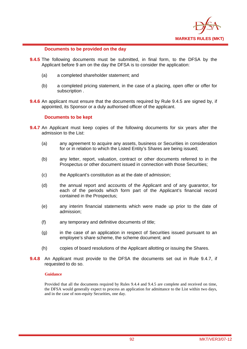

### **Documents to be provided on the day**

- **9.4.5** The following documents must be submitted, in final form, to the DFSA by the Applicant before 9 am on the day the DFSA is to consider the application:
	- (a) a completed shareholder statement; and
	- (b) a completed pricing statement, in the case of a placing, open offer or offer for subscription .
- **9.4.6** An applicant must ensure that the documents required by Rule 9.4.5 are signed by, if appointed, its Sponsor or a duly authorised officer of the applicant.

#### **Documents to be kept**

- **9.4.7** An Applicant must keep copies of the following documents for six years after the admission to the List:
	- (a) any agreement to acquire any assets, business or Securities in consideration for or in relation to which the Listed Entity's Shares are being issued;
	- (b) any letter, report, valuation, contract or other documents referred to in the Prospectus or other document issued in connection with those Securities;
	- (c) the Applicant's constitution as at the date of admission;
	- (d) the annual report and accounts of the Applicant and of any guarantor, for each of the periods which form part of the Applicant's financial record contained in the Prospectus;
	- (e) any interim financial statements which were made up prior to the date of admission;
	- (f) any temporary and definitive documents of title;
	- (g) in the case of an application in respect of Securities issued pursuant to an employee's share scheme, the scheme document; and
	- (h) copies of board resolutions of the Applicant allotting or issuing the Shares.
- **9.4.8** An Applicant must provide to the DFSA the documents set out in Rule 9.4.7, if requested to do so.

#### **Guidance**

Provided that all the documents required by Rules 9.4.4 and 9.4.5 are complete and received on time, the DFSA would generally expect to process an application for admittance to the List within two days, and in the case of non-equity Securities, one day.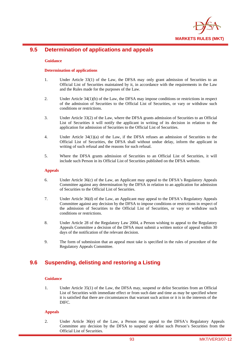

## **9.5 Determination of applications and appeals**

#### **Guidance**

#### **Determination of applications**

- 1. Under Article 33(1) of the Law, the DFSA may only grant admission of Securities to an Official List of Securities maintained by it, in accordance with the requirements in the Law and the Rules made for the purposes of the Law.
- 2. Under Article 34(1)(b) of the Law, the DFSA may impose conditions or restrictions in respect of the admission of Securities to the Official List of Securities, or vary or withdraw such conditions or restrictions.
- 3. Under Article 33(2) of the Law, where the DFSA grants admission of Securities to an Official List of Securities it will notify the applicant in writing of its decision in relation to the application for admission of Securities to the Official List of Securities.
- 4. Under Article 34(1)(a) of the Law, if the DFSA refuses an admission of Securities to the Official List of Securities, the DFSA shall without undue delay, inform the applicant in writing of such refusal and the reasons for such refusal.
- 5. Where the DFSA grants admission of Securities to an Official List of Securities, it will include such Person in its Official List of Securities published on the DFSA website.

#### **Appeals**

- 6. Under Article 36(c) of the Law, an Applicant may appeal to the DFSA's Regulatory Appeals Committee against any determination by the DFSA in relation to an application for admission of Securities to the Official List of Securities.
- 7. Under Article 36(d) of the Law, an Applicant may appeal to the DFSA's Regulatory Appeals Committee against any decision by the DFSA to impose conditions or restrictions in respect of the admission of Securities to the Official List of Securities, or vary or withdraw such conditions or restrictions.
- 8. Under Article 28 of the Regulatory Law 2004, a Person wishing to appeal to the Regulatory Appeals Committee a decision of the DFSA must submit a written notice of appeal within 30 days of the notification of the relevant decision.
- 9. The form of submission that an appeal must take is specified in the rules of procedure of the Regulatory Appeals Committee.

## **9.6 Suspending, delisting and restoring a Listing**

#### **Guidance**

1. Under Article 35(1) of the Law, the DFSA may, suspend or delist Securities from an Official List of Securities with immediate effect or from such date and time as may be specified where it is satisfied that there are circumstances that warrant such action or it is in the interests of the DIFC.

#### **Appeals**

2. Under Article 36(e) of the Law, a Person may appeal to the DFSA's Regulatory Appeals Committee any decision by the DFSA to suspend or delist such Person's Securities from the Official List of Securities.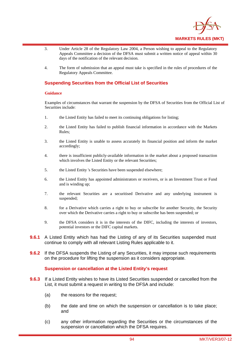

- 3. Under Article 28 of the Regulatory Law 2004, a Person wishing to appeal to the Regulatory Appeals Committee a decision of the DFSA must submit a written notice of appeal within 30 days of the notification of the relevant decision.
- 4. The form of submission that an appeal must take is specified in the rules of procedures of the Regulatory Appeals Committee.

## **Suspending Securities from the Official List of Securities**

#### **Guidance**

Examples of circumstances that warrant the suspension by the DFSA of Securities from the Official List of Securities include:

- 1. the Listed Entity has failed to meet its continuing obligations for listing;
- 2. the Listed Entity has failed to publish financial information in accordance with the Markets Rules;
- 3. the Listed Entity is unable to assess accurately its financial position and inform the market accordingly;
- 4. there is insufficient publicly-available information in the market about a proposed transaction which involves the Listed Entity or the relevant Securities;
- 5. the Listed Entity 's Securities have been suspended elsewhere;
- 6. the Listed Entity has appointed administrators or receivers, or is an Investment Trust or Fund and is winding up;
- 7. the relevant Securities are a securitised Derivative and any underlying instrument is suspended;
- 8. for a Derivative which carries a right to buy or subscribe for another Security, the Security over which the Derivative carries a right to buy or subscribe has been suspended; or
- 9. the DFSA considers it is in the interests of the DIFC, including the interests of investors, potential investors or the DIFC capital markets.
- **9.6.1** A Listed Entity which has had the Listing of any of its Securities suspended must continue to comply with all relevant Listing Rules applicable to it.
- **9.6.2** If the DFSA suspends the Listing of any Securities, it may impose such requirements on the procedure for lifting the suspension as it considers appropriate.

#### **Suspension or cancellation at the Listed Entity's request**

- **9.6.3** If a Listed Entity wishes to have its Listed Securities suspended or cancelled from the List, it must submit a request in writing to the DFSA and include:
	- (a) the reasons for the request;
	- (b) the date and time on which the suspension or cancellation is to take place; and
	- (c) any other information regarding the Securities or the circumstances of the suspension or cancellation which the DFSA requires.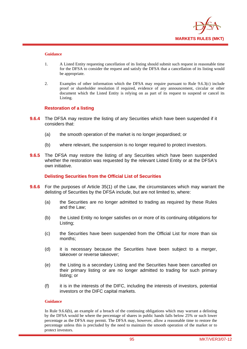

#### **Guidance**

- 1. A Listed Entity requesting cancellation of its listing should submit such request in reasonable time for the DFSA to consider the request and satisfy the DFSA that a cancellation of its listing would be appropriate.
- 2. Examples of other information which the DFSA may require pursuant to Rule 9.6.3(c) include proof or shareholder resolution if required, evidence of any announcement, circular or other document which the Listed Entity is relying on as part of its request to suspend or cancel its Listing.

### **Restoration of a listing**

- **9.6.4** The DFSA may restore the listing of any Securities which have been suspended if it considers that:
	- (a) the smooth operation of the market is no longer jeopardised; or
	- (b) where relevant, the suspension is no longer required to protect investors.
- **9.6.5** The DFSA may restore the listing of any Securities which have been suspended whether the restoration was requested by the relevant Listed Entity or at the DFSA's own initiative.

**Delisting Securities from the Official List of Securities** 

- **9.6.6** For the purposes of Article 35(1) of the Law, the circumstances which may warrant the delisting of Securities by the DFSA include, but are not limited to, where:
	- (a) the Securities are no longer admitted to trading as required by these Rules and the Law;
	- (b) the Listed Entity no longer satisfies on or more of its continuing obligations for Listing;
	- (c) the Securities have been suspended from the Official List for more than six months;
	- (d) it is necessary because the Securities have been subject to a merger, takeover or reverse takeover;
	- (e) the Listing is a secondary Listing and the Securities have been cancelled on their primary listing or are no longer admitted to trading for such primary listing; or
	- (f) it is in the interests of the DIFC, including the interests of investors, potential investors or the DIFC capital markets.

#### **Guidance**

In Rule 9.6.6(b), an example of a breach of the continuing obligations which may warrant a delisting by the DFSA would be where the percentage of shares in public hands falls below 25% or such lower percentage as the DFSA may permit. The DFSA may, however, allow a reasonable time to restore the percentage unless this is precluded by the need to maintain the smooth operation of the market or to protect investors.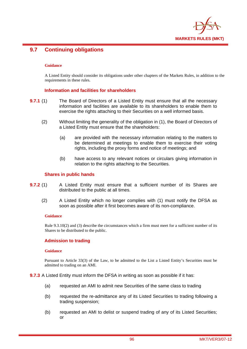

## **9.7 Continuing obligations**

#### **Guidance**

A Listed Entity should consider its obligations under other chapters of the Markets Rules, in addition to the requirements in these rules.

## **Information and facilities for shareholders**

- **9.7.1** (1) The Board of Directors of a Listed Entity must ensure that all the necessary information and facilities are available to its shareholders to enable them to exercise the rights attaching to their Securities on a well informed basis.
	- (2) Without limiting the generality of the obligation in (1), the Board of Directors of a Listed Entity must ensure that the shareholders:
		- (a) are provided with the necessary information relating to the matters to be determined at meetings to enable them to exercise their voting rights, including the proxy forms and notice of meetings; and
		- (b) have access to any relevant notices or circulars giving information in relation to the rights attaching to the Securities.

#### **Shares in public hands**

- **9.7.2** (1) A Listed Entity must ensure that a sufficient number of its Shares are distributed to the public at all times.
	- (2) A Listed Entity which no longer complies with (1) must notify the DFSA as soon as possible after it first becomes aware of its non-compliance.

#### **Guidance**

Rule 9.3.10(2) and (3) describe the circumstances which a firm must meet for a sufficient number of its Shares to be distributed to the public.

#### **Admission to trading**

#### **Guidance**

Pursuant to Article 33(3) of the Law, to be admitted to the List a Listed Entity's Securities must be admitted to trading on an AMI.

**9.7.3** A Listed Entity must inform the DFSA in writing as soon as possible if it has:

- (a) requested an AMI to admit new Securities of the same class to trading
- (b) requested the re-admittance any of its Listed Securities to trading following a trading suspension;
- (b) requested an AMI to delist or suspend trading of any of its Listed Securities; or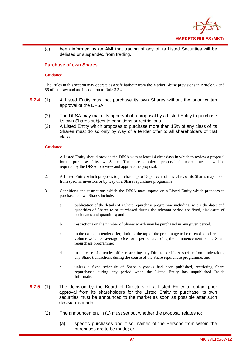

(c) been informed by an AMI that trading of any of its Listed Securities will be delisted or suspended from trading.

### **Purchase of own Shares**

#### **Guidance**

The Rules in this section may operate as a safe harbour from the Market Abuse provisions in Article 52 and 56 of the Law and are in addition to Rule 3.3.4.

- **9.7.4** (1) A Listed Entity must not purchase its own Shares without the prior written approval of the DFSA.
	- (2) The DFSA may make its approval of a proposal by a Listed Entity to purchase its own Shares subject to conditions or restrictions.
	- (3) A Listed Entity which proposes to purchase more than 15% of any class of its Shares must do so only by way of a tender offer to all shareholders of that class.

#### **Guidance**

- 1. A Listed Entity should provide the DFSA with at least 14 clear days in which to review a proposal for the purchase of its own Shares. The more complex a proposal, the more time that will be required by the DFSA to review and approve the proposal.
- 2. A Listed Entity which proposes to purchase up to 15 per cent of any class of its Shares may do so from specific investors or by way of a Share repurchase programme.
- 3. Conditions and restrictions which the DFSA may impose on a Listed Entity which proposes to purchase its own Shares include:
	- a. publication of the details of a Share repurchase programme including, where the dates and quantities of Shares to be purchased during the relevant period are fixed, disclosure of such dates and quantities; and
	- b. restrictions on the number of Shares which may be purchased in any given period.
	- c. in the case of a tender offer, limiting the top of the price range to be offered to sellers to a volume-weighted average price for a period preceding the commencement of the Share repurchase programme;
	- d. in the case of a tender offer, restricting any Director or his Associate from undertaking any Share transactions during the course of the Share repurchase programme; and
	- e. unless a fixed schedule of Share buybacks had been published, restricting Share repurchases during any period when the Listed Entity has unpublished Inside Information."
- **9.7.5** (1) The decision by the Board of Directors of a Listed Entity to obtain prior approval from its shareholders for the Listed Entity to purchase its own securities must be announced to the market as soon as possible after such decision is made.
	- (2) The announcement in (1) must set out whether the proposal relates to:
		- (a) specific purchases and if so, names of the Persons from whom the purchases are to be made; or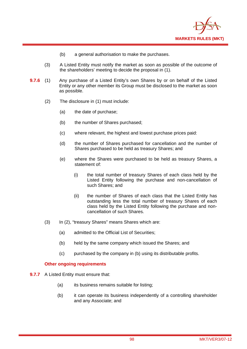

- (b) a general authorisation to make the purchases.
- (3) A Listed Entity must notify the market as soon as possible of the outcome of the shareholders' meeting to decide the proposal in (1).
- **9.7.6** (1) Any purchase of a Listed Entity's own Shares by or on behalf of the Listed Entity or any other member its Group must be disclosed to the market as soon as possible.
	- (2) The disclosure in (1) must include:
		- (a) the date of purchase;
		- (b) the number of Shares purchased;
		- (c) where relevant, the highest and lowest purchase prices paid:
		- (d) the number of Shares purchased for cancellation and the number of Shares purchased to be held as treasury Shares; and
		- (e) where the Shares were purchased to be held as treasury Shares, a statement of:
			- (i) the total number of treasury Shares of each class held by the Listed Entity following the purchase and non-cancellation of such Shares; and
			- (ii) the number of Shares of each class that the Listed Entity has outstanding less the total number of treasury Shares of each class held by the Listed Entity following the purchase and noncancellation of such Shares.
	- (3) In (2), "treasury Shares" means Shares which are:
		- (a) admitted to the Official List of Securities;
		- (b) held by the same company which issued the Shares; and
		- (c) purchased by the company in (b) using its distributable profits.

#### **Other ongoing requirements**

- **9.7.7** A Listed Entity must ensure that:
	- (a) its business remains suitable for listing;
	- (b) it can operate its business independently of a controlling shareholder and any Associate; and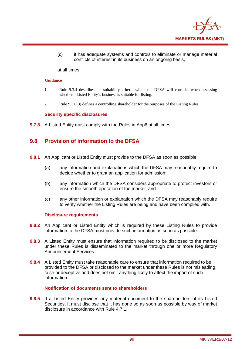

(c) it has adequate systems and controls to eliminate or manage material conflicts of interest in its business on an ongoing basis,

at all times.

#### **Guidance**

- 1. Rule 9.3.4 describes the suitability criteria which the DFSA will consider when assessing whether a Listed Entity's business is suitable for listing.
- 2. Rule 9.3.6(3) defines a controlling shareholder for the purposes of the Listing Rules.

## **Security specific disclosures**

**9.7.8** A Listed Entity must comply with the Rules in App6 at all times.

## **9.8 Provision of information to the DFSA**

- **9.8.1** An Applicant or Listed Entity must provide to the DFSA as soon as possible:
	- (a) any information and explanations which the DFSA may reasonably require to decide whether to grant an application for admission;
	- (b) any information which the DFSA considers appropriate to protect investors or ensure the smooth operation of the market; and
	- (c) any other information or explanation which the DFSA may reasonably require to verify whether the Listing Rules are being and have been complied with.

#### **Disclosure requirements**

- **9.8.2** An Applicant or Listed Entity which is required by these Listing Rules to provide information to the DFSA must provide such information as soon as possible.
- **9.8.3** A Listed Entity must ensure that information required to be disclosed to the market under these Rules is disseminated to the market through one or more Regulatory Announcement Services.
- **9.8.4** A Listed Entity must take reasonable care to ensure that information required to be provided to the DFSA or disclosed to the market under these Rules is not misleading, false or deceptive and does not omit anything likely to affect the import of such information.

## **Notification of documents sent to shareholders**

**9.8.5** If a Listed Entity provides any material document to the shareholders of its Listed Securities, it must disclose that it has done so as soon as possible by way of market disclosure in accordance with Rule 4.7.1.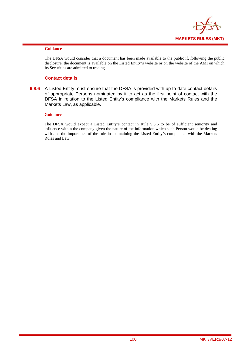

#### **Guidance**

The DFSA would consider that a document has been made available to the public if, following the public disclosure, the document is available on the Listed Entity's website or on the website of the AMI on which its Securities are admitted to trading.

### **Contact details**

**9.8.6** A Listed Entity must ensure that the DFSA is provided with up to date contact details of appropriate Persons nominated by it to act as the first point of contact with the DFSA in relation to the Listed Entity's compliance with the Markets Rules and the Markets Law, as applicable.

#### **Guidance**

The DFSA would expect a Listed Entity's contact in Rule 9.8.6 to be of sufficient seniority and influence within the company given the nature of the information which such Person would be dealing with and the importance of the role in maintaining the Listed Entity's compliance with the Markets Rules and Law.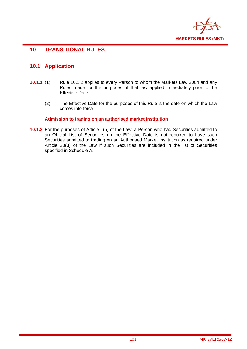

## **10 TRANSITIONAL RULES**

## **10.1 Application**

- **10.1.1** (1) Rule 10.1.2 applies to every Person to whom the Markets Law 2004 and any Rules made for the purposes of that law applied immediately prior to the Effective Date.
	- (2) The Effective Date for the purposes of this Rule is the date on which the Law comes into force.

## **Admission to trading on an authorised market institution**

**10.1.2** For the purposes of Article 1(5) of the Law, a Person who had Securities admitted to an Official List of Securities on the Effective Date is not required to have such Securities admitted to trading on an Authorised Market Institution as required under Article 33(3) of the Law if such Securities are included in the list of Securities specified in Schedule A.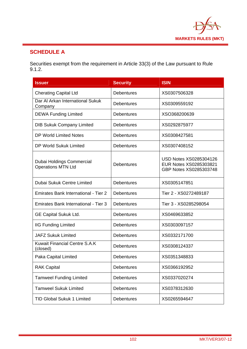

# **SCHEDULE A**

Securities exempt from the requirement in Article 33(3) of the Law pursuant to Rule 9.1.2.

| <b>Issuer</b>                                          | <b>Security</b>   | <b>ISIN</b>                                                                       |  |  |  |  |
|--------------------------------------------------------|-------------------|-----------------------------------------------------------------------------------|--|--|--|--|
| <b>Cherating Capital Ltd</b>                           | <b>Debentures</b> | XS0307506328                                                                      |  |  |  |  |
| Dar Al Arkan International Sukuk<br>Company            | <b>Debentures</b> | XS0309559192                                                                      |  |  |  |  |
| <b>DEWA Funding Limited</b>                            | <b>Debentures</b> | XSO368200639                                                                      |  |  |  |  |
| <b>DIB Sukuk Company Limited</b>                       | <b>Debentures</b> | XS0292875977                                                                      |  |  |  |  |
| <b>DP World Limited Notes</b>                          | Debentures        | XS0308427581                                                                      |  |  |  |  |
| DP World Sukuk Limited                                 | <b>Debentures</b> | XS0307408152                                                                      |  |  |  |  |
| Dubai Holdings Commercial<br><b>Operations MTN Ltd</b> | <b>Debentures</b> | <b>USD Notes XS0285304126</b><br>EUR Notes XS0285303821<br>GBP Notes XS0285303748 |  |  |  |  |
| <b>Dubai Sukuk Centre Limited</b>                      | <b>Debentures</b> | XS0305147851                                                                      |  |  |  |  |
| Emirates Bank International - Tier 2                   | <b>Debentures</b> | Tier 2 - XS0272489187                                                             |  |  |  |  |
| Emirates Bank International - Tier 3                   | <b>Debentures</b> | Tier 3 - XS0285298054                                                             |  |  |  |  |
| <b>GE Capital Sukuk Ltd.</b>                           | <b>Debentures</b> | XS0469633852                                                                      |  |  |  |  |
| <b>IIG Funding Limited</b>                             | <b>Debentures</b> | XS0303097157                                                                      |  |  |  |  |
| <b>JAFZ Sukuk Limited</b>                              | <b>Debentures</b> | XS0332171700                                                                      |  |  |  |  |
| <b>Kuwait Financial Centre S.A.K</b><br>(closed)       | <b>Debentures</b> | XS0308124337                                                                      |  |  |  |  |
| Paka Capital Limited                                   | <b>Debentures</b> | XS0351348833                                                                      |  |  |  |  |
| <b>RAK Capital</b>                                     | Debentures        | XS0366192952                                                                      |  |  |  |  |
| <b>Tamweel Funding Limited</b>                         | <b>Debentures</b> | XS0337020274                                                                      |  |  |  |  |
| <b>Tamweel Sukuk Limited</b>                           | <b>Debentures</b> | XS0378312630                                                                      |  |  |  |  |
| <b>TID Global Sukuk 1 Limited</b>                      | <b>Debentures</b> | XS0265594647                                                                      |  |  |  |  |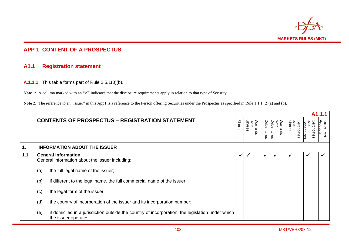

## **APP 1 CONTENT OF A PROSPECTUS**

## **A1.1 Registration statement**

**A.1.1.1** This table forms part of Rule 2.5.1(3)(b).

Note 1: A column marked with an " $\checkmark$ " indicates that the disclosure requirements apply in relation to that type of Security.

**Note 2:** The reference to an "issuer" in this App1 is a reference to the Person offering Securities under the Prospectus as specified in Rule 1.1.1 (2)(a) and (b).

|     |                                                                                                                                 |               |  |                            |            |                                |                                |                                  | A1.1.1                        |
|-----|---------------------------------------------------------------------------------------------------------------------------------|---------------|--|----------------------------|------------|--------------------------------|--------------------------------|----------------------------------|-------------------------------|
|     | <b>CONTENTS OF PROSPECTUS - REGISTRATION STATEMENT</b>                                                                          | <b>Shares</b> |  | over<br>Shares<br>Warrants | Debentures | Warrants<br>over<br>Debentures | over<br>Shares<br>Certificates | <u>Debentures</u><br>ertificates | <b>Structured</b><br>Products |
| 1.  | <b>INFORMATION ABOUT THE ISSUER</b>                                                                                             |               |  |                            |            |                                |                                |                                  |                               |
| 1.1 | <b>General information</b><br>General information about the issuer including:                                                   |               |  |                            |            |                                |                                | $\checkmark$                     |                               |
|     | the full legal name of the issuer;<br>(a)                                                                                       |               |  |                            |            |                                |                                |                                  |                               |
|     | (b)<br>if different to the legal name, the full commercial name of the issuer;                                                  |               |  |                            |            |                                |                                |                                  |                               |
|     | the legal form of the issuer;<br>(c)                                                                                            |               |  |                            |            |                                |                                |                                  |                               |
|     | (d)<br>the country of incorporation of the issuer and its incorporation number;                                                 |               |  |                            |            |                                |                                |                                  |                               |
|     | if domiciled in a jurisdiction outside the country of incorporation, the legislation under which<br>(e)<br>the issuer operates; |               |  |                            |            |                                |                                |                                  |                               |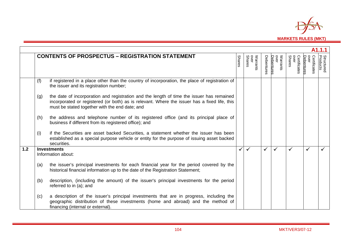

| A1.1.1 |                    |                                                                                                                                                                                                                                             |               |                            |            |                                |                                |                                    |                               |
|--------|--------------------|---------------------------------------------------------------------------------------------------------------------------------------------------------------------------------------------------------------------------------------------|---------------|----------------------------|------------|--------------------------------|--------------------------------|------------------------------------|-------------------------------|
|        |                    | <b>CONTENTS OF PROSPECTUS - REGISTRATION STATEMENT</b>                                                                                                                                                                                      | <b>Shares</b> | Warrants<br>over<br>Shares | Debentures | Warrants<br>over<br>Debentures | over<br>Shares<br>Certificates | over<br>Certificates<br>Debentures | <b>Structured</b><br>Products |
|        | (f)                | if registered in a place other than the country of incorporation, the place of registration of<br>the issuer and its registration number;                                                                                                   |               |                            |            |                                |                                |                                    |                               |
|        | (g)                | the date of incorporation and registration and the length of time the issuer has remained<br>incorporated or registered (or both) as is relevant. Where the issuer has a fixed life, this<br>must be stated together with the end date; and |               |                            |            |                                |                                |                                    |                               |
|        | (h)                | the address and telephone number of its registered office (and its principal place of<br>business if different from its registered office); and                                                                                             |               |                            |            |                                |                                |                                    |                               |
|        | (i)                | if the Securities are asset backed Securities, a statement whether the issuer has been<br>established as a special purpose vehicle or entity for the purpose of issuing asset backed<br>securities.                                         |               |                            |            |                                |                                |                                    |                               |
| $1.2$  |                    | <b>Investments</b>                                                                                                                                                                                                                          |               |                            | ✓          | $\checkmark$                   |                                |                                    |                               |
|        | Information about: |                                                                                                                                                                                                                                             |               |                            |            |                                |                                |                                    |                               |
|        | (a)                | the issuer's principal investments for each financial year for the period covered by the<br>historical financial information up to the date of the Registration Statement;                                                                  |               |                            |            |                                |                                |                                    |                               |
|        | (b)                | description, (including the amount) of the issuer's principal investments for the period<br>referred to in (a); and                                                                                                                         |               |                            |            |                                |                                |                                    |                               |
|        | (c)                | a description of the issuer's principal investments that are in progress, including the<br>geographic distribution of these investments (home and abroad) and the method of<br>financing (internal or external).                            |               |                            |            |                                |                                |                                    |                               |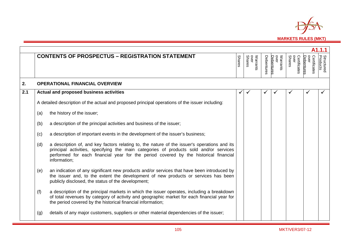

|     | A1.1.1 |                                                                                                                                                                                                                                                                                               |               |                            |            |                                |                                       |                                    |                               |  |  |
|-----|--------|-----------------------------------------------------------------------------------------------------------------------------------------------------------------------------------------------------------------------------------------------------------------------------------------------|---------------|----------------------------|------------|--------------------------------|---------------------------------------|------------------------------------|-------------------------------|--|--|
|     |        | <b>CONTENTS OF PROSPECTUS - REGISTRATION STATEMENT</b>                                                                                                                                                                                                                                        | <b>Shares</b> | Warrants<br>over<br>Shares | Debentures | Warrants<br>over<br>Debentures | over<br>Certificates<br><b>Shares</b> | Certificates<br>over<br>Debentures | <b>Structured</b><br>Products |  |  |
| 2.  |        | <b>OPERATIONAL FINANCIAL OVERVIEW</b>                                                                                                                                                                                                                                                         |               |                            |            |                                |                                       |                                    |                               |  |  |
| 2.1 |        | Actual and proposed business activities                                                                                                                                                                                                                                                       |               |                            |            |                                |                                       |                                    |                               |  |  |
|     |        | A detailed description of the actual and proposed principal operations of the issuer including:                                                                                                                                                                                               |               |                            |            |                                |                                       |                                    |                               |  |  |
|     | (a)    | the history of the issuer;                                                                                                                                                                                                                                                                    |               |                            |            |                                |                                       |                                    |                               |  |  |
|     | (b)    | a description of the principal activities and business of the issuer;                                                                                                                                                                                                                         |               |                            |            |                                |                                       |                                    |                               |  |  |
|     | (c)    | a description of important events in the development of the issuer's business;                                                                                                                                                                                                                |               |                            |            |                                |                                       |                                    |                               |  |  |
|     | (d)    | a description of, and key factors relating to, the nature of the issuer's operations and its<br>principal activities, specifying the main categories of products sold and/or services<br>performed for each financial year for the period covered by the historical financial<br>information; |               |                            |            |                                |                                       |                                    |                               |  |  |
|     | (e)    | an indication of any significant new products and/or services that have been introduced by<br>the issuer and, to the extent the development of new products or services has been<br>publicly disclosed, the status of the development;                                                        |               |                            |            |                                |                                       |                                    |                               |  |  |
|     | (f)    | a description of the principal markets in which the issuer operates, including a breakdown<br>of total revenues by category of activity and geographic market for each financial year for<br>the period covered by the historical financial information;                                      |               |                            |            |                                |                                       |                                    |                               |  |  |
|     | (g)    | details of any major customers, suppliers or other material dependencies of the issuer;                                                                                                                                                                                                       |               |                            |            |                                |                                       |                                    |                               |  |  |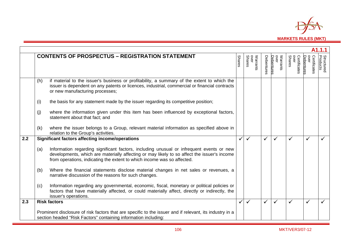

|                  | A1.1.1 |                                                                                                                                                                                                                                                                    |               |                            |              |                                |                                |                                           |                               |  |
|------------------|--------|--------------------------------------------------------------------------------------------------------------------------------------------------------------------------------------------------------------------------------------------------------------------|---------------|----------------------------|--------------|--------------------------------|--------------------------------|-------------------------------------------|-------------------------------|--|
|                  |        | <b>CONTENTS OF PROSPECTUS - REGISTRATION STATEMENT</b>                                                                                                                                                                                                             | <b>Shares</b> | Warrants<br>over<br>Shares | Debentures   | Warrants<br>over<br>Debentures | over<br>Shares<br>Certificates | Debentures<br><b>OVEL</b><br>Certificates | <b>Structured</b><br>Products |  |
|                  | (h)    | if material to the issuer's business or profitability, a summary of the extent to which the<br>issuer is dependent on any patents or licences, industrial, commercial or financial contracts<br>or new manufacturing processes;                                    |               |                            |              |                                |                                |                                           |                               |  |
|                  | (i)    | the basis for any statement made by the issuer regarding its competitive position;                                                                                                                                                                                 |               |                            |              |                                |                                |                                           |                               |  |
|                  | (i)    | where the information given under this item has been influenced by exceptional factors,<br>statement about that fact; and                                                                                                                                          |               |                            |              |                                |                                |                                           |                               |  |
|                  | (k)    | where the issuer belongs to a Group, relevant material information as specified above in<br>relation to the Group's activities.                                                                                                                                    |               |                            |              |                                |                                |                                           |                               |  |
| $\overline{2.2}$ |        | <b>Significant factors affecting income/operations</b>                                                                                                                                                                                                             |               | ✓                          | $\checkmark$ | ✓                              |                                |                                           |                               |  |
|                  | (a)    | Information regarding significant factors, including unusual or infrequent events or new<br>developments, which are materially affecting or may likely to so affect the issuer's income<br>from operations, indicating the extent to which income was so affected. |               |                            |              |                                |                                |                                           |                               |  |
|                  | (b)    | Where the financial statements disclose material changes in net sales or revenues, a<br>narrative discussion of the reasons for such changes.                                                                                                                      |               |                            |              |                                |                                |                                           |                               |  |
|                  | (c)    | Information regarding any governmental, economic, fiscal, monetary or political policies or<br>factors that have materially affected, or could materially affect, directly or indirectly, the<br>issuer's operations.                                              |               |                            |              |                                |                                |                                           |                               |  |
| 2.3              |        | <b>Risk factors</b>                                                                                                                                                                                                                                                | $\checkmark$  | ✓                          | $\checkmark$ | ✓                              |                                |                                           |                               |  |
|                  |        | Prominent disclosure of risk factors that are specific to the issuer and if relevant, its industry in a<br>section headed "Risk Factors" containing information including:                                                                                         |               |                            |              |                                |                                |                                           |                               |  |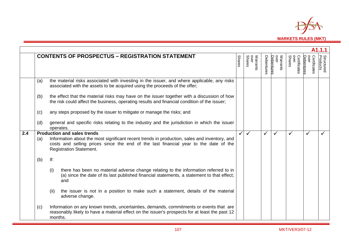

|     | A1.1.1 |                                                                                                                                                                                                                        |               |                            |            |                                |                                |                                   |                               |  |
|-----|--------|------------------------------------------------------------------------------------------------------------------------------------------------------------------------------------------------------------------------|---------------|----------------------------|------------|--------------------------------|--------------------------------|-----------------------------------|-------------------------------|--|
|     |        | <b>CONTENTS OF PROSPECTUS - REGISTRATION STATEMENT</b>                                                                                                                                                                 | <b>Shares</b> | Warrants<br>over<br>Shares | Debentures | Warrants<br>over<br>Debentures | Certificates<br>over<br>Shares | over<br>Certificates<br>Debenture | <b>Structured</b><br>Products |  |
|     | (a)    | the material risks associated with investing in the issuer, and where applicable, any risks<br>associated with the assets to be acquired using the proceeds of the offer;                                              |               |                            |            |                                |                                |                                   |                               |  |
|     | (b)    | the effect that the material risks may have on the issuer together with a discussion of how<br>the risk could affect the business, operating results and financial condition of the issuer;                            |               |                            |            |                                |                                |                                   |                               |  |
|     | (c)    | any steps proposed by the issuer to mitigate or manage the risks; and                                                                                                                                                  |               |                            |            |                                |                                |                                   |                               |  |
|     | (d)    | general and specific risks relating to the industry and the jurisdiction in which the issuer<br>operates.                                                                                                              |               |                            |            |                                |                                |                                   |                               |  |
| 2.4 |        | <b>Production and sales trends</b>                                                                                                                                                                                     |               | $\checkmark$               | ✓          | $\checkmark$                   |                                |                                   |                               |  |
|     | (a)    | Information about the most significant recent trends in production, sales and inventory, and<br>costs and selling prices since the end of the last financial year to the date of the<br><b>Registration Statement.</b> |               |                            |            |                                |                                |                                   |                               |  |
|     | (b)    | lf:                                                                                                                                                                                                                    |               |                            |            |                                |                                |                                   |                               |  |
|     |        | (i)<br>there has been no material adverse change relating to the information referred to in<br>(a) since the date of its last published financial statements, a statement to that effect;<br>and                       |               |                            |            |                                |                                |                                   |                               |  |
|     |        | (ii)<br>the issuer is not in a position to make such a statement, details of the material<br>adverse change.                                                                                                           |               |                            |            |                                |                                |                                   |                               |  |
|     | (c)    | Information on any known trends, uncertainties, demands, commitments or events that are<br>reasonably likely to have a material effect on the issuer's prospects for at least the past 12<br>months.                   |               |                            |            |                                |                                |                                   |                               |  |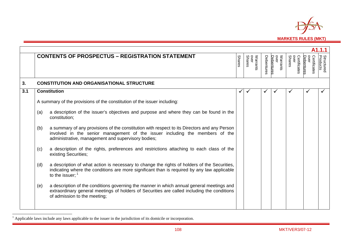

|     | A1.1.1 |                                                                                                                                                                                                                                    |               |                            |            |                                |                                |                                    |                               |  |
|-----|--------|------------------------------------------------------------------------------------------------------------------------------------------------------------------------------------------------------------------------------------|---------------|----------------------------|------------|--------------------------------|--------------------------------|------------------------------------|-------------------------------|--|
|     |        | <b>CONTENTS OF PROSPECTUS - REGISTRATION STATEMENT</b>                                                                                                                                                                             | <b>Shares</b> | over<br>Shares<br>Warrants | Debentures | over<br>Debentures<br>Warrants | over<br>Shares<br>Certificates | over<br>Certificates<br>Debentures | <b>Structured</b><br>Products |  |
| 3.  |        | <b>CONSTITUTION AND ORGANISATIONAL STRUCTURE</b>                                                                                                                                                                                   |               |                            |            |                                |                                |                                    |                               |  |
| 3.1 |        | <b>Constitution</b>                                                                                                                                                                                                                | ✓             |                            | ✔          |                                | $\checkmark$                   | $\checkmark$                       |                               |  |
|     |        | A summary of the provisions of the constitution of the issuer including:                                                                                                                                                           |               |                            |            |                                |                                |                                    |                               |  |
|     | (a)    | a description of the issuer's objectives and purpose and where they can be found in the<br>constitution;                                                                                                                           |               |                            |            |                                |                                |                                    |                               |  |
|     | (b)    | a summary of any provisions of the constitution with respect to its Directors and any Person<br>involved in the senior management of the issuer including the members of the<br>administrative, management and supervisory bodies; |               |                            |            |                                |                                |                                    |                               |  |
|     | (c)    | a description of the rights, preferences and restrictions attaching to each class of the<br>existing Securities;                                                                                                                   |               |                            |            |                                |                                |                                    |                               |  |
|     | (d)    | a description of what action is necessary to change the rights of holders of the Securities,<br>indicating where the conditions are more significant than is required by any law applicable<br>to the issuer; $1$                  |               |                            |            |                                |                                |                                    |                               |  |
|     | (e)    | a description of the conditions governing the manner in which annual general meetings and<br>extraordinary general meetings of holders of Securities are called including the conditions<br>of admission to the meeting;           |               |                            |            |                                |                                |                                    |                               |  |

<sup>1</sup> Applicable laws include any laws applicable to the issuer in the jurisdiction of its domicile or incorporation.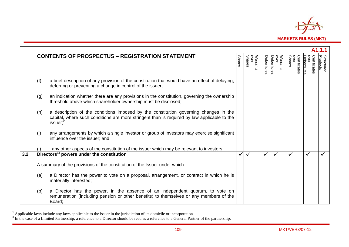

|     | A1.1.1 |                                                                                                                                                                                                  |               |                            |              |                                |                                |                                   |                               |  |
|-----|--------|--------------------------------------------------------------------------------------------------------------------------------------------------------------------------------------------------|---------------|----------------------------|--------------|--------------------------------|--------------------------------|-----------------------------------|-------------------------------|--|
|     |        | <b>CONTENTS OF PROSPECTUS - REGISTRATION STATEMENT</b>                                                                                                                                           | <b>Shares</b> | Warrants<br>over<br>Shares | Debentures   | over<br>Warrants<br>Debentures | over<br>Shares<br>Certificates | over<br>Certificates<br>Debenture | <b>Structured</b><br>Products |  |
|     | (f)    | a brief description of any provision of the constitution that would have an effect of delaying,<br>deferring or preventing a change in control of the issuer;                                    |               |                            |              |                                |                                |                                   |                               |  |
|     | (g)    | an indication whether there are any provisions in the constitution, governing the ownership<br>threshold above which shareholder ownership must be disclosed;                                    |               |                            |              |                                |                                |                                   |                               |  |
|     | (h)    | a description of the conditions imposed by the constitution governing changes in the<br>capital, where such conditions are more stringent than is required by law applicable to the<br>issuer; 2 |               |                            |              |                                |                                |                                   |                               |  |
|     | (i)    | any arrangements by which a single investor or group of investors may exercise significant<br>influence over the issuer; and                                                                     |               |                            |              |                                |                                |                                   |                               |  |
|     |        | any other aspects of the constitution of the issuer which may be relevant to investors.                                                                                                          |               |                            |              |                                |                                |                                   |                               |  |
| 3.2 |        | Directors <sup>3</sup> powers under the constitution                                                                                                                                             |               | ✓                          | $\checkmark$ | $\checkmark$                   | ✓                              | $\checkmark$                      |                               |  |
|     |        | A summary of the provisions of the constitution of the Issuer under which:                                                                                                                       |               |                            |              |                                |                                |                                   |                               |  |
|     | (a)    | a Director has the power to vote on a proposal, arrangement, or contract in which he is<br>materially interested;                                                                                |               |                            |              |                                |                                |                                   |                               |  |
|     | (b)    | a Director has the power, in the absence of an independent quorum, to vote on<br>remuneration (including pension or other benefits) to themselves or any members of the<br>Board;                |               |                            |              |                                |                                |                                   |                               |  |

<sup>&</sup>lt;sup>2</sup> Applicable laws include any laws applicable to the issuer in the jurisdiction of its domicile or incorporation.<br><sup>3</sup> In the case of a Limited Partnership, a reference to a Director should be read as a reference to a Ge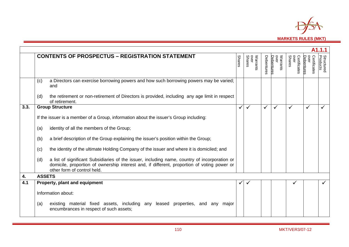

|      |                                                                                                                                                                                                                                    |               |                            |            |                                |                                       |                                    | A1.1.1                        |
|------|------------------------------------------------------------------------------------------------------------------------------------------------------------------------------------------------------------------------------------|---------------|----------------------------|------------|--------------------------------|---------------------------------------|------------------------------------|-------------------------------|
|      | <b>CONTENTS OF PROSPECTUS - REGISTRATION STATEMENT</b>                                                                                                                                                                             | <b>Shares</b> | Warrants<br>over<br>Shares | Debentures | Warrants<br>over<br>Debentures | over<br>Certificates<br><b>Shares</b> | over<br>Certificates<br>Debentures | <b>Structured</b><br>Products |
|      | a Directors can exercise borrowing powers and how such borrowing powers may be varied;<br>(c)<br>and                                                                                                                               |               |                            |            |                                |                                       |                                    |                               |
|      | the retirement or non-retirement of Directors is provided, including any age limit in respect<br>(d)<br>of retirement.                                                                                                             |               |                            |            |                                |                                       |                                    |                               |
| 3.3. | <b>Group Structure</b>                                                                                                                                                                                                             | ✓             | $\checkmark$               | ✓          | $\checkmark$                   |                                       | $\checkmark$                       |                               |
|      | If the issuer is a member of a Group, information about the issuer's Group including:                                                                                                                                              |               |                            |            |                                |                                       |                                    |                               |
|      | identity of all the members of the Group;<br>(a)                                                                                                                                                                                   |               |                            |            |                                |                                       |                                    |                               |
|      | a brief description of the Group explaining the issuer's position within the Group;<br>(b)                                                                                                                                         |               |                            |            |                                |                                       |                                    |                               |
|      | the identity of the ultimate Holding Company of the issuer and where it is domiciled; and<br>(c)                                                                                                                                   |               |                            |            |                                |                                       |                                    |                               |
|      | a list of significant Subsidiaries of the issuer, including name, country of incorporation or<br>(d)<br>domicile, proportion of ownership interest and, if different, proportion of voting power or<br>other form of control held. |               |                            |            |                                |                                       |                                    |                               |
| 4.   | <b>ASSETS</b>                                                                                                                                                                                                                      |               |                            |            |                                |                                       |                                    |                               |
| 4.1  | Property, plant and equipment                                                                                                                                                                                                      |               |                            |            |                                | ✓                                     |                                    |                               |
|      | Information about:                                                                                                                                                                                                                 |               |                            |            |                                |                                       |                                    |                               |
|      | existing material fixed assets, including any leased properties, and any major<br>(a)<br>encumbrances in respect of such assets;                                                                                                   |               |                            |            |                                |                                       |                                    |                               |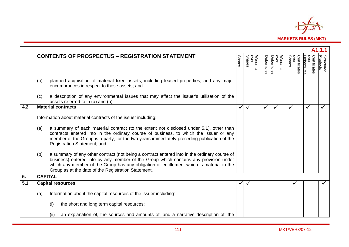

|     |                |                                                                                                                                                                                                                                                                                                                                         |               |                            |            |                                |                                |                                    | A <sub>1.1.1</sub>            |
|-----|----------------|-----------------------------------------------------------------------------------------------------------------------------------------------------------------------------------------------------------------------------------------------------------------------------------------------------------------------------------------|---------------|----------------------------|------------|--------------------------------|--------------------------------|------------------------------------|-------------------------------|
|     |                |                                                                                                                                                                                                                                                                                                                                         |               |                            |            |                                |                                |                                    |                               |
|     |                | <b>CONTENTS OF PROSPECTUS - REGISTRATION STATEMENT</b>                                                                                                                                                                                                                                                                                  | <b>Shares</b> | Warrants<br>over<br>Shares | Debentures | Warrants<br>over<br>Debentures | over<br>Shares<br>Certificates | over<br>Certificates<br>Debentures | <b>Structured</b><br>Products |
|     | (b)            | planned acquisition of material fixed assets, including leased properties, and any major<br>encumbrances in respect to those assets; and                                                                                                                                                                                                |               |                            |            |                                |                                |                                    |                               |
|     | (c)            | a description of any environmental issues that may affect the issuer's utilisation of the<br>assets referred to in (a) and (b).                                                                                                                                                                                                         |               |                            |            |                                |                                |                                    |                               |
| 4.2 |                | <b>Material contracts</b>                                                                                                                                                                                                                                                                                                               | ✓             | ✓                          | ✓          |                                | ✓                              | ✓                                  |                               |
|     |                | Information about material contracts of the issuer including:                                                                                                                                                                                                                                                                           |               |                            |            |                                |                                |                                    |                               |
|     | (a)            | a summary of each material contract (to the extent not disclosed under 5.1), other than<br>contracts entered into in the ordinary course of business, to which the issuer or any<br>member of the Group is a party, for the two years immediately preceding publication of the<br>Registration Statement; and                           |               |                            |            |                                |                                |                                    |                               |
|     | (b)            | a summary of any other contract (not being a contract entered into in the ordinary course of<br>business) entered into by any member of the Group which contains any provision under<br>which any member of the Group has any obligation or entitlement which is material to the<br>Group as at the date of the Registration Statement. |               |                            |            |                                |                                |                                    |                               |
| 5.  | <b>CAPITAL</b> |                                                                                                                                                                                                                                                                                                                                         |               |                            |            |                                |                                |                                    |                               |
| 5.1 |                | <b>Capital resources</b>                                                                                                                                                                                                                                                                                                                |               | ✓                          |            |                                |                                |                                    |                               |
|     | (a)            | Information about the capital resources of the issuer including:                                                                                                                                                                                                                                                                        |               |                            |            |                                |                                |                                    |                               |
|     |                | the short and long term capital resources;<br>(i)                                                                                                                                                                                                                                                                                       |               |                            |            |                                |                                |                                    |                               |
|     |                | an explanation of, the sources and amounts of, and a narrative description of, the<br>(ii)                                                                                                                                                                                                                                              |               |                            |            |                                |                                |                                    |                               |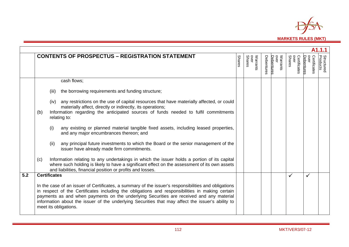

|     |     |                                                                                                                                                                                                                                                                                                                                                                                                                                   |               |                            |            |                                |                                              |                                    | A <sub>1.1.1</sub>            |
|-----|-----|-----------------------------------------------------------------------------------------------------------------------------------------------------------------------------------------------------------------------------------------------------------------------------------------------------------------------------------------------------------------------------------------------------------------------------------|---------------|----------------------------|------------|--------------------------------|----------------------------------------------|------------------------------------|-------------------------------|
|     |     | <b>CONTENTS OF PROSPECTUS - REGISTRATION STATEMENT</b>                                                                                                                                                                                                                                                                                                                                                                            | <b>Shares</b> | Warrants<br>over<br>Shares | Debentures | Warrants<br>over<br>Debentures | <b>OVEL</b><br>Certificates<br><b>Shares</b> | over<br>Certificates<br>Debentures | <b>Structured</b><br>Products |
|     |     | cash flows;                                                                                                                                                                                                                                                                                                                                                                                                                       |               |                            |            |                                |                                              |                                    |                               |
|     |     | the borrowing requirements and funding structure;<br>(iii)                                                                                                                                                                                                                                                                                                                                                                        |               |                            |            |                                |                                              |                                    |                               |
|     |     | any restrictions on the use of capital resources that have materially affected, or could<br>(iv)<br>materially affect, directly or indirectly, its operations;                                                                                                                                                                                                                                                                    |               |                            |            |                                |                                              |                                    |                               |
|     | (b) | Information regarding the anticipated sources of funds needed to fulfil commitments<br>relating to:                                                                                                                                                                                                                                                                                                                               |               |                            |            |                                |                                              |                                    |                               |
|     |     | (i)<br>any existing or planned material tangible fixed assets, including leased properties,<br>and any major encumbrances thereon; and                                                                                                                                                                                                                                                                                            |               |                            |            |                                |                                              |                                    |                               |
|     |     | any principal future investments to which the Board or the senior management of the<br>(ii)<br>issuer have already made firm commitments.                                                                                                                                                                                                                                                                                         |               |                            |            |                                |                                              |                                    |                               |
|     | (c) | Information relating to any undertakings in which the issuer holds a portion of its capital<br>where such holding is likely to have a significant effect on the assessment of its own assets<br>and liabilities, financial position or profits and losses.                                                                                                                                                                        |               |                            |            |                                |                                              |                                    |                               |
| 5.2 |     | <b>Certificates</b>                                                                                                                                                                                                                                                                                                                                                                                                               |               |                            |            |                                |                                              | ✓                                  |                               |
|     |     | In the case of an issuer of Certificates, a summary of the issuer's responsibilities and obligations<br>in respect of the Certificates including the obligations and responsibilities in making certain<br>payments as and when payments on the underlying Securities are received and any material<br>information about the issuer of the underlying Securities that may affect the issuer's ability to<br>meet its obligations. |               |                            |            |                                |                                              |                                    |                               |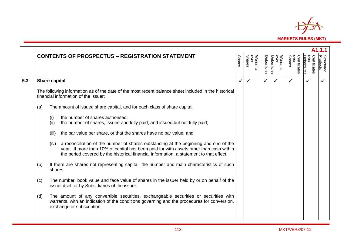

|     |     |                                                                                                                                                                                                                                                                                |               |                            |            |                                |                                |                                   | A1.1.1                 |
|-----|-----|--------------------------------------------------------------------------------------------------------------------------------------------------------------------------------------------------------------------------------------------------------------------------------|---------------|----------------------------|------------|--------------------------------|--------------------------------|-----------------------------------|------------------------|
|     |     | <b>CONTENTS OF PROSPECTUS - REGISTRATION STATEMENT</b>                                                                                                                                                                                                                         | <b>Shares</b> | Warrants<br>over<br>Shares | Debentures | Warrants<br>over<br>Debentures | over<br>Shares<br>Certificates | Certificates<br>over<br>Debenture | Structured<br>Products |
| 5.3 |     | Share capital                                                                                                                                                                                                                                                                  | ✓             | $\checkmark$               | ✓          | $\checkmark$                   | ✓                              | $\checkmark$                      | $\checkmark$           |
|     |     | The following information as of the date of the most recent balance sheet included in the historical<br>financial information of the issuer:                                                                                                                                   |               |                            |            |                                |                                |                                   |                        |
|     | (a) | The amount of issued share capital, and for each class of share capital:                                                                                                                                                                                                       |               |                            |            |                                |                                |                                   |                        |
|     |     | the number of shares authorised;<br>(i)<br>the number of shares, issued and fully paid, and issued but not fully paid;<br>(ii)                                                                                                                                                 |               |                            |            |                                |                                |                                   |                        |
|     |     | the par value per share, or that the shares have no par value; and<br>(iii)                                                                                                                                                                                                    |               |                            |            |                                |                                |                                   |                        |
|     |     | (iv) a reconciliation of the number of shares outstanding at the beginning and end of the<br>year. If more than 10% of capital has been paid for with assets other than cash within<br>the period covered by the historical financial information, a statement to that effect. |               |                            |            |                                |                                |                                   |                        |
|     | (b) | If there are shares not representing capital, the number and main characteristics of such<br>shares.                                                                                                                                                                           |               |                            |            |                                |                                |                                   |                        |
|     | (c) | The number, book value and face value of shares in the issuer held by or on behalf of the<br>issuer itself or by Subsidiaries of the issuer.                                                                                                                                   |               |                            |            |                                |                                |                                   |                        |
|     | (d) | The amount of any convertible securities, exchangeable securities or securities with<br>warrants, with an indication of the conditions governing and the procedures for conversion,<br>exchange or subscription.                                                               |               |                            |            |                                |                                |                                   |                        |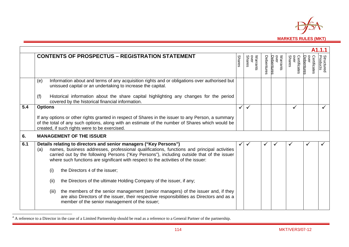

|     |                                                                                                                                                                                                                                                                                                                                                                                                     |               |                            |            |                                |                                |                                    | A1.1.1                        |
|-----|-----------------------------------------------------------------------------------------------------------------------------------------------------------------------------------------------------------------------------------------------------------------------------------------------------------------------------------------------------------------------------------------------------|---------------|----------------------------|------------|--------------------------------|--------------------------------|------------------------------------|-------------------------------|
|     | <b>CONTENTS OF PROSPECTUS - REGISTRATION STATEMENT</b>                                                                                                                                                                                                                                                                                                                                              | <b>Shares</b> | Warrants<br>over<br>Shares | Debentures | Warrants<br>over<br>Debentures | Certificates<br>over<br>Shares | over<br>Debentures<br>Certificates | <b>Structured</b><br>Products |
|     | Information about and terms of any acquisition rights and or obligations over authorised but<br>(e)<br>unissued capital or an undertaking to increase the capital.                                                                                                                                                                                                                                  |               |                            |            |                                |                                |                                    |                               |
|     | Historical information about the share capital highlighting any changes for the period<br>(f)<br>covered by the historical financial information.                                                                                                                                                                                                                                                   |               |                            |            |                                |                                |                                    |                               |
| 5.4 | <b>Options</b><br>If any options or other rights granted in respect of Shares in the issuer to any Person, a summary<br>of the total of any such options, along with an estimate of the number of Shares which would be<br>created, if such rights were to be exercised.                                                                                                                            | ✓             | ✓                          |            |                                | ✓                              |                                    |                               |
| 6.  | <b>MANAGEMENT OF THE ISSUER</b>                                                                                                                                                                                                                                                                                                                                                                     |               |                            |            |                                |                                |                                    |                               |
| 6.1 | Details relating to directors and senior managers ("Key Persons")<br>names, business addresses, professional qualifications, functions and principal activities<br>(a)<br>carried out by the following Persons ("Key Persons"), including outside that of the issuer<br>where such functions are significant with respect to the activities of the issuer:<br>the Directors 4 of the issuer;<br>(i) | ✓             | $\checkmark$               |            |                                |                                |                                    |                               |
|     | the Directors of the ultimate Holding Company of the issuer, if any;<br>(ii)                                                                                                                                                                                                                                                                                                                        |               |                            |            |                                |                                |                                    |                               |
|     | the members of the senior management (senior managers) of the issuer and, if they<br>(iii)<br>are also Directors of the issuer, their respective responsibilities as Directors and as a<br>member of the senior management of the issuer;                                                                                                                                                           |               |                            |            |                                |                                |                                    |                               |

<sup>&</sup>lt;sup>4</sup> A reference to a Director in the case of a Limited Partnership should be read as a reference to a General Partner of the partnership.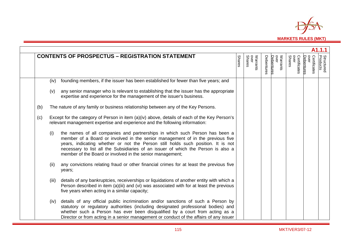

|     |       |                                                                                                                                                                                                                                                                                                                                                                                                     |               |                            |            |                                |                                       |                                    | A <sub>1.1</sub> .1           |
|-----|-------|-----------------------------------------------------------------------------------------------------------------------------------------------------------------------------------------------------------------------------------------------------------------------------------------------------------------------------------------------------------------------------------------------------|---------------|----------------------------|------------|--------------------------------|---------------------------------------|------------------------------------|-------------------------------|
|     |       | <b>CONTENTS OF PROSPECTUS - REGISTRATION STATEMENT</b>                                                                                                                                                                                                                                                                                                                                              | <b>Shares</b> | Warrants<br>over<br>Shares | Debentures | Warrants<br>over<br>Debentures | over<br><b>Shares</b><br>Certificates | over<br>Debentures<br>Certificates | <b>Structured</b><br>Products |
|     | (iv)  | founding members, if the issuer has been established for fewer than five years; and                                                                                                                                                                                                                                                                                                                 |               |                            |            |                                |                                       |                                    |                               |
|     | (v)   | any senior manager who is relevant to establishing that the issuer has the appropriate<br>expertise and experience for the management of the issuer's business.                                                                                                                                                                                                                                     |               |                            |            |                                |                                       |                                    |                               |
| (b) |       | The nature of any family or business relationship between any of the Key Persons.                                                                                                                                                                                                                                                                                                                   |               |                            |            |                                |                                       |                                    |                               |
| (c) |       | Except for the category of Person in item (a)(iv) above, details of each of the Key Person's<br>relevant management expertise and experience and the following information:                                                                                                                                                                                                                         |               |                            |            |                                |                                       |                                    |                               |
|     | (i)   | the names of all companies and partnerships in which such Person has been a<br>member of a Board or involved in the senior management of in the previous five<br>years, indicating whether or not the Person still holds such position. It is not<br>necessary to list all the Subsidiaries of an issuer of which the Person is also a<br>member of the Board or involved in the senior management; |               |                            |            |                                |                                       |                                    |                               |
|     | (ii)  | any convictions relating fraud or other financial crimes for at least the previous five<br>years;                                                                                                                                                                                                                                                                                                   |               |                            |            |                                |                                       |                                    |                               |
|     | (iii) | details of any bankruptcies, receiverships or liquidations of another entity with which a<br>Person described in item (a)(iii) and (vi) was associated with for at least the previous<br>five years when acting in a similar capacity;                                                                                                                                                              |               |                            |            |                                |                                       |                                    |                               |
|     | (iv)  | details of any official public incrimination and/or sanctions of such a Person by<br>statutory or regulatory authorities (including designated professional bodies) and<br>whether such a Person has ever been disqualified by a court from acting as a<br>Director or from acting in a senior management or conduct of the affairs of any issuer                                                   |               |                            |            |                                |                                       |                                    |                               |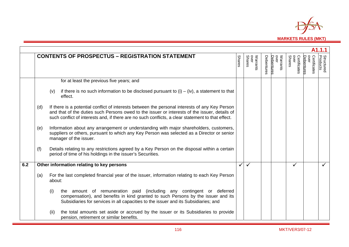

|     |     |        |                                                                                                                                                                                                                                                                                                      |               |                                           |            |                                |                                |                                    | A1.1.1                        |
|-----|-----|--------|------------------------------------------------------------------------------------------------------------------------------------------------------------------------------------------------------------------------------------------------------------------------------------------------------|---------------|-------------------------------------------|------------|--------------------------------|--------------------------------|------------------------------------|-------------------------------|
|     |     |        | <b>CONTENTS OF PROSPECTUS - REGISTRATION STATEMENT</b>                                                                                                                                                                                                                                               | <b>Shares</b> | Warrants<br>over<br>over<br><b>Shares</b> | Debentures | over<br>Warrants<br>Debentures | over<br>Shares<br>Certificates | over<br>Certificates<br>Debentures | <b>Structured</b><br>Products |
|     |     |        | for at least the previous five years; and                                                                                                                                                                                                                                                            |               |                                           |            |                                |                                |                                    |                               |
|     |     | (v)    | if there is no such information to be disclosed pursuant to $(i) - (iv)$ , a statement to that<br>effect.                                                                                                                                                                                            |               |                                           |            |                                |                                |                                    |                               |
|     | (d) |        | If there is a potential conflict of interests between the personal interests of any Key Person<br>and that of the duties such Persons owed to the issuer or interests of the issuer, details of<br>such conflict of interests and, if there are no such conflicts, a clear statement to that effect. |               |                                           |            |                                |                                |                                    |                               |
|     | (e) |        | Information about any arrangement or understanding with major shareholders, customers,<br>suppliers or others, pursuant to which any Key Person was selected as a Director or senior<br>manager of the issuer.                                                                                       |               |                                           |            |                                |                                |                                    |                               |
|     | (f) |        | Details relating to any restrictions agreed by a Key Person on the disposal within a certain<br>period of time of his holdings in the issuer's Securities.                                                                                                                                           |               |                                           |            |                                |                                |                                    |                               |
| 6.2 |     |        | Other information relating to key persons                                                                                                                                                                                                                                                            |               | $\checkmark$                              |            |                                | ✓                              |                                    |                               |
|     | (a) | about: | For the last completed financial year of the issuer, information relating to each Key Person                                                                                                                                                                                                         |               |                                           |            |                                |                                |                                    |                               |
|     |     | (i)    | the amount of remuneration paid (including any contingent or deferred<br>compensation), and benefits in kind granted to such Persons by the issuer and its<br>Subsidiaries for services in all capacities to the issuer and its Subsidiaries; and                                                    |               |                                           |            |                                |                                |                                    |                               |
|     |     | (ii)   | the total amounts set aside or accrued by the issuer or its Subsidiaries to provide<br>pension, retirement or similar benefits.                                                                                                                                                                      |               |                                           |            |                                |                                |                                    |                               |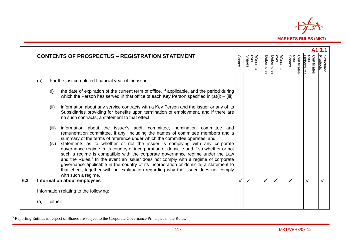

|     |     |         |                                                                                                                                                                                                                                                                                                                                                                                                                                                                                                                                                               |               |                            |              |                                |                                |                                    | A1.1.1                        |
|-----|-----|---------|---------------------------------------------------------------------------------------------------------------------------------------------------------------------------------------------------------------------------------------------------------------------------------------------------------------------------------------------------------------------------------------------------------------------------------------------------------------------------------------------------------------------------------------------------------------|---------------|----------------------------|--------------|--------------------------------|--------------------------------|------------------------------------|-------------------------------|
|     |     |         | <b>CONTENTS OF PROSPECTUS - REGISTRATION STATEMENT</b>                                                                                                                                                                                                                                                                                                                                                                                                                                                                                                        | <b>Shares</b> | Warrants<br>over<br>Shares | Debentures   | Warrants<br>over<br>Debentures | over<br>Shares<br>Certificates | Certificates<br>over<br>Debentures | <b>Structured</b><br>Products |
|     | (b) |         | For the last completed financial year of the issuer:                                                                                                                                                                                                                                                                                                                                                                                                                                                                                                          |               |                            |              |                                |                                |                                    |                               |
|     |     | (i)     | the date of expiration of the current term of office, if applicable, and the period during<br>which the Person has served in that office of each Key Person specified in $(a)(i) - (iii)$ ;                                                                                                                                                                                                                                                                                                                                                                   |               |                            |              |                                |                                |                                    |                               |
|     |     | (ii)    | information about any service contracts with a Key Person and the issuer or any of its<br>Subsidiaries providing for benefits upon termination of employment, and if there are<br>no such contracts, a statement to that effect;                                                                                                                                                                                                                                                                                                                              |               |                            |              |                                |                                |                                    |                               |
|     |     | (iii)   | information about the issuer's audit committee, nomination committee and<br>remuneration committee, if any, including the names of committee members and a<br>summary of the terms of reference under which the committee operates; and                                                                                                                                                                                                                                                                                                                       |               |                            |              |                                |                                |                                    |                               |
|     |     | (iv)    | statements as to whether or not the issuer is complying with any corporate<br>governance regime in its country of incorporation or domicile and if so whether or not<br>such a regime is compatible with the corporate governance regime under the Law<br>and the Rules. <sup>5</sup> In the event an issuer does not comply with a regime of corporate<br>governance applicable in the country of its incorporation or domicile, a statement to<br>that effect, together with an explanation regarding why the issuer does not comply<br>with such a regime. |               |                            |              |                                |                                |                                    |                               |
| 6.3 |     |         | <b>Information about employees</b>                                                                                                                                                                                                                                                                                                                                                                                                                                                                                                                            |               |                            | $\checkmark$ | ✓                              |                                | ✓                                  |                               |
|     |     |         | Information relating to the following:                                                                                                                                                                                                                                                                                                                                                                                                                                                                                                                        |               |                            |              |                                |                                |                                    |                               |
|     | (a) | either: |                                                                                                                                                                                                                                                                                                                                                                                                                                                                                                                                                               |               |                            |              |                                |                                |                                    |                               |

<sup>&</sup>lt;sup>5</sup> Reporting Entities in respect of Shares are subject to the Corporate Governance Principles in the Rules.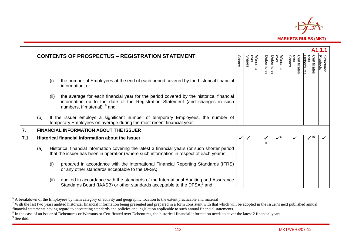

|     |     |      | <b>CONTENTS OF PROSPECTUS - REGISTRATION STATEMENT</b>                                                                                                                                                             | <b>Shares</b> | over<br>Shares<br>Warrants | Debentures | over<br>Warrants<br>Debentures | over<br><b>Shares</b><br>Certificates | Certificates<br>Debenture | <b>Structured</b><br>Products |
|-----|-----|------|--------------------------------------------------------------------------------------------------------------------------------------------------------------------------------------------------------------------|---------------|----------------------------|------------|--------------------------------|---------------------------------------|---------------------------|-------------------------------|
|     |     | (i)  | the number of Employees at the end of each period covered by the historical financial<br>information; or                                                                                                           |               |                            |            |                                |                                       |                           |                               |
|     |     | (ii) | the average for each financial year for the period covered by the historical financial<br>information up to the date of the Registration Statement (and changes in such<br>numbers, if material); <sup>6</sup> and |               |                            |            |                                |                                       |                           |                               |
|     | (b) |      | If the issuer employs a significant number of temporary Employees, the number of<br>temporary Employees on average during the most recent financial year.                                                          |               |                            |            |                                |                                       |                           |                               |
| 7.  |     |      | <b>FINANCIAL INFORMATION ABOUT THE ISSUER</b>                                                                                                                                                                      |               |                            |            |                                |                                       |                           |                               |
| 7.1 |     |      | Historical financial information about the issuer                                                                                                                                                                  |               |                            | 8          | $\checkmark$ <sup>9</sup>      |                                       | $\checkmark$ 10           |                               |
|     | (a) |      | Historical financial information covering the latest 3 financial years (or such shorter period<br>that the issuer has been in operation) where such information in respect of each year is:                        |               |                            |            |                                |                                       |                           |                               |
|     |     | (i)  | prepared in accordance with the International Financial Reporting Standards (IFRS)<br>or any other standards acceptable to the DFSA;                                                                               |               |                            |            |                                |                                       |                           |                               |
|     |     | (ii) | audited in accordance with the standards of the International Auditing and Assurance<br>Standards Board (IAASB) or other standards acceptable to the DFSA; <sup>7</sup> and                                        |               |                            |            |                                |                                       |                           |                               |

 $\alpha$  A breakdown of the Employees by main category of activity and geographic location to the extent practicable and material<br>
<sup>7</sup> With the last two years audited historical financial information being presented and prepa

 $\frac{8}{9}$  In the case of an issuer of Debentures or Warrants or Certificated over Debentures, the historical financial information needs to cover the latest 2 financial years.<br><sup>9</sup> See ibid.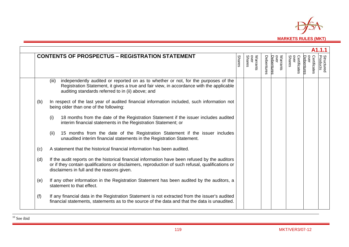

|     | <b>CONTENTS OF PROSPECTUS - REGISTRATION STATEMENT</b>                                                                                                                                                                                            | <b>Shares</b> | Warrants<br>over<br>Shares | Debentures | Warrants<br>over<br>Debentures | over<br>Shares<br>Certificates | Certificates<br>over<br>Debenture | <b>Structured</b><br>Products |
|-----|---------------------------------------------------------------------------------------------------------------------------------------------------------------------------------------------------------------------------------------------------|---------------|----------------------------|------------|--------------------------------|--------------------------------|-----------------------------------|-------------------------------|
|     | independently audited or reported on as to whether or not, for the purposes of the<br>(iii)<br>Registration Statement, it gives a true and fair view, in accordance with the applicable<br>auditing standards referred to in (ii) above; and      |               |                            |            |                                |                                |                                   |                               |
| (b) | In respect of the last year of audited financial information included, such information not<br>being older than one of the following:                                                                                                             |               |                            |            |                                |                                |                                   |                               |
|     | 18 months from the date of the Registration Statement if the issuer includes audited<br>(i)<br>interim financial statements in the Registration Statement; or                                                                                     |               |                            |            |                                |                                |                                   |                               |
|     | 15 months from the date of the Registration Statement if the issuer includes<br>(ii)<br>unaudited interim financial statements in the Registration Statement.                                                                                     |               |                            |            |                                |                                |                                   |                               |
| (c) | A statement that the historical financial information has been audited.                                                                                                                                                                           |               |                            |            |                                |                                |                                   |                               |
| (d) | If the audit reports on the historical financial information have been refused by the auditors<br>or if they contain qualifications or disclaimers, reproduction of such refusal, qualifications or<br>disclaimers in full and the reasons given. |               |                            |            |                                |                                |                                   |                               |
| (e) | If any other information in the Registration Statement has been audited by the auditors, a<br>statement to that effect.                                                                                                                           |               |                            |            |                                |                                |                                   |                               |
| (f) | If any financial data in the Registration Statement is not extracted from the issuer's audited<br>financial statements, statements as to the source of the data and that the data is unaudited.                                                   |               |                            |            |                                |                                |                                   |                               |

 $10$  See ibid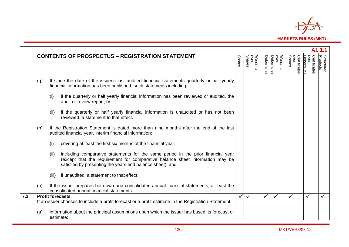

|     |     | <b>CONTENTS OF PROSPECTUS - REGISTRATION STATEMENT</b>                                                                                                                                                                                 | <b>Shares</b> | Warrants<br>over<br>Shares | Debentures   | Warrants<br>over<br>Debentures | Certificates<br>over<br>Shares | Debentures<br>Certificates | <b>Structured</b><br>Products |
|-----|-----|----------------------------------------------------------------------------------------------------------------------------------------------------------------------------------------------------------------------------------------|---------------|----------------------------|--------------|--------------------------------|--------------------------------|----------------------------|-------------------------------|
|     | (g) | If since the date of the issuer's last audited financial statements quarterly or half yearly<br>financial information has been published, such statements including:                                                                   |               |                            |              |                                |                                |                            |                               |
|     |     | (i)<br>if the quarterly or half yearly financial information has been reviewed or audited, the<br>audit or review report; or                                                                                                           |               |                            |              |                                |                                |                            |                               |
|     |     | if the quarterly or half yearly financial information is unaudited or has not been<br>(ii)<br>reviewed, a statement to that effect.                                                                                                    |               |                            |              |                                |                                |                            |                               |
|     | (h) | If the Registration Statement is dated more than nine months after the end of the last<br>audited financial year, interim financial information:                                                                                       |               |                            |              |                                |                                |                            |                               |
|     |     | (i)<br>covering at least the first six months of the financial year;                                                                                                                                                                   |               |                            |              |                                |                                |                            |                               |
|     |     | including comparative statements for the same period in the prior financial year<br>(ii)<br>(except that the requirement for comparative balance sheet information may be<br>satisfied by presenting the years end balance sheet); and |               |                            |              |                                |                                |                            |                               |
|     |     | if unaudited, a statement to that effect.<br>(iii)                                                                                                                                                                                     |               |                            |              |                                |                                |                            |                               |
|     | (h) | If the issuer prepares both own and consolidated annual financial statements, at least the<br>consolidated annual financial statements.                                                                                                |               |                            |              |                                |                                |                            |                               |
| 7.2 |     | <b>Profit forecasts</b><br>If an issuer chooses to include a profit forecast or a profit estimate in the Registration Statement:                                                                                                       |               | $\checkmark$               | $\checkmark$ | ✓                              |                                |                            |                               |
|     | (a) | information about the principal assumptions upon which the issuer has based its forecast or<br>estimate:                                                                                                                               |               |                            |              |                                |                                |                            |                               |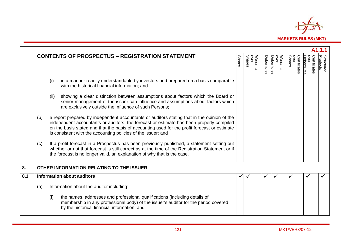

|     |     | <b>CONTENTS OF PROSPECTUS - REGISTRATION STATEMENT</b>                                                                                                                                                                                                                                                                                                    | <b>Shares</b> | Warrants<br>over<br>Shares | Debentures | over<br>Debentures<br>Warrants | <b>OVEL</b><br>Certificates<br><b>Shares</b> | over<br>Certificates<br>Debentures | <b>Structured</b><br>Products |
|-----|-----|-----------------------------------------------------------------------------------------------------------------------------------------------------------------------------------------------------------------------------------------------------------------------------------------------------------------------------------------------------------|---------------|----------------------------|------------|--------------------------------|----------------------------------------------|------------------------------------|-------------------------------|
|     |     | in a manner readily understandable by investors and prepared on a basis comparable<br>(i)<br>with the historical financial information; and                                                                                                                                                                                                               |               |                            |            |                                |                                              |                                    |                               |
|     |     | showing a clear distinction between assumptions about factors which the Board or<br>(ii)<br>senior management of the issuer can influence and assumptions about factors which<br>are exclusively outside the influence of such Persons;                                                                                                                   |               |                            |            |                                |                                              |                                    |                               |
|     | (b) | a report prepared by independent accountants or auditors stating that in the opinion of the<br>independent accountants or auditors, the forecast or estimate has been properly compiled<br>on the basis stated and that the basis of accounting used for the profit forecast or estimate<br>is consistent with the accounting policies of the issuer; and |               |                            |            |                                |                                              |                                    |                               |
|     | (c) | If a profit forecast in a Prospectus has been previously published, a statement setting out<br>whether or not that forecast is still correct as at the time of the Registration Statement or if<br>the forecast is no longer valid, an explanation of why that is the case.                                                                               |               |                            |            |                                |                                              |                                    |                               |
| 8.  |     | OTHER INFORMATION RELATING TO THE ISSUER                                                                                                                                                                                                                                                                                                                  |               |                            |            |                                |                                              |                                    |                               |
| 8.1 |     | Information about auditors                                                                                                                                                                                                                                                                                                                                |               |                            |            |                                |                                              |                                    |                               |
|     | (a) | Information about the auditor including:                                                                                                                                                                                                                                                                                                                  |               |                            |            |                                |                                              |                                    |                               |
|     |     | (i)<br>the names, addresses and professional qualifications (including details of<br>membership in any professional body) of the issuer's auditor for the period covered<br>by the historical financial information; and                                                                                                                                  |               |                            |            |                                |                                              |                                    |                               |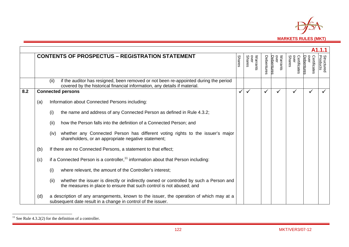

|     |     |                                                                                                                                                                           |               |                                   |            |                                |                                       |                                   | A1.1.1                        |
|-----|-----|---------------------------------------------------------------------------------------------------------------------------------------------------------------------------|---------------|-----------------------------------|------------|--------------------------------|---------------------------------------|-----------------------------------|-------------------------------|
|     |     | <b>CONTENTS OF PROSPECTUS - REGISTRATION STATEMENT</b>                                                                                                                    | <b>Shares</b> | Warrants<br>over<br><b>Shares</b> | Debentures | Warrants<br>over<br>Debentures | over<br>Certificates<br><b>Shares</b> | over<br>Debenture<br>Certificates | <b>Structured</b><br>Products |
|     |     | if the auditor has resigned, been removed or not been re-appointed during the period<br>(ii)<br>covered by the historical financial information, any details if material. |               |                                   |            |                                |                                       |                                   |                               |
| 8.2 |     | <b>Connected persons</b>                                                                                                                                                  | ✓             |                                   |            | ✓                              |                                       |                                   |                               |
|     | (a) | Information about Connected Persons including:                                                                                                                            |               |                                   |            |                                |                                       |                                   |                               |
|     |     | the name and address of any Connected Person as defined in Rule 4.3.2;<br>(i)                                                                                             |               |                                   |            |                                |                                       |                                   |                               |
|     |     | how the Person falls into the definition of a Connected Person; and<br>(ii)                                                                                               |               |                                   |            |                                |                                       |                                   |                               |
|     |     | whether any Connected Person has different voting rights to the issuer's major<br>(iv)<br>shareholders, or an appropriate negative statement;                             |               |                                   |            |                                |                                       |                                   |                               |
|     | (b) | If there are no Connected Persons, a statement to that effect;                                                                                                            |               |                                   |            |                                |                                       |                                   |                               |
|     | (c) | if a Connected Person is a controller, <sup>11</sup> information about that Person including:                                                                             |               |                                   |            |                                |                                       |                                   |                               |
|     |     | (i)<br>where relevant, the amount of the Controller's interest;                                                                                                           |               |                                   |            |                                |                                       |                                   |                               |
|     |     | whether the issuer is directly or indirectly owned or controlled by such a Person and<br>(ii)<br>the measures in place to ensure that such control is not abused; and     |               |                                   |            |                                |                                       |                                   |                               |
|     | (d) | a description of any arrangements, known to the issuer, the operation of which may at a<br>subsequent date result in a change in control of the issuer.                   |               |                                   |            |                                |                                       |                                   |                               |

<sup>&</sup>lt;sup>11</sup> See Rule 4.3.2(2) for the definition of a controller.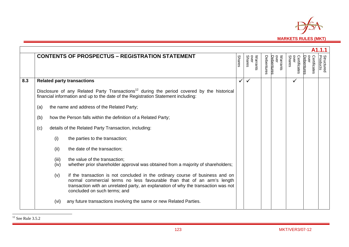

|     |       |                                                                                                                                                                                                                                                                                |               |                            |            |                                |                                |                                    | A1.1.1                        |
|-----|-------|--------------------------------------------------------------------------------------------------------------------------------------------------------------------------------------------------------------------------------------------------------------------------------|---------------|----------------------------|------------|--------------------------------|--------------------------------|------------------------------------|-------------------------------|
|     |       | <b>CONTENTS OF PROSPECTUS - REGISTRATION STATEMENT</b>                                                                                                                                                                                                                         | <b>Shares</b> | Warrants<br>over<br>Shares | Debentures | Warrants<br>over<br>Debentures | over<br>Shares<br>Certificates | over<br>Certificates<br>Debentures | <b>Structured</b><br>Products |
| 8.3 |       | <b>Related party transactions</b>                                                                                                                                                                                                                                              | $\checkmark$  |                            |            |                                |                                |                                    |                               |
|     |       | Disclosure of any Related Party Transactions <sup>12</sup> during the period covered by the historical<br>financial information and up to the date of the Registration Statement including:                                                                                    |               |                            |            |                                |                                |                                    |                               |
|     | (a)   | the name and address of the Related Party;                                                                                                                                                                                                                                     |               |                            |            |                                |                                |                                    |                               |
|     | (b)   | how the Person falls within the definition of a Related Party;                                                                                                                                                                                                                 |               |                            |            |                                |                                |                                    |                               |
|     | (c)   | details of the Related Party Transaction, including:                                                                                                                                                                                                                           |               |                            |            |                                |                                |                                    |                               |
|     | (i)   | the parties to the transaction;                                                                                                                                                                                                                                                |               |                            |            |                                |                                |                                    |                               |
|     | (ii)  | the date of the transaction;                                                                                                                                                                                                                                                   |               |                            |            |                                |                                |                                    |                               |
|     | (iii) | the value of the transaction;                                                                                                                                                                                                                                                  |               |                            |            |                                |                                |                                    |                               |
|     | (iv)  | whether prior shareholder approval was obtained from a majority of shareholders;                                                                                                                                                                                               |               |                            |            |                                |                                |                                    |                               |
|     | (v)   | if the transaction is not concluded in the ordinary course of business and on<br>normal commercial terms no less favourable than that of an arm's length<br>transaction with an unrelated party, an explanation of why the transaction was not<br>concluded on such terms; and |               |                            |            |                                |                                |                                    |                               |
|     | (vi)  | any future transactions involving the same or new Related Parties.                                                                                                                                                                                                             |               |                            |            |                                |                                |                                    |                               |

 $12$  See Rule 3.5.2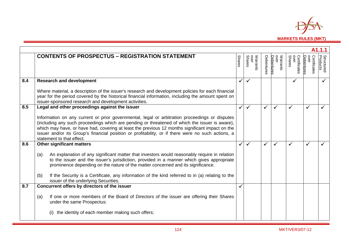

|     |                                                                                                                                                                                                                                                                                                                                                                                                                                        |               |                            |            |                                |                                |                                    | A1.1.1                        |
|-----|----------------------------------------------------------------------------------------------------------------------------------------------------------------------------------------------------------------------------------------------------------------------------------------------------------------------------------------------------------------------------------------------------------------------------------------|---------------|----------------------------|------------|--------------------------------|--------------------------------|------------------------------------|-------------------------------|
|     | <b>CONTENTS OF PROSPECTUS - REGISTRATION STATEMENT</b>                                                                                                                                                                                                                                                                                                                                                                                 | <b>Shares</b> | Warrants<br>over<br>Shares | Debentures | Warrants<br>over<br>Debentures | over<br>Shares<br>Certificates | over<br>Certificates<br>Debentures | <b>Structured</b><br>Products |
| 8.4 | <b>Research and development</b>                                                                                                                                                                                                                                                                                                                                                                                                        |               |                            |            |                                | ✓                              |                                    |                               |
|     | Where material, a description of the issuer's research and development policies for each financial<br>year for the period covered by the historical financial information, including the amount spent on<br>issuer-sponsored research and development activities.                                                                                                                                                                      |               |                            |            |                                |                                |                                    |                               |
| 8.5 | Legal and other proceedings against the issuer                                                                                                                                                                                                                                                                                                                                                                                         |               |                            | ✓          | $\checkmark$                   | ✓                              | $\checkmark$                       |                               |
|     | Information on any current or prior governmental, legal or arbitration proceedings or disputes<br>(including any such proceedings which are pending or threatened of which the issuer is aware),<br>which may have, or have had, covering at least the previous 12 months significant impact on the<br>issuer and/or its Group's financial position or profitability, or if there were no such actions, a<br>statement to that effect. |               |                            |            |                                |                                |                                    |                               |
| 8.6 | <b>Other significant matters</b>                                                                                                                                                                                                                                                                                                                                                                                                       | ✓             | $\checkmark$               | ✓          | $\checkmark$                   | ✓                              | $\checkmark$                       |                               |
|     | An explanation of any significant matter that investors would reasonably require in relation<br>(a)<br>to the issuer and the issuer's jurisdiction, provided in a manner which gives appropriate<br>prominence depending on the nature of the matter concerned and its significance.<br>If the Security is a Certificate, any information of the kind referred to in (a) relating to the<br>(b)                                        |               |                            |            |                                |                                |                                    |                               |
|     | issuer of the underlying Securities.                                                                                                                                                                                                                                                                                                                                                                                                   |               |                            |            |                                |                                |                                    |                               |
| 8.7 | Concurrent offers by directors of the issuer                                                                                                                                                                                                                                                                                                                                                                                           |               |                            |            |                                |                                |                                    |                               |
|     | If one or more members of the Board of Directors of the issuer are offering their Shares<br>(a)<br>under the same Prospectus:                                                                                                                                                                                                                                                                                                          |               |                            |            |                                |                                |                                    |                               |
|     | the identity of each member making such offers;                                                                                                                                                                                                                                                                                                                                                                                        |               |                            |            |                                |                                |                                    |                               |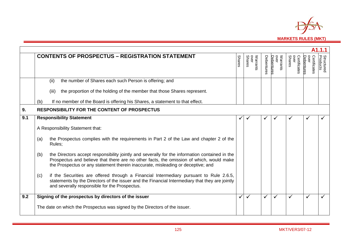

|     |                                                                                                                                                                                                                                                                                      |               |                            |            |                                |                                |                                    | A1.1.1                        |
|-----|--------------------------------------------------------------------------------------------------------------------------------------------------------------------------------------------------------------------------------------------------------------------------------------|---------------|----------------------------|------------|--------------------------------|--------------------------------|------------------------------------|-------------------------------|
|     | <b>CONTENTS OF PROSPECTUS - REGISTRATION STATEMENT</b>                                                                                                                                                                                                                               | <b>Shares</b> | Warrants<br>over<br>Shares | Debentures | Warrants<br>over<br>Debentures | over<br>Shares<br>Certificates | over<br>Certificates<br>Debentures | <b>Structured</b><br>Products |
|     | the number of Shares each such Person is offering; and<br>(ii)                                                                                                                                                                                                                       |               |                            |            |                                |                                |                                    |                               |
|     | the proportion of the holding of the member that those Shares represent.<br>(iii)                                                                                                                                                                                                    |               |                            |            |                                |                                |                                    |                               |
|     | If no member of the Board is offering his Shares, a statement to that effect.<br>(b)                                                                                                                                                                                                 |               |                            |            |                                |                                |                                    |                               |
| 9.  | <b>RESPONSIBILITY FOR THE CONTENT OF PROSPECTUS</b>                                                                                                                                                                                                                                  |               |                            |            |                                |                                |                                    |                               |
| 9.1 | <b>Responsibility Statement</b>                                                                                                                                                                                                                                                      | ✔             |                            |            |                                |                                |                                    |                               |
|     | A Responsibility Statement that:                                                                                                                                                                                                                                                     |               |                            |            |                                |                                |                                    |                               |
|     | the Prospectus complies with the requirements in Part 2 of the Law and chapter 2 of the<br>(a)<br>Rules;                                                                                                                                                                             |               |                            |            |                                |                                |                                    |                               |
|     | the Directors accept responsibility jointly and severally for the information contained in the<br>(b)<br>Prospectus and believe that there are no other facts, the omission of which, would make<br>the Prospectus or any statement therein inaccurate, misleading or deceptive; and |               |                            |            |                                |                                |                                    |                               |
|     | if the Securities are offered through a Financial Intermediary pursuant to Rule 2.6.5,<br>(c)<br>statements by the Directors of the issuer and the Financial Intermediary that they are jointly<br>and severally responsible for the Prospectus.                                     |               |                            |            |                                |                                |                                    |                               |
| 9.2 | Signing of the prospectus by directors of the issuer                                                                                                                                                                                                                                 | ✓             | ✓                          | ✓          | ✓                              | ✓                              | ✓                                  |                               |
|     | The date on which the Prospectus was signed by the Directors of the issuer.                                                                                                                                                                                                          |               |                            |            |                                |                                |                                    |                               |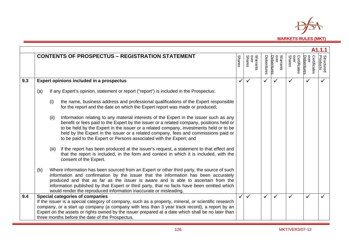

|     |     |                                        |                                                                                                                                                                                                                                                                                                                                                                                                                                            |               |                            |            |                                |                                       |                                   | A1.1.1                        |
|-----|-----|----------------------------------------|--------------------------------------------------------------------------------------------------------------------------------------------------------------------------------------------------------------------------------------------------------------------------------------------------------------------------------------------------------------------------------------------------------------------------------------------|---------------|----------------------------|------------|--------------------------------|---------------------------------------|-----------------------------------|-------------------------------|
|     |     |                                        | <b>CONTENTS OF PROSPECTUS - REGISTRATION STATEMENT</b>                                                                                                                                                                                                                                                                                                                                                                                     | <b>Shares</b> | Warrants<br>over<br>Shares | Debentures | Warrants<br>over<br>Debentures | over<br><b>Shares</b><br>Certificates | over<br>Certificates<br>Debenture | <b>Structured</b><br>Products |
| 9.3 |     |                                        | Expert opinions included in a prospectus                                                                                                                                                                                                                                                                                                                                                                                                   |               | ✓                          | ✓          | $\checkmark$                   |                                       |                                   |                               |
|     | (a) |                                        | If any Expert's opinion, statement or report ("report") is included in the Prospectus:                                                                                                                                                                                                                                                                                                                                                     |               |                            |            |                                |                                       |                                   |                               |
|     |     | (i)                                    | the name, business address and professional qualifications of the Expert responsible<br>for the report and the date on which the Expert report was made or produced;                                                                                                                                                                                                                                                                       |               |                            |            |                                |                                       |                                   |                               |
|     |     | (ii)                                   | Information relating to any material interests of the Expert in the issuer such as any<br>benefit or fees paid to the Expert by the issuer or a related company, positions held or<br>to be held by the Expert in the issuer or a related company, investments held or to be<br>held by the Expert in the issuer or a related company, fees and commissions paid or<br>to be paid to the Expert or Persons associated with the Expert; and |               |                            |            |                                |                                       |                                   |                               |
|     |     | (iii)                                  | if the report has been produced at the issuer's request, a statement to that effect and<br>that the report is included, in the form and context in which it is included, with the<br>consent of the Expert.                                                                                                                                                                                                                                |               |                            |            |                                |                                       |                                   |                               |
|     | (b) |                                        | Where information has been sourced from an Expert or other third party, the source of such<br>information and confirmation by the issuer that the information has been accurately<br>produced and that as far as the issuer is aware and is able to ascertain from the<br>information published by that Expert or third party, that no facts have been omitted which<br>would render the reproduced information inaccurate or misleading.  |               |                            |            |                                |                                       |                                   |                               |
| 9.4 |     | <b>Special categories of companies</b> | If the issuer is a special category of company, such as a property, mineral, or scientific research<br>company, or a start up company (a company with less than 3 year track record), a report by an<br>Expert on the assets or rights owned by the issuer prepared at a date which shall be no later than<br>three months before the date of the Prospectus.                                                                              |               | ✓                          | ✓          | $\checkmark$                   |                                       |                                   |                               |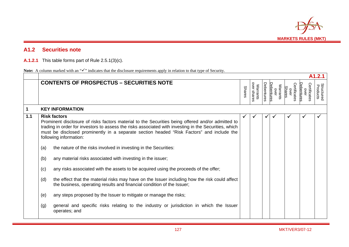

## **A1.2 Securities note**

**A.1.2.1** This table forms part of Rule 2.5.1(3)(c).

| Note: A column marked with an " $\checkmark$ " indicates that the disclosure requirements apply in relation to that type of Security. |
|---------------------------------------------------------------------------------------------------------------------------------------|
|---------------------------------------------------------------------------------------------------------------------------------------|

|       |                                                                                                                                                                                                                                                                                                                                                                                                                                                                                                                                                                                                                                                                                                                                                                                                                                                                                                                                                                                           |               |                         |                   |                                       |                                |                                    | A1.2.1                        |
|-------|-------------------------------------------------------------------------------------------------------------------------------------------------------------------------------------------------------------------------------------------------------------------------------------------------------------------------------------------------------------------------------------------------------------------------------------------------------------------------------------------------------------------------------------------------------------------------------------------------------------------------------------------------------------------------------------------------------------------------------------------------------------------------------------------------------------------------------------------------------------------------------------------------------------------------------------------------------------------------------------------|---------------|-------------------------|-------------------|---------------------------------------|--------------------------------|------------------------------------|-------------------------------|
|       | <b>CONTENTS OF PROSPECTUS - SECURITIES NOTE</b>                                                                                                                                                                                                                                                                                                                                                                                                                                                                                                                                                                                                                                                                                                                                                                                                                                                                                                                                           | <b>Shares</b> | over shares<br>Warrants | <b>Debentures</b> | <b>Debentures</b><br>Warrants<br>over | Certificates<br>over<br>Shares | Certificates<br>Debentures<br>over | <b>Structured</b><br>Products |
| 1     | <b>KEY INFORMATION</b>                                                                                                                                                                                                                                                                                                                                                                                                                                                                                                                                                                                                                                                                                                                                                                                                                                                                                                                                                                    |               |                         |                   |                                       |                                |                                    |                               |
| $1.1$ | <b>Risk factors</b><br>Prominent disclosure of risks factors material to the Securities being offered and/or admitted to<br>trading in order for investors to assess the risks associated with investing in the Securities, which<br>must be disclosed prominently in a separate section headed "Risk Factors" and include the<br>following information:<br>the nature of the risks involved in investing in the Securities:<br>(a)<br>(b)<br>any material risks associated with investing in the issuer;<br>any risks associated with the assets to be acquired using the proceeds of the offer;<br>(c)<br>the effect that the material risks may have on the Issuer including how the risk could affect<br>(d)<br>the business, operating results and financial condition of the Issuer;<br>any steps proposed by the Issuer to mitigate or manage the risks;<br>(e)<br>general and specific risks relating to the industry or jurisdiction in which the Issuer<br>(g)<br>operates; and | $\checkmark$  |                         | ✓                 |                                       | ✓                              |                                    |                               |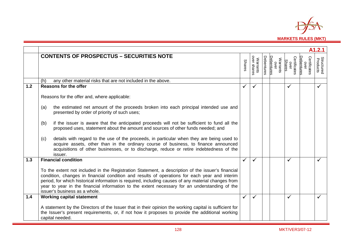

|     | A1.2.1                                                                                                                                                                                                                                                                                                                                                                                                                                      |               |                         |            |                                       |                                       |                                           |                               |  |  |  |  |
|-----|---------------------------------------------------------------------------------------------------------------------------------------------------------------------------------------------------------------------------------------------------------------------------------------------------------------------------------------------------------------------------------------------------------------------------------------------|---------------|-------------------------|------------|---------------------------------------|---------------------------------------|-------------------------------------------|-------------------------------|--|--|--|--|
|     | <b>CONTENTS OF PROSPECTUS - SECURITIES NOTE</b>                                                                                                                                                                                                                                                                                                                                                                                             | <b>Shares</b> | over shares<br>Warrants | Debentures | <b>Jebentures</b><br>Warrants<br>over | Certificates<br><b>Shares</b><br>over | Certificates<br><b>Debentures</b><br>over | <b>Structured</b><br>Products |  |  |  |  |
|     | any other material risks that are not included in the above.<br>(h)                                                                                                                                                                                                                                                                                                                                                                         |               |                         |            |                                       |                                       |                                           |                               |  |  |  |  |
| 1.2 | <b>Reasons for the offer</b>                                                                                                                                                                                                                                                                                                                                                                                                                | ✓             | ✓                       |            |                                       | ✓                                     |                                           |                               |  |  |  |  |
|     | Reasons for the offer and, where applicable:                                                                                                                                                                                                                                                                                                                                                                                                |               |                         |            |                                       |                                       |                                           |                               |  |  |  |  |
|     | the estimated net amount of the proceeds broken into each principal intended use and<br>(a)<br>presented by order of priority of such uses;                                                                                                                                                                                                                                                                                                 |               |                         |            |                                       |                                       |                                           |                               |  |  |  |  |
|     | if the issuer is aware that the anticipated proceeds will not be sufficient to fund all the<br>(b)<br>proposed uses, statement about the amount and sources of other funds needed; and                                                                                                                                                                                                                                                      |               |                         |            |                                       |                                       |                                           |                               |  |  |  |  |
|     | details with regard to the use of the proceeds, in particular when they are being used to<br>(c)<br>acquire assets, other than in the ordinary course of business, to finance announced<br>acquisitions of other businesses, or to discharge, reduce or retire indebtedness of the<br>issuer.                                                                                                                                               |               |                         |            |                                       |                                       |                                           |                               |  |  |  |  |
| 1.3 | <b>Financial condition</b>                                                                                                                                                                                                                                                                                                                                                                                                                  |               | $\checkmark$            |            |                                       | ✓                                     |                                           |                               |  |  |  |  |
|     | To the extent not included in the Registration Statement, a description of the issuer's financial<br>condition, changes in financial condition and results of operations for each year and interim<br>period, for which historical information is required, including causes of any material changes from<br>year to year in the financial information to the extent necessary for an understanding of the<br>issuer's business as a whole. |               |                         |            |                                       |                                       |                                           |                               |  |  |  |  |
| 1.4 | <b>Working capital statement</b>                                                                                                                                                                                                                                                                                                                                                                                                            |               | ✓                       |            |                                       | ✓                                     |                                           |                               |  |  |  |  |
|     | A statement by the Directors of the Issuer that in their opinion the working capital is sufficient for<br>the Issuer's present requirements, or, if not how it proposes to provide the additional working<br>capital needed.                                                                                                                                                                                                                |               |                         |            |                                       |                                       |                                           |                               |  |  |  |  |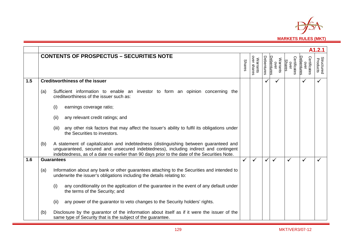

|     | A1.2.1 |                                                                                                                                                                                                                                                                               |               |                                |            |                                       |                                |                                           |                               |  |  |  |  |  |
|-----|--------|-------------------------------------------------------------------------------------------------------------------------------------------------------------------------------------------------------------------------------------------------------------------------------|---------------|--------------------------------|------------|---------------------------------------|--------------------------------|-------------------------------------------|-------------------------------|--|--|--|--|--|
|     |        | <b>CONTENTS OF PROSPECTUS - SECURITIES NOTE</b>                                                                                                                                                                                                                               | <b>Shares</b> | over shares<br><b>Warrants</b> | Debentures | <b>Debentures</b><br>Warrants<br>over | Certificates<br>over<br>Shares | Certificates<br><b>Debentures</b><br>over | <b>Structured</b><br>Products |  |  |  |  |  |
| 1.5 |        | <b>Creditworthiness of the issuer</b>                                                                                                                                                                                                                                         |               |                                |            |                                       |                                |                                           |                               |  |  |  |  |  |
|     | (a)    | Sufficient information to enable an investor to form an opinion concerning the<br>creditworthiness of the issuer such as:                                                                                                                                                     |               |                                |            |                                       |                                |                                           |                               |  |  |  |  |  |
|     |        | earnings coverage ratio;<br>(i)                                                                                                                                                                                                                                               |               |                                |            |                                       |                                |                                           |                               |  |  |  |  |  |
|     |        | (ii)<br>any relevant credit ratings; and                                                                                                                                                                                                                                      |               |                                |            |                                       |                                |                                           |                               |  |  |  |  |  |
|     |        | any other risk factors that may affect the Issuer's ability to fulfil its obligations under<br>(iii)<br>the Securities to investors.                                                                                                                                          |               |                                |            |                                       |                                |                                           |                               |  |  |  |  |  |
|     | (b)    | A statement of capitalization and indebtedness (distinguishing between guaranteed and<br>unguaranteed, secured and unsecured indebtedness), including indirect and contingent<br>indebtedness, as of a date no earlier than 90 days prior to the date of the Securities Note. |               |                                |            |                                       |                                |                                           |                               |  |  |  |  |  |
| 1.6 |        | <b>Guarantees</b>                                                                                                                                                                                                                                                             |               | ✓                              |            | $\checkmark$                          | $\checkmark$                   |                                           |                               |  |  |  |  |  |
|     | (a)    | Information about any bank or other guarantees attaching to the Securities and intended to<br>underwrite the issuer's obligations including the details relating to:                                                                                                          |               |                                |            |                                       |                                |                                           |                               |  |  |  |  |  |
|     |        | any conditionality on the application of the guarantee in the event of any default under<br>(i)<br>the terms of the Security; and                                                                                                                                             |               |                                |            |                                       |                                |                                           |                               |  |  |  |  |  |
|     |        | (ii)<br>any power of the guarantor to veto changes to the Security holders' rights.                                                                                                                                                                                           |               |                                |            |                                       |                                |                                           |                               |  |  |  |  |  |
|     | (b)    | Disclosure by the guarantor of the information about itself as if it were the issuer of the<br>same type of Security that is the subject of the guarantee.                                                                                                                    |               |                                |            |                                       |                                |                                           |                               |  |  |  |  |  |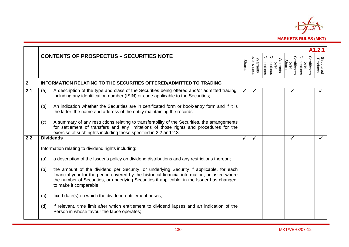

|              |     |                                                                                                                                                                                                                                                                                                                    |               |                         |            |                                |                                       |                                    | A1.2.1                        |
|--------------|-----|--------------------------------------------------------------------------------------------------------------------------------------------------------------------------------------------------------------------------------------------------------------------------------------------------------------------|---------------|-------------------------|------------|--------------------------------|---------------------------------------|------------------------------------|-------------------------------|
|              |     | <b>CONTENTS OF PROSPECTUS - SECURITIES NOTE</b>                                                                                                                                                                                                                                                                    | <b>Shares</b> | over shares<br>Warrants | Debentures | Warrants<br>over<br>Debentures | Certificates<br><b>Shares</b><br>over | Certificates<br>Debentures<br>over | <b>Structured</b><br>Products |
| $\mathbf{2}$ |     | INFORMATION RELATING TO THE SECURITIES OFFERED/ADMITTED TO TRADING                                                                                                                                                                                                                                                 |               |                         |            |                                |                                       |                                    |                               |
| 2.1          | (a) | A description of the type and class of the Securities being offered and/or admitted trading,<br>including any identification number (ISIN) or code applicable to the Securities;                                                                                                                                   |               |                         |            |                                |                                       |                                    |                               |
|              | (b) | An indication whether the Securities are in certificated form or book-entry form and if it is<br>the latter, the name and address of the entity maintaining the records.                                                                                                                                           |               |                         |            |                                |                                       |                                    |                               |
|              | (c) | A summary of any restrictions relating to transferability of the Securities, the arrangements<br>for settlement of transfers and any limitations of those rights and procedures for the<br>exercise of such rights including those specified in 2.2 and 2.3.                                                       |               |                         |            |                                |                                       |                                    |                               |
| 2.2          |     | <b>Dividends</b>                                                                                                                                                                                                                                                                                                   | $\checkmark$  | ✓                       |            |                                | $\checkmark$                          |                                    | $\checkmark$                  |
|              |     | Information relating to dividend rights including:                                                                                                                                                                                                                                                                 |               |                         |            |                                |                                       |                                    |                               |
|              | (a) | a description of the Issuer's policy on dividend distributions and any restrictions thereon;                                                                                                                                                                                                                       |               |                         |            |                                |                                       |                                    |                               |
|              | (b) | the amount of the dividend per Security, or underlying Security if applicable, for each<br>financial year for the period covered by the historical financial information, adjusted where<br>the number of Securities, or underlying Securities if applicable, in the Issuer has changed,<br>to make it comparable; |               |                         |            |                                |                                       |                                    |                               |
|              | (c) | fixed date(s) on which the dividend entitlement arises;                                                                                                                                                                                                                                                            |               |                         |            |                                |                                       |                                    |                               |
|              | (d) | if relevant, time limit after which entitlement to dividend lapses and an indication of the<br>Person in whose favour the lapse operates;                                                                                                                                                                          |               |                         |            |                                |                                       |                                    |                               |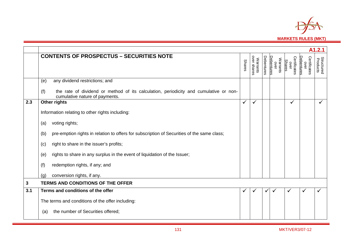

|              | A1.2.1                                                                                                                         |               |                         |            |                                |                                       |                                    |                               |  |  |  |  |  |  |
|--------------|--------------------------------------------------------------------------------------------------------------------------------|---------------|-------------------------|------------|--------------------------------|---------------------------------------|------------------------------------|-------------------------------|--|--|--|--|--|--|
|              | <b>CONTENTS OF PROSPECTUS - SECURITIES NOTE</b>                                                                                | <b>Shares</b> | over shares<br>Warrants | Debentures | Warrants<br>over<br>Debentures | Certificates<br><b>Shares</b><br>over | Certificates<br>Debentures<br>over | <b>Structured</b><br>Products |  |  |  |  |  |  |
|              | any dividend restrictions; and<br>(e)                                                                                          |               |                         |            |                                |                                       |                                    |                               |  |  |  |  |  |  |
|              | the rate of dividend or method of its calculation, periodicity and cumulative or non-<br>(f)<br>cumulative nature of payments. |               |                         |            |                                |                                       |                                    |                               |  |  |  |  |  |  |
| 2.3          | Other rights                                                                                                                   | $\checkmark$  | ✓                       |            |                                | ✓                                     |                                    | $\checkmark$                  |  |  |  |  |  |  |
|              | Information relating to other rights including:                                                                                |               |                         |            |                                |                                       |                                    |                               |  |  |  |  |  |  |
|              | voting rights;<br>(a)                                                                                                          |               |                         |            |                                |                                       |                                    |                               |  |  |  |  |  |  |
|              | pre-emption rights in relation to offers for subscription of Securities of the same class;<br>(b)                              |               |                         |            |                                |                                       |                                    |                               |  |  |  |  |  |  |
|              | right to share in the issuer's profits;<br>(c)                                                                                 |               |                         |            |                                |                                       |                                    |                               |  |  |  |  |  |  |
|              | rights to share in any surplus in the event of liquidation of the Issuer;<br>(e)                                               |               |                         |            |                                |                                       |                                    |                               |  |  |  |  |  |  |
|              | redemption rights, if any; and<br>(f)                                                                                          |               |                         |            |                                |                                       |                                    |                               |  |  |  |  |  |  |
|              | conversion rights, if any.<br>(q)                                                                                              |               |                         |            |                                |                                       |                                    |                               |  |  |  |  |  |  |
| $\mathbf{3}$ | <b>TERMS AND CONDITIONS OF THE OFFER</b>                                                                                       |               |                         |            |                                |                                       |                                    |                               |  |  |  |  |  |  |
| 3.1          | Terms and conditions of the offer                                                                                              | $\checkmark$  |                         | ✓          | ✓                              | $\checkmark$                          |                                    |                               |  |  |  |  |  |  |
|              | The terms and conditions of the offer including:                                                                               |               |                         |            |                                |                                       |                                    |                               |  |  |  |  |  |  |
|              | the number of Securities offered;<br>(a)                                                                                       |               |                         |            |                                |                                       |                                    |                               |  |  |  |  |  |  |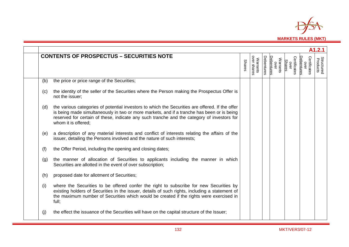

| A1.2.1 |                                                                                                                                                                                                                                                                                                                    |               |                         |            |                                |                                       |                                    |                               |  |  |  |  |
|--------|--------------------------------------------------------------------------------------------------------------------------------------------------------------------------------------------------------------------------------------------------------------------------------------------------------------------|---------------|-------------------------|------------|--------------------------------|---------------------------------------|------------------------------------|-------------------------------|--|--|--|--|
|        | <b>CONTENTS OF PROSPECTUS - SECURITIES NOTE</b>                                                                                                                                                                                                                                                                    | <b>Shares</b> | over shares<br>Warrants | Debentures | Warrants<br>over<br>Debentures | Certificates<br>over<br><b>Shares</b> | Certificates<br>Debentures<br>over | <b>Structured</b><br>Products |  |  |  |  |
| (b)    | the price or price range of the Securities;                                                                                                                                                                                                                                                                        |               |                         |            |                                |                                       |                                    |                               |  |  |  |  |
| (c)    | the identity of the seller of the Securities where the Person making the Prospectus Offer is<br>not the issuer;                                                                                                                                                                                                    |               |                         |            |                                |                                       |                                    |                               |  |  |  |  |
| (d)    | the various categories of potential investors to which the Securities are offered. If the offer<br>is being made simultaneously in two or more markets, and if a tranche has been or is being<br>reserved for certain of these, indicate any such tranche and the category of investors for<br>whom it is offered; |               |                         |            |                                |                                       |                                    |                               |  |  |  |  |
| (e)    | a description of any material interests and conflict of interests relating the affairs of the<br>issuer, detailing the Persons involved and the nature of such interests;                                                                                                                                          |               |                         |            |                                |                                       |                                    |                               |  |  |  |  |
| (f)    | the Offer Period, including the opening and closing dates;                                                                                                                                                                                                                                                         |               |                         |            |                                |                                       |                                    |                               |  |  |  |  |
| (g)    | the manner of allocation of Securities to applicants including the manner in which<br>Securities are allotted in the event of over subscription;                                                                                                                                                                   |               |                         |            |                                |                                       |                                    |                               |  |  |  |  |
| (h)    | proposed date for allotment of Securities;                                                                                                                                                                                                                                                                         |               |                         |            |                                |                                       |                                    |                               |  |  |  |  |
| (i)    | where the Securities to be offered confer the right to subscribe for new Securities by<br>existing holders of Securities in the issuer, details of such rights, including a statement of<br>the maximum number of Securities which would be created if the rights were exercised in<br>full;                       |               |                         |            |                                |                                       |                                    |                               |  |  |  |  |
| (i)    | the effect the issuance of the Securities will have on the capital structure of the Issuer;                                                                                                                                                                                                                        |               |                         |            |                                |                                       |                                    |                               |  |  |  |  |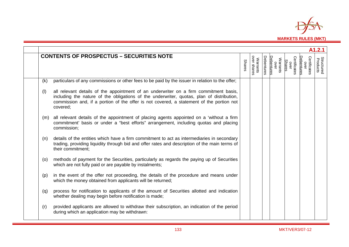

| A1.2.1 |                                                                                                                                                                                                                                                                                            |               |                         |            |                                |               |                      |                                   |                               |  |  |  |  |
|--------|--------------------------------------------------------------------------------------------------------------------------------------------------------------------------------------------------------------------------------------------------------------------------------------------|---------------|-------------------------|------------|--------------------------------|---------------|----------------------|-----------------------------------|-------------------------------|--|--|--|--|
|        | <b>CONTENTS OF PROSPECTUS - SECURITIES NOTE</b>                                                                                                                                                                                                                                            | <b>Shares</b> | over shares<br>Warrants | Debentures | Warrants<br>over<br>Debentures | <b>Shares</b> | Certificates<br>over | Certificates<br>Debenture<br>over | <b>Structured</b><br>Products |  |  |  |  |
| (k)    | particulars of any commissions or other fees to be paid by the issuer in relation to the offer;                                                                                                                                                                                            |               |                         |            |                                |               |                      |                                   |                               |  |  |  |  |
| (1)    | all relevant details of the appointment of an underwriter on a firm commitment basis,<br>including the nature of the obligations of the underwriter, quotas, plan of distribution,<br>commission and, if a portion of the offer is not covered, a statement of the portion not<br>covered; |               |                         |            |                                |               |                      |                                   |                               |  |  |  |  |
| (m)    | all relevant details of the appointment of placing agents appointed on a 'without a firm<br>commitment' basis or under a "best efforts" arrangement, including quotas and placing<br>commission;                                                                                           |               |                         |            |                                |               |                      |                                   |                               |  |  |  |  |
| (n)    | details of the entities which have a firm commitment to act as intermediaries in secondary<br>trading, providing liquidity through bid and offer rates and description of the main terms of<br>their commitment;                                                                           |               |                         |            |                                |               |                      |                                   |                               |  |  |  |  |
| (0)    | methods of payment for the Securities, particularly as regards the paying up of Securities<br>which are not fully paid or are payable by instalments;                                                                                                                                      |               |                         |            |                                |               |                      |                                   |                               |  |  |  |  |
| (p)    | in the event of the offer not proceeding, the details of the procedure and means under<br>which the money obtained from applicants will be returned;                                                                                                                                       |               |                         |            |                                |               |                      |                                   |                               |  |  |  |  |
| (q)    | process for notification to applicants of the amount of Securities allotted and indication<br>whether dealing may begin before notification is made;                                                                                                                                       |               |                         |            |                                |               |                      |                                   |                               |  |  |  |  |
| (r)    | provided applicants are allowed to withdraw their subscription, an indication of the period<br>during which an application may be withdrawn:                                                                                                                                               |               |                         |            |                                |               |                      |                                   |                               |  |  |  |  |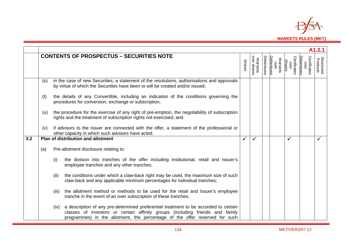

|     |     |       |                                                                                                                                                                                                                                                      |               |                         |            |                                |                                |                                           | A1.2.1                        |
|-----|-----|-------|------------------------------------------------------------------------------------------------------------------------------------------------------------------------------------------------------------------------------------------------------|---------------|-------------------------|------------|--------------------------------|--------------------------------|-------------------------------------------|-------------------------------|
|     |     |       | <b>CONTENTS OF PROSPECTUS - SECURITIES NOTE</b>                                                                                                                                                                                                      | <b>Shares</b> | over shares<br>Warrants | Debentures | over<br>Debentures<br>Warrants | Certificates<br>over<br>Shares | Certificates<br>over<br><b>Debentures</b> | <b>Structured</b><br>Products |
|     | (s) |       | in the case of new Securities, a statement of the resolutions, authorisations and approvals<br>by virtue of which the Securities have been or will be created and/or issued;                                                                         |               |                         |            |                                |                                |                                           |                               |
|     | (t) |       | the details of any Convertible, including an indication of the conditions governing the<br>procedures for conversion, exchange or subscription;                                                                                                      |               |                         |            |                                |                                |                                           |                               |
|     | (u) |       | the procedure for the exercise of any right of pre-emption, the negotiability of subscription<br>rights and the treatment of subscription rights not exercised; and                                                                                  |               |                         |            |                                |                                |                                           |                               |
|     | (v) |       | if advisors to the issuer are connected with the offer, a statement of the professional or<br>other capacity in which such advisors have acted.                                                                                                      |               |                         |            |                                |                                |                                           |                               |
| 3.2 |     |       | Plan of distribution and allotment                                                                                                                                                                                                                   | ✓             | $\checkmark$            |            |                                | ✓                              |                                           |                               |
|     | (a) |       | Pre-allotment disclosure relating to:                                                                                                                                                                                                                |               |                         |            |                                |                                |                                           |                               |
|     |     | (i)   | the division into tranches of the offer including institutional, retail and Issuer's<br>employee tranches and any other tranches;                                                                                                                    |               |                         |            |                                |                                |                                           |                               |
|     |     | (ii)  | the conditions under which a claw-back right may be used, the maximum size of such<br>claw-back and any applicable minimum percentages for individual tranches;                                                                                      |               |                         |            |                                |                                |                                           |                               |
|     |     | (iii) | the allotment method or methods to be used for the retail and Issuer's employee<br>tranche in the event of an over subscription of these tranches;                                                                                                   |               |                         |            |                                |                                |                                           |                               |
|     |     | (iv)  | a description of any pre-determined preferential treatment to be accorded to certain<br>classes of investors or certain affinity groups (including friends and family<br>programmes) in the allotment, the percentage of the offer reserved for such |               |                         |            |                                |                                |                                           |                               |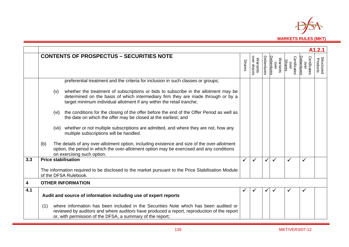

|     |                                                                                                                                                                                                                                                         |               |                                |            |                                       |                                       |                                    | A1.2.1                        |
|-----|---------------------------------------------------------------------------------------------------------------------------------------------------------------------------------------------------------------------------------------------------------|---------------|--------------------------------|------------|---------------------------------------|---------------------------------------|------------------------------------|-------------------------------|
|     | <b>CONTENTS OF PROSPECTUS - SECURITIES NOTE</b>                                                                                                                                                                                                         | <b>Shares</b> | over shares<br><b>Warrants</b> | Debentures | <b>Debentures</b><br>Warrants<br>over | Certificates<br><b>Shares</b><br>over | Certificates<br>Debentures<br>over | <b>Structured</b><br>Products |
|     | preferential treatment and the criteria for inclusion in such classes or groups;                                                                                                                                                                        |               |                                |            |                                       |                                       |                                    |                               |
|     | whether the treatment of subscriptions or bids to subscribe in the allotment may be<br>(v)<br>determined on the basis of which intermediary firm they are made through or by a<br>target minimum individual allotment if any within the retail tranche; |               |                                |            |                                       |                                       |                                    |                               |
|     | the conditions for the closing of the offer before the end of the Offer Period as well as<br>(vi)<br>the date on which the offer may be closed at the earliest; and                                                                                     |               |                                |            |                                       |                                       |                                    |                               |
|     | (vii) whether or not multiple subscriptions are admitted, and where they are not, how any<br>multiple subscriptions will be handled.                                                                                                                    |               |                                |            |                                       |                                       |                                    |                               |
|     | The details of any over-allotment option, including existence and size of the over-allotment<br>(b)<br>option, the period in which the over-allotment option may be exercised and any conditions<br>on exercising such option.                          |               |                                |            |                                       |                                       |                                    |                               |
| 3.3 | <b>Price stabilisation</b>                                                                                                                                                                                                                              | $\checkmark$  | ✓                              |            | $\checkmark$                          | $\checkmark$                          |                                    |                               |
|     | The information required to be disclosed to the market pursuant to the Price Stabilisation Module<br>of the DFSA Rulebook.                                                                                                                              |               |                                |            |                                       |                                       |                                    |                               |
| 4   | <b>OTHER INFORMATION</b>                                                                                                                                                                                                                                |               |                                |            |                                       |                                       |                                    |                               |
| 4.1 | Audit and source of information including use of expert reports                                                                                                                                                                                         | ✔             |                                |            |                                       | ✔                                     | ✓                                  |                               |
|     | where information has been included in the Securities Note which has been audited or<br>(1)<br>reviewed by auditors and where auditors have produced a report, reproduction of the report<br>or, with permission of the DFSA, a summary of the report;  |               |                                |            |                                       |                                       |                                    |                               |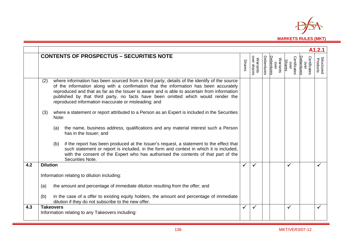

|     | A <sub>1.2.1</sub>                                                                                                                                                                                                                                                                                                                                                                                                                      |               |                         |            |                                |                                |                                    |                               |  |  |  |
|-----|-----------------------------------------------------------------------------------------------------------------------------------------------------------------------------------------------------------------------------------------------------------------------------------------------------------------------------------------------------------------------------------------------------------------------------------------|---------------|-------------------------|------------|--------------------------------|--------------------------------|------------------------------------|-------------------------------|--|--|--|
|     | <b>CONTENTS OF PROSPECTUS - SECURITIES NOTE</b>                                                                                                                                                                                                                                                                                                                                                                                         | <b>Shares</b> | over shares<br>Warrants | Debentures | Warrants<br>over<br>Debentures | Certificates<br>over<br>Shares | Certificates<br>over<br>Debentures | <b>Structured</b><br>Products |  |  |  |
|     | where information has been sourced from a third party, details of the identify of the source<br>(2)<br>of the information along with a confirmation that the information has been accurately<br>reproduced and that as far as the Issuer is aware and is able to ascertain from information<br>published by that third party, no facts have been omitted which would render the<br>reproduced information inaccurate or misleading; and |               |                         |            |                                |                                |                                    |                               |  |  |  |
|     | where a statement or report attributed to a Person as an Expert is included in the Securities<br>(3)<br>Note:                                                                                                                                                                                                                                                                                                                           |               |                         |            |                                |                                |                                    |                               |  |  |  |
|     | the name, business address, qualifications and any material interest such a Person<br>(a)<br>has in the Issuer; and                                                                                                                                                                                                                                                                                                                     |               |                         |            |                                |                                |                                    |                               |  |  |  |
|     | if the report has been produced at the Issuer's request, a statement to the effect that<br>(b)<br>such statement or report is included, in the form and context in which it is included,<br>with the consent of the Expert who has authorised the contents of that part of the<br>Securities Note.                                                                                                                                      |               |                         |            |                                |                                |                                    |                               |  |  |  |
| 4.2 | <b>Dilution</b>                                                                                                                                                                                                                                                                                                                                                                                                                         | $\checkmark$  |                         |            |                                | ✓                              |                                    |                               |  |  |  |
|     | Information relating to dilution including:                                                                                                                                                                                                                                                                                                                                                                                             |               |                         |            |                                |                                |                                    |                               |  |  |  |
|     | the amount and percentage of immediate dilution resulting from the offer; and<br>(a)                                                                                                                                                                                                                                                                                                                                                    |               |                         |            |                                |                                |                                    |                               |  |  |  |
|     | (b)<br>in the case of a offer to existing equity holders, the amount and percentage of immediate<br>dilution if they do not subscribe to the new offer.                                                                                                                                                                                                                                                                                 |               |                         |            |                                |                                |                                    |                               |  |  |  |
| 4.3 | <b>Takeovers</b><br>Information relating to any Takeovers including:                                                                                                                                                                                                                                                                                                                                                                    | $\checkmark$  | ✓                       |            |                                | $\checkmark$                   |                                    |                               |  |  |  |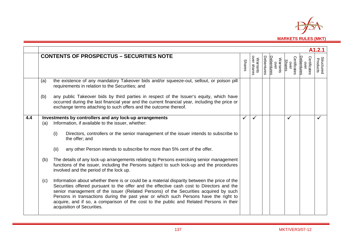

|     | A1.2.1            |                                                                                                                                                                                                                                                                                                                                                                                                                                                                                                                                                                                                                                                                                                                                                                                                                                                                                                                                                                                                                                                               |               |                         |            |                                |                                       |                                           |                               |  |  |  |  |  |
|-----|-------------------|---------------------------------------------------------------------------------------------------------------------------------------------------------------------------------------------------------------------------------------------------------------------------------------------------------------------------------------------------------------------------------------------------------------------------------------------------------------------------------------------------------------------------------------------------------------------------------------------------------------------------------------------------------------------------------------------------------------------------------------------------------------------------------------------------------------------------------------------------------------------------------------------------------------------------------------------------------------------------------------------------------------------------------------------------------------|---------------|-------------------------|------------|--------------------------------|---------------------------------------|-------------------------------------------|-------------------------------|--|--|--|--|--|
|     |                   | <b>CONTENTS OF PROSPECTUS - SECURITIES NOTE</b>                                                                                                                                                                                                                                                                                                                                                                                                                                                                                                                                                                                                                                                                                                                                                                                                                                                                                                                                                                                                               | <b>Shares</b> | over shares<br>Warrants | Debentures | Debentures<br>Warrants<br>over | Certificates<br>over<br><b>Shares</b> | Certificates<br>Debentures<br>$rac{1}{2}$ | <b>Structured</b><br>Products |  |  |  |  |  |
|     | (a)               | the existence of any mandatory Takeover bids and/or squeeze-out, sellout, or poison pill<br>requirements in relation to the Securities; and                                                                                                                                                                                                                                                                                                                                                                                                                                                                                                                                                                                                                                                                                                                                                                                                                                                                                                                   |               |                         |            |                                |                                       |                                           |                               |  |  |  |  |  |
|     | (b)               | any public Takeover bids by third parties in respect of the Issuer's equity, which have<br>occurred during the last financial year and the current financial year, including the price or<br>exchange terms attaching to such offers and the outcome thereof.                                                                                                                                                                                                                                                                                                                                                                                                                                                                                                                                                                                                                                                                                                                                                                                                 |               |                         |            |                                |                                       |                                           |                               |  |  |  |  |  |
| 4.4 | (a)<br>(b)<br>(c) | Investments by controllers and any lock-up arrangements<br>Information, if available to the issuer, whether:<br>(i)<br>Directors, controllers or the senior management of the issuer intends to subscribe to<br>the offer; and<br>any other Person intends to subscribe for more than 5% cent of the offer.<br>(ii)<br>The details of any lock-up arrangements relating to Persons exercising senior management<br>functions of the issuer, including the Persons subject to such lock-up and the procedures<br>involved and the period of the lock up.<br>Information about whether there is or could be a material disparity between the price of the<br>Securities offered pursuant to the offer and the effective cash cost to Directors and the<br>senior management of the issuer (Related Persons) of the Securities acquired by such<br>Persons in transactions during the past year or which such Persons have the right to<br>acquire, and if so, a comparison of the cost to the public and Related Persons in their<br>acquisition of Securities. | ✓             |                         |            |                                | $\checkmark$                          |                                           |                               |  |  |  |  |  |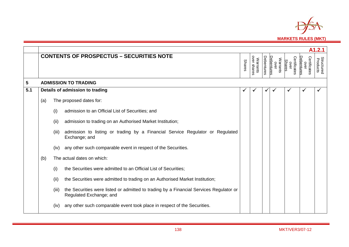

|            |     | A1.2.1 |                                                                                                                   |               |                         |            |                                |                                       |                                    |                               |  |  |  |  |  |
|------------|-----|--------|-------------------------------------------------------------------------------------------------------------------|---------------|-------------------------|------------|--------------------------------|---------------------------------------|------------------------------------|-------------------------------|--|--|--|--|--|
|            |     |        | <b>CONTENTS OF PROSPECTUS - SECURITIES NOTE</b>                                                                   | <b>Shares</b> | over shares<br>Warrants | Debentures | Warrants<br>over<br>Debentures | Certificates<br><b>Shares</b><br>over | Certificates<br>Debentures<br>over | <b>Structured</b><br>Products |  |  |  |  |  |
| $\sqrt{5}$ |     |        | <b>ADMISSION TO TRADING</b>                                                                                       |               |                         |            |                                |                                       |                                    |                               |  |  |  |  |  |
| 5.1        |     |        | Details of admission to trading                                                                                   | ✔             |                         | ✔          |                                |                                       |                                    |                               |  |  |  |  |  |
|            | (a) |        | The proposed dates for:                                                                                           |               |                         |            |                                |                                       |                                    |                               |  |  |  |  |  |
|            |     | (i)    | admission to an Official List of Securities; and                                                                  |               |                         |            |                                |                                       |                                    |                               |  |  |  |  |  |
|            |     | (ii)   | admission to trading on an Authorised Market Institution;                                                         |               |                         |            |                                |                                       |                                    |                               |  |  |  |  |  |
|            |     | (iii)  | admission to listing or trading by a Financial Service Regulator or Regulated<br>Exchange; and                    |               |                         |            |                                |                                       |                                    |                               |  |  |  |  |  |
|            |     | (iv)   | any other such comparable event in respect of the Securities.                                                     |               |                         |            |                                |                                       |                                    |                               |  |  |  |  |  |
|            | (b) |        | The actual dates on which:                                                                                        |               |                         |            |                                |                                       |                                    |                               |  |  |  |  |  |
|            |     | (i)    | the Securities were admitted to an Official List of Securities;                                                   |               |                         |            |                                |                                       |                                    |                               |  |  |  |  |  |
|            |     | (ii)   | the Securities were admitted to trading on an Authorised Market Institution;                                      |               |                         |            |                                |                                       |                                    |                               |  |  |  |  |  |
|            |     | (iii)  | the Securities were listed or admitted to trading by a Financial Services Regulator or<br>Regulated Exchange; and |               |                         |            |                                |                                       |                                    |                               |  |  |  |  |  |
|            |     | (iv)   | any other such comparable event took place in respect of the Securities.                                          |               |                         |            |                                |                                       |                                    |                               |  |  |  |  |  |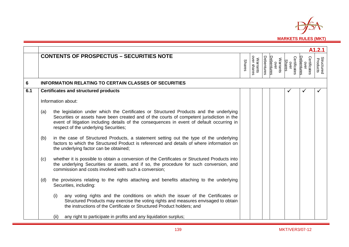

|     |     |                                                                                                                                                                                                                                                                                                                            |               |                                |                   |                                       |                                |                                    | A1.2.1                        |
|-----|-----|----------------------------------------------------------------------------------------------------------------------------------------------------------------------------------------------------------------------------------------------------------------------------------------------------------------------------|---------------|--------------------------------|-------------------|---------------------------------------|--------------------------------|------------------------------------|-------------------------------|
|     |     | <b>CONTENTS OF PROSPECTUS - SECURITIES NOTE</b>                                                                                                                                                                                                                                                                            | <b>Shares</b> | over shares<br><b>Warrants</b> | <b>Debentures</b> | Warrants<br>over<br><u>Debentures</u> | Certificates<br>over<br>Shares | Certificates<br>Debentures<br>over | <b>Structured</b><br>Products |
| 6   |     | <b>INFORMATION RELATING TO CERTAIN CLASSES OF SECURITIES</b>                                                                                                                                                                                                                                                               |               |                                |                   |                                       |                                |                                    |                               |
| 6.1 |     | <b>Certificates and structured products</b>                                                                                                                                                                                                                                                                                |               |                                |                   |                                       |                                |                                    |                               |
|     |     | Information about:                                                                                                                                                                                                                                                                                                         |               |                                |                   |                                       |                                |                                    |                               |
|     | (a) | the legislation under which the Certificates or Structured Products and the underlying<br>Securities or assets have been created and of the courts of competent jurisdiction in the<br>event of litigation including details of the consequences in event of default occurring in<br>respect of the underlying Securities; |               |                                |                   |                                       |                                |                                    |                               |
|     | (b) | in the case of Structured Products, a statement setting out the type of the underlying<br>factors to which the Structured Product is referenced and details of where information on<br>the underlying factor can be obtained;                                                                                              |               |                                |                   |                                       |                                |                                    |                               |
|     | (c) | whether it is possible to obtain a conversion of the Certificates or Structured Products into<br>the underlying Securities or assets, and if so, the procedure for such conversion, and<br>commission and costs involved with such a conversion;                                                                           |               |                                |                   |                                       |                                |                                    |                               |
|     | (d) | the provisions relating to the rights attaching and benefits attaching to the underlying<br>Securities, including:                                                                                                                                                                                                         |               |                                |                   |                                       |                                |                                    |                               |
|     |     | (i)<br>any voting rights and the conditions on which the issuer of the Certificates or<br>Structured Products may exercise the voting rights and measures envisaged to obtain<br>the instructions of the Certificate or Structured Product holders; and                                                                    |               |                                |                   |                                       |                                |                                    |                               |
|     |     | any right to participate in profits and any liquidation surplus;<br>(ii)                                                                                                                                                                                                                                                   |               |                                |                   |                                       |                                |                                    |                               |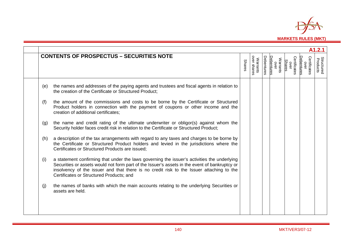

|     | A1.2.1                                                                                                                                                                                                                                                                                                                               |               |                         |                   |                   |                  |                                |                                    |                               |  |
|-----|--------------------------------------------------------------------------------------------------------------------------------------------------------------------------------------------------------------------------------------------------------------------------------------------------------------------------------------|---------------|-------------------------|-------------------|-------------------|------------------|--------------------------------|------------------------------------|-------------------------------|--|
|     | <b>CONTENTS OF PROSPECTUS - SECURITIES NOTE</b>                                                                                                                                                                                                                                                                                      | <b>Shares</b> | over shares<br>Warrants | <b>Debentures</b> | <b>Debentures</b> | Warrants<br>over | Certificates<br>over<br>Shares | Certificates<br>Debentures<br>over | <b>Structured</b><br>Products |  |
| (e) | the names and addresses of the paying agents and trustees and fiscal agents in relation to<br>the creation of the Certificate or Structured Product;                                                                                                                                                                                 |               |                         |                   |                   |                  |                                |                                    |                               |  |
| (f) | the amount of the commissions and costs to be borne by the Certificate or Structured<br>Product holders in connection with the payment of coupons or other income and the<br>creation of additional certificates;                                                                                                                    |               |                         |                   |                   |                  |                                |                                    |                               |  |
| (g) | the name and credit rating of the ultimate underwriter or obligor(s) against whom the<br>Security holder faces credit risk in relation to the Certificate or Structured Product;                                                                                                                                                     |               |                         |                   |                   |                  |                                |                                    |                               |  |
| (h) | a description of the tax arrangements with regard to any taxes and charges to be borne by<br>the Certificate or Structured Product holders and levied in the jurisdictions where the<br>Certificates or Structured Products are issued;                                                                                              |               |                         |                   |                   |                  |                                |                                    |                               |  |
| (i) | a statement confirming that under the laws governing the issuer's activities the underlying<br>Securities or assets would not form part of the Issuer's assets in the event of bankruptcy or<br>insolvency of the issuer and that there is no credit risk to the Issuer attaching to the<br>Certificates or Structured Products; and |               |                         |                   |                   |                  |                                |                                    |                               |  |
| (j) | the names of banks with which the main accounts relating to the underlying Securities or<br>assets are held.                                                                                                                                                                                                                         |               |                         |                   |                   |                  |                                |                                    |                               |  |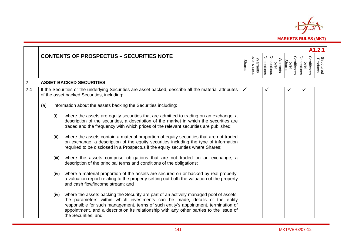

|                |     |       |                                                                                                                                                                                                                                                                                                                                                                             |               |                         |                   |                                |                                       |                                    | A1.2.1                        |
|----------------|-----|-------|-----------------------------------------------------------------------------------------------------------------------------------------------------------------------------------------------------------------------------------------------------------------------------------------------------------------------------------------------------------------------------|---------------|-------------------------|-------------------|--------------------------------|---------------------------------------|------------------------------------|-------------------------------|
|                |     |       | <b>CONTENTS OF PROSPECTUS - SECURITIES NOTE</b>                                                                                                                                                                                                                                                                                                                             | <b>Shares</b> | Warrants<br>over shares | <b>Debentures</b> | Warrants<br>over<br>Debentures | Certificates<br><b>Shares</b><br>over | Certificates<br>Debentures<br>over | <b>Structured</b><br>Products |
| $\overline{7}$ |     |       | <b>ASSET BACKED SECURITIES</b>                                                                                                                                                                                                                                                                                                                                              |               |                         |                   |                                |                                       |                                    |                               |
| 7.1            |     |       | If the Securities or the underlying Securities are asset backed, describe all the material attributes<br>of the asset backed Securities, including:                                                                                                                                                                                                                         |               |                         |                   |                                |                                       |                                    |                               |
|                | (a) |       | information about the assets backing the Securities including:                                                                                                                                                                                                                                                                                                              |               |                         |                   |                                |                                       |                                    |                               |
|                |     | (i)   | where the assets are equity securities that are admitted to trading on an exchange, a<br>description of the securities, a description of the market in which the securities are<br>traded and the frequency with which prices of the relevant securities are published;                                                                                                     |               |                         |                   |                                |                                       |                                    |                               |
|                |     | (ii)  | where the assets contain a material proportion of equity securities that are not traded<br>on exchange, a description of the equity securities including the type of information<br>required to be disclosed in a Prospectus if the equity securities where Shares;                                                                                                         |               |                         |                   |                                |                                       |                                    |                               |
|                |     | (iii) | where the assets comprise obligations that are not traded on an exchange, a<br>description of the principal terms and conditions of the obligations;                                                                                                                                                                                                                        |               |                         |                   |                                |                                       |                                    |                               |
|                |     | (iv)  | where a material proportion of the assets are secured on or backed by real properly,<br>a valuation report relating to the property setting out both the valuation of the property<br>and cash flow/income stream; and                                                                                                                                                      |               |                         |                   |                                |                                       |                                    |                               |
|                |     | (iv)  | where the assets backing the Security are part of an actively managed pool of assets,<br>the parameters within which investments can be made, details of the entity<br>responsible for such management, terms of such entity's appointment, termination of<br>appointment, and a description its relationship with any other parties to the issue of<br>the Securities; and |               |                         |                   |                                |                                       |                                    |                               |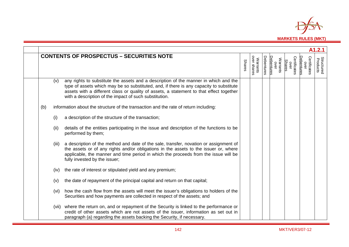

|     |       |                                                                                                                                                                                                                                                                                                                                      |               |                         |            |                                       |                                |                                   | A1.2.1                        |
|-----|-------|--------------------------------------------------------------------------------------------------------------------------------------------------------------------------------------------------------------------------------------------------------------------------------------------------------------------------------------|---------------|-------------------------|------------|---------------------------------------|--------------------------------|-----------------------------------|-------------------------------|
|     |       | <b>CONTENTS OF PROSPECTUS - SECURITIES NOTE</b>                                                                                                                                                                                                                                                                                      | <b>Shares</b> | over shares<br>Warrants | Debentures | <b>Debentures</b><br>Warrants<br>over | Certificates<br>over<br>Shares | Certificates<br>Debenture<br>over | <b>Structured</b><br>Products |
|     | (v)   | any rights to substitute the assets and a description of the manner in which and the<br>type of assets which may be so substituted, and, if there is any capacity to substitute<br>assets with a different class or quality of assets, a statement to that effect together<br>with a description of the impact of such substitution. |               |                         |            |                                       |                                |                                   |                               |
| (b) |       | information about the structure of the transaction and the rate of return including:                                                                                                                                                                                                                                                 |               |                         |            |                                       |                                |                                   |                               |
|     | (i)   | a description of the structure of the transaction;                                                                                                                                                                                                                                                                                   |               |                         |            |                                       |                                |                                   |                               |
|     | (ii)  | details of the entities participating in the issue and description of the functions to be<br>performed by them;                                                                                                                                                                                                                      |               |                         |            |                                       |                                |                                   |                               |
|     | (iii) | a description of the method and date of the sale, transfer, novation or assignment of<br>the assets or of any rights and/or obligations in the assets to the issuer or, where<br>applicable, the manner and time period in which the proceeds from the issue will be<br>fully invested by the issuer;                                |               |                         |            |                                       |                                |                                   |                               |
|     | (iv)  | the rate of interest or stipulated yield and any premium;                                                                                                                                                                                                                                                                            |               |                         |            |                                       |                                |                                   |                               |
|     | (v)   | the date of repayment of the principal capital and return on that capital;                                                                                                                                                                                                                                                           |               |                         |            |                                       |                                |                                   |                               |
|     | (vi)  | how the cash flow from the assets will meet the issuer's obligations to holders of the<br>Securities and how payments are collected in respect of the assets; and                                                                                                                                                                    |               |                         |            |                                       |                                |                                   |                               |
|     | (vii) | where the return on, and or repayment of the Security is linked to the performance or<br>credit of other assets which are not assets of the issuer, information as set out in<br>paragraph (a) regarding the assets backing the Security, if necessary.                                                                              |               |                         |            |                                       |                                |                                   |                               |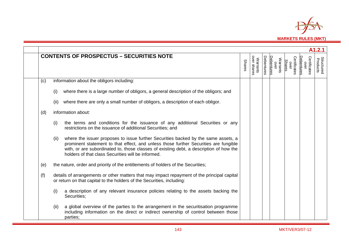

|     |      |                                                                                                                                                                                                                                                                                                                            |               |                         |            |                                |                                | A1.2.1                             |
|-----|------|----------------------------------------------------------------------------------------------------------------------------------------------------------------------------------------------------------------------------------------------------------------------------------------------------------------------------|---------------|-------------------------|------------|--------------------------------|--------------------------------|------------------------------------|
|     |      | <b>CONTENTS OF PROSPECTUS - SECURITIES NOTE</b>                                                                                                                                                                                                                                                                            | <b>Shares</b> | over shares<br>Warrants | Debentures | Debentures<br>Warrants<br>over | Certificates<br>Shares<br>over | Certificates<br>Debentures<br>over |
| (c) |      | information about the obligors including:                                                                                                                                                                                                                                                                                  |               |                         |            |                                |                                |                                    |
|     | (i)  | where there is a large number of obligors, a general description of the obligors; and                                                                                                                                                                                                                                      |               |                         |            |                                |                                |                                    |
|     | (ii) | where there are only a small number of obligors, a description of each obligor.                                                                                                                                                                                                                                            |               |                         |            |                                |                                |                                    |
| (d) |      | information about:                                                                                                                                                                                                                                                                                                         |               |                         |            |                                |                                |                                    |
|     | (i)  | the terms and conditions for the issuance of any additional Securities or any<br>restrictions on the issuance of additional Securities; and                                                                                                                                                                                |               |                         |            |                                |                                |                                    |
|     | (ii) | where the issuer proposes to issue further Securities backed by the same assets, a<br>prominent statement to that effect, and unless those further Securities are fungible<br>with, or are subordinated to, those classes of existing debt, a description of how the<br>holders of that class Securities will be informed. |               |                         |            |                                |                                |                                    |
| (e) |      | the nature, order and priority of the entitlements of holders of the Securities;                                                                                                                                                                                                                                           |               |                         |            |                                |                                |                                    |
| (f) |      | details of arrangements or other matters that may impact repayment of the principal capital<br>or return on that capital to the holders of the Securities, including:                                                                                                                                                      |               |                         |            |                                |                                |                                    |
|     | (i)  | a description of any relevant insurance policies relating to the assets backing the<br>Securities;                                                                                                                                                                                                                         |               |                         |            |                                |                                |                                    |
|     | (ii) | a global overview of the parties to the arrangement in the securitisation programme<br>including information on the direct or indirect ownership of control between those<br>parties;                                                                                                                                      |               |                         |            |                                |                                |                                    |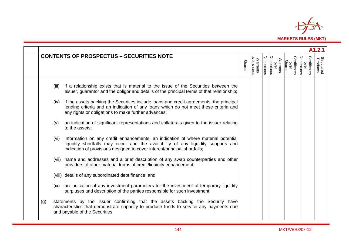

|     |       |                                                                                                                                                                                                                                                     |               |                         |            |                                |                                       |                                   | A <sub>1.2.1</sub>            |
|-----|-------|-----------------------------------------------------------------------------------------------------------------------------------------------------------------------------------------------------------------------------------------------------|---------------|-------------------------|------------|--------------------------------|---------------------------------------|-----------------------------------|-------------------------------|
|     |       | <b>CONTENTS OF PROSPECTUS - SECURITIES NOTE</b>                                                                                                                                                                                                     | <b>Shares</b> | Warrants<br>over shares | Debentures | Debentures<br>Warrants<br>over | Certificates<br>over<br><b>Shares</b> | Certificates<br>Debenture<br>over | <b>Structured</b><br>Products |
|     | (iii) | if a relationship exists that is material to the issue of the Securities between the<br>Issuer, guarantor and the obligor and details of the principal terms of that relationship;                                                                  |               |                         |            |                                |                                       |                                   |                               |
|     | (iv)  | if the assets backing the Securities include loans and credit agreements, the principal<br>lending criteria and an indication of any loans which do not meet these criteria and<br>any rights or obligations to make further advances;              |               |                         |            |                                |                                       |                                   |                               |
|     | (v)   | an indication of significant representations and collaterals given to the issuer relating<br>to the assets;                                                                                                                                         |               |                         |            |                                |                                       |                                   |                               |
|     | (vi)  | information on any credit enhancements, an indication of where material potential<br>liquidity shortfalls may occur and the availability of any liquidity supports and<br>indication of provisions designed to cover interest/principal shortfalls; |               |                         |            |                                |                                       |                                   |                               |
|     |       | (vii) name and addresses and a brief description of any swap counterparties and other<br>providers of other material forms of credit/liquidity enhancement;                                                                                         |               |                         |            |                                |                                       |                                   |                               |
|     |       | (viii) details of any subordinated debt finance; and                                                                                                                                                                                                |               |                         |            |                                |                                       |                                   |                               |
|     | (ix)  | an indication of any investment parameters for the investment of temporary liquidity<br>surpluses and description of the parties responsible for such investment.                                                                                   |               |                         |            |                                |                                       |                                   |                               |
| (g) |       | statements by the issuer confirming that the assets backing the Security have<br>characteristics that demonstrate capacity to produce funds to service any payments due<br>and payable of the Securities;                                           |               |                         |            |                                |                                       |                                   |                               |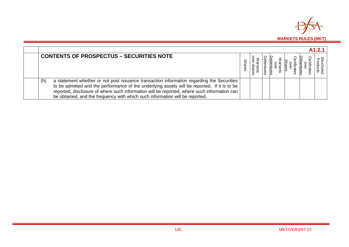

| <b>CONTENTS OF PROSPECTUS - SECURITIES NOTE</b>                                                                                                                                                                                                                                                                                                                                 |  |  |  |  |
|---------------------------------------------------------------------------------------------------------------------------------------------------------------------------------------------------------------------------------------------------------------------------------------------------------------------------------------------------------------------------------|--|--|--|--|
| a statement whether or not post issuance transaction information regarding the Securities<br>(h)<br>to be admitted and the performance of the underlying assets will be reported. If it is to be<br>reported, disclosure of where such information will be reported, where such information can<br>be obtained, and the frequency with which such information will be reported. |  |  |  |  |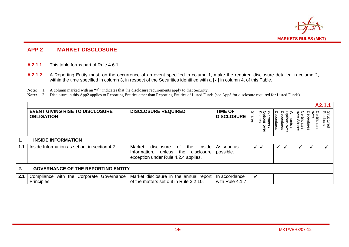

# **APP 2 MARKET DISCLOSURE**

- **A.2.1.1** This table forms part of Rule 4.6.1.
- **A.2.1.2** A Reporting Entity must, on the occurrence of an event specified in column 1, make the required disclosure detailed in column 2, within the time specified in column 3, in respect of the Securities identified with a [v ] in column 4, of this Table.
- **Note:** 1. A column marked with an " $\checkmark$ " indicates that the disclosure requirements apply to that Security.
- Note: 2. Disclosure in this App2 applies to Reporting Entities other than Reporting Entities of Listed Funds (see App3 for disclosure required for Listed Funds).

|     |                                                             |                                                                                                                             |                                     |        |                                      |              |                  |                       |                             | A2.1.1                        |
|-----|-------------------------------------------------------------|-----------------------------------------------------------------------------------------------------------------------------|-------------------------------------|--------|--------------------------------------|--------------|------------------|-----------------------|-----------------------------|-------------------------------|
|     | <b>EVENT GIVING RISE TO DISCLOSURE</b><br><b>OBLIGATION</b> | <b>DISCLOSURE REQUIRED</b>                                                                                                  | <b>TIME OF</b><br><b>DISCLOSURE</b> | Shares | <b>Options</b><br>Shares<br>Warrants | Debentures   | bentures<br>over | tificates<br>r Shares | Φ<br>rtificates<br>pentures | <b>Structured</b><br>Products |
| .1  | <b>INSIDE INFORMATION</b>                                   |                                                                                                                             |                                     |        |                                      |              |                  |                       |                             |                               |
| 1.1 | Inside Information as set out in section 4.2.               | Inside<br>of<br>the<br>Market<br>disclosure<br>Information, unless the<br>disclosure<br>exception under Rule 4.2.4 applies. | As soon as<br>possible.             | ✓      |                                      | $\checkmark$ |                  |                       |                             |                               |
| 2.  | <b>GOVERNANCE OF THE REPORTING ENTITY</b>                   |                                                                                                                             |                                     |        |                                      |              |                  |                       |                             |                               |
| 2.1 | with the Corporate Governance<br>Compliance                 | Market disclosure in the annual report                                                                                      | In accordance                       |        |                                      |              |                  |                       |                             |                               |
|     | Principles.                                                 | of the matters set out in Rule 3.2.10.                                                                                      | with Rule 4.1.7.                    |        |                                      |              |                  |                       |                             |                               |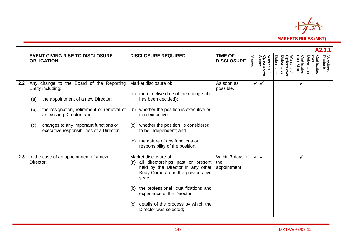

|     |                                                                                                                                                                                                                                                                                          |                                                                                                                                                                                                                                                                                                                |                                         |               |                                      |            |                                               |                             |                                    | A2.1.1                        |
|-----|------------------------------------------------------------------------------------------------------------------------------------------------------------------------------------------------------------------------------------------------------------------------------------------|----------------------------------------------------------------------------------------------------------------------------------------------------------------------------------------------------------------------------------------------------------------------------------------------------------------|-----------------------------------------|---------------|--------------------------------------|------------|-----------------------------------------------|-----------------------------|------------------------------------|-------------------------------|
|     | <b>EVENT GIVING RISE TO DISCLOSURE</b><br><b>OBLIGATION</b>                                                                                                                                                                                                                              | <b>DISCLOSURE REQUIRED</b>                                                                                                                                                                                                                                                                                     | <b>TIME OF</b><br><b>DISCLOSURE</b>     | <b>Shares</b> | Warrants /<br>Options over<br>Shares | Debentures | Options over<br>Debentures<br><b>Warrants</b> | Certificates<br>over Shares | over<br>Certificates<br>Debentures | <b>Structured</b><br>Products |
| 2.2 | Any change to the Board of the Reporting<br>Entity including:<br>the appointment of a new Director;<br>(a)<br>the resignation, retirement or removal of<br>(b)<br>an existing Director; and<br>changes to any important functions or<br>(c)<br>executive responsibilities of a Director. | Market disclosure of:<br>(a) the effective date of the change (if it<br>has been decided);<br>whether the position is executive or<br>(b)<br>non-executive;<br>whether the position is considered<br>(C)<br>to be independent; and<br>the nature of any functions or<br>(d)<br>responsibility of the position. | As soon as<br>possible.                 |               | ✓                                    |            |                                               | $\checkmark$                |                                    |                               |
| 2.3 | In the case of an appointment of a new<br>Director.                                                                                                                                                                                                                                      | Market disclosure of:<br>all directorships past or present<br>(a)<br>held by the Director in any other<br>Body Corporate in the previous five<br>years;<br>the professional qualifications and<br>(b)<br>experience of the Director;<br>details of the process by which the<br>(c)<br>Director was selected;   | Within 7 days of<br>the<br>appointment. | ✓             | $\checkmark$                         |            |                                               | $\checkmark$                |                                    |                               |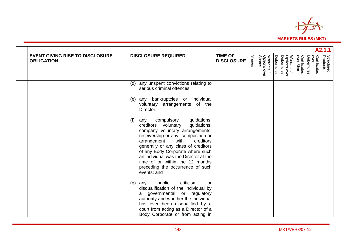

| A2.1.1                                                      |                                                                                                                                                                                                                                                                                                                                                                                                                                                                                                                                                                                |                                     |               |                                            |            |                                          |                             |                                    |                               |  |  |
|-------------------------------------------------------------|--------------------------------------------------------------------------------------------------------------------------------------------------------------------------------------------------------------------------------------------------------------------------------------------------------------------------------------------------------------------------------------------------------------------------------------------------------------------------------------------------------------------------------------------------------------------------------|-------------------------------------|---------------|--------------------------------------------|------------|------------------------------------------|-----------------------------|------------------------------------|-------------------------------|--|--|
| <b>EVENT GIVING RISE TO DISCLOSURE</b><br><b>OBLIGATION</b> | <b>DISCLOSURE REQUIRED</b>                                                                                                                                                                                                                                                                                                                                                                                                                                                                                                                                                     | <b>TIME OF</b><br><b>DISCLOSURE</b> | <b>Shares</b> | Warrants /<br>Options ov<br>Shares<br>over | Debentures | Warrants /<br>Options over<br>Debentures | Certificates<br>over Shares | over<br>Certificates<br>Debentures | <b>Structured</b><br>Products |  |  |
|                                                             | any unspent convictions relating to<br>(d)<br>serious criminal offences;<br>bankruptcies or individual<br>(e)<br>any<br>voluntary arrangements of the<br>Director;<br>compulsory<br>liquidations,<br>(f)<br>any<br>liquidations,<br>creditors voluntary<br>company voluntary arrangements,<br>receivership or any composition or<br>with<br>creditors<br>arrangement<br>generally or any class of creditors<br>of any Body Corporate where such<br>an individual was the Director at the<br>time of or within the 12 months<br>preceding the occurrence of such<br>events; and |                                     |               |                                            |            |                                          |                             |                                    |                               |  |  |
|                                                             | public<br>criticism<br>any<br>(g)<br>or<br>disqualification of the individual by<br>governmental or regulatory<br>a<br>authority and whether the individual<br>has ever been disqualified by a<br>court from acting as a Director of a<br>Body Corporate or from acting in                                                                                                                                                                                                                                                                                                     |                                     |               |                                            |            |                                          |                             |                                    |                               |  |  |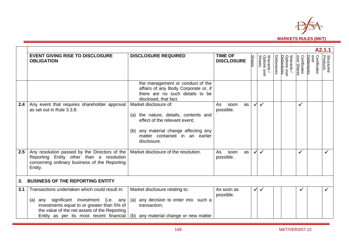

|         | A2.1.1                                                                                                                                                                                                                                    |                                                                                                                                                                                              |                                     |               |                                      |            |                                          |                             |                                    |                               |  |  |
|---------|-------------------------------------------------------------------------------------------------------------------------------------------------------------------------------------------------------------------------------------------|----------------------------------------------------------------------------------------------------------------------------------------------------------------------------------------------|-------------------------------------|---------------|--------------------------------------|------------|------------------------------------------|-----------------------------|------------------------------------|-------------------------------|--|--|
|         | <b>EVENT GIVING RISE TO DISCLOSURE</b><br><b>OBLIGATION</b>                                                                                                                                                                               | <b>DISCLOSURE REQUIRED</b>                                                                                                                                                                   | <b>TIME OF</b><br><b>DISCLOSURE</b> | <b>Shares</b> | Warrants /<br>Options over<br>Shares | Debentures | Warrants /<br>Options over<br>Debentures | Certificates<br>over Shares | over<br>Certificates<br>Debentures | <b>Structured</b><br>Products |  |  |
|         |                                                                                                                                                                                                                                           | the management or conduct of the<br>affairs of any Body Corporate or, if<br>there are no such details to be<br>disclosed, that fact.                                                         |                                     |               |                                      |            |                                          |                             |                                    |                               |  |  |
| 2.4     | Any event that requires shareholder approval<br>as set out in Rule 3.3.8.                                                                                                                                                                 | Market disclosure of:<br>(a) the nature, details, contents and<br>effect of the relevant event;<br>any material change affecting any<br>(b)<br>matter contained in an earlier<br>disclosure. | As<br>soon<br>as<br>possible.       | ✓             | $\checkmark$                         |            |                                          |                             |                                    |                               |  |  |
| 2.5     | Any resolution passed by the Directors of the<br>Reporting Entity other than a resolution<br>concerning ordinary business of the Reporting<br>Entity.                                                                                     | Market disclosure of the resolution.                                                                                                                                                         | As<br>soon<br>as<br>possible.       | $\checkmark$  | $\checkmark$                         |            |                                          | ✓                           |                                    |                               |  |  |
| $3_{-}$ | <b>BUSINESS OF THE REPORTING ENTITY</b>                                                                                                                                                                                                   |                                                                                                                                                                                              |                                     |               |                                      |            |                                          |                             |                                    |                               |  |  |
| 3.1     | Transactions undertaken which could result in:<br>(a) any significant investment (i.e. any<br>investments equal to or greater than 5% of<br>the value of the net assets of the Reporting<br>Entity as per its most recent financial $(b)$ | Market disclosure relating to:<br>any decision to enter into such a<br>(a)<br>transaction;<br>any material change or new matter                                                              | As soon as<br>possible.             | $\checkmark$  |                                      |            |                                          |                             |                                    |                               |  |  |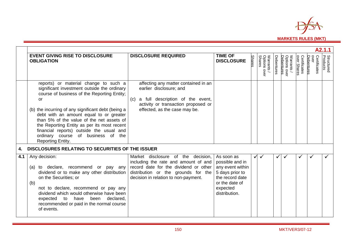

|     | A2.1.1                                                                                                                                                                                                                                                                                                                                                                                                                                        |                                                                                                                                                                                                    |                                                                                                                                        |               |                                         |              |                                                  |                             |                                    |                               |  |  |
|-----|-----------------------------------------------------------------------------------------------------------------------------------------------------------------------------------------------------------------------------------------------------------------------------------------------------------------------------------------------------------------------------------------------------------------------------------------------|----------------------------------------------------------------------------------------------------------------------------------------------------------------------------------------------------|----------------------------------------------------------------------------------------------------------------------------------------|---------------|-----------------------------------------|--------------|--------------------------------------------------|-----------------------------|------------------------------------|-------------------------------|--|--|
|     | <b>EVENT GIVING RISE TO DISCLOSURE</b><br><b>OBLIGATION</b>                                                                                                                                                                                                                                                                                                                                                                                   | <b>DISCLOSURE REQUIRED</b>                                                                                                                                                                         | <b>TIME OF</b><br><b>DISCLOSURE</b>                                                                                                    | <b>Shares</b> | Warrants<br>Options o<br>Shares<br>over | Debentures   | Warrants /<br>Options over<br>Debentures<br>over | Certificates<br>over Shares | over<br>Certificates<br>Debentures | <b>Structured</b><br>Products |  |  |
|     | reports) or material change to such a<br>significant investment outside the ordinary<br>course of business of the Reporting Entity;<br>or<br>(b) the incurring of any significant debt (being a<br>debt with an amount equal to or greater<br>than 5% of the value of the net assets of<br>the Reporting Entity as per its most recent<br>financial reports) outside the usual and<br>ordinary course of business of the<br>Reporting Entity. | affecting any matter contained in an<br>earlier disclosure; and<br>a full description of the event,<br>(C)<br>activity or transaction proposed or<br>effected, as the case may be.                 |                                                                                                                                        |               |                                         |              |                                                  |                             |                                    |                               |  |  |
|     | DISCLOSURES RELATING TO SECURITIES OF THE ISSUER                                                                                                                                                                                                                                                                                                                                                                                              |                                                                                                                                                                                                    |                                                                                                                                        |               |                                         |              |                                                  |                             |                                    |                               |  |  |
| 4.1 | Any decision:<br>(a) to declare, recommend or pay any<br>dividend or to make any other distribution<br>on the Securities; or<br>(b)<br>not to declare, recommend or pay any<br>dividend which would otherwise have been<br>declared,<br>expected<br>to have<br>been<br>recommended or paid in the normal course<br>of events.                                                                                                                 | Market disclosure of the decision,<br>including the rate and amount of and<br>record date for the dividend or other<br>distribution or the grounds for the<br>decision in relation to non-payment. | As soon as<br>possible and in<br>any event within<br>5 days prior to<br>the record date<br>or the date of<br>expected<br>distribution. | $\checkmark$  | $\checkmark$                            | $\checkmark$ | $\checkmark$                                     |                             |                                    |                               |  |  |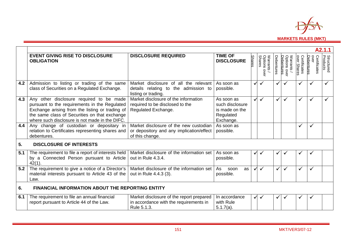

|     |                                                                                                                                                                                                                                                 |                                                                                                       |                                                                           |               |                                         |              |                                        |                             |                                    | A2.1.1                        |
|-----|-------------------------------------------------------------------------------------------------------------------------------------------------------------------------------------------------------------------------------------------------|-------------------------------------------------------------------------------------------------------|---------------------------------------------------------------------------|---------------|-----------------------------------------|--------------|----------------------------------------|-----------------------------|------------------------------------|-------------------------------|
|     | <b>EVENT GIVING RISE TO DISCLOSURE</b><br><b>OBLIGATION</b>                                                                                                                                                                                     | <b>DISCLOSURE REQUIRED</b>                                                                            | <b>TIME OF</b><br><b>DISCLOSURE</b>                                       | <b>Shares</b> | Warrants<br>Options o<br>Shares<br>over | Debentures   | Options over<br>Debentures<br>Warrants | Certificates<br>over Shares | over<br>Certificates<br>Debentures | <b>Structured</b><br>Products |
| 4.2 | Admission to listing or trading of the same<br>class of Securities on a Regulated Exchange.                                                                                                                                                     | Market disclosure of all the relevant<br>details relating to the admission to<br>listing or trading.  | As soon as<br>possible.                                                   | ✓             | $\checkmark$                            | $\checkmark$ |                                        |                             | ✓                                  |                               |
| 4.3 | Any other disclosure required to be made<br>pursuant to the requirements in the Regulated<br>Exchange arising from the listing or trading of<br>the same class of Securities on that exchange<br>where such disclosure is not made in the DIFC. | Market disclosure of the information<br>required to be disclosed to the<br>Regulated Exchange.        | As soon as<br>such disclosure<br>is made on the<br>Regulated<br>Exchange. | ✓             | $\checkmark$                            | $\checkmark$ | ✓                                      |                             | ✓                                  |                               |
| 4.4 | Any change of custodian or depositary in<br>relation to Certificates representing shares and<br>debentures.                                                                                                                                     | Market disclosure of the new custodian<br>or depository and any implication/effect<br>of this change. | As soon as<br>possible.                                                   |               |                                         |              |                                        | $\checkmark$                | ✓                                  |                               |
| 5.  | <b>DISCLOSURE OF INTERESTS</b>                                                                                                                                                                                                                  |                                                                                                       |                                                                           |               |                                         |              |                                        |                             |                                    |                               |
| 5.1 | The requirement to file a report of interests held<br>by a Connected Person pursuant to Article<br>$42(1)$ .                                                                                                                                    | Market disclosure of the information set<br>out in Rule 4.3.4.                                        | As soon as<br>possible.                                                   | ✓             |                                         | √            |                                        |                             | ✓                                  |                               |
| 5.2 | The requirement to give a notice of a Director's<br>material interests pursuant to Article 43 of the<br>Law.                                                                                                                                    | Market disclosure of the information set<br>out in Rule 4.4.3 (3).                                    | As<br>soon<br>as<br>possible.                                             | $\checkmark$  | $\checkmark$                            | $\checkmark$ | $\checkmark$                           |                             | $\checkmark$                       |                               |
| 6.  | <b>FINANCIAL INFORMATION ABOUT THE REPORTING ENTITY</b>                                                                                                                                                                                         |                                                                                                       |                                                                           |               |                                         |              |                                        |                             |                                    |                               |
| 6.1 | The requirement to file an annual financial<br>report pursuant to Article 44 of the Law.                                                                                                                                                        | Market disclosure of the report prepared<br>in accordance with the requirements in<br>Rule 5.1.3.     | In accordance<br>with Rule<br>$5.1.7(a)$ .                                | $\checkmark$  | $\checkmark$                            | ✔            |                                        |                             | ✓                                  |                               |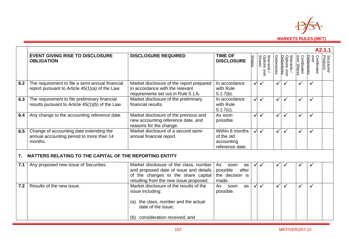

|     |                                                                                                    |                                                                                                                                                                    |                                                                   |               |                                      |              |                                                  |                             |                                    | A2.1.1                        |
|-----|----------------------------------------------------------------------------------------------------|--------------------------------------------------------------------------------------------------------------------------------------------------------------------|-------------------------------------------------------------------|---------------|--------------------------------------|--------------|--------------------------------------------------|-----------------------------|------------------------------------|-------------------------------|
|     | <b>EVENT GIVING RISE TO DISCLOSURE</b><br><b>OBLIGATION</b>                                        | <b>DISCLOSURE REQUIRED</b>                                                                                                                                         | <b>TIME OF</b><br><b>DISCLOSURE</b>                               | <b>Shares</b> | Warrants /<br>Options over<br>Shares | Debentures   | Warrants /<br>Options over<br>Debentures<br>ovel | Certificates<br>over Shares | over<br>Certificates<br>Debentures | <b>Structured</b><br>Products |
| 6.2 | The requirement to file a semi-annual financial<br>report pursuant to Article 45(1)(a) of the Law. | Market disclosure of the report prepared<br>in accordance with the relevant<br>requirements set out in Rule 5.1.6.                                                 | In accordance<br>with Rule<br>$5.1.7(b)$ .                        | $\checkmark$  | $\checkmark$                         | $\checkmark$ | ✓                                                | ✓                           | $\checkmark$                       |                               |
| 6.3 | The requirement to file preliminary financial<br>results pursuant to Article 45(1)(b) of the Law.  | Market disclosure of the preliminary<br>financial results.                                                                                                         | In accordance<br>with Rule<br>$5.1.7(c)$ .                        | ✓             | $\checkmark$                         | $\checkmark$ | $\checkmark$                                     | ✓                           | $\checkmark$                       |                               |
| 6.4 | Any change to the accounting reference date.                                                       | Market disclosure of the previous and<br>new accounting reference date, and<br>reasons for the change.                                                             | As soon<br>possible.                                              | $\checkmark$  |                                      | $\checkmark$ | ✓                                                | ✓                           | $\checkmark$                       |                               |
| 6.5 | Change of accounting date extending the<br>annual accounting period to more than 14<br>months.     | Market disclosure of a second semi-<br>annual financial report.                                                                                                    | Within 6 months<br>of the old<br>accounting<br>reference date.    | $\checkmark$  | $\checkmark$                         | $\checkmark$ | ✓                                                | ✓                           | $\checkmark$                       |                               |
| 7.  | <b>MATTERS RELATING TO THE CAPITAL OF THE REPORTING ENTITY</b>                                     |                                                                                                                                                                    |                                                                   |               |                                      |              |                                                  |                             |                                    |                               |
| 7.1 | Any proposed new issue of Securities.                                                              | Market disclosure of the class, number<br>and proposed date of issue and details<br>of the changes to the share capital<br>resulting from the new issue proposed.  | As<br>soon<br>as<br>after<br>possible<br>the decision is<br>made. | $\checkmark$  |                                      | $\checkmark$ |                                                  |                             | $\checkmark$                       |                               |
| 7.2 | Results of the new issue.                                                                          | Market disclosure of the results of the<br>issue including:<br>the class, number and the actual<br>(a)<br>date of the issue;<br>consideration received; and<br>(b) | As<br>soon<br>as<br>possible.                                     | $\checkmark$  | $\checkmark$                         | $\checkmark$ | ✓                                                | ✓                           | $\checkmark$                       |                               |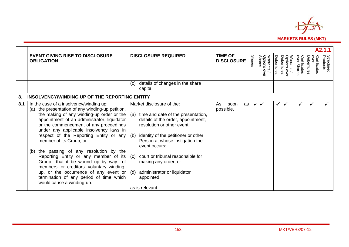

|     |                                                                                                                                                                                                                                                                                                                                                                                                                                                                                                                                                                                                                                                |                                                                                                                                                                                                                                                                                                                                                                                         |                                     |               |                                         |            |                                                 |                             |                                    | A2.1.1                        |
|-----|------------------------------------------------------------------------------------------------------------------------------------------------------------------------------------------------------------------------------------------------------------------------------------------------------------------------------------------------------------------------------------------------------------------------------------------------------------------------------------------------------------------------------------------------------------------------------------------------------------------------------------------------|-----------------------------------------------------------------------------------------------------------------------------------------------------------------------------------------------------------------------------------------------------------------------------------------------------------------------------------------------------------------------------------------|-------------------------------------|---------------|-----------------------------------------|------------|-------------------------------------------------|-----------------------------|------------------------------------|-------------------------------|
|     | <b>EVENT GIVING RISE TO DISCLOSURE</b><br><b>OBLIGATION</b>                                                                                                                                                                                                                                                                                                                                                                                                                                                                                                                                                                                    | <b>DISCLOSURE REQUIRED</b>                                                                                                                                                                                                                                                                                                                                                              | <b>TIME OF</b><br><b>DISCLOSURE</b> | <b>Shares</b> | Warrants<br>Options o<br>Shares<br>over | Debentures | Options ove<br>Debentures<br>Warrants /<br>over | Certificates<br>over Shares | over<br>Certificates<br>Debentures | <b>Structured</b><br>Products |
|     |                                                                                                                                                                                                                                                                                                                                                                                                                                                                                                                                                                                                                                                | details of changes in the share<br>(c)<br>capital.                                                                                                                                                                                                                                                                                                                                      |                                     |               |                                         |            |                                                 |                             |                                    |                               |
| 8.  | INSOLVENCY/WINDING UP OF THE REPORTING ENTITY                                                                                                                                                                                                                                                                                                                                                                                                                                                                                                                                                                                                  |                                                                                                                                                                                                                                                                                                                                                                                         |                                     |               |                                         |            |                                                 |                             |                                    |                               |
| 8.1 | In the case of a insolvency/winding up:<br>(a) the presentation of any winding-up petition,<br>the making of any winding-up order or the<br>appointment of an administrator, liquidator<br>or the commencement of any proceedings<br>under any applicable insolvency laws in<br>respect of the Reporting Entity or any<br>member of its Group; or<br>the passing of any resolution by the<br>(b)<br>Reporting Entity or any member of its<br>Group that it be wound up by way of<br>members' or creditors' voluntary winding-<br>up, or the occurrence of any event or<br>termination of any period of time which<br>would cause a winding-up. | Market disclosure of the:<br>time and date of the presentation,<br>(a)<br>details of the order, appointment,<br>resolution or other event;<br>identity of the petitioner or other<br>(b)<br>Person at whose instigation the<br>event occurs;<br>court or tribunal responsible for<br>(c)<br>making any order; or<br>administrator or liquidator<br>(d)<br>appointed,<br>as is relevant. | As<br>soon<br>as<br>possible.       | ✓             | $\checkmark$                            | ✓          |                                                 |                             | ✔                                  |                               |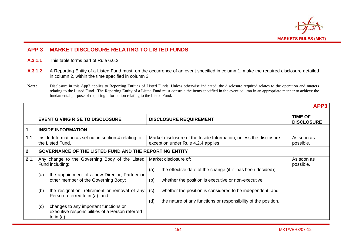

# **APP 3 MARKET DISCLOSURE RELATING TO LISTED FUNDS**

- **A.3.1.1** This table forms part of Rule 6.6.2.
- **A.3.1.2** A Reporting Entity of a Listed Fund must, on the occurrence of an event specified in column 1, make the required disclosure detailed in column 2, within the time specified in column 3.
- Note: Disclosure in this App3 applies to Reporting Entities of Listed Funds. Unless otherwise indicated, the disclosure required relates to the operation and matters relating to the Listed Fund. The Reporting Entity of a Listed Fund must construe the items specified in the event column in an appropriate manner to achieve the fundamental purpose of requiring information relating to the Listed Fund.

|      |                                                                                                                                                                                                                                                                                                                                                                                |                                                                                                                                                                                                                                                                                                       | APP3                                |  |  |  |
|------|--------------------------------------------------------------------------------------------------------------------------------------------------------------------------------------------------------------------------------------------------------------------------------------------------------------------------------------------------------------------------------|-------------------------------------------------------------------------------------------------------------------------------------------------------------------------------------------------------------------------------------------------------------------------------------------------------|-------------------------------------|--|--|--|
|      | <b>EVENT GIVING RISE TO DISCLOSURE</b>                                                                                                                                                                                                                                                                                                                                         | <b>DISCLOSURE REQUIREMENT</b>                                                                                                                                                                                                                                                                         | <b>TIME OF</b><br><b>DISCLOSURE</b> |  |  |  |
| 1.   | <b>INSIDE INFORMATION</b>                                                                                                                                                                                                                                                                                                                                                      |                                                                                                                                                                                                                                                                                                       |                                     |  |  |  |
| 1.1  | Inside Information as set out in section 4 relating to<br>the Listed Fund.                                                                                                                                                                                                                                                                                                     | Market disclosure of the Inside Information, unless the disclosure<br>exception under Rule 4.2.4 applies.                                                                                                                                                                                             | As soon as<br>possible.             |  |  |  |
| 2.   | <b>GOVERNANCE OF THE LISTED FUND AND THE REPORTING ENTITY</b>                                                                                                                                                                                                                                                                                                                  |                                                                                                                                                                                                                                                                                                       |                                     |  |  |  |
| 2.1. | Any change to the Governing Body of the Listed<br>Fund including:<br>the appointment of a new Director, Partner or<br>(a)<br>other member of the Governing Body;<br>(b)<br>the resignation, retirement or removal of any<br>Person referred to in (a); and<br>changes to any important functions or<br>(c)<br>executive responsibilities of a Person referred<br>to in $(a)$ . | Market disclosure of:<br>the effective date of the change (if it has been decided);<br>(a)<br>(b)<br>whether the position is executive or non-executive;<br>whether the position is considered to be independent; and<br>(c)<br>the nature of any functions or responsibility of the position.<br>(d) | As soon as<br>possible.             |  |  |  |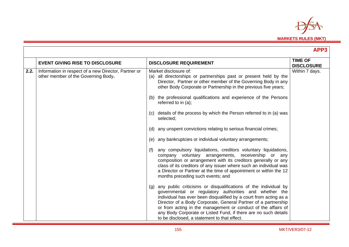

|      |                                                                                             |                                                                                                                                                                                                                                                                                                                                                                                                                                                             | APP3                                |
|------|---------------------------------------------------------------------------------------------|-------------------------------------------------------------------------------------------------------------------------------------------------------------------------------------------------------------------------------------------------------------------------------------------------------------------------------------------------------------------------------------------------------------------------------------------------------------|-------------------------------------|
|      | <b>EVENT GIVING RISE TO DISCLOSURE</b>                                                      | <b>DISCLOSURE REQUIREMENT</b>                                                                                                                                                                                                                                                                                                                                                                                                                               | <b>TIME OF</b><br><b>DISCLOSURE</b> |
| 2.2. | Information in respect of a new Director, Partner or<br>other member of the Governing Body. | Market disclosure of:<br>(a) all directorships or partnerships past or present held by the<br>Director, Partner or other member of the Governing Body in any<br>other Body Corporate or Partnership in the previous five years;                                                                                                                                                                                                                             | Within 7 days.                      |
|      |                                                                                             | the professional qualifications and experience of the Persons<br>(b)<br>referred to in $(a)$ ;                                                                                                                                                                                                                                                                                                                                                              |                                     |
|      |                                                                                             | details of the process by which the Person referred to in (a) was<br>(C)<br>selected;                                                                                                                                                                                                                                                                                                                                                                       |                                     |
|      |                                                                                             | any unspent convictions relating to serious financial crimes;<br>(d)                                                                                                                                                                                                                                                                                                                                                                                        |                                     |
|      |                                                                                             | any bankruptcies or individual voluntary arrangements;<br>(e)                                                                                                                                                                                                                                                                                                                                                                                               |                                     |
|      |                                                                                             | any compulsory liquidations, creditors voluntary liquidations,<br>(f)<br>company voluntary arrangements, receivership or any<br>composition or arrangement with its creditors generally or any<br>class of its creditors of any issuer where such an individual was<br>a Director or Partner at the time of appointment or within the 12<br>months preceding such events; and                                                                               |                                     |
|      |                                                                                             | any public criticisms or disqualifications of the individual by<br>(q)<br>governmental or regulatory authorities and whether the<br>individual has ever been disqualified by a court from acting as a<br>Director of a Body Corporate, General Partner of a partnership<br>or from acting in the management or conduct of the affairs of<br>any Body Corporate or Listed Fund, if there are no such details<br>to be disclosed, a statement to that effect. |                                     |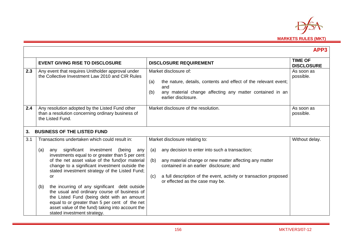

|     |                                                                                                                                                                                                                                                                                         |                                                                                                                                                                                                  | APP3                                |
|-----|-----------------------------------------------------------------------------------------------------------------------------------------------------------------------------------------------------------------------------------------------------------------------------------------|--------------------------------------------------------------------------------------------------------------------------------------------------------------------------------------------------|-------------------------------------|
|     | <b>EVENT GIVING RISE TO DISCLOSURE</b>                                                                                                                                                                                                                                                  | <b>DISCLOSURE REQUIREMENT</b>                                                                                                                                                                    | <b>TIME OF</b><br><b>DISCLOSURE</b> |
| 2.3 | Any event that requires Unitholder approval under<br>the Collective Investment Law 2010 and CIR Rules                                                                                                                                                                                   | Market disclosure of:<br>the nature, details, contents and effect of the relevant event;<br>(a)<br>and<br>any material change affecting any matter contained in an<br>(b)<br>earlier disclosure. | As soon as<br>possible.             |
| 2.4 | Any resolution adopted by the Listed Fund other<br>than a resolution concerning ordinary business of<br>the Listed Fund.                                                                                                                                                                | Market disclosure of the resolution.                                                                                                                                                             | As soon as<br>possible.             |
| 3.  | <b>BUSINESS OF THE LISTED FUND</b>                                                                                                                                                                                                                                                      |                                                                                                                                                                                                  |                                     |
| 3.1 | Transactions undertaken which could result in:                                                                                                                                                                                                                                          | Market disclosure relating to:                                                                                                                                                                   | Without delay.                      |
|     | significant investment (being<br>(a)<br>any<br>any<br>investments equal to or greater than 5 per cent<br>of the net asset value of the fund) or material                                                                                                                                | any decision to enter into such a transaction;<br>(a)<br>any material change or new matter affecting any matter<br>(b)                                                                           |                                     |
|     | change to a significant investment outside the<br>stated investment strategy of the Listed Fund;                                                                                                                                                                                        | contained in an earlier disclosure; and                                                                                                                                                          |                                     |
|     | or                                                                                                                                                                                                                                                                                      | a full description of the event, activity or transaction proposed<br>(c)<br>or effected as the case may be.                                                                                      |                                     |
|     | the incurring of any significant debt outside<br>(b)<br>the usual and ordinary course of business of<br>the Listed Fund (being debt with an amount<br>equal to or greater than 5 per cent of the net<br>asset value of the fund) taking into account the<br>stated investment strategy. |                                                                                                                                                                                                  |                                     |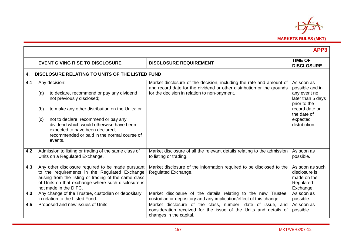

|     |                                                                                                                                                                                                                                                                                                                                                  |                                                                                                                                                                                              | APP3                                                                                                                                             |
|-----|--------------------------------------------------------------------------------------------------------------------------------------------------------------------------------------------------------------------------------------------------------------------------------------------------------------------------------------------------|----------------------------------------------------------------------------------------------------------------------------------------------------------------------------------------------|--------------------------------------------------------------------------------------------------------------------------------------------------|
|     | <b>EVENT GIVING RISE TO DISCLOSURE</b>                                                                                                                                                                                                                                                                                                           | <b>DISCLOSURE REQUIREMENT</b>                                                                                                                                                                | <b>TIME OF</b><br><b>DISCLOSURE</b>                                                                                                              |
| 4.  | DISCLOSURE RELATING TO UNITS OF THE LISTED FUND                                                                                                                                                                                                                                                                                                  |                                                                                                                                                                                              |                                                                                                                                                  |
| 4.1 | Any decision:<br>to declare, recommend or pay any dividend<br>(a)<br>not previously disclosed;<br>to make any other distribution on the Units; or<br>(b)<br>not to declare, recommend or pay any<br>(c)<br>dividend which would otherwise have been<br>expected to have been declared,<br>recommended or paid in the normal course of<br>events. | Market disclosure of the decision, including the rate and amount of<br>and record date for the dividend or other distribution or the grounds<br>for the decision in relation to non-payment. | As soon as<br>possible and in<br>any event no<br>later than 5 days<br>prior to the<br>record date or<br>the date of<br>expected<br>distribution. |
| 4.2 | Admission to listing or trading of the same class of<br>Units on a Regulated Exchange.                                                                                                                                                                                                                                                           | Market disclosure of all the relevant details relating to the admission<br>to listing or trading.                                                                                            | As soon as<br>possible.                                                                                                                          |
| 4.3 | Any other disclosure required to be made pursuant<br>to the requirements in the Regulated Exchange<br>arising from the listing or trading of the same class<br>of Units on that exchange where such disclosure is<br>not made in the DIFC.                                                                                                       | Market disclosure of the information required to be disclosed to the<br>Regulated Exchange.                                                                                                  | As soon as such<br>disclosure is<br>made on the<br>Regulated<br>Exchange.                                                                        |
| 4.3 | Any change of the Trustee, custodian or depositary<br>in relation to the Listed Fund.                                                                                                                                                                                                                                                            | Market disclosure of the details relating to the new Trustee,<br>custodian or depository and any implication/effect of this change.                                                          | As soon as<br>possible.                                                                                                                          |
| 4.5 | Proposed and new issues of Units.                                                                                                                                                                                                                                                                                                                | Market disclosure of the class, number, date of issue, and<br>consideration received for the issue of the Units and details of<br>changes in the capital.                                    | As soon as<br>possible.                                                                                                                          |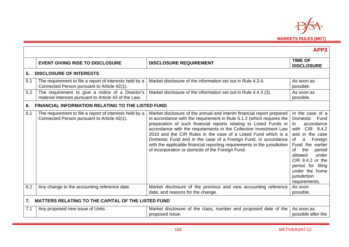

|     |                                                                                                           |                                                                                                                                                                                                                                                                                                                                                                                                                                                                                                                                                              | APP3                                                                                                                                                                                                                                                                               |
|-----|-----------------------------------------------------------------------------------------------------------|--------------------------------------------------------------------------------------------------------------------------------------------------------------------------------------------------------------------------------------------------------------------------------------------------------------------------------------------------------------------------------------------------------------------------------------------------------------------------------------------------------------------------------------------------------------|------------------------------------------------------------------------------------------------------------------------------------------------------------------------------------------------------------------------------------------------------------------------------------|
|     | <b>EVENT GIVING RISE TO DISCLOSURE</b>                                                                    | <b>DISCLOSURE REQUIREMENT</b>                                                                                                                                                                                                                                                                                                                                                                                                                                                                                                                                | <b>TIME OF</b><br><b>DISCLOSURE</b>                                                                                                                                                                                                                                                |
| 5.  | <b>DISCLOSURE OF INTERESTS</b>                                                                            |                                                                                                                                                                                                                                                                                                                                                                                                                                                                                                                                                              |                                                                                                                                                                                                                                                                                    |
| 5.1 | The requirement to file a report of interests held by a<br>Connected Person pursuant to Article 42(1).    | Market disclosure of the information set out in Rule 4.3.4.                                                                                                                                                                                                                                                                                                                                                                                                                                                                                                  | As soon as<br>possible.                                                                                                                                                                                                                                                            |
| 5.2 | The requirement to give a notice of a Director's<br>material interests pursuant to Article 43 of the Law. | Market disclosure of the information set out in Rule 4.4.3 (3).                                                                                                                                                                                                                                                                                                                                                                                                                                                                                              | As soon as<br>possible.                                                                                                                                                                                                                                                            |
| 6.  | <b>FINANCIAL INFORMATION RELATING TO THE LISTED FUND</b>                                                  |                                                                                                                                                                                                                                                                                                                                                                                                                                                                                                                                                              |                                                                                                                                                                                                                                                                                    |
| 6.1 | The requirement to file a report of interests held by a<br>Connected Person pursuant to Article 42(1).    | Market disclosure of the annual and interim financial report prepared<br>in accordance with the requirement in Rule 5.1.2 (which requires the<br>preparation of such financial reports relating to Listed Funds in<br>accordance with the requirements in the Collective Investment Law<br>2010 and the CIR Rules in the case of a Listed Fund which is a<br>Domestic Fund and in the case of a Foreign Fund, in accordance<br>with the applicable financial reporting requirements in the jurisdiction<br>of incorporation or domicile of the Foreign Fund. | In the case of a<br>Domestic<br>Fund<br>accordance<br>in.<br>CIR 9.4.2<br>with<br>and in the case<br>a<br>of<br>Foreign<br>Fund the earlier<br>Ωf<br>the<br>period<br>allowed<br>under<br>CIR 9.4.2 or the<br>period for filing<br>under the home<br>jurisdiction<br>requirements. |
| 6.2 | Any change to the accounting reference date.                                                              | Market disclosure of the previous and new accounting reference<br>date, and reasons for the change.                                                                                                                                                                                                                                                                                                                                                                                                                                                          | As soon<br>possible.                                                                                                                                                                                                                                                               |
| 7.  | <b>MATTERS RELATING TO THE CAPITAL OF THE LISTED FUND</b>                                                 |                                                                                                                                                                                                                                                                                                                                                                                                                                                                                                                                                              |                                                                                                                                                                                                                                                                                    |
| 7.1 | Any proposed new issue of Units.                                                                          | Market disclosure of the class, number and proposed date of the<br>proposed issue.                                                                                                                                                                                                                                                                                                                                                                                                                                                                           | As soon as<br>possible after the                                                                                                                                                                                                                                                   |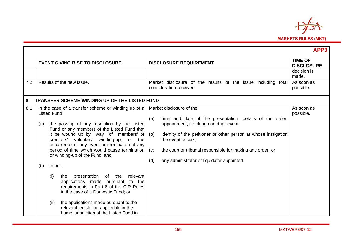

|     |                                                                                                                                                                                                                                                                                                                                                                                                                                                                                                                                                                                                                                                                                                                                      |                                                                                                                                                                                                                                                                                                                                                                  | APP3                                |
|-----|--------------------------------------------------------------------------------------------------------------------------------------------------------------------------------------------------------------------------------------------------------------------------------------------------------------------------------------------------------------------------------------------------------------------------------------------------------------------------------------------------------------------------------------------------------------------------------------------------------------------------------------------------------------------------------------------------------------------------------------|------------------------------------------------------------------------------------------------------------------------------------------------------------------------------------------------------------------------------------------------------------------------------------------------------------------------------------------------------------------|-------------------------------------|
|     | <b>EVENT GIVING RISE TO DISCLOSURE</b>                                                                                                                                                                                                                                                                                                                                                                                                                                                                                                                                                                                                                                                                                               | <b>DISCLOSURE REQUIREMENT</b>                                                                                                                                                                                                                                                                                                                                    | <b>TIME OF</b><br><b>DISCLOSURE</b> |
|     |                                                                                                                                                                                                                                                                                                                                                                                                                                                                                                                                                                                                                                                                                                                                      |                                                                                                                                                                                                                                                                                                                                                                  | decision is<br>made.                |
| 7.2 | Results of the new issue.                                                                                                                                                                                                                                                                                                                                                                                                                                                                                                                                                                                                                                                                                                            | Market disclosure of the results of the issue including<br>total<br>consideration received.                                                                                                                                                                                                                                                                      | As soon as<br>possible.             |
| 8.  | <b>TRANSFER SCHEME/WINDING UP OF THE LISTED FUND</b>                                                                                                                                                                                                                                                                                                                                                                                                                                                                                                                                                                                                                                                                                 |                                                                                                                                                                                                                                                                                                                                                                  |                                     |
| 8.1 | In the case of a transfer scheme or winding up of a<br><b>Listed Fund:</b><br>the passing of any resolution by the Listed<br>(a)<br>Fund or any members of the Listed Fund that<br>it be wound up by way of members' or<br>creditors' voluntary winding-up, or the<br>occurrence of any event or termination of any<br>period of time which would cause termination<br>or winding-up of the Fund; and<br>either:<br>(b)<br>presentation of the<br>relevant<br>(i)<br>the<br>applications made pursuant to the<br>requirements in Part 8 of the CIR Rules<br>in the case of a Domestic Fund; or<br>the applications made pursuant to the<br>(ii)<br>relevant legislation applicable in the<br>home jurisdiction of the Listed Fund in | Market disclosure of the:<br>time and date of the presentation, details of the order,<br>(a)<br>appointment, resolution or other event;<br>identity of the petitioner or other person at whose instigation<br>(b)<br>the event occurs;<br>the court or tribunal responsible for making any order; or<br>(c)<br>(d)<br>any administrator or liquidator appointed. | As soon as<br>possible.             |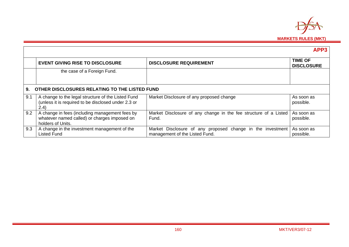

|     |                                                                                                                     |                                                                                              | APP3                                |
|-----|---------------------------------------------------------------------------------------------------------------------|----------------------------------------------------------------------------------------------|-------------------------------------|
|     | <b>EVENT GIVING RISE TO DISCLOSURE</b>                                                                              | <b>DISCLOSURE REQUIREMENT</b>                                                                | <b>TIME OF</b><br><b>DISCLOSURE</b> |
|     | the case of a Foreign Fund.                                                                                         |                                                                                              |                                     |
| 9.  | OTHER DISCLOSURES RELATING TO THE LISTED FUND                                                                       |                                                                                              |                                     |
| 9.1 | A change to the legal structure of the Listed Fund<br>(unless it is required to be disclosed under 2.3 or<br>(2.4)  | Market Disclosure of any proposed change                                                     | As soon as<br>possible.             |
| 9.2 | A change in fees (including management fees by<br>whatever named called) or charges imposed on<br>holders of Units. | Market Disclosure of any change in the fee structure of a Listed<br>Fund.                    | As soon as<br>possible.             |
| 9.3 | A change in the investment management of the<br><b>Listed Fund</b>                                                  | Market Disclosure of any proposed change in the investment<br>management of the Listed Fund. | As soon as<br>possible.             |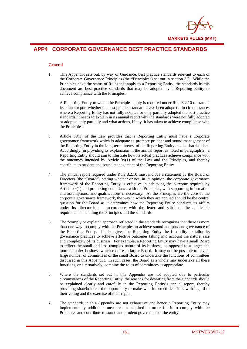

# **APP4 CORPORATE GOVERNANCE BEST PRACTICE STANDARDS**

## **General**

- 1. This Appendix sets out, by way of Guidance, best practice standards relevant to each of the Corporate Governance Principles (the "Principles") set out in section 3.2. While the Principles have the status of Rules that apply to a Reporting Entity, the standards in this document are best practice standards that may be adopted by a Reporting Entity to achieve compliance with the Principles.
- 2. A Reporting Entity to which the Principles apply is required under Rule 3.2.10 to state in its annual report whether the best practice standards have been adopted. In circumstances where a Reporting Entity has not fully adopted or only partially adopted the best practice standards, it needs to explain in its annual report why the standards were not fully adopted or adopted only partially and what actions, if any, it has taken to achieve compliance with the Principles.
- 3. Article 39(1) of the Law provides that a Reporting Entity must have a corporate governance framework which is adequate to promote prudent and sound management of the Reporting Entity in the long-term interest of the Reporting Entity and its shareholders. Accordingly, in providing its explanation in the annual report as noted in paragraph 2,, a Reporting Entity should aim to illustrate how its actual practices achieve compliance with the outcomes intended by Article 39(1) of the Law and the Principles, and thereby contribute to prudent and sound management of the Reporting Entity.
- 4. The annual report required under Rule 3.2.10 must include a statement by the Board of Directors (the "Board"), stating whether or not, in its opinion, the corporate governance framework of the Reporting Entity is effective in achieving the outcome required by Article 39(1) and promoting compliance with the Principles, with supporting information and assumptions, and qualifications if necessary. As the Principles are the core of the corporate governance framework, the way in which they are applied should be the central question for the Board as it determines how the Reporting Entity conducts its affairs under its directorship in accordance with the letter and spirit of the applicable requirements including the Principles and the standards.
- 5. The "comply or explain" approach reflected in the standards recognises that there is more than one way to comply with the Principles to achieve sound and prudent governance of the Reporting Entity. It also gives the Reporting Entity the flexibility to tailor its governance practices to achieve effective outcomes taking into account the nature, size and complexity of its business. For example, a Reporting Entity may have a small Board to reflect the small and less complex nature of its business, as opposed to a larger and more complex business which requires a larger Board. It may not be possible to have a large number of committees of the small Board to undertake the functions of committees discussed in this Appendix. In such cases, the Board as a whole may undertake all these functions, or alternatively, combine the roles of committees as appropriate.
- 6. Where the standards set out in this Appendix are not adopted due to particular circumstances of the Reporting Entity, the reasons for deviating from the standards should be explained clearly and carefully in the Reporting Entity's annual report, thereby providing shareholders' the opportunity to make well informed decisions with regard to their voting and the exercise of their rights.
- 7. The standards in this Appendix are not exhaustive and hence a Reporting Entity may implement any additional measures as required in order for it to comply with the Principles and contribute to sound and prudent governance of the entity.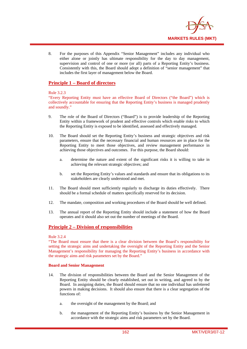

8. For the purposes of this Appendix "Senior Management" includes any individual who either alone or jointly has ultimate responsibility for the day to day management, supervision and control of one or more (or all) parts of a Reporting Entity's business. Consistently with this, the Board should adopt a definition of "senior management" that includes the first layer of management below the Board.

# **Principle 1 – Board of directors**

## Rule 3.2.3

"Every Reporting Entity must have an effective Board of Directors ("the Board") which is collectively accountable for ensuring that the Reporting Entity's business is managed prudently and soundly."

- 9. The role of the Board of Directors ("Board") is to provide leadership of the Reporting Entity within a framework of prudent and effective controls which enable risks to which the Reporting Entity is exposed to be identified, assessed and effectively managed.
- 10. The Board should set the Reporting Entity's business and strategic objectives and risk parameters, ensure that the necessary financial and human resources are in place for the Reporting Entity to meet those objectives, and review management performance in achieving those objectives and outcomes. For this purpose, the Board should:
	- a. determine the nature and extent of the significant risks it is willing to take in achieving the relevant strategic objectives; and
	- b. set the Reporting Entity's values and standards and ensure that its obligations to its stakeholders are clearly understood and met.
- 11. The Board should meet sufficiently regularly to discharge its duties effectively. There should be a formal schedule of matters specifically reserved for its decision.
- 12. The mandate, composition and working procedures of the Board should be well defined.
- 13. The annual report of the Reporting Entity should include a statement of how the Board operates and it should also set out the number of meetings of the Board.

# **Principle 2 – Division of responsibilities**

## Rule 3.2.4

"The Board must ensure that there is a clear division between the Board's responsibility for setting the strategic aims and undertaking the oversight of the Reporting Entity and the Senior Management's responsibility for managing the Reporting Entity's business in accordance with the strategic aims and risk parameters set by the Board."

## **Board and Senior Management**

- 14. The division of responsibilities between the Board and the Senior Management of the Reporting Entity should be clearly established, set out in writing, and agreed to by the Board. In assigning duties, the Board should ensure that no one individual has unfettered powers in making decisions. It should also ensure that there is a clear segregation of the functions of:
	- a. the oversight of the management by the Board; and
	- b. the management of the Reporting Entity's business by the Senior Management in accordance with the strategic aims and risk parameters set by the Board.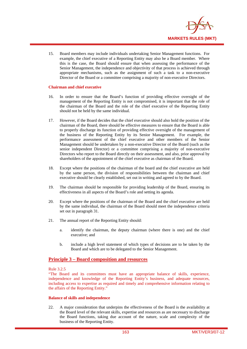

15. Board members may include individuals undertaking Senior Management functions. For example, the chief executive of a Reporting Entity may also be a Board member. Where this is the case, the Board should ensure that when assessing the performance of the Senior Management, the independence and objectivity of that process is achieved through appropriate mechanisms, such as the assignment of such a task to a non-executive Director of the Board or a committee comprising a majority of non-executive Directors.

### **Chairman and chief executive**

- 16. In order to ensure that the Board's function of providing effective oversight of the management of the Reporting Entity is not compromised, it is important that the role of the chairman of the Board and the role of the chief executive of the Reporting Entity should not be held by the same individual.
- 17. However, if the Board decides that the chief executive should also hold the position of the chairman of the Board, there should be effective measures to ensure that the Board is able to properly discharge its function of providing effective oversight of the management of the business of the Reporting Entity by its Senior Management. For example, the performance assessment of the chief executive and other members of the Senior Management should be undertaken by a non-executive Director of the Board (such as the senior independent Director) or a committee comprising a majority of non-executive Directors who report to the Board directly on their assessment, and also, prior approval by shareholders of the appointment of the chief executive as chairman of the Board.
- 18. Except where the positions of the chairman of the board and the chief executive are held by the same person, the division of responsibilities between the chairman and chief executive should be clearly established, set out in writing and agreed to by the Board.
- 19. The chairman should be responsible for providing leadership of the Board, ensuring its effectiveness in all aspects of the Board's role and setting its agenda.
- 20. Except where the positions of the chairman of the Board and the chief executive are held by the same individual, the chairman of the Board should meet the independence criteria set out in paragraph 31.
- 21. The annual report of the Reporting Entity should:
	- a. identify the chairman, the deputy chairman (where there is one) and the chief executive; and
	- b. include a high level statement of which types of decisions are to be taken by the Board and which are to be delegated to the Senior Management.

# **Principle 3 – Board composition and resources**

### Rule 3.2.5

"The Board and its committees must have an appropriate balance of skills, experience, independence and knowledge of the Reporting Entity's business, and adequate resources, including access to expertise as required and timely and comprehensive information relating to the affairs of the Reporting Entity."

### **Balance of skills and independence**

22. A major consideration that underpins the effectiveness of the Board is the availability at the Board level of the relevant skills, expertise and resources as are necessary to discharge the Board functions, taking due account of the nature, scale and complexity of the business of the Reporting Entity.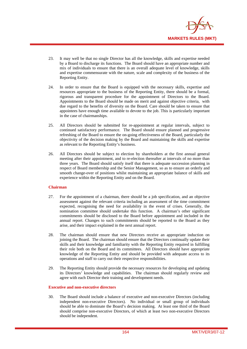

- 23. It may well be that no single Director has all the knowledge, skills and expertise needed by a Board to discharge its functions. The Board should have an appropriate number and mix of individuals to ensure that there is an overall adequate level of knowledge, skills and expertise commensurate with the nature, scale and complexity of the business of the Reporting Entity.
- 24. In order to ensure that the Board is equipped with the necessary skills, expertise and resources appropriate to the business of the Reporting Entity, there should be a formal, rigorous and transparent procedure for the appointment of Directors to the Board. Appointments to the Board should be made on merit and against objective criteria, with due regard to the benefits of diversity on the Board. Care should be taken to ensure that appointees have enough time available to devote to the job. This is particularly important in the case of chairmanships.
- 25. All Directors should be submitted for re-appointment at regular intervals, subject to continued satisfactory performance. The Board should ensure planned and progressive refreshing of the Board to ensure the on-going effectiveness of the Board, particularly the objectivity of the decision making by the Board and maintaining the skills and expertise as relevant to the Reporting Entity's business.
- 26. All Directors should be subject to election by shareholders at the first annual general meeting after their appointment, and to re-election thereafter at intervals of no more than three years. The Board should satisfy itself that there is adequate succession planning in respect of Board membership and the Senior Management, so as to ensure an orderly and smooth change-over of positions whilst maintaining an appropriate balance of skills and experience within the Reporting Entity and on the Board.

## **Chairman**

- 27. For the appointment of a chairman, there should be a job specification, and an objective assessment against the relevant criteria including an assessment of the time commitment expected, recognising the need for availability in the event of crises. Generally, the nomination committee should undertake this function. A chairman's other significant commitments should be disclosed to the Board before appointment and included in the annual report. Changes to such commitments should be reported to the Board as they arise, and their impact explained in the next annual report.
- 28. The chairman should ensure that new Directors receive an appropriate induction on joining the Board. The chairman should ensure that the Directors continually update their skills and their knowledge and familiarity with the Reporting Entity required in fulfilling their role both on the Board and its committees. All Directors should have appropriate knowledge of the Reporting Entity and should be provided with adequate access to its operations and staff to carry out their respective responsibilities.
- 29. The Reporting Entity should provide the necessary resources for developing and updating its Directors' knowledge and capabilities. The chairman should regularly review and agree with each Director their training and development needs.

## **Executive and non-executive directors**

30. The Board should include a balance of executive and non-executive Directors (including independent non-executive Directors). No individual or small group of individuals should be able to dominate the Board's decision making. At least one third of the Board should comprise non-executive Directors, of which at least two non-executive Directors should be independent.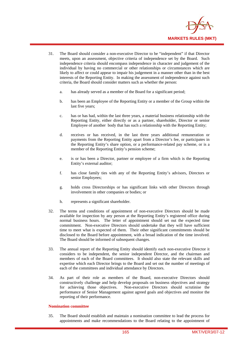

- 31. The Board should consider a non-executive Director to be "independent" if that Director meets, upon an assessment, objective criteria of independence set by the Board. Such independence criteria should encompass independence in character and judgement of the individual by having no commercial or other relationships or circumstances which are likely to affect or could appear to impair his judgement in a manner other than in the best interests of the Reporting Entity. In making the assessment of independence against such criteria, the Board should consider matters such as whether the person:
	- a. has already served as a member of the Board for a significant period;
	- b. has been an Employee of the Reporting Entity or a member of the Group within the last five years;
	- c. has or has had, within the last three years, a material business relationship with the Reporting Entity, either directly or as a partner, shareholder, Director or senior Employee of another body that has such a relationship with the Reporting Entity;
	- d. receives or has received, in the last three years additional remuneration or payments from the Reporting Entity apart from a Director's fee, or participates in the Reporting Entity's share option, or a performance-related pay scheme, or is a member of the Reporting Entity's pension scheme;
	- e. is or has been a Director, partner or employee of a firm which is the Reporting Entity's external auditor;
	- f. has close family ties with any of the Reporting Entity's advisors, Directors or senior Employees;
	- g. holds cross Directorships or has significant links with other Directors through involvement in other companies or bodies; or
	- h. represents a significant shareholder.
- 32. The terms and conditions of appointment of non-executive Directors should be made available for inspection by any person at the Reporting Entity's registered office during normal business hours. The letter of appointment should set out the expected time commitment. Non-executive Directors should undertake that they will have sufficient time to meet what is expected of them. Their other significant commitments should be disclosed to the Board before appointment, with a broad indication of the time involved. The Board should be informed of subsequent changes.
- 33. The annual report of the Reporting Entity should identify each non-executive Director it considers to be independent, the senior independent Director, and the chairman and members of each of the Board committees. It should also state the relevant skills and expertise which each Director brings to the Board and set out the number of meetings of each of the committees and individual attendance by Directors.
- 34. As part of their role as members of the Board, non-executive Directors should constructively challenge and help develop proposals on business objectives and strategy for achieving those objectives. Non-executive Directors should scrutinise the performance of Senior Management against agreed goals and objectives and monitor the reporting of their performance.

#### **Nomination committee**

35. The Board should establish and maintain a nomination committee to lead the process for appointments and make recommendations to the Board relating to the appointment of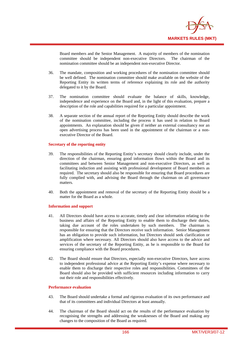

Board members and the Senior Management. A majority of members of the nomination committee should be independent non-executive Directors. The chairman of the nomination committee should be an independent non-executive Director.

- 36. The mandate, composition and working procedures of the nomination committee should be well defined. The nomination committee should make available on the website of the Reporting Entity its written terms of reference explaining its role and the authority delegated to it by the Board.
- 37. The nomination committee should evaluate the balance of skills, knowledge, independence and experience on the Board and, in the light of this evaluation, prepare a description of the role and capabilities required for a particular appointment.
- 38. A separate section of the annual report of the Reporting Entity should describe the work of the nomination committee, including the process it has used in relation to Board appointments. An explanation should be given if neither an external consultancy nor an open advertising process has been used in the appointment of the chairman or a nonexecutive Director of the Board.

#### **Secretary of the reporting entity**

- 39. The responsibilities of the Reporting Entity's secretary should clearly include, under the direction of the chairman, ensuring good information flows within the Board and its committees and between Senior Management and non-executive Directors, as well as facilitating induction and assisting with professional development of Board members as required. The secretary should also be responsible for ensuring that Board procedures are fully complied with, and advising the Board through the chairman on all governance matters.
- 40. Both the appointment and removal of the secretary of the Reporting Entity should be a matter for the Board as a whole.

#### **Information and support**

- 41. All Directors should have access to accurate, timely and clear information relating to the business and affairs of the Reporting Entity to enable them to discharge their duties, taking due account of the roles undertaken by such members. The chairman is responsible for ensuring that the Directors receive such information. Senior Management has an obligation to provide such information, but Directors should seek clarification or amplification where necessary. All Directors should also have access to the advice and services of the secretary of the Reporting Entity, as he is responsible to the Board for ensuring compliance with the Board procedures.
- 42. The Board should ensure that Directors, especially non-executive Directors, have access to independent professional advice at the Reporting Entity's expense where necessary to enable them to discharge their respective roles and responsibilities. Committees of the Board should also be provided with sufficient resources including information to carry out their role and responsibilities effectively.

#### **Performance evaluation**

- 43. The Board should undertake a formal and rigorous evaluation of its own performance and that of its committees and individual Directors at least annually.
- 44. The chairman of the Board should act on the results of the performance evaluation by recognising the strengths and addressing the weaknesses of the Board and making any changes to the composition of the Board as required.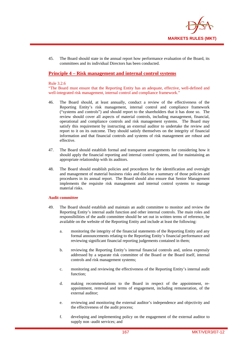

45. The Board should state in the annual report how performance evaluation of the Board, its committees and its individual Directors has been conducted.

# **Principle 4 – Risk management and internal control systems**

#### Rule 3.2.6

"The Board must ensure that the Reporting Entity has an adequate, effective, well-defined and well-integrated risk management, internal control and compliance framework.'

- 46. The Board should, at least annually, conduct a review of the effectiveness of the Reporting Entity's risk management, internal control and compliance framework ("systems and controls") and should report to the shareholders that it has done so. The review should cover all aspects of material controls, including management, financial, operational and compliance controls and risk management systems. The Board may satisfy this requirement by instructing an external auditor to undertake the review and report to it on its outcome. They should satisfy themselves on the integrity of financial information and that financial controls and systems of risk management are robust and effective.
- 47. The Board should establish formal and transparent arrangements for considering how it should apply the financial reporting and internal control systems, and for maintaining an appropriate relationship with its auditors.
- 48. The Board should establish policies and procedures for the identification and oversight and management of material business risks and disclose a summary of those policies and procedures in its annual report. The Board should also ensure that Senior Management implements the requisite risk management and internal control systems to manage material risks.

## **Audit committee**

- 49. The Board should establish and maintain an audit committee to monitor and review the Reporting Entity's internal audit function and other internal controls. The main roles and responsibilities of the audit committee should be set out in written terms of reference, be available on the website of the Reporting Entity and include at least the following:
	- a. monitoring the integrity of the financial statements of the Reporting Entity and any formal announcements relating to the Reporting Entity's financial performance and reviewing significant financial reporting judgements contained in them;
	- b. reviewing the Reporting Entity's internal financial controls and, unless expressly addressed by a separate risk committee of the Board or the Board itself, internal controls and risk management systems;
	- c. monitoring and reviewing the effectiveness of the Reporting Entity's internal audit function;
	- d. making recommendations to the Board in respect of the appointment, reappointment, removal and terms of engagement, including remuneration, of the external auditor;
	- e. reviewing and monitoring the external auditor's independence and objectivity and the effectiveness of the audit process;
	- f. developing and implementing policy on the engagement of the external auditor to supply non -audit services; and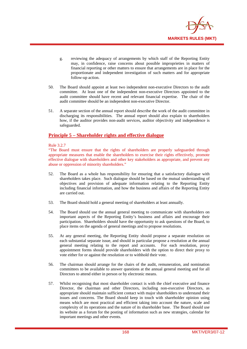

- g. reviewing the adequacy of arrangements by which staff of the Reporting Entity may, in confidence, raise concerns about possible improprieties in matters of financial reporting or other matters to ensure that arrangements are in place for the proportionate and independent investigation of such matters and for appropriate follow-up action.
- 50. The Board should appoint at least two independent non-executive Directors to the audit committee. At least one of the independent non-executive Directors appointed to the audit committee should have recent and relevant financial expertise. The chair of the audit committee should be an independent non-executive Director.
- 51. A separate section of the annual report should describe the work of the audit committee in discharging its responsibilities. The annual report should also explain to shareholders how, if the auditor provides non-audit services, auditor objectivity and independence is safeguarded.

# **Principle 5 – Shareholder rights and effective dialogue**

Rule 3.2.7

"The Board must ensure that the rights of shareholders are properly safeguarded through appropriate measures that enable the shareholders to exercise their rights effectively, promote effective dialogue with shareholders and other key stakeholders as appropriate, and prevent any abuse or oppression of minority shareholders."

- 52. The Board as a whole has responsibility for ensuring that a satisfactory dialogue with shareholders takes place. Such dialogue should be based on the mutual understanding of objectives and provision of adequate information relating to the Reporting Entity including financial information, and how the business and affairs of the Reporting Entity are carried out.
- 53. The Board should hold a general meeting of shareholders at least annually.
- 54. The Board should use the annual general meeting to communicate with shareholders on important aspects of the Reporting Entity's business and affairs and encourage their participation. Shareholders should have the opportunity to ask questions of the Board, to place items on the agenda of general meetings and to propose resolutions.
- 55. At any general meeting, the Reporting Entity should propose a separate resolution on each substantial separate issue, and should in particular propose a resolution at the annual general meeting relating to the report and accounts. For each resolution, proxy appointment forms should provide shareholders with the option to direct their proxy to vote either for or against the resolution or to withhold their vote.
- 56. The chairman should arrange for the chairs of the audit, remuneration, and nomination committees to be available to answer questions at the annual general meeting and for all Directors to attend either in person or by electronic means.
- 57. Whilst recognising that most shareholder contact is with the chief executive and finance Director, the chairman and other Directors, including non-executive Directors, as appropriate should maintain sufficient contact with major shareholders to understand their issues and concerns. The Board should keep in touch with shareholder opinion using means which are most practical and efficient taking into account the nature, scale and complexity of its operations and the nature of its shareholder base. The Board should use its website as a forum for the posting of information such as new strategies, calendar for important meetings and other events.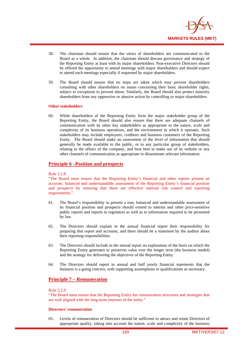

- 58. The chairman should ensure that the views of shareholders are communicated to the Board as a whole. In addition, the chairman should discuss governance and strategy of the Reporting Entity at least with its major shareholders. Non-executive Directors should be offered the opportunity to attend meetings with major shareholders and should expect to attend such meetings especially if requested by major shareholders.
- 59. The Board should ensure that no steps are taken which may prevent shareholders consulting with other shareholders on issues concerning their basic shareholder rights, subject to exceptions to prevent abuse. Similarly, the Board should also protect minority shareholders from any oppressive or abusive action by controlling or major shareholders.

### **Other stakeholders**

60. While shareholders of the Reporting Entity form the major stakeholder group of the Reporting Entity, the Board should also ensure that there are adequate channels of communication with its other key stakeholders as appropriate to the nature, scale and complexity of its business operations, and the environment in which it operates. Such stakeholders may include employees, creditors and business customers of the Reporting Entity. The Board should make an assessment of the level of information that should generally be made available to the public, or to any particular group of stakeholders, relating to the affairs of the company, and how best to make use of its website or any other channels of communication as appropriate to disseminate relevant information.

## **Principle 6 –Position and prospects**

#### Rule 3.2.8

"The Board must ensure that the Reporting Entity's financial and other reports present an accurate, balanced and understandable assessment of the Reporting Entity's financial position and prospects by ensuring that there are effective internal risk control and reporting requirements."

- 61. The Board's responsibility to present a true, balanced and understandable assessment of its financial position and prospects should extend to interim and other price-sensitive public reports and reports to regulators as well as to information required to be presented by law.
- 62. The Directors should explain in the annual financial report their responsibility for preparing that report and accounts, and there should be a statement by the auditor about their reporting responsibilities.
- 63. The Directors should include in the annual report an explanation of the basis on which the Reporting Entity generates or preserves value over the longer term (the business model) and the strategy for delivering the objectives of the Reporting Entity.
- 64. The Directors should report in annual and half yearly financial statements that the business is a going concern, with supporting assumptions or qualifications as necessary.

# **Principle 7 – Remuneration**

### Rule 3.2.9

"The Board must ensure that the Reporting Entity has remuneration structures and strategies that are well aligned with the long-term interests of the entity."

#### **Directors' remuneration**

65. Levels of remuneration of Directors should be sufficient to attract and retain Directors of appropriate quality, taking into account the nature, scale and complexity of the business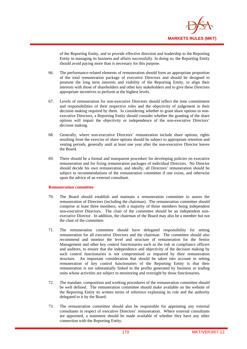

of the Reporting Entity, and to provide effective direction and leadership to the Reporting Entity in managing its business and affairs successfully. In doing so, the Reporting Entity should avoid paying more than is necessary for this purpose.

- 66. The performance-related elements of remuneration should form an appropriate proportion of the total remuneration package of executive Directors and should be designed to promote the long term interests and viability of the Reporting Entity, to align their interests with those of shareholders and other key stakeholders and to give these Directors appropriate incentives to perform at the highest levels.
- 67. Levels of remuneration for non-executive Directors should reflect the time commitment and responsibilities of their respective roles and the objectivity of judgement in their decision making required by them. In considering whether to grant share options to nonexecutive Directors, a Reporting Entity should consider whether the granting of the share options will impair the objectivity or independence of the non-executive Directors' decision making.
- 68. Generally, where non-executive Directors' remuneration include share options, rights resulting from the exercise of share options should be subject to appropriate retention and vesting periods, generally until at least one year after the non-executive Director leaves the Board.
- 69. There should be a formal and transparent procedure for developing policies on executive remuneration and for fixing remuneration packages of individual Directors. No Director should decide his own remuneration, and ideally, all Directors' remuneration should be subject to recommendations of the remuneration committee if one exists, and otherwise upon the advice of an external consultant.

## **Remuneration committee**

- 70. The Board should establish and maintain a remuneration committee to assess the remuneration of Directors (including the chairman). The remuneration committee should comprise at least three members, with a majority of those members being independent non-executive Directors. The chair of the committee should be an independent nonexecutive Director. In addition, the chairman of the Board may also be a member but not the chair of the committee.
- 71. The remuneration committee should have delegated responsibility for setting remuneration for all executive Directors and the chairman. The committee should also recommend and monitor the level and structure of remuneration for the Senior Management and other key control functionaries such as the risk or compliance officers and auditors, to ensure that the independence and objectivity of the decision making by such control functionaries is not compromised or impaired by their remuneration structure. An important consideration that should be taken into account in setting remuneration of key control functionaries of the Reporting Entity is that their remuneration is not substantially linked to the profits generated by business or trading units whose activities are subject to monitoring and oversight by those functionaries.
- 72. The mandate, composition and working procedures of the remuneration committee should be well defined. The remuneration committee should make available on the website of the Reporting Entity its written terms of reference explaining its role and the authority delegated to it by the Board.
- 73. The remuneration committee should also be responsible for appointing any external consultants in respect of executive Directors' remuneration. Where external consultants are appointed, a statement should be made available of whether they have any other connection with the Reporting Entity.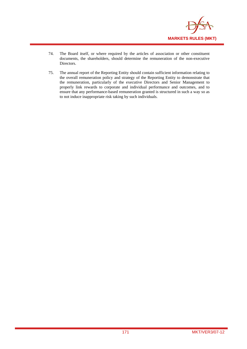

- 74. The Board itself, or where required by the articles of association or other constituent documents, the shareholders, should determine the remuneration of the non-executive Directors.
- 75. The annual report of the Reporting Entity should contain sufficient information relating to the overall remuneration policy and strategy of the Reporting Entity to demonstrate that the remuneration, particularly of the executive Directors and Senior Management to properly link rewards to corporate and individual performance and outcomes, and to ensure that any performance-based remuneration granted is structured in such a way so as to not induce inappropriate risk taking by such individuals.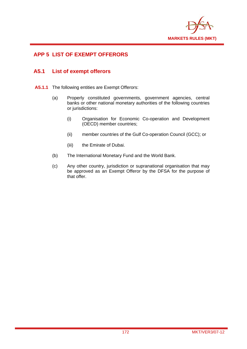

# **APP 5 LIST OF EXEMPT OFFERORS**

# **A5.1 List of exempt offerors**

- **A5.1.1** The following entities are Exempt Offerors:
	- (a) Properly constituted governments, government agencies, central banks or other national monetary authorities of the following countries or jurisdictions:
		- (i) Organisation for Economic Co-operation and Development (OECD) member countries;
		- (ii) member countries of the Gulf Co-operation Council (GCC); or
		- (iii) the Emirate of Dubai.
	- (b) The International Monetary Fund and the World Bank.
	- (c) Any other country, jurisdiction or supranational organisation that may be approved as an Exempt Offeror by the DFSA for the purpose of that offer.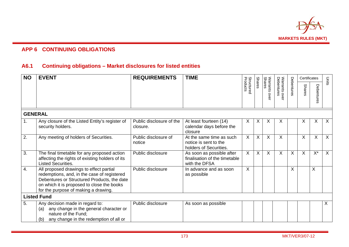

# **APP 6 CONTINUING OBLIGATIONS**

# **A6.1 Continuing obligations – Market disclosures for listed entities**

| <b>NO</b>      | <b>EVENT</b>                                                                                                                                                                                                                | <b>REQUIREMENTS</b>                  | <b>TIME</b>                                                                 |                               |               |                                   |                                   | Certificates |               | Units         |         |
|----------------|-----------------------------------------------------------------------------------------------------------------------------------------------------------------------------------------------------------------------------|--------------------------------------|-----------------------------------------------------------------------------|-------------------------------|---------------|-----------------------------------|-----------------------------------|--------------|---------------|---------------|---------|
|                |                                                                                                                                                                                                                             |                                      |                                                                             | <b>Structured</b><br>Products | <b>Shares</b> | <b>Warrants</b><br>Shares<br>over | Warrants ov<br>Debentures<br>over | Debentures   | <b>Shares</b> | Debentu<br>œ, |         |
| <b>GENERAL</b> |                                                                                                                                                                                                                             |                                      |                                                                             |                               |               |                                   |                                   |              |               |               |         |
| 1.             | Any closure of the Listed Entity's register of<br>security holders.                                                                                                                                                         | Public disclosure of the<br>closure. | At least fourteen (14)<br>calendar days before the<br>closure               | X                             | $\sf X$       | X                                 | X                                 |              | X             | X             | X       |
| 2.             | Any meeting of holders of Securities.                                                                                                                                                                                       | Public disclosure of<br>notice       | At the same time as such<br>notice is sent to the<br>holders of Securities. | X                             | $\sf X$       | X                                 | X                                 |              | X             | X             | $\sf X$ |
| 3.             | The final timetable for any proposed action<br>affecting the rights of existing holders of its<br><b>Listed Securities.</b>                                                                                                 | Public disclosure                    | As soon as possible after<br>finalisation of the timetable<br>with the DFSA | X                             | $\sf X$       | X                                 | $\times$                          | X            | X             | $X^*$         | X       |
| 4.             | All proposed drawings to effect partial<br>redemptions, and, in the case of registered<br>Debentures or Structured Products, the date<br>on which it is proposed to close the books<br>for the purpose of making a drawing. | Public disclosure                    | In advance and as soon<br>as possible                                       | X                             |               |                                   |                                   | X            |               | X             |         |
|                | <b>Listed Fund</b>                                                                                                                                                                                                          |                                      |                                                                             |                               |               |                                   |                                   |              |               |               |         |
| 5.             | Any decision made in regard to:<br>any change in the general character or<br>(a)<br>nature of the Fund;<br>any change in the redemption of all or<br>(b)                                                                    | Public disclosure                    | As soon as possible                                                         |                               |               |                                   |                                   |              |               |               | X       |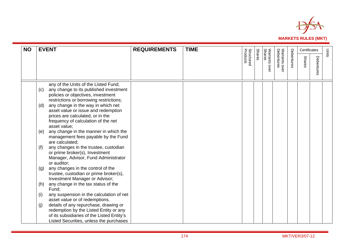

| <b>NO</b> | <b>EVENT</b>                                                                                                                                                                                                                                                                                                                          | <b>REQUIREMENTS</b> | <b>TIME</b> |                               |               |                                   |                             |            | Certificates  |            | Units |
|-----------|---------------------------------------------------------------------------------------------------------------------------------------------------------------------------------------------------------------------------------------------------------------------------------------------------------------------------------------|---------------------|-------------|-------------------------------|---------------|-----------------------------------|-----------------------------|------------|---------------|------------|-------|
|           |                                                                                                                                                                                                                                                                                                                                       |                     |             | <b>Structured</b><br>Products | <b>Shares</b> | <b>Shares</b><br>Warrants<br>ovel | Warrants over<br>Debentures | Debentures | <b>Shares</b> | Debentures |       |
|           | any of the Units of the Listed Fund;<br>any change to its published investment<br>(c)<br>policies or objectives, investment<br>restrictions or borrowing restrictions;<br>any change in the way in which net<br>(d)<br>asset value or issue and redemption<br>prices are calculated, or in the<br>frequency of calculation of the net |                     |             |                               |               |                                   |                             |            |               |            |       |
|           | asset value;<br>any change in the manner in which the<br>(e)<br>management fees payable by the Fund<br>are calculated;                                                                                                                                                                                                                |                     |             |                               |               |                                   |                             |            |               |            |       |
|           | any changes in the trustee, custodian<br>(f)<br>or prime broker(s), Investment<br>Manager, Advisor, Fund Administrator<br>or auditor;                                                                                                                                                                                                 |                     |             |                               |               |                                   |                             |            |               |            |       |
|           | any changes in the control of the<br>(g)<br>trustee, custodian or prime broker(s),<br>Investment Manager or Advisor;                                                                                                                                                                                                                  |                     |             |                               |               |                                   |                             |            |               |            |       |
|           | any change in the tax status of the<br>(h)<br>Fund;                                                                                                                                                                                                                                                                                   |                     |             |                               |               |                                   |                             |            |               |            |       |
|           | any suspension in the calculation of net<br>(i)<br>asset value or of redemptions.                                                                                                                                                                                                                                                     |                     |             |                               |               |                                   |                             |            |               |            |       |
|           | details of any repurchase, drawing or<br>(j)<br>redemption by the Listed Entity or any<br>of its subsidiaries of the Listed Entity's<br>Listed Securities, unless the purchases                                                                                                                                                       |                     |             |                               |               |                                   |                             |            |               |            |       |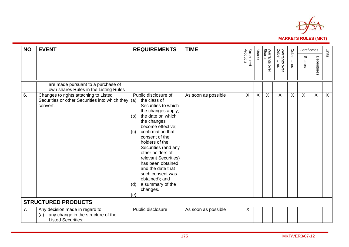

| <b>NO</b> | <b>EVENT</b>                                                                                              | <b>REQUIREMENTS</b>                                                                                                                                                                                                                                                                                                                                                                                                 | <b>TIME</b>         |                               |               |                                |                             |            | Certificates  |              | Units        |
|-----------|-----------------------------------------------------------------------------------------------------------|---------------------------------------------------------------------------------------------------------------------------------------------------------------------------------------------------------------------------------------------------------------------------------------------------------------------------------------------------------------------------------------------------------------------|---------------------|-------------------------------|---------------|--------------------------------|-----------------------------|------------|---------------|--------------|--------------|
|           |                                                                                                           |                                                                                                                                                                                                                                                                                                                                                                                                                     |                     | <b>Structured</b><br>Products | <b>Shares</b> | <b>Shares</b><br>Warrants over | Warrants over<br>Debentures | Debentures | <b>Shares</b> | Debentures   |              |
|           | are made pursuant to a purchase of<br>own shares Rules in the Listing Rules                               |                                                                                                                                                                                                                                                                                                                                                                                                                     |                     |                               |               |                                |                             |            |               |              |              |
| 6.        | Changes to rights attaching to Listed<br>Securities or other Securities into which they $(a)$<br>convert. | Public disclosure of:<br>the class of<br>Securities to which<br>the changes apply;<br>the date on which<br>(b)<br>the changes<br>become effective;<br>confirmation that<br>(C)<br>consent of the<br>holders of the<br>Securities (and any<br>other holders of<br>relevant Securities)<br>has been obtained<br>and the date that<br>such consent was<br>obtained); and<br>a summary of the<br>(d)<br>changes.<br>(e) | As soon as possible | $\sf X$                       | $\sf X$       | $\sf X$                        | $\mathsf{X}$                | $\sf X$    | $\sf X$       | $\mathsf{X}$ | $\mathsf{X}$ |
|           | <b>STRUCTURED PRODUCTS</b>                                                                                |                                                                                                                                                                                                                                                                                                                                                                                                                     |                     |                               |               |                                |                             |            |               |              |              |
| 7.        | Any decision made in regard to:<br>any change in the structure of the<br>(a)<br><b>Listed Securities:</b> | Public disclosure                                                                                                                                                                                                                                                                                                                                                                                                   | As soon as possible | X                             |               |                                |                             |            |               |              |              |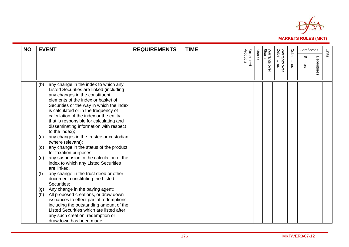

| <b>NO</b> | <b>EVENT</b>                                                                                                                                                                                                                                                                                                                                                                                                                                                                                                                                                                                                                                                                                                                                                                                                                                                                                                                                                                                                                                                  | <b>REQUIREMENTS</b> | <b>TIME</b> |                               |               |                            |                             |            | Certificates  |           | Units |
|-----------|---------------------------------------------------------------------------------------------------------------------------------------------------------------------------------------------------------------------------------------------------------------------------------------------------------------------------------------------------------------------------------------------------------------------------------------------------------------------------------------------------------------------------------------------------------------------------------------------------------------------------------------------------------------------------------------------------------------------------------------------------------------------------------------------------------------------------------------------------------------------------------------------------------------------------------------------------------------------------------------------------------------------------------------------------------------|---------------------|-------------|-------------------------------|---------------|----------------------------|-----------------------------|------------|---------------|-----------|-------|
|           |                                                                                                                                                                                                                                                                                                                                                                                                                                                                                                                                                                                                                                                                                                                                                                                                                                                                                                                                                                                                                                                               |                     |             | <b>Structured</b><br>Products | <b>Shares</b> | Warrants<br>Shares<br>over | Warrants over<br>Debentures | Debentures | <b>Shares</b> | Debenture |       |
|           | (b)<br>any change in the index to which any<br>Listed Securities are linked (including<br>any changes in the constituent<br>elements of the index or basket of<br>Securities or the way in which the index<br>is calculated or in the frequency of<br>calculation of the index or the entity<br>that is responsible for calculating and<br>disseminating information with respect<br>to the index);<br>any changes in the trustee or custodian<br>(c)<br>(where relevant);<br>any change in the status of the product<br>(d)<br>for taxation purposes;<br>any suspension in the calculation of the<br>(e)<br>index to which any Listed Securities<br>are linked.<br>any change in the trust deed or other<br>(f)<br>document constituting the Listed<br>Securities:<br>Any change in the paying agent;<br>(g)<br>All proposed creations, or draw down<br>(h)<br>issuances to effect partial redemptions<br>including the outstanding amount of the<br>Listed Securities which are listed after<br>any such creation, redemption or<br>drawdown has been made; |                     |             |                               |               |                            |                             |            |               |           |       |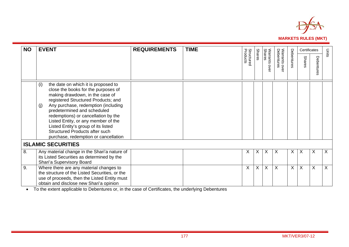

| <b>NO</b> | <b>EVENT</b>                                                                                                                                                                                                                                                                                                                                                                                                                            | <b>REQUIREMENTS</b> | <b>TIME</b> |                               |               |                                   |                             |            | Certificates |                          | Units |
|-----------|-----------------------------------------------------------------------------------------------------------------------------------------------------------------------------------------------------------------------------------------------------------------------------------------------------------------------------------------------------------------------------------------------------------------------------------------|---------------------|-------------|-------------------------------|---------------|-----------------------------------|-----------------------------|------------|--------------|--------------------------|-------|
|           |                                                                                                                                                                                                                                                                                                                                                                                                                                         |                     |             | <b>Structured</b><br>Products | <b>Shares</b> | <b>Shares</b><br>Warrants<br>over | Warrants over<br>Debentures | Debentures | Shares       | Debentu<br>ㅎ<br>$\omega$ |       |
|           | (i)<br>the date on which it is proposed to<br>close the books for the purposes of<br>making drawdown, in the case of<br>registered Structured Products; and<br>Any purchase, redemption (including<br>(j)<br>predetermined and scheduled<br>redemptions) or cancellation by the<br>Listed Entity, or any member of the<br>Listed Entity's group of its listed<br>Structured Products after such<br>purchase, redemption or cancellation |                     |             |                               |               |                                   |                             |            |              |                          |       |
|           | <b>ISLAMIC SECURITIES</b>                                                                                                                                                                                                                                                                                                                                                                                                               |                     |             |                               |               |                                   |                             |            |              |                          |       |
| 8.        | Any material change in the Shari'a nature of<br>its Listed Securities as determined by the<br>Shari'a Supervisory Board                                                                                                                                                                                                                                                                                                                 |                     |             | $\times$                      | $\sf X$       | X                                 | X                           | X          | X            | X                        | X     |
| 9.        | Where there are any material changes to<br>the structure of the Listed Securities, or the<br>use of proceeds, then the Listed Entity must<br>obtain and disclose new Shari'a opinion                                                                                                                                                                                                                                                    |                     |             | $\sf X$                       | X             | X                                 | X                           | X          | X            | X                        | X     |

To the extent applicable to Debentures or, in the case of Certificates, the underlying Debentures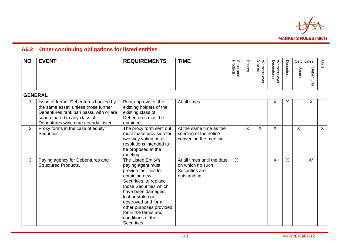

## **A6.2 Other continuing obligations for listed entities**

| <b>NO</b>      | <b>EVENT</b>                                                                                                                                                                                    | <b>REQUIREMENTS</b>                                                                                                                                                                                                                                                                                | <b>TIME</b>                                                                       |                               |               |                            |                             |            | Certificates  |            | Units   |
|----------------|-------------------------------------------------------------------------------------------------------------------------------------------------------------------------------------------------|----------------------------------------------------------------------------------------------------------------------------------------------------------------------------------------------------------------------------------------------------------------------------------------------------|-----------------------------------------------------------------------------------|-------------------------------|---------------|----------------------------|-----------------------------|------------|---------------|------------|---------|
|                |                                                                                                                                                                                                 |                                                                                                                                                                                                                                                                                                    |                                                                                   | <b>Structured</b><br>Products | <b>Shares</b> | Warrants<br>Shares<br>over | Warrants over<br>Debentures | Debentures | <b>Shares</b> | Debentures |         |
| <b>GENERAL</b> |                                                                                                                                                                                                 |                                                                                                                                                                                                                                                                                                    |                                                                                   |                               |               |                            |                             |            |               |            |         |
| 1.             | Issue of further Debentures backed by<br>the same asset, unless those further<br>Debentures rank pari passu with or are<br>subordinated to any class of<br>Debentures which are already Listed. | Prior approval of the<br>existing holders of the<br>existing class of<br>Debentures must be<br>obtained.                                                                                                                                                                                           | At all times                                                                      |                               |               |                            | X                           | X          |               | X          |         |
| 2.             | Proxy forms in the case of equity<br>Securities.                                                                                                                                                | The proxy form sent out<br>must make provision for<br>two-way voting on all<br>resolutions intended to<br>be proposed at the<br>meeting.                                                                                                                                                           | At the same time as the<br>sending of the notice<br>convening the meeting         |                               | X             | X                          | X                           |            | $\sf X$       |            | $\sf X$ |
| 3.             | Paying agency for Debentures and<br><b>Structured Products.</b>                                                                                                                                 | The Listed Entity's<br>paying agent must<br>provide facilities for<br>obtaining new<br>Securities, to replace<br>those Securities which<br>have been damaged,<br>lost or stolen or<br>destroyed and for all<br>other purposes provided<br>for in the terms and<br>conditions of the<br>Securities. | At all times until the date<br>on which no such<br>Securities are<br>outstanding. | X                             |               |                            | X                           | $\sf X$    |               | $X^*$      |         |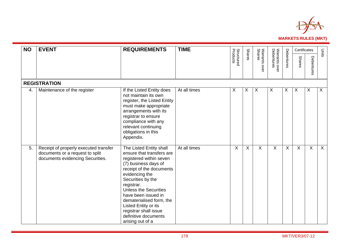

| <b>NO</b> | <b>EVENT</b>                                                                                                 | <b>REQUIREMENTS</b>                                                                                                                                                                                                                                                                                                                                                      | <b>TIME</b>  |                               |                           |                           |                             |            | Certificates  |              | Units        |
|-----------|--------------------------------------------------------------------------------------------------------------|--------------------------------------------------------------------------------------------------------------------------------------------------------------------------------------------------------------------------------------------------------------------------------------------------------------------------------------------------------------------------|--------------|-------------------------------|---------------------------|---------------------------|-----------------------------|------------|---------------|--------------|--------------|
|           |                                                                                                              |                                                                                                                                                                                                                                                                                                                                                                          |              | <b>Structured</b><br>Products | <b>Shares</b>             | Warrants over<br>Shares   | Warrants over<br>Debentures | Debentures | <b>Shares</b> | Debentures   |              |
|           | <b>REGISTRATION</b>                                                                                          |                                                                                                                                                                                                                                                                                                                                                                          |              |                               |                           |                           |                             |            |               |              |              |
| 4.        | Maintenance of the register                                                                                  | If the Listed Entity does<br>not maintain its own<br>register, the Listed Entity<br>must make appropriate<br>arrangements with its<br>registrar to ensure<br>compliance with any<br>relevant continuing<br>obligations in this<br>Appendix.                                                                                                                              | At all times | X                             | X                         | $\boldsymbol{\mathsf{X}}$ | X                           | X          | $\sf X$       | X            | $\mathsf{X}$ |
| 5.        | Receipt of properly executed transfer<br>documents or a request to split<br>documents evidencing Securities. | The Listed Entity shall<br>ensure that transfers are<br>registered within seven<br>(7) business days of<br>receipt of the documents<br>evidencing the<br>Securities by the<br>registrar.<br><b>Unless the Securities</b><br>have been issued in<br>dematerialised form, the<br>Listed Entity or its<br>registrar shall issue<br>definitive documents<br>arising out of a | At all times | X                             | $\boldsymbol{\mathsf{X}}$ | $\sf X$                   | $\mathsf{X}$                | X          | X             | $\mathsf{X}$ | X            |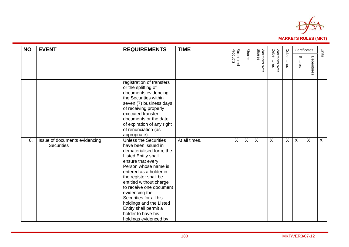

| <b>NO</b> | <b>EVENT</b>                                       | <b>REQUIREMENTS</b>                                                                                                                                                                                                                                                                                                                                                                                                | <b>TIME</b>   |                               |               |                           |                             |            | Certificates              |                | Units          |
|-----------|----------------------------------------------------|--------------------------------------------------------------------------------------------------------------------------------------------------------------------------------------------------------------------------------------------------------------------------------------------------------------------------------------------------------------------------------------------------------------------|---------------|-------------------------------|---------------|---------------------------|-----------------------------|------------|---------------------------|----------------|----------------|
|           |                                                    |                                                                                                                                                                                                                                                                                                                                                                                                                    |               | <b>Structured</b><br>Products | <b>Shares</b> | Warrants over<br>Shares   | Warrants over<br>Debentures | Debentures | <b>Shares</b>             | Debentures     |                |
|           |                                                    | registration of transfers<br>or the splitting of<br>documents evidencing<br>the Securities within<br>seven (7) business days<br>of receiving properly<br>executed transfer<br>documents or the date<br>of expiration of any right<br>of renunciation (as<br>appropriate).                                                                                                                                          |               |                               |               |                           |                             |            |                           |                |                |
| 6.        | Issue of documents evidencing<br><b>Securities</b> | <b>Unless the Securities</b><br>have been issued in<br>dematerialised form, the<br><b>Listed Entity shall</b><br>ensure that every<br>Person whose name is<br>entered as a holder in<br>the register shall be<br>entitled without charge<br>to receive one document<br>evidencing the<br>Securities for all his<br>holdings and the Listed<br>Entity shall permit a<br>holder to have his<br>holdings evidenced by | At all times. | X                             | X             | $\boldsymbol{\mathsf{X}}$ | X                           | $\sf X$    | $\boldsymbol{\mathsf{X}}$ | $\overline{X}$ | $\overline{X}$ |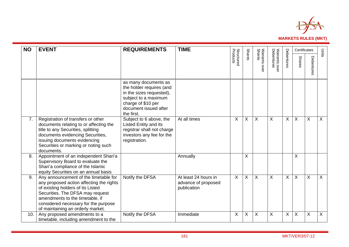

| <b>NO</b> | <b>EVENT</b>                                                                                                                                                                                                                                                               | <b>REQUIREMENTS</b>                                                                                                                                               | <b>TIME</b>                                                |                               |               |                           |                             |            |                           | Certificates              | Units   |
|-----------|----------------------------------------------------------------------------------------------------------------------------------------------------------------------------------------------------------------------------------------------------------------------------|-------------------------------------------------------------------------------------------------------------------------------------------------------------------|------------------------------------------------------------|-------------------------------|---------------|---------------------------|-----------------------------|------------|---------------------------|---------------------------|---------|
|           |                                                                                                                                                                                                                                                                            |                                                                                                                                                                   |                                                            | <b>Structured</b><br>Products | <b>Shares</b> | Warrants over<br>Shares   | Warrants over<br>Debentures | Debentures | <b>Shares</b>             | Debentures                |         |
|           |                                                                                                                                                                                                                                                                            | as many documents as<br>the holder requires (and<br>in the sizes requested),<br>subject to a maximum<br>charge of \$10 per<br>document issued after<br>the first. |                                                            |                               |               |                           |                             |            |                           |                           |         |
| 7.        | Registration of transfers or other<br>documents relating to or affecting the<br>title to any Securities, splitting<br>documents evidencing Securities,<br>issuing documents evidencing<br>Securities or marking or noting such<br>documents.                               | Subject to 6 above, the<br><b>Listed Entity and its</b><br>registrar shall not charge<br>investors any fee for the<br>registration.                               | At all times                                               | X                             | X             | $\sf X$                   | $\sf X$                     | $\sf X$    | $\boldsymbol{\mathsf{X}}$ | $\boldsymbol{\mathsf{X}}$ | $\sf X$ |
| 8.        | Appointment of an independent Shari'a<br>Supervisory Board to evaluate the<br>Shari'a compliance of the Islamic<br>equity Securities on an annual basis                                                                                                                    |                                                                                                                                                                   | Annually                                                   |                               | X             |                           |                             |            | $\boldsymbol{\mathsf{X}}$ |                           |         |
| 9.        | Any announcement of the timetable for<br>any proposed action affecting the rights<br>of existing holders of its Listed<br>Securities. The DFSA may request<br>amendments to the timetable, if<br>considered necessary for the purpose<br>of maintaining an orderly market. | Notify the DFSA                                                                                                                                                   | At least 24 hours in<br>advance of proposed<br>publication | $\sf X$                       | X             | $\sf X$                   | X                           | $\sf X$    | $\times$                  | $\sf X$                   | $\sf X$ |
| 10.       | Any proposed amendments to a<br>timetable, including amendment to the                                                                                                                                                                                                      | Notify the DFSA                                                                                                                                                   | Immediate                                                  | X                             | X             | $\boldsymbol{\mathsf{X}}$ | X                           | X          | X                         | X                         | X       |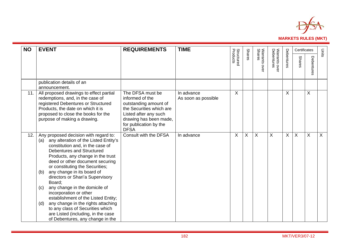

| <b>NO</b> | <b>EVENT</b>                                                                                                                                                                                                                                                                                                                                                                                                                                                                                                                                                                                                             | <b>REQUIREMENTS</b>                                                                                                                                                                  | <b>TIME</b>                       |                               |               |                            |                                   |            | Certificates  |            | Units   |
|-----------|--------------------------------------------------------------------------------------------------------------------------------------------------------------------------------------------------------------------------------------------------------------------------------------------------------------------------------------------------------------------------------------------------------------------------------------------------------------------------------------------------------------------------------------------------------------------------------------------------------------------------|--------------------------------------------------------------------------------------------------------------------------------------------------------------------------------------|-----------------------------------|-------------------------------|---------------|----------------------------|-----------------------------------|------------|---------------|------------|---------|
|           |                                                                                                                                                                                                                                                                                                                                                                                                                                                                                                                                                                                                                          |                                                                                                                                                                                      |                                   | <b>Structured</b><br>Products | <b>Shares</b> | Warrants<br>Shares<br>over | Warrants ov<br>Debentures<br>over | Debentures | <b>Shares</b> | Debentures |         |
|           | publication details of an<br>announcement.                                                                                                                                                                                                                                                                                                                                                                                                                                                                                                                                                                               |                                                                                                                                                                                      |                                   |                               |               |                            |                                   |            |               |            |         |
| 11.       | All proposed drawings to effect partial<br>redemptions, and, in the case of<br>registered Debentures or Structured<br>Products, the date on which it is<br>proposed to close the books for the<br>purpose of making a drawing.                                                                                                                                                                                                                                                                                                                                                                                           | The DFSA must be<br>informed of the<br>outstanding amount of<br>the Securities which are<br>Listed after any such<br>drawing has been made,<br>for publication by the<br><b>DFSA</b> | In advance<br>As soon as possible | X                             |               |                            |                                   | X          |               | X          |         |
| 12.       | Any proposed decision with regard to:<br>any alteration of the Listed Entity's<br>(a)<br>constitution and, in the case of<br>Debentures and Structured<br>Products, any change in the trust<br>deed or other document securing<br>or constituting the Securities;<br>any change in its board of<br>(b)<br>directors or Shari'a Supervisory<br>Board:<br>any change in the domicile of<br>(c)<br>incorporation or other<br>establishment of the Listed Entity;<br>any change in the rights attaching<br>(d)<br>to any class of Securities which<br>are Listed (including, in the case<br>of Debentures, any change in the | Consult with the DFSA                                                                                                                                                                | In advance                        | X                             | Χ             | X                          | X                                 | $\sf X$    | X.            | X          | $\sf X$ |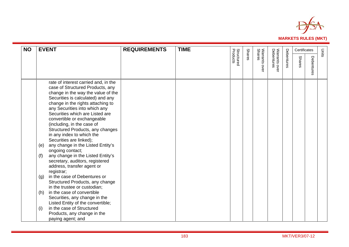

| <b>NO</b> | <b>EVENT</b>                                                                                                                                                                                                                                                                                                                                                                                                                                                                                                                                                                                                                                                                                                                                                                                     | <b>REQUIREMENTS</b> | <b>TIME</b> |                               |               |                         |                             |            | Certificates  |                 | Units |
|-----------|--------------------------------------------------------------------------------------------------------------------------------------------------------------------------------------------------------------------------------------------------------------------------------------------------------------------------------------------------------------------------------------------------------------------------------------------------------------------------------------------------------------------------------------------------------------------------------------------------------------------------------------------------------------------------------------------------------------------------------------------------------------------------------------------------|---------------------|-------------|-------------------------------|---------------|-------------------------|-----------------------------|------------|---------------|-----------------|-------|
|           |                                                                                                                                                                                                                                                                                                                                                                                                                                                                                                                                                                                                                                                                                                                                                                                                  |                     |             | <b>Structured</b><br>Products | <b>Shares</b> | Warrants over<br>Shares | Warrants over<br>Debentures | Debentures | <b>Shares</b> | Debenture<br>Ö. |       |
|           | rate of interest carried and, in the<br>case of Structured Products, any<br>change in the way the value of the<br>Securities is calculated) and any<br>change in the rights attaching to<br>any Securities into which any<br>Securities which are Listed are<br>convertible or exchangeable<br>(including, in the case of<br>Structured Products, any changes<br>in any index to which the<br>Securities are linked);<br>any change in the Listed Entity's<br>(e)<br>ongoing contact;<br>any change in the Listed Entity's<br>(f)<br>secretary, auditors, registered<br>address, transfer agent or<br>registrar;<br>in the case of Debentures or<br>(g)<br>Structured Products, any change<br>in the trustee or custodian;<br>in the case of convertible<br>(h)<br>Securities, any change in the |                     |             |                               |               |                         |                             |            |               |                 |       |
|           | Listed Entity of the convertible;<br>in the case of Structured<br>(i)<br>Products, any change in the<br>paying agent; and                                                                                                                                                                                                                                                                                                                                                                                                                                                                                                                                                                                                                                                                        |                     |             |                               |               |                         |                             |            |               |                 |       |